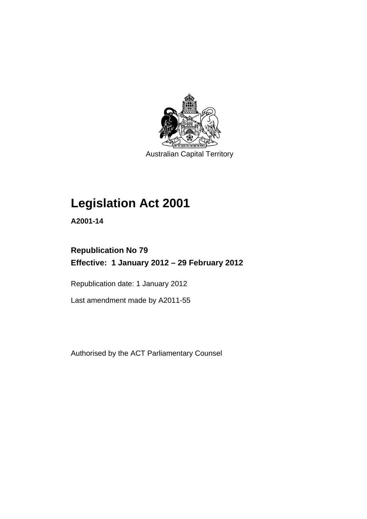

Australian Capital Territory

# **Legislation Act 2001**

**A2001-14** 

## **Republication No 79 Effective: 1 January 2012 – 29 February 2012**

Republication date: 1 January 2012

Last amendment made by A2011-55

Authorised by the ACT Parliamentary Counsel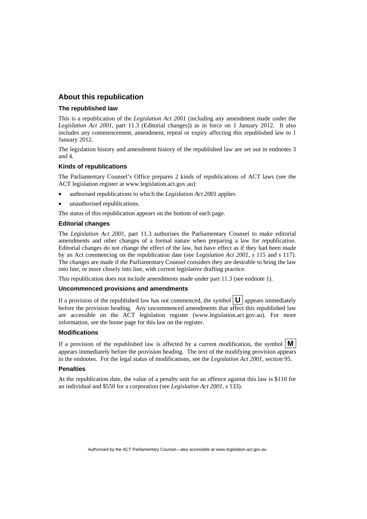## **About this republication**

#### **The republished law**

This is a republication of the *Legislation Act 2001* (including any amendment made under the *Legislation Act 2001*, part 11.3 (Editorial changes)) as in force on 1 January 2012*.* It also includes any commencement, amendment, repeal or expiry affecting this republished law to 1 January 2012.

The legislation history and amendment history of the republished law are set out in endnotes 3 and 4.

#### **Kinds of republications**

The Parliamentary Counsel's Office prepares 2 kinds of republications of ACT laws (see the ACT legislation register at www.legislation.act.gov.au):

- authorised republications to which the *Legislation Act 2001* applies
- unauthorised republications.

The status of this republication appears on the bottom of each page.

#### **Editorial changes**

The *Legislation Act 2001*, part 11.3 authorises the Parliamentary Counsel to make editorial amendments and other changes of a formal nature when preparing a law for republication. Editorial changes do not change the effect of the law, but have effect as if they had been made by an Act commencing on the republication date (see *Legislation Act 2001*, s 115 and s 117). The changes are made if the Parliamentary Counsel considers they are desirable to bring the law into line, or more closely into line, with current legislative drafting practice.

This republication does not include amendments made under part 11.3 (see endnote 1).

#### **Uncommenced provisions and amendments**

If a provision of the republished law has not commenced, the symbol  $\mathbf{U}$  appears immediately before the provision heading. Any uncommenced amendments that affect this republished law are accessible on the ACT legislation register (www.legislation.act.gov.au). For more information, see the home page for this law on the register.

#### **Modifications**

If a provision of the republished law is affected by a current modification, the symbol  $\mathbf{M}$ appears immediately before the provision heading. The text of the modifying provision appears in the endnotes. For the legal status of modifications, see the *Legislation Act 2001*, section 95.

#### **Penalties**

At the republication date, the value of a penalty unit for an offence against this law is \$110 for an individual and \$550 for a corporation (see *Legislation Act 2001*, s 133).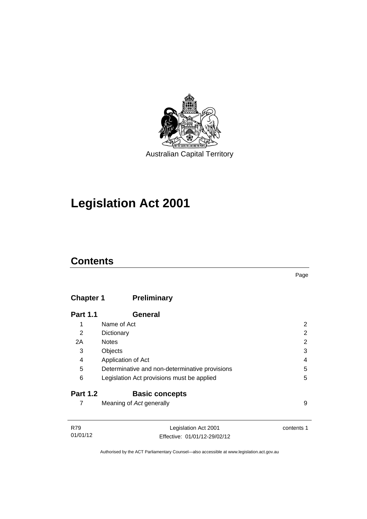

# **Legislation Act 2001**

## **Contents**

## **Chapter 1 [Preliminary](#page-17-0)**

| <b>Part 1.1</b> | General                                        |   |
|-----------------|------------------------------------------------|---|
| 1               | Name of Act                                    | 2 |
| 2               | Dictionary                                     | 2 |
| 2A              | <b>Notes</b>                                   | 2 |
| 3               | Objects                                        | 3 |
| 4               | Application of Act                             | 4 |
| 5               | Determinative and non-determinative provisions | 5 |
| 6               | Legislation Act provisions must be applied     | 5 |
| <b>Part 1.2</b> | <b>Basic concepts</b>                          |   |
|                 | Meaning of Act generally                       | 9 |

| R79      | Legislation Act 2001         | contents 1 |
|----------|------------------------------|------------|
| 01/01/12 | Effective: 01/01/12-29/02/12 |            |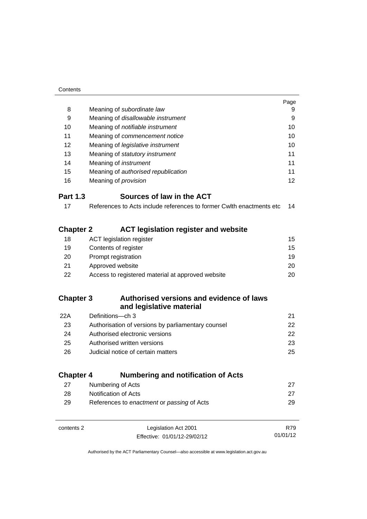| Contents         |                                                                      |          |
|------------------|----------------------------------------------------------------------|----------|
|                  |                                                                      | Page     |
| 8                | Meaning of subordinate law                                           | 9        |
| 9                | Meaning of disallowable instrument                                   | 9        |
| 10               | Meaning of notifiable instrument                                     | 10       |
| 11               | Meaning of commencement notice                                       | 10       |
| 12               | Meaning of legislative instrument                                    | 10       |
| 13               | Meaning of statutory instrument                                      | 11       |
| 14               | Meaning of <i>instrument</i>                                         | 11       |
| 15               | Meaning of authorised republication                                  | 11       |
| 16               | Meaning of <i>provision</i>                                          | 12       |
| <b>Part 1.3</b>  | Sources of law in the ACT                                            |          |
| 17               | References to Acts include references to former Cwlth enactments etc | 14       |
|                  |                                                                      |          |
| <b>Chapter 2</b> | <b>ACT legislation register and website</b>                          |          |
| 18               | <b>ACT</b> legislation register                                      | 15       |
| 19               | Contents of register                                                 | 15       |
| 20               | Prompt registration                                                  | 19       |
| 21               | Approved website                                                     | 20       |
| 22               | Access to registered material at approved website                    | 20       |
|                  |                                                                      |          |
| <b>Chapter 3</b> | Authorised versions and evidence of laws                             |          |
|                  | and legislative material                                             |          |
| 22A              | Definitions-ch 3                                                     | 21       |
| 23               | Authorisation of versions by parliamentary counsel                   | 22       |
| 24               | Authorised electronic versions                                       | 22       |
| 25               | Authorised written versions                                          | 23       |
| 26               | Judicial notice of certain matters                                   | 25       |
|                  |                                                                      |          |
| <b>Chapter 4</b> | <b>Numbering and notification of Acts</b>                            |          |
| 27               | Numbering of Acts                                                    | 27       |
| 28               | Notification of Acts                                                 | 27       |
| 29               | References to enactment or passing of Acts                           | 29       |
|                  |                                                                      |          |
| contents 2       | Legislation Act 2001                                                 | R79      |
|                  | Effective: 01/01/12-29/02/12                                         | 01/01/12 |
|                  |                                                                      |          |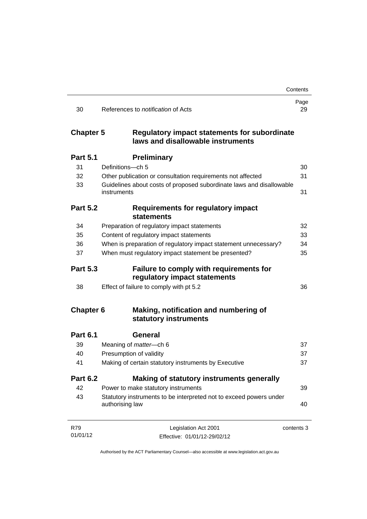|                  |                                                                                          | Contents   |
|------------------|------------------------------------------------------------------------------------------|------------|
| 30               | References to <i>notification</i> of Acts                                                | Page<br>29 |
| <b>Chapter 5</b> | <b>Regulatory impact statements for subordinate</b><br>laws and disallowable instruments |            |
| <b>Part 5.1</b>  | <b>Preliminary</b>                                                                       |            |
| 31               | Definitions-ch 5                                                                         | 30         |
| 32               | Other publication or consultation requirements not affected                              | 31         |
| 33               | Guidelines about costs of proposed subordinate laws and disallowable<br>instruments      | 31         |
| <b>Part 5.2</b>  | <b>Requirements for regulatory impact</b><br><b>statements</b>                           |            |
| 34               | Preparation of regulatory impact statements                                              | 32         |
| 35               | Content of regulatory impact statements                                                  | 33         |
| 36               | When is preparation of regulatory impact statement unnecessary?                          | 34         |
| 37               | When must regulatory impact statement be presented?                                      | 35         |
| <b>Part 5.3</b>  | Failure to comply with requirements for<br>regulatory impact statements                  |            |
| 38               | Effect of failure to comply with pt 5.2                                                  | 36         |
| <b>Chapter 6</b> | Making, notification and numbering of<br>statutory instruments                           |            |
| <b>Part 6.1</b>  | <b>General</b>                                                                           |            |
| 39               | Meaning of <i>matter</i> -ch 6                                                           | 37         |
| 40               | Presumption of validity                                                                  | 37         |
| 41               | Making of certain statutory instruments by Executive                                     | 37         |
| <b>Part 6.2</b>  | Making of statutory instruments generally                                                |            |
| 42               | Power to make statutory instruments                                                      | 39         |
| 43               | Statutory instruments to be interpreted not to exceed powers under<br>authorising law    | 40         |
| R79              | Legislation Act 2001                                                                     | contents 3 |
| 01/01/12         | Effective: 01/01/12-29/02/12                                                             |            |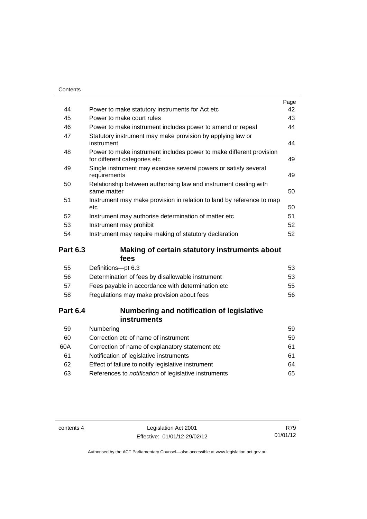| Contents        |                                                                                                     |      |
|-----------------|-----------------------------------------------------------------------------------------------------|------|
|                 |                                                                                                     | Page |
| 44              | Power to make statutory instruments for Act etc                                                     | 42   |
| 45              | Power to make court rules                                                                           | 43   |
| 46              | Power to make instrument includes power to amend or repeal                                          | 44   |
| 47              | Statutory instrument may make provision by applying law or<br>instrument                            | 44   |
| 48              | Power to make instrument includes power to make different provision<br>for different categories etc | 49   |
| 49              | Single instrument may exercise several powers or satisfy several<br>requirements                    | 49   |
| 50              | Relationship between authorising law and instrument dealing with<br>same matter                     | 50   |
| 51              | Instrument may make provision in relation to land by reference to map<br>etc                        | 50   |
| 52              | Instrument may authorise determination of matter etc                                                | 51   |
| 53              | Instrument may prohibit                                                                             | 52   |
| 54              | Instrument may require making of statutory declaration                                              | 52   |
| <b>Part 6.3</b> | Making of certain statutory instruments about<br>fees                                               |      |
| 55              | Definitions-pt 6.3                                                                                  | 53   |
| 56              | Determination of fees by disallowable instrument                                                    | 53   |
| 57              | Fees payable in accordance with determination etc                                                   | 55   |
| 58              | Regulations may make provision about fees                                                           | 56   |
| <b>Part 6.4</b> | Numbering and notification of legislative<br>instruments                                            |      |

| 59  | Numbering                                                    | 59 |
|-----|--------------------------------------------------------------|----|
| 60  | Correction etc of name of instrument                         | 59 |
| 60A | Correction of name of explanatory statement etc.             | 61 |
| 61  | Notification of legislative instruments                      | 61 |
| 62  | Effect of failure to notify legislative instrument           | 64 |
| 63  | References to <i>notification</i> of legislative instruments | 65 |
|     |                                                              |    |

contents 4 Legislation Act 2001 Effective: 01/01/12-29/02/12

R79 01/01/12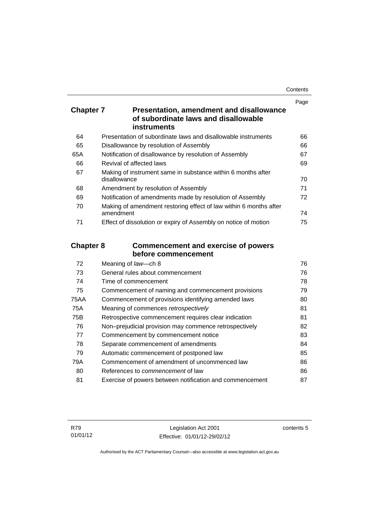| Contents |
|----------|
|----------|

|                  |                                                                                                 | Page |
|------------------|-------------------------------------------------------------------------------------------------|------|
| <b>Chapter 7</b> | Presentation, amendment and disallowance<br>of subordinate laws and disallowable<br>instruments |      |
| 64               | Presentation of subordinate laws and disallowable instruments                                   | 66   |
| 65               | Disallowance by resolution of Assembly                                                          | 66   |
| 65A              | Notification of disallowance by resolution of Assembly                                          | 67   |
| 66               | Revival of affected laws                                                                        | 69   |
| 67               | Making of instrument same in substance within 6 months after<br>disallowance                    | 70   |
| 68               | Amendment by resolution of Assembly                                                             | 71   |
| 69               | Notification of amendments made by resolution of Assembly                                       | 72   |
| 70               | Making of amendment restoring effect of law within 6 months after<br>amendment                  | 74   |
| 71               | Effect of dissolution or expiry of Assembly on notice of motion                                 | 75   |
| <b>Chapter 8</b> | <b>Commencement and exercise of powers</b>                                                      |      |
|                  | before commencement                                                                             |      |
| 72               | Meaning of law-ch 8                                                                             | 76   |
| 73               | General rules about commencement                                                                | 76   |
| 74               | Time of commencement                                                                            | 78   |
| 75               | Commencement of naming and commencement provisions                                              | 79   |
| <b>75AA</b>      | Commencement of provisions identifying amended laws                                             | 80   |
| 75A              | Meaning of commences retrospectively                                                            | 81   |
| 75B              | Retrospective commencement requires clear indication                                            | 81   |
| 76               | Non-prejudicial provision may commence retrospectively                                          | 82   |
| 77               | Commencement by commencement notice                                                             | 83   |
| 78               | Separate commencement of amendments                                                             | 84   |
| 79               | Automatic commencement of postponed law                                                         | 85   |

80 References to *commencement* [of law 86](#page-101-1) 81 [Exercise of powers between notification and commencement 87](#page-102-0)

79A [Commencement of amendment of uncommenced law 86](#page-101-0)

contents 5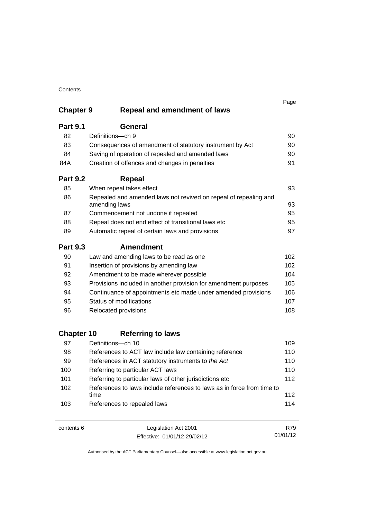|                   |                                                                                   | Page |
|-------------------|-----------------------------------------------------------------------------------|------|
| <b>Chapter 9</b>  | <b>Repeal and amendment of laws</b>                                               |      |
| <b>Part 9.1</b>   | <b>General</b>                                                                    |      |
| 82                | Definitions-ch 9                                                                  | 90   |
| 83                | Consequences of amendment of statutory instrument by Act                          | 90   |
| 84                | Saving of operation of repealed and amended laws                                  | 90   |
| 84A               | Creation of offences and changes in penalties                                     | 91   |
| <b>Part 9.2</b>   | <b>Repeal</b>                                                                     |      |
| 85                | When repeal takes effect                                                          | 93   |
| 86                | Repealed and amended laws not revived on repeal of repealing and<br>amending laws | 93   |
| 87                | Commencement not undone if repealed                                               | 95   |
| 88                | Repeal does not end effect of transitional laws etc                               | 95   |
| 89                | Automatic repeal of certain laws and provisions                                   | 97   |
| <b>Part 9.3</b>   | <b>Amendment</b>                                                                  |      |
| 90                | Law and amending laws to be read as one                                           | 102  |
| 91                | Insertion of provisions by amending law                                           | 102  |
| 92                | Amendment to be made wherever possible                                            | 104  |
| 93                | Provisions included in another provision for amendment purposes                   | 105  |
| 94                | Continuance of appointments etc made under amended provisions                     | 106  |
| 95                | Status of modifications                                                           | 107  |
| 96                | Relocated provisions                                                              | 108  |
| <b>Chapter 10</b> | <b>Referring to laws</b>                                                          |      |
| 97                | Definitions-ch 10                                                                 | 109  |
| 98                | References to ACT law include law containing reference                            | 110  |
| 99                | References in ACT statutory instruments to the Act                                | 110  |
| 100               | Referring to particular ACT laws                                                  | 110  |
| 101               | Referring to particular laws of other jurisdictions etc.                          | 112  |
| 102               | References to laws include references to laws as in force from time to            |      |
|                   | time                                                                              | 112  |
| 103               | References to repealed laws                                                       | 114  |

contents 6 Legislation Act 2001 Effective: 01/01/12-29/02/12 R79 01/01/12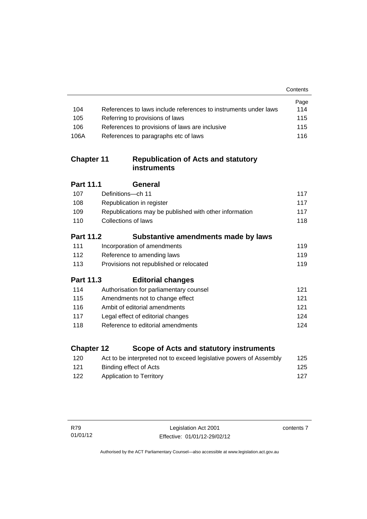|                   |                                                                    | Contents |
|-------------------|--------------------------------------------------------------------|----------|
|                   |                                                                    | Page     |
| 104               | References to laws include references to instruments under laws    | 114      |
| 105               | Referring to provisions of laws                                    | 115      |
| 106               | References to provisions of laws are inclusive                     | 115      |
| 106A              | References to paragraphs etc of laws                               | 116      |
| <b>Chapter 11</b> | <b>Republication of Acts and statutory</b><br><b>instruments</b>   |          |
| <b>Part 11.1</b>  | <b>General</b>                                                     |          |
| 107               | Definitions-ch 11                                                  | 117      |
| 108               | Republication in register                                          | 117      |
| 109               | Republications may be published with other information             | 117      |
| 110               | <b>Collections of laws</b>                                         | 118      |
| <b>Part 11.2</b>  | Substantive amendments made by laws                                |          |
| 111               | Incorporation of amendments                                        | 119      |
| 112               | Reference to amending laws                                         | 119      |
| 113               | Provisions not republished or relocated                            | 119      |
| <b>Part 11.3</b>  | <b>Editorial changes</b>                                           |          |
| 114               | Authorisation for parliamentary counsel                            | 121      |
| 115               | Amendments not to change effect                                    | 121      |
| 116               | Ambit of editorial amendments                                      | 121      |
| 117               | Legal effect of editorial changes                                  | 124      |
| 118               | Reference to editorial amendments                                  | 124      |
| <b>Chapter 12</b> | Scope of Acts and statutory instruments                            |          |
| 120               | Act to be interpreted not to exceed legislative powers of Assembly | 125      |

contents 7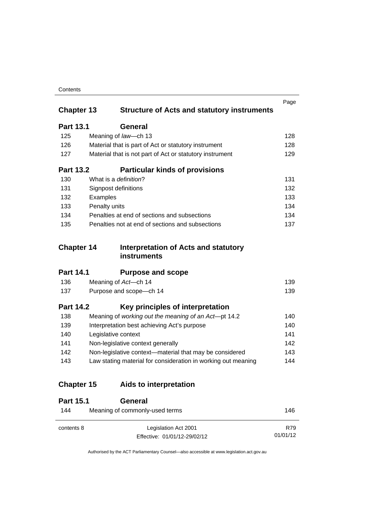| Contents |
|----------|
|----------|

| <b>Chapter 13</b> |               | <b>Structure of Acts and statutory instruments</b>            | Page |
|-------------------|---------------|---------------------------------------------------------------|------|
| <b>Part 13.1</b>  |               | <b>General</b>                                                |      |
|                   |               |                                                               |      |
| 125               |               | Meaning of law-ch 13                                          | 128  |
| 126               |               | Material that is part of Act or statutory instrument          | 128  |
| 127               |               | Material that is not part of Act or statutory instrument      | 129  |
| <b>Part 13.2</b>  |               | <b>Particular kinds of provisions</b>                         |      |
| 130               |               | What is a <i>definition</i> ?                                 | 131  |
| 131               |               | Signpost definitions                                          | 132  |
| 132               | Examples      |                                                               | 133  |
| 133               | Penalty units |                                                               | 134  |
| 134               |               | Penalties at end of sections and subsections                  | 134  |
| 135               |               | Penalties not at end of sections and subsections              | 137  |
| <b>Chapter 14</b> |               | Interpretation of Acts and statutory                          |      |
|                   |               | instruments                                                   |      |
| <b>Part 14.1</b>  |               | <b>Purpose and scope</b>                                      |      |
| 136               |               | Meaning of Act-ch 14                                          | 139  |
| 137               |               | Purpose and scope-ch 14                                       | 139  |
| <b>Part 14.2</b>  |               | Key principles of interpretation                              |      |
| 138               |               | Meaning of working out the meaning of an Act-pt 14.2          | 140  |
| 139               |               | Interpretation best achieving Act's purpose                   | 140  |
| 140               |               | Legislative context                                           | 141  |
| 141               |               | Non-legislative context generally                             | 142  |
| 142               |               | Non-legislative context-material that may be considered       | 143  |
| 143               |               | Law stating material for consideration in working out meaning | 144  |
| <b>Chapter 15</b> |               | <b>Aids to interpretation</b>                                 |      |
| <b>Part 15.1</b>  |               | <b>General</b>                                                |      |
| 144               |               | Meaning of commonly-used terms                                | 146  |
| contents 8        |               | Legislation Act 2001                                          | R79  |

Authorised by the ACT Parliamentary Counsel—also accessible at www.legislation.act.gov.au

01/01/12

Effective: 01/01/12-29/02/12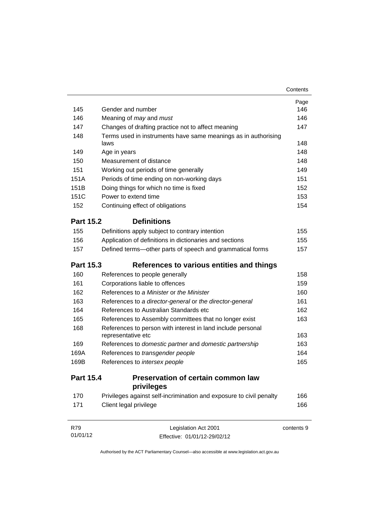|                  |                                                                                   | Contents   |  |
|------------------|-----------------------------------------------------------------------------------|------------|--|
|                  |                                                                                   | Page       |  |
| 145              | Gender and number                                                                 | 146        |  |
| 146              | Meaning of may and must                                                           |            |  |
| 147              | Changes of drafting practice not to affect meaning                                |            |  |
| 148              | Terms used in instruments have same meanings as in authorising<br>laws            |            |  |
| 149              | Age in years                                                                      | 148        |  |
| 150              | Measurement of distance                                                           | 148        |  |
| 151              | Working out periods of time generally                                             | 149        |  |
| 151A             | Periods of time ending on non-working days                                        | 151        |  |
| 151B             | Doing things for which no time is fixed                                           | 152        |  |
| 151C             | Power to extend time                                                              | 153        |  |
| 152              | Continuing effect of obligations                                                  | 154        |  |
| <b>Part 15.2</b> | <b>Definitions</b>                                                                |            |  |
| 155              | Definitions apply subject to contrary intention                                   | 155        |  |
| 156              | Application of definitions in dictionaries and sections                           | 155        |  |
| 157              | Defined terms-other parts of speech and grammatical forms                         | 157        |  |
| <b>Part 15.3</b> | References to various entities and things                                         |            |  |
| 160              | References to people generally                                                    | 158        |  |
| 161              | Corporations liable to offences                                                   | 159        |  |
| 162              | References to a Minister or the Minister                                          | 160        |  |
| 163              | References to a director-general or the director-general                          | 161        |  |
| 164              | References to Australian Standards etc                                            | 162        |  |
| 165              | References to Assembly committees that no longer exist                            | 163        |  |
| 168              | References to person with interest in land include personal<br>representative etc |            |  |
| 169              | References to domestic partner and domestic partnership                           | 163        |  |
| 169A             | References to transgender people                                                  | 164        |  |
| 169B             | References to intersex people                                                     | 165        |  |
| <b>Part 15.4</b> | <b>Preservation of certain common law</b><br>privileges                           |            |  |
| 170              | Privileges against self-incrimination and exposure to civil penalty               | 166        |  |
| 171              | Client legal privilege                                                            | 166        |  |
| <b>R79</b>       | Legislation Act 2001                                                              | contents 9 |  |
| 01/01/12         | Effective: 01/01/12-29/02/12                                                      |            |  |

Authorised by the ACT Parliamentary Counsel—also accessible at www.legislation.act.gov.au

Effective: 01/01/12-29/02/12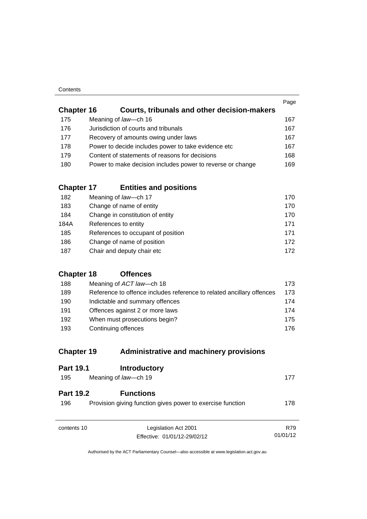| Contents |
|----------|
|----------|

|                   |                                                            | Page |
|-------------------|------------------------------------------------------------|------|
| <b>Chapter 16</b> | <b>Courts, tribunals and other decision-makers</b>         |      |
| 175               | Meaning of law-ch 16                                       | 167  |
| 176               | Jurisdiction of courts and tribunals                       | 167  |
| 177               | Recovery of amounts owing under laws                       | 167  |
| 178               | Power to decide includes power to take evidence etc        | 167  |
| 179               | Content of statements of reasons for decisions             | 168  |
| 180               | Power to make decision includes power to reverse or change | 169  |
|                   |                                                            |      |

## **Chapter 17 [Entities and positions](#page-185-0)**

| 182  | Meaning of law-ch 17               | 170 |
|------|------------------------------------|-----|
| 183  | Change of name of entity           | 170 |
| 184  | Change in constitution of entity   | 170 |
| 184A | References to entity               | 171 |
| 185  | References to occupant of position | 171 |
| 186  | Change of name of position         | 172 |
| 187  | Chair and deputy chair etc         | 172 |

## **[Chapter 18](#page-188-0) Offences**

| 188 | Meaning of ACT law—ch 18                                              | 173. |
|-----|-----------------------------------------------------------------------|------|
| 189 | Reference to offence includes reference to related ancillary offences | 173  |
| 190 | Indictable and summary offences                                       | 174  |
| 191 | Offences against 2 or more laws                                       | 174  |
| 192 | When must prosecutions begin?                                         | 175  |
| 193 | Continuing offences                                                   | 176. |

## **Chapter 19 [Administrative and machinery provisions](#page-192-0)**

| <b>Part 19.1</b>        | <b>Introductory</b>                                                            |                 |
|-------------------------|--------------------------------------------------------------------------------|-----------------|
| 195                     | Meaning of law-ch 19                                                           | 177             |
| <b>Part 19.2</b><br>196 | <b>Functions</b><br>Provision giving function gives power to exercise function | 178             |
| contents 10             | Legislation Act 2001<br>Effective: 01/01/12-29/02/12                           | R79<br>01/01/12 |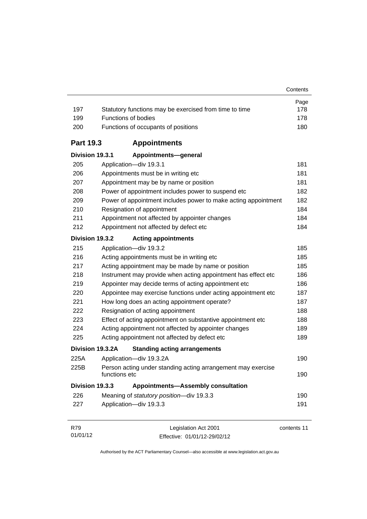| 197              | Statutory functions may be exercised from time to time                        | Page<br>178 |  |  |
|------------------|-------------------------------------------------------------------------------|-------------|--|--|
| 199              | <b>Functions of bodies</b>                                                    |             |  |  |
| 200              | Functions of occupants of positions                                           |             |  |  |
| <b>Part 19.3</b> | <b>Appointments</b>                                                           |             |  |  |
| Division 19.3.1  | Appointments-general                                                          |             |  |  |
| 205              | Application-div 19.3.1                                                        | 181         |  |  |
| 206              | Appointments must be in writing etc                                           | 181         |  |  |
| 207              | Appointment may be by name or position                                        | 181         |  |  |
| 208              | Power of appointment includes power to suspend etc                            | 182         |  |  |
| 209              | Power of appointment includes power to make acting appointment                | 182         |  |  |
| 210              | Resignation of appointment                                                    | 184         |  |  |
| 211              | Appointment not affected by appointer changes                                 | 184         |  |  |
| 212              | Appointment not affected by defect etc                                        | 184         |  |  |
| Division 19.3.2  | <b>Acting appointments</b>                                                    |             |  |  |
| 215              | Application-div 19.3.2                                                        | 185         |  |  |
| 216              | Acting appointments must be in writing etc                                    | 185         |  |  |
| 217              | Acting appointment may be made by name or position                            | 185         |  |  |
| 218              | Instrument may provide when acting appointment has effect etc                 | 186         |  |  |
| 219              | Appointer may decide terms of acting appointment etc                          | 186         |  |  |
| 220              | Appointee may exercise functions under acting appointment etc                 | 187         |  |  |
| 221              | How long does an acting appointment operate?                                  | 187         |  |  |
| 222              | Resignation of acting appointment                                             | 188         |  |  |
| 223              | Effect of acting appointment on substantive appointment etc                   | 188         |  |  |
| 224              | Acting appointment not affected by appointer changes                          |             |  |  |
| 225              | Acting appointment not affected by defect etc                                 | 189         |  |  |
|                  | Division 19.3.2A<br><b>Standing acting arrangements</b>                       |             |  |  |
| 225A             | Application-div 19.3.2A                                                       | 190         |  |  |
| 225B             | Person acting under standing acting arrangement may exercise<br>functions etc | 190         |  |  |
| Division 19.3.3  | <b>Appointments-Assembly consultation</b>                                     |             |  |  |
| 226              | Meaning of statutory position-div 19.3.3                                      | 190         |  |  |
| 227              | Application-div 19.3.3                                                        | 191         |  |  |
| R79              | Legislation Act 2001                                                          | contents 11 |  |  |

01/01/12 Effective: 01/01/12-29/02/12 contents 11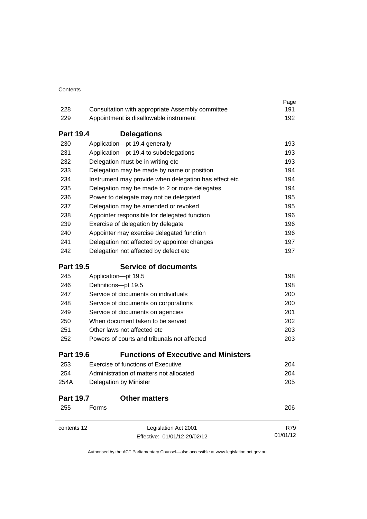|                  |                                                                                                   | Page<br>191 |  |
|------------------|---------------------------------------------------------------------------------------------------|-------------|--|
| 228              | Consultation with appropriate Assembly committee<br>229<br>Appointment is disallowable instrument |             |  |
|                  |                                                                                                   | 192         |  |
| <b>Part 19.4</b> | <b>Delegations</b>                                                                                |             |  |
| 230              | Application-pt 19.4 generally                                                                     | 193         |  |
| 231              | Application-pt 19.4 to subdelegations                                                             | 193         |  |
| 232              | Delegation must be in writing etc                                                                 | 193         |  |
| 233              | Delegation may be made by name or position                                                        | 194         |  |
| 234              | Instrument may provide when delegation has effect etc                                             | 194         |  |
| 235              | Delegation may be made to 2 or more delegates                                                     | 194         |  |
| 236              | Power to delegate may not be delegated                                                            | 195         |  |
| 237              | Delegation may be amended or revoked                                                              | 195         |  |
| 238              | Appointer responsible for delegated function                                                      | 196         |  |
| 239              | Exercise of delegation by delegate                                                                | 196         |  |
| 240              | Appointer may exercise delegated function                                                         | 196         |  |
| 241              | Delegation not affected by appointer changes                                                      | 197         |  |
| 242              | Delegation not affected by defect etc                                                             | 197         |  |
| <b>Part 19.5</b> | <b>Service of documents</b>                                                                       |             |  |
| 245              | Application-pt 19.5                                                                               | 198         |  |
| 246              | Definitions-pt 19.5                                                                               | 198         |  |
| 247              | Service of documents on individuals                                                               | 200         |  |
| 248              | Service of documents on corporations                                                              | 200         |  |
| 249              | Service of documents on agencies                                                                  | 201         |  |
| 250              | When document taken to be served                                                                  | 202         |  |
| 251              | Other laws not affected etc                                                                       | 203         |  |
| 252              | Powers of courts and tribunals not affected                                                       | 203         |  |
| <b>Part 19.6</b> | <b>Functions of Executive and Ministers</b>                                                       |             |  |
| 253              | Exercise of functions of Executive                                                                | 204         |  |
| 254              | Administration of matters not allocated                                                           | 204         |  |
| 254A             | Delegation by Minister                                                                            | 205         |  |
| <b>Part 19.7</b> | <b>Other matters</b>                                                                              |             |  |
| 255              | Forms                                                                                             | 206         |  |
| contents 12      | Legislation Act 2001                                                                              | R79         |  |
|                  | Effective: 01/01/12-29/02/12                                                                      | 01/01/12    |  |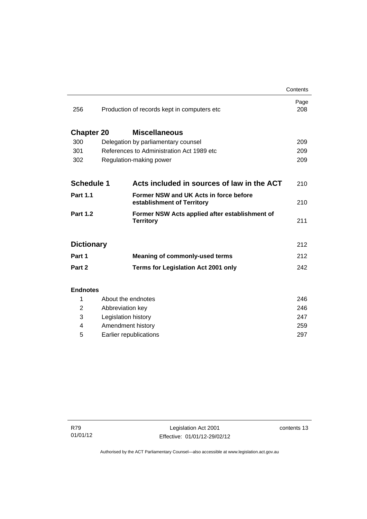|                   |                     |                                                                      | Contents    |
|-------------------|---------------------|----------------------------------------------------------------------|-------------|
| 256               |                     | Production of records kept in computers etc.                         | Page<br>208 |
| <b>Chapter 20</b> |                     | <b>Miscellaneous</b>                                                 |             |
| 300               |                     | Delegation by parliamentary counsel                                  | 209         |
| 301               |                     | References to Administration Act 1989 etc                            | 209         |
| 302               |                     | Regulation-making power                                              | 209         |
|                   |                     |                                                                      |             |
| <b>Schedule 1</b> |                     | Acts included in sources of law in the ACT                           | 210         |
| <b>Part 1.1</b>   |                     | Former NSW and UK Acts in force before<br>establishment of Territory | 210         |
| <b>Part 1.2</b>   |                     | Former NSW Acts applied after establishment of<br><b>Territory</b>   | 211         |
| <b>Dictionary</b> |                     |                                                                      | 212         |
| Part 1            |                     | <b>Meaning of commonly-used terms</b>                                | 212         |
| Part 2            |                     | <b>Terms for Legislation Act 2001 only</b>                           | 242         |
|                   |                     |                                                                      |             |
| <b>Endnotes</b>   |                     |                                                                      |             |
| 1                 |                     | About the endnotes                                                   | 246         |
| 2                 | Abbreviation key    |                                                                      | 246         |
| 3                 | Legislation history |                                                                      | 247         |
| 4                 | Amendment history   |                                                                      | 259         |

5 [Earlier republications 297](#page-312-0)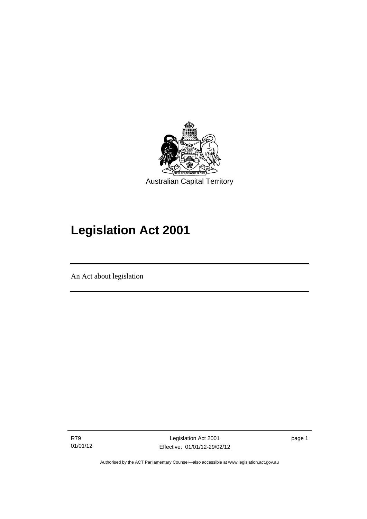

# **Legislation Act 2001**

An Act about legislation

l

R79 01/01/12

Legislation Act 2001 Effective: 01/01/12-29/02/12 page 1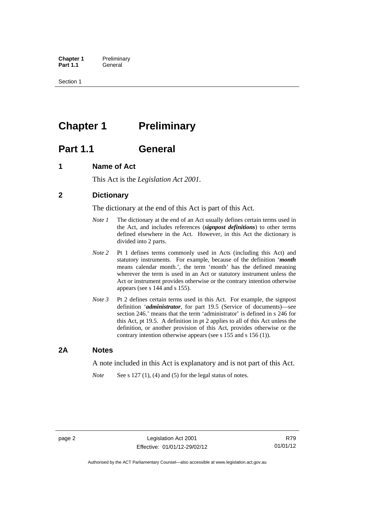**Chapter 1** Preliminary<br>**Part 1.1** General General

Section 1

## <span id="page-17-0"></span>**Chapter 1** Preliminary

## <span id="page-17-1"></span>**Part 1.1 General**

## <span id="page-17-2"></span>**1 Name of Act**

This Act is the *Legislation Act 2001.* 

## <span id="page-17-3"></span>**2 Dictionary**

The dictionary at the end of this Act is part of this Act.

- *Note 1* The dictionary at the end of an Act usually defines certain terms used in the Act, and includes references (*signpost definitions*) to other terms defined elsewhere in the Act. However, in this Act the dictionary is divided into 2 parts.
- *Note 2* Pt 1 defines terms commonly used in Acts (including this Act) and statutory instruments. For example, because of the definition '*month* means calendar month.', the term 'month' has the defined meaning wherever the term is used in an Act or statutory instrument unless the Act or instrument provides otherwise or the contrary intention otherwise appears (see s 144 and s 155).
- *Note 3* Pt 2 defines certain terms used in this Act. For example, the signpost definition '*administrator*, for part 19.5 (Service of documents)—see section 246.' means that the term 'administrator' is defined in s 246 for this Act, pt 19.5. A definition in pt 2 applies to all of this Act unless the definition, or another provision of this Act, provides otherwise or the contrary intention otherwise appears (see s 155 and s 156 (1)).

### <span id="page-17-4"></span>**2A Notes**

A note included in this Act is explanatory and is not part of this Act.

*Note* See s 127 (1), (4) and (5) for the legal status of notes.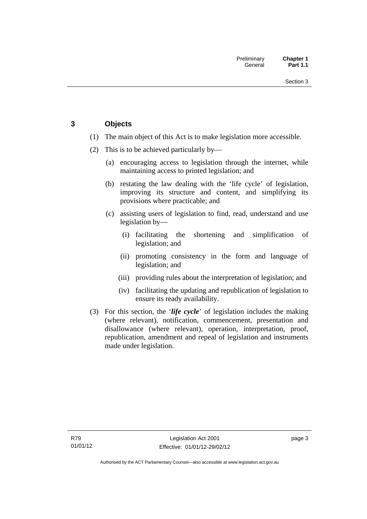## <span id="page-18-0"></span>**3 Objects**

- (1) The main object of this Act is to make legislation more accessible.
- (2) This is to be achieved particularly by—
	- (a) encouraging access to legislation through the internet, while maintaining access to printed legislation; and
	- (b) restating the law dealing with the 'life cycle' of legislation, improving its structure and content, and simplifying its provisions where practicable; and
	- (c) assisting users of legislation to find, read, understand and use legislation by—
		- (i) facilitating the shortening and simplification of legislation; and
		- (ii) promoting consistency in the form and language of legislation; and
		- (iii) providing rules about the interpretation of legislation; and
		- (iv) facilitating the updating and republication of legislation to ensure its ready availability.
- (3) For this section, the '*life cycle*' of legislation includes the making (where relevant), notification, commencement, presentation and disallowance (where relevant), operation, interpretation, proof, republication, amendment and repeal of legislation and instruments made under legislation.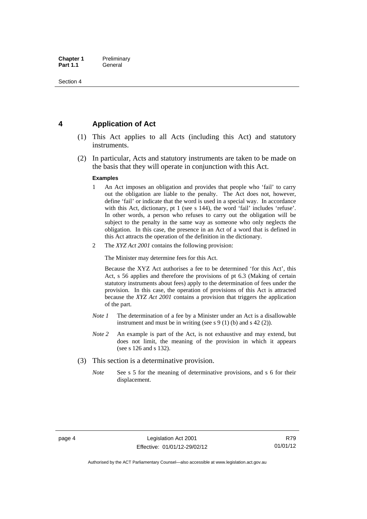## <span id="page-19-0"></span>**4 Application of Act**

- (1) This Act applies to all Acts (including this Act) and statutory instruments.
- (2) In particular, Acts and statutory instruments are taken to be made on the basis that they will operate in conjunction with this Act.

#### **Examples**

- 1 An Act imposes an obligation and provides that people who 'fail' to carry out the obligation are liable to the penalty. The Act does not, however, define 'fail' or indicate that the word is used in a special way. In accordance with this Act, dictionary, pt 1 (see s 144), the word 'fail' includes 'refuse'. In other words, a person who refuses to carry out the obligation will be subject to the penalty in the same way as someone who only neglects the obligation. In this case, the presence in an Act of a word that is defined in this Act attracts the operation of the definition in the dictionary.
- 2 The *XYZ Act 2001* contains the following provision:

The Minister may determine fees for this Act.

Because the XYZ Act authorises a fee to be determined 'for this Act', this Act, s 56 applies and therefore the provisions of pt 6.3 (Making of certain statutory instruments about fees) apply to the determination of fees under the provision. In this case, the operation of provisions of this Act is attracted because the *XYZ Act 2001* contains a provision that triggers the application of the part.

- *Note 1* The determination of a fee by a Minister under an Act is a disallowable instrument and must be in writing (see s 9 (1) (b) and s 42 (2)).
- *Note 2* An example is part of the Act, is not exhaustive and may extend, but does not limit, the meaning of the provision in which it appears (see s 126 and s 132).
- (3) This section is a determinative provision.
	- *Note* See s 5 for the meaning of determinative provisions, and s 6 for their displacement.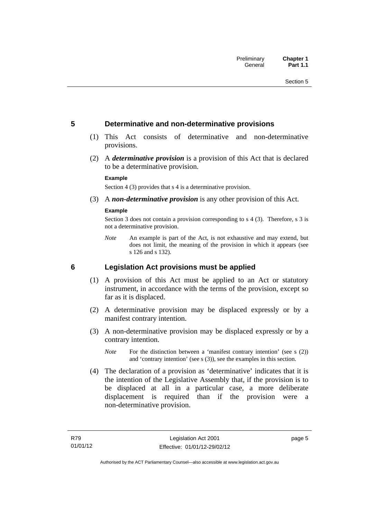### <span id="page-20-0"></span>**5 Determinative and non-determinative provisions**

- (1) This Act consists of determinative and non-determinative provisions.
- (2) A *determinative provision* is a provision of this Act that is declared to be a determinative provision.

#### **Example**

Section 4 (3) provides that s 4 is a determinative provision.

(3) A *non-determinative provision* is any other provision of this Act.

#### **Example**

Section 3 does not contain a provision corresponding to s 4 (3). Therefore, s 3 is not a determinative provision.

*Note* An example is part of the Act, is not exhaustive and may extend, but does not limit, the meaning of the provision in which it appears (see s 126 and s 132).

### <span id="page-20-1"></span>**6 Legislation Act provisions must be applied**

- (1) A provision of this Act must be applied to an Act or statutory instrument, in accordance with the terms of the provision, except so far as it is displaced.
- (2) A determinative provision may be displaced expressly or by a manifest contrary intention.
- (3) A non-determinative provision may be displaced expressly or by a contrary intention.
	- *Note* For the distinction between a 'manifest contrary intention' (see s (2)) and 'contrary intention' (see s (3)), see the examples in this section.
- (4) The declaration of a provision as 'determinative' indicates that it is the intention of the Legislative Assembly that, if the provision is to be displaced at all in a particular case, a more deliberate displacement is required than if the provision were a non-determinative provision.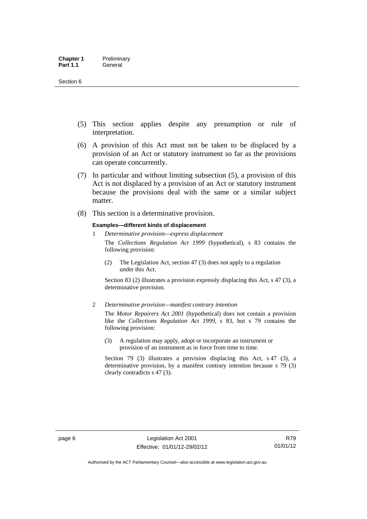- (5) This section applies despite any presumption or rule of interpretation.
- (6) A provision of this Act must not be taken to be displaced by a provision of an Act or statutory instrument so far as the provisions can operate concurrently.
- (7) In particular and without limiting subsection (5), a provision of this Act is not displaced by a provision of an Act or statutory instrument because the provisions deal with the same or a similar subject matter.
- (8) This section is a determinative provision.

#### **Examples—different kinds of displacement**

- 1 *Determinative provision—express displacement* The *Collections Regulation Act 1999* (hypothetical), s 83 contains the following provision:
	- (2) The Legislation Act, section 47 (3) does not apply to a regulation under this Act.

Section 83 (2) illustrates a provision expressly displacing this Act, s 47 (3), a determinative provision.

2 *Determinative provision—manifest contrary intention*

The *Motor Repairers Act 2001* (hypothetical) does not contain a provision like the *Collections Regulation Act 1999*, s 83, but s 79 contains the following provision:

(3) A regulation may apply, adopt or incorporate an instrument or provision of an instrument as in force from time to time.

Section 79 (3) illustrates a provision displacing this Act, s 47 (3), a determinative provision, by a manifest contrary intention because s 79 (3) clearly contradicts s 47 (3).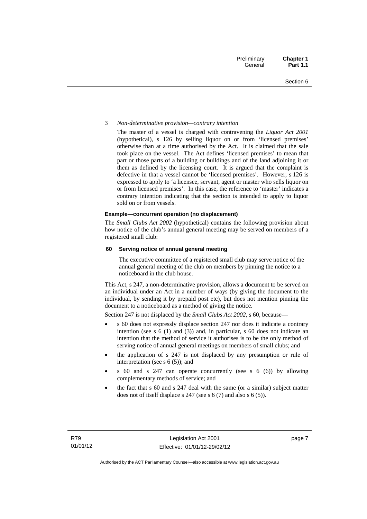#### 3 *Non-determinative provision—contrary intention*

The master of a vessel is charged with contravening the *Liquor Act 2001* (hypothetical), s 126 by selling liquor on or from 'licensed premises' otherwise than at a time authorised by the Act. It is claimed that the sale took place on the vessel. The Act defines 'licensed premises' to mean that part or those parts of a building or buildings and of the land adjoining it or them as defined by the licensing court. It is argued that the complaint is defective in that a vessel cannot be 'licensed premises'. However, s 126 is expressed to apply to 'a licensee, servant, agent or master who sells liquor on or from licensed premises'. In this case, the reference to 'master' indicates a contrary intention indicating that the section is intended to apply to liquor sold on or from vessels.

#### **Example—concurrent operation (no displacement)**

The *Small Clubs Act 2002* (hypothetical) contains the following provision about how notice of the club's annual general meeting may be served on members of a registered small club:

#### **60 Serving notice of annual general meeting**

The executive committee of a registered small club may serve notice of the annual general meeting of the club on members by pinning the notice to a noticeboard in the club house.

This Act, s 247, a non-determinative provision, allows a document to be served on an individual under an Act in a number of ways (by giving the document to the individual, by sending it by prepaid post etc), but does not mention pinning the document to a noticeboard as a method of giving the notice.

Section 247 is not displaced by the *Small Clubs Act 2002*, s 60, because—

- s 60 does not expressly displace section 247 nor does it indicate a contrary intention (see s 6 (1) and (3)) and, in particular, s 60 does not indicate an intention that the method of service it authorises is to be the only method of serving notice of annual general meetings on members of small clubs; and
- the application of s 247 is not displaced by any presumption or rule of interpretation (see s 6 (5)); and
- s 60 and s 247 can operate concurrently (see s 6 (6)) by allowing complementary methods of service; and
- the fact that s 60 and s 247 deal with the same (or a similar) subject matter does not of itself displace s 247 (see s 6 (7) and also s 6 (5)).

page 7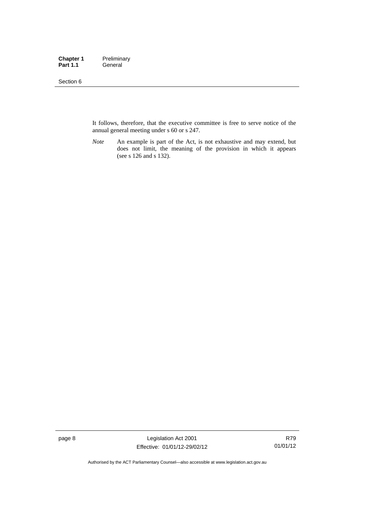#### Section 6

It follows, therefore, that the executive committee is free to serve notice of the annual general meeting under s 60 or s 247.

*Note* An example is part of the Act, is not exhaustive and may extend, but does not limit, the meaning of the provision in which it appears (see s 126 and s 132).

page 8 Legislation Act 2001 Effective: 01/01/12-29/02/12

R79 01/01/12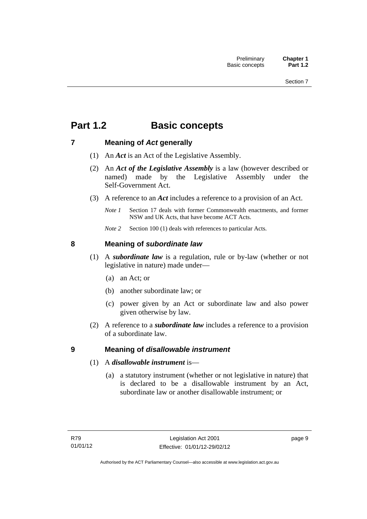## <span id="page-24-0"></span>**Part 1.2 Basic concepts**

## <span id="page-24-1"></span>**7 Meaning of** *Act* **generally**

- (1) An *Act* is an Act of the Legislative Assembly.
- (2) An *Act of the Legislative Assembly* is a law (however described or named) made by the Legislative Assembly under the Self-Government Act.
- (3) A reference to an *Act* includes a reference to a provision of an Act.
	- *Note 1* Section 17 deals with former Commonwealth enactments, and former NSW and UK Acts, that have become ACT Acts.
	- *Note 2* Section 100 (1) deals with references to particular Acts.

## <span id="page-24-2"></span>**8 Meaning of** *subordinate law*

- (1) A *subordinate law* is a regulation, rule or by-law (whether or not legislative in nature) made under—
	- (a) an Act; or
	- (b) another subordinate law; or
	- (c) power given by an Act or subordinate law and also power given otherwise by law.
- (2) A reference to a *subordinate law* includes a reference to a provision of a subordinate law.

## <span id="page-24-3"></span>**9 Meaning of** *disallowable instrument*

- (1) A *disallowable instrument* is—
	- (a) a statutory instrument (whether or not legislative in nature) that is declared to be a disallowable instrument by an Act, subordinate law or another disallowable instrument; or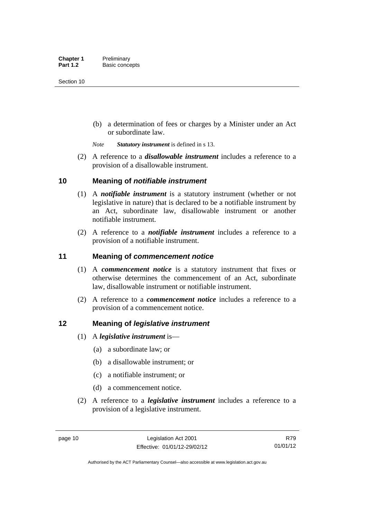(b) a determination of fees or charges by a Minister under an Act or subordinate law.

*Note Statutory instrument* is defined in s 13.

 (2) A reference to a *disallowable instrument* includes a reference to a provision of a disallowable instrument.

### <span id="page-25-0"></span>**10 Meaning of** *notifiable instrument*

- (1) A *notifiable instrument* is a statutory instrument (whether or not legislative in nature) that is declared to be a notifiable instrument by an Act, subordinate law, disallowable instrument or another notifiable instrument.
- (2) A reference to a *notifiable instrument* includes a reference to a provision of a notifiable instrument.

### <span id="page-25-1"></span>**11 Meaning of** *commencement notice*

- (1) A *commencement notice* is a statutory instrument that fixes or otherwise determines the commencement of an Act, subordinate law, disallowable instrument or notifiable instrument.
- (2) A reference to a *commencement notice* includes a reference to a provision of a commencement notice.

### <span id="page-25-2"></span>**12 Meaning of** *legislative instrument*

- (1) A *legislative instrument* is—
	- (a) a subordinate law; or
	- (b) a disallowable instrument; or
	- (c) a notifiable instrument; or
	- (d) a commencement notice.
- (2) A reference to a *legislative instrument* includes a reference to a provision of a legislative instrument.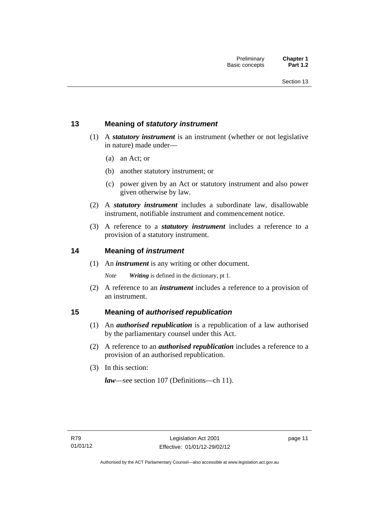## <span id="page-26-0"></span>**13 Meaning of** *statutory instrument*

- (1) A *statutory instrument* is an instrument (whether or not legislative in nature) made under—
	- (a) an Act; or
	- (b) another statutory instrument; or
	- (c) power given by an Act or statutory instrument and also power given otherwise by law.
- (2) A *statutory instrument* includes a subordinate law, disallowable instrument, notifiable instrument and commencement notice.
- (3) A reference to a *statutory instrument* includes a reference to a provision of a statutory instrument.

### <span id="page-26-1"></span>**14 Meaning of** *instrument*

(1) An *instrument* is any writing or other document.

*Note Writing* is defined in the dictionary, pt 1.

 (2) A reference to an *instrument* includes a reference to a provision of an instrument.

### <span id="page-26-2"></span>**15 Meaning of** *authorised republication*

- (1) An *authorised republication* is a republication of a law authorised by the parliamentary counsel under this Act.
- (2) A reference to an *authorised republication* includes a reference to a provision of an authorised republication.
- (3) In this section:

*law*—see section 107 (Definitions—ch 11).

page 11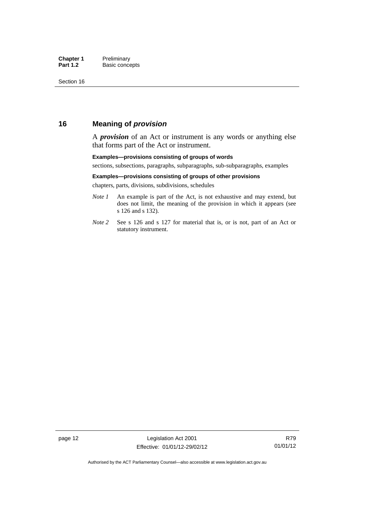### <span id="page-27-0"></span>**16 Meaning of** *provision*

A *provision* of an Act or instrument is any words or anything else that forms part of the Act or instrument.

#### **Examples—provisions consisting of groups of words**

sections, subsections, paragraphs, subparagraphs, sub-subparagraphs, examples

#### **Examples—provisions consisting of groups of other provisions**

chapters, parts, divisions, subdivisions, schedules

- *Note 1* An example is part of the Act, is not exhaustive and may extend, but does not limit, the meaning of the provision in which it appears (see s 126 and s 132).
- *Note 2* See s 126 and s 127 for material that is, or is not, part of an Act or statutory instrument.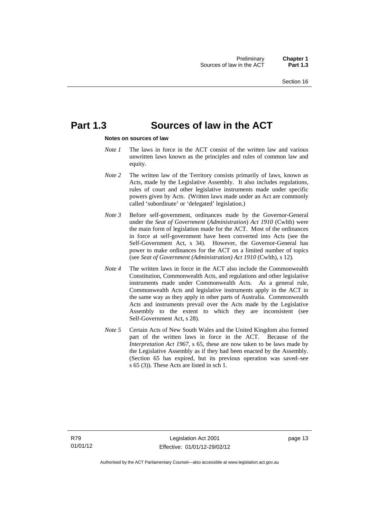## <span id="page-28-0"></span>**Part 1.3 Sources of law in the ACT**

#### **Notes on sources of law**

- *Note 1* The laws in force in the ACT consist of the written law and various unwritten laws known as the principles and rules of common law and equity.
- *Note* 2 The written law of the Territory consists primarily of laws, known as Acts, made by the Legislative Assembly. It also includes regulations, rules of court and other legislative instruments made under specific powers given by Acts. (Written laws made under an Act are commonly called 'subordinate' or 'delegated' legislation.)
- *Note 3* Before self-government, ordinances made by the Governor-General under the *Seat of Government* (*Administration*) *Act 1910* (Cwlth) were the main form of legislation made for the ACT. Most of the ordinances in force at self-government have been converted into Acts (see the Self-Government Act, s 34). However, the Governor-General has power to make ordinances for the ACT on a limited number of topics (see *Seat of Government (Administration) Act 1910* (Cwlth), s 12).
- *Note 4* The written laws in force in the ACT also include the Commonwealth Constitution, Commonwealth Acts, and regulations and other legislative instruments made under Commonwealth Acts. As a general rule, Commonwealth Acts and legislative instruments apply in the ACT in the same way as they apply in other parts of Australia. Commonwealth Acts and instruments prevail over the Acts made by the Legislative Assembly to the extent to which they are inconsistent (see Self-Government Act, s 28).
- *Note 5* Certain Acts of New South Wales and the United Kingdom also formed part of the written laws in force in the ACT. Because of the *Interpretation Act 1967*, s 65, these are now taken to be laws made by the Legislative Assembly as if they had been enacted by the Assembly. (Section 65 has expired, but its previous operation was saved–see s 65 (3)). These Acts are listed in sch 1.

page 13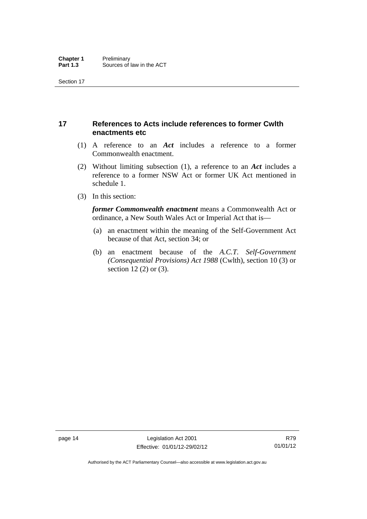## <span id="page-29-0"></span>**17 References to Acts include references to former Cwlth enactments etc**

- (1) A reference to an *Act* includes a reference to a former Commonwealth enactment.
- (2) Without limiting subsection (1), a reference to an *Act* includes a reference to a former NSW Act or former UK Act mentioned in schedule 1.
- (3) In this section:

*former Commonwealth enactment* means a Commonwealth Act or ordinance, a New South Wales Act or Imperial Act that is—

- (a) an enactment within the meaning of the Self-Government Act because of that Act, section 34; or
- (b) an enactment because of the *A.C.T*. *Self-Government (Consequential Provisions) Act 1988* (Cwlth), section 10 (3) or section 12 (2) or (3).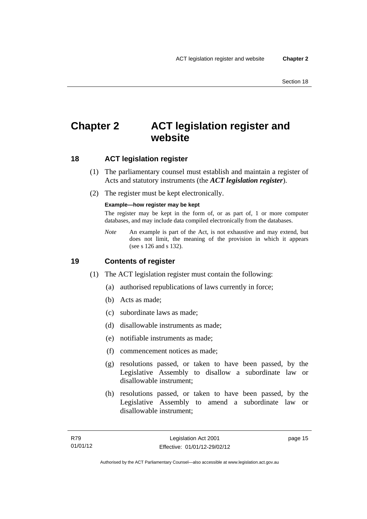## <span id="page-30-0"></span>**Chapter 2 ACT legislation register and website**

## <span id="page-30-1"></span>**18 ACT legislation register**

- (1) The parliamentary counsel must establish and maintain a register of Acts and statutory instruments (the *ACT legislation register*).
- (2) The register must be kept electronically.

#### **Example—how register may be kept**

The register may be kept in the form of, or as part of, 1 or more computer databases, and may include data compiled electronically from the databases.

*Note* An example is part of the Act, is not exhaustive and may extend, but does not limit, the meaning of the provision in which it appears (see s 126 and s 132).

### <span id="page-30-2"></span>**19 Contents of register**

- (1) The ACT legislation register must contain the following:
	- (a) authorised republications of laws currently in force;
	- (b) Acts as made;
	- (c) subordinate laws as made;
	- (d) disallowable instruments as made;
	- (e) notifiable instruments as made;
	- (f) commencement notices as made;
	- (g) resolutions passed, or taken to have been passed, by the Legislative Assembly to disallow a subordinate law or disallowable instrument;
	- (h) resolutions passed, or taken to have been passed, by the Legislative Assembly to amend a subordinate law or disallowable instrument;

page 15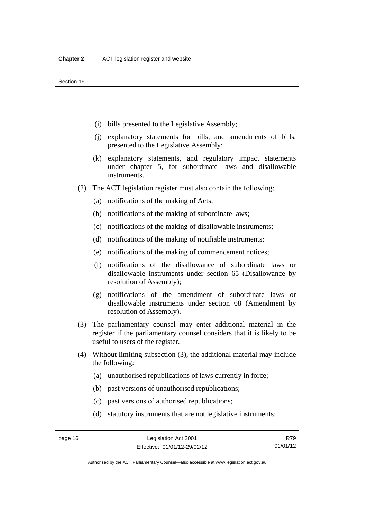- (i) bills presented to the Legislative Assembly;
- (j) explanatory statements for bills, and amendments of bills, presented to the Legislative Assembly;
- (k) explanatory statements, and regulatory impact statements under chapter 5, for subordinate laws and disallowable instruments.
- (2) The ACT legislation register must also contain the following:
	- (a) notifications of the making of Acts;
	- (b) notifications of the making of subordinate laws;
	- (c) notifications of the making of disallowable instruments;
	- (d) notifications of the making of notifiable instruments;
	- (e) notifications of the making of commencement notices;
	- (f) notifications of the disallowance of subordinate laws or disallowable instruments under section 65 (Disallowance by resolution of Assembly);
	- (g) notifications of the amendment of subordinate laws or disallowable instruments under section 68 (Amendment by resolution of Assembly).
- (3) The parliamentary counsel may enter additional material in the register if the parliamentary counsel considers that it is likely to be useful to users of the register.
- (4) Without limiting subsection (3), the additional material may include the following:
	- (a) unauthorised republications of laws currently in force;
	- (b) past versions of unauthorised republications;
	- (c) past versions of authorised republications;
	- (d) statutory instruments that are not legislative instruments;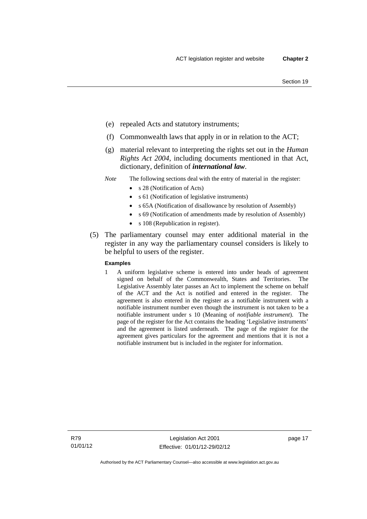- (e) repealed Acts and statutory instruments;
- (f) Commonwealth laws that apply in or in relation to the ACT;
- (g) material relevant to interpreting the rights set out in the *Human Rights Act 2004*, including documents mentioned in that Act, dictionary, definition of *international law*.
- *Note* The following sections deal with the entry of material in the register:
	- s 28 (Notification of Acts)
	- s 61 (Notification of legislative instruments)
	- s 65A (Notification of disallowance by resolution of Assembly)
	- s 69 (Notification of amendments made by resolution of Assembly)
		- s 108 (Republication in register).
- (5) The parliamentary counsel may enter additional material in the register in any way the parliamentary counsel considers is likely to be helpful to users of the register.

#### **Examples**

1 A uniform legislative scheme is entered into under heads of agreement signed on behalf of the Commonwealth, States and Territories. The Legislative Assembly later passes an Act to implement the scheme on behalf of the ACT and the Act is notified and entered in the register. The agreement is also entered in the register as a notifiable instrument with a notifiable instrument number even though the instrument is not taken to be a notifiable instrument under s 10 (Meaning of *notifiable instrument*). The page of the register for the Act contains the heading 'Legislative instruments' and the agreement is listed underneath. The page of the register for the agreement gives particulars for the agreement and mentions that it is not a notifiable instrument but is included in the register for information.

R79 01/01/12 page 17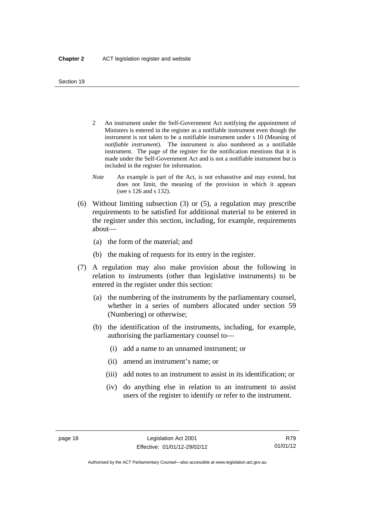- 2 An instrument under the Self-Government Act notifying the appointment of Ministers is entered in the register as a notifiable instrument even though the instrument is not taken to be a notifiable instrument under s 10 (Meaning of *notifiable instrument*). The instrument is also numbered as a notifiable instrument. The page of the register for the notification mentions that it is made under the Self-Government Act and is not a notifiable instrument but is included in the register for information.
- *Note* An example is part of the Act, is not exhaustive and may extend, but does not limit, the meaning of the provision in which it appears (see s 126 and s 132).
- (6) Without limiting subsection (3) or (5), a regulation may prescribe requirements to be satisfied for additional material to be entered in the register under this section, including, for example, requirements about—
	- (a) the form of the material; and
	- (b) the making of requests for its entry in the register.
- (7) A regulation may also make provision about the following in relation to instruments (other than legislative instruments) to be entered in the register under this section:
	- (a) the numbering of the instruments by the parliamentary counsel, whether in a series of numbers allocated under section 59 (Numbering) or otherwise;
	- (b) the identification of the instruments, including, for example, authorising the parliamentary counsel to—
		- (i) add a name to an unnamed instrument; or
		- (ii) amend an instrument's name; or
		- (iii) add notes to an instrument to assist in its identification; or
		- (iv) do anything else in relation to an instrument to assist users of the register to identify or refer to the instrument.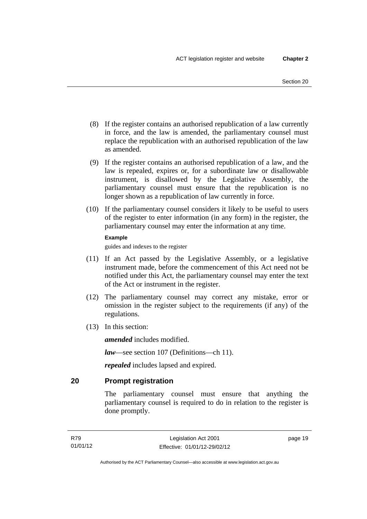- (8) If the register contains an authorised republication of a law currently in force, and the law is amended, the parliamentary counsel must replace the republication with an authorised republication of the law as amended.
- (9) If the register contains an authorised republication of a law, and the law is repealed, expires or, for a subordinate law or disallowable instrument, is disallowed by the Legislative Assembly, the parliamentary counsel must ensure that the republication is no longer shown as a republication of law currently in force.
- (10) If the parliamentary counsel considers it likely to be useful to users of the register to enter information (in any form) in the register, the parliamentary counsel may enter the information at any time.

#### **Example**

guides and indexes to the register

- (11) If an Act passed by the Legislative Assembly, or a legislative instrument made, before the commencement of this Act need not be notified under this Act, the parliamentary counsel may enter the text of the Act or instrument in the register.
- (12) The parliamentary counsel may correct any mistake, error or omission in the register subject to the requirements (if any) of the regulations.
- (13) In this section:

*amended* includes modified.

*law*—see section 107 (Definitions—ch 11).

*repealed* includes lapsed and expired.

## <span id="page-34-0"></span>**20 Prompt registration**

The parliamentary counsel must ensure that anything the parliamentary counsel is required to do in relation to the register is done promptly.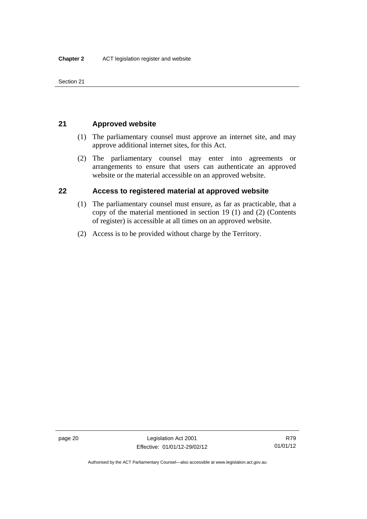Section 21

## <span id="page-35-0"></span>**21 Approved website**

- (1) The parliamentary counsel must approve an internet site, and may approve additional internet sites, for this Act.
- (2) The parliamentary counsel may enter into agreements or arrangements to ensure that users can authenticate an approved website or the material accessible on an approved website.

## <span id="page-35-1"></span>**22 Access to registered material at approved website**

- (1) The parliamentary counsel must ensure, as far as practicable, that a copy of the material mentioned in section 19 (1) and (2) (Contents of register) is accessible at all times on an approved website.
- (2) Access is to be provided without charge by the Territory.

Authorised by the ACT Parliamentary Counsel—also accessible at www.legislation.act.gov.au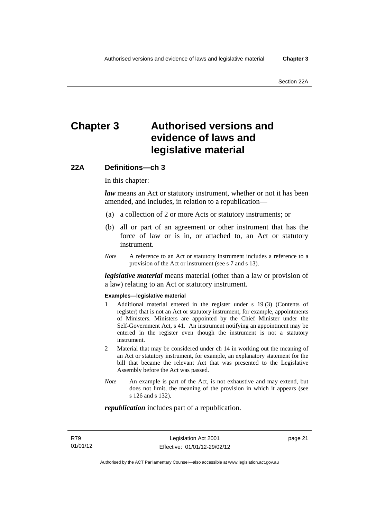# **Chapter 3 Authorised versions and evidence of laws and legislative material**

# **22A Definitions—ch 3**

In this chapter:

*law* means an Act or statutory instrument, whether or not it has been amended, and includes, in relation to a republication—

- (a) a collection of 2 or more Acts or statutory instruments; or
- (b) all or part of an agreement or other instrument that has the force of law or is in, or attached to, an Act or statutory instrument.
- *Note* A reference to an Act or statutory instrument includes a reference to a provision of the Act or instrument (see s 7 and s 13).

*legislative material* means material (other than a law or provision of a law) relating to an Act or statutory instrument.

#### **Examples—legislative material**

- 1 Additional material entered in the register under s 19 (3) (Contents of register) that is not an Act or statutory instrument, for example, appointments of Ministers. Ministers are appointed by the Chief Minister under the Self-Government Act, s 41. An instrument notifying an appointment may be entered in the register even though the instrument is not a statutory instrument.
- 2 Material that may be considered under ch 14 in working out the meaning of an Act or statutory instrument, for example, an explanatory statement for the bill that became the relevant Act that was presented to the Legislative Assembly before the Act was passed.
- *Note* An example is part of the Act, is not exhaustive and may extend, but does not limit, the meaning of the provision in which it appears (see s 126 and s 132).

#### *republication* includes part of a republication.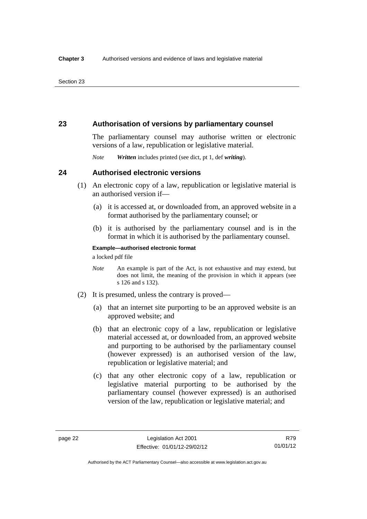## **23 Authorisation of versions by parliamentary counsel**

The parliamentary counsel may authorise written or electronic versions of a law, republication or legislative material.

*Note Written* includes printed (see dict, pt 1, def *writing*).

## **24 Authorised electronic versions**

- (1) An electronic copy of a law, republication or legislative material is an authorised version if—
	- (a) it is accessed at, or downloaded from, an approved website in a format authorised by the parliamentary counsel; or
	- (b) it is authorised by the parliamentary counsel and is in the format in which it is authorised by the parliamentary counsel.

**Example—authorised electronic format** 

a locked pdf file

- *Note* An example is part of the Act, is not exhaustive and may extend, but does not limit, the meaning of the provision in which it appears (see s 126 and s 132).
- (2) It is presumed, unless the contrary is proved—
	- (a) that an internet site purporting to be an approved website is an approved website; and
	- (b) that an electronic copy of a law, republication or legislative material accessed at, or downloaded from, an approved website and purporting to be authorised by the parliamentary counsel (however expressed) is an authorised version of the law, republication or legislative material; and
	- (c) that any other electronic copy of a law, republication or legislative material purporting to be authorised by the parliamentary counsel (however expressed) is an authorised version of the law, republication or legislative material; and

R79 01/01/12

Authorised by the ACT Parliamentary Counsel—also accessible at www.legislation.act.gov.au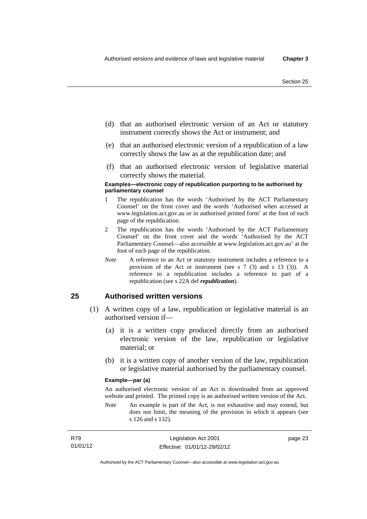- (d) that an authorised electronic version of an Act or statutory instrument correctly shows the Act or instrument; and
- (e) that an authorised electronic version of a republication of a law correctly shows the law as at the republication date; and
- (f) that an authorised electronic version of legislative material correctly shows the material.

#### **Examples—electronic copy of republication purporting to be authorised by parliamentary counsel**

- 1 The republication has the words 'Authorised by the ACT Parliamentary Counsel' on the front cover and the words 'Authorised when accessed at www.legislation.act.gov.au or in authorised printed form' at the foot of each page of the republication.
- 2 The republication has the words 'Authorised by the ACT Parliamentary Counsel' on the front cover and the words 'Authorised by the ACT Parliamentary Counsel—also accessible at www.legislation.act.gov.au' at the foot of each page of the republication.
- *Note* A reference to an Act or statutory instrument includes a reference to a provision of the Act or instrument (see s 7 (3) and s 13 (3)). A reference to a republication includes a reference to part of a republication (see s 22A def *republication*).

## **25 Authorised written versions**

- (1) A written copy of a law, republication or legislative material is an authorised version if—
	- (a) it is a written copy produced directly from an authorised electronic version of the law, republication or legislative material; or
	- (b) it is a written copy of another version of the law, republication or legislative material authorised by the parliamentary counsel.

#### **Example—par (a)**

An authorised electronic version of an Act is downloaded from an approved website and printed. The printed copy is an authorised written version of the Act.

*Note* An example is part of the Act, is not exhaustive and may extend, but does not limit, the meaning of the provision in which it appears (see s 126 and s 132).

| R79      | Legislation Act 2001         |
|----------|------------------------------|
| 01/01/12 | Effective: 01/01/12-29/02/12 |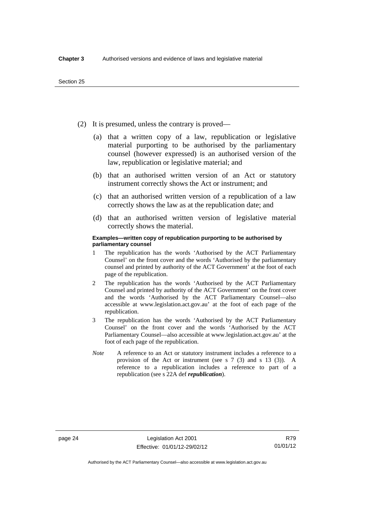- (2) It is presumed, unless the contrary is proved—
	- (a) that a written copy of a law, republication or legislative material purporting to be authorised by the parliamentary counsel (however expressed) is an authorised version of the law, republication or legislative material; and
	- (b) that an authorised written version of an Act or statutory instrument correctly shows the Act or instrument; and
	- (c) that an authorised written version of a republication of a law correctly shows the law as at the republication date; and
	- (d) that an authorised written version of legislative material correctly shows the material.

#### **Examples—written copy of republication purporting to be authorised by parliamentary counsel**

- 1 The republication has the words 'Authorised by the ACT Parliamentary Counsel' on the front cover and the words 'Authorised by the parliamentary counsel and printed by authority of the ACT Government' at the foot of each page of the republication.
- 2 The republication has the words 'Authorised by the ACT Parliamentary Counsel and printed by authority of the ACT Government' on the front cover and the words 'Authorised by the ACT Parliamentary Counsel—also accessible at www.legislation.act.gov.au' at the foot of each page of the republication.
- 3 The republication has the words 'Authorised by the ACT Parliamentary Counsel' on the front cover and the words 'Authorised by the ACT Parliamentary Counsel—also accessible at www.legislation.act.gov.au' at the foot of each page of the republication.
- *Note* A reference to an Act or statutory instrument includes a reference to a provision of the Act or instrument (see s 7 (3) and s 13 (3)). A reference to a republication includes a reference to part of a republication (see s 22A def *republication*).

R79 01/01/12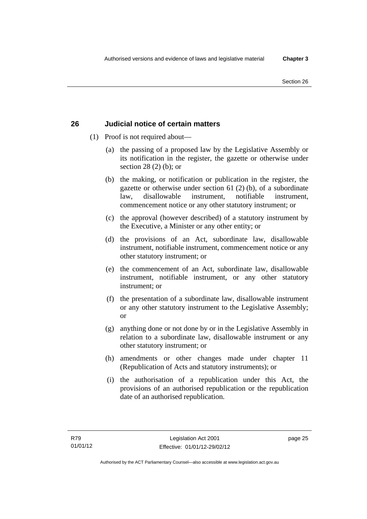# **26 Judicial notice of certain matters**

- (1) Proof is not required about—
	- (a) the passing of a proposed law by the Legislative Assembly or its notification in the register, the gazette or otherwise under section 28 (2) (b); or
	- (b) the making, or notification or publication in the register, the gazette or otherwise under section 61 (2) (b), of a subordinate law, disallowable instrument, notifiable instrument, commencement notice or any other statutory instrument; or
	- (c) the approval (however described) of a statutory instrument by the Executive, a Minister or any other entity; or
	- (d) the provisions of an Act, subordinate law, disallowable instrument, notifiable instrument, commencement notice or any other statutory instrument; or
	- (e) the commencement of an Act, subordinate law, disallowable instrument, notifiable instrument, or any other statutory instrument; or
	- (f) the presentation of a subordinate law, disallowable instrument or any other statutory instrument to the Legislative Assembly; or
	- (g) anything done or not done by or in the Legislative Assembly in relation to a subordinate law, disallowable instrument or any other statutory instrument; or
	- (h) amendments or other changes made under chapter 11 (Republication of Acts and statutory instruments); or
	- (i) the authorisation of a republication under this Act, the provisions of an authorised republication or the republication date of an authorised republication.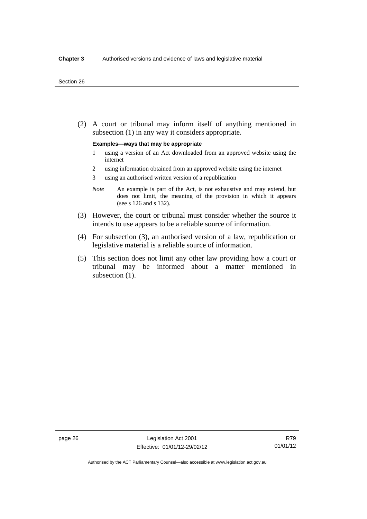(2) A court or tribunal may inform itself of anything mentioned in subsection (1) in any way it considers appropriate.

#### **Examples—ways that may be appropriate**

- 1 using a version of an Act downloaded from an approved website using the internet
- 2 using information obtained from an approved website using the internet
- 3 using an authorised written version of a republication
- *Note* An example is part of the Act, is not exhaustive and may extend, but does not limit, the meaning of the provision in which it appears (see s 126 and s 132).
- (3) However, the court or tribunal must consider whether the source it intends to use appears to be a reliable source of information.
- (4) For subsection (3), an authorised version of a law, republication or legislative material is a reliable source of information.
- (5) This section does not limit any other law providing how a court or tribunal may be informed about a matter mentioned in subsection  $(1)$ .

Authorised by the ACT Parliamentary Counsel—also accessible at www.legislation.act.gov.au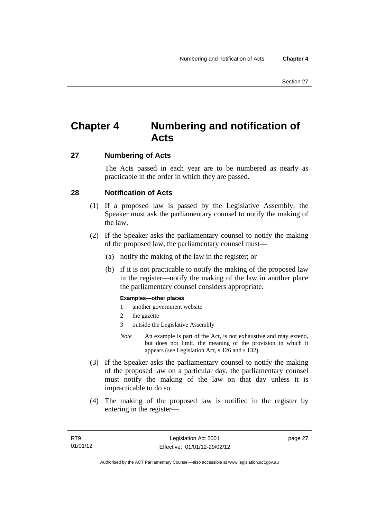# **Chapter 4 Numbering and notification of Acts**

# **27 Numbering of Acts**

The Acts passed in each year are to be numbered as nearly as practicable in the order in which they are passed.

# **28 Notification of Acts**

- (1) If a proposed law is passed by the Legislative Assembly, the Speaker must ask the parliamentary counsel to notify the making of the law.
- (2) If the Speaker asks the parliamentary counsel to notify the making of the proposed law, the parliamentary counsel must—
	- (a) notify the making of the law in the register; or
	- (b) if it is not practicable to notify the making of the proposed law in the register—notify the making of the law in another place the parliamentary counsel considers appropriate.

#### **Examples—other places**

- 1 another government website
- 2 the gazette
- 3 outside the Legislative Assembly
- *Note* An example is part of the Act, is not exhaustive and may extend, but does not limit, the meaning of the provision in which it appears (see Legislation Act, s 126 and s 132).
- (3) If the Speaker asks the parliamentary counsel to notify the making of the proposed law on a particular day, the parliamentary counsel must notify the making of the law on that day unless it is impracticable to do so.
- (4) The making of the proposed law is notified in the register by entering in the register—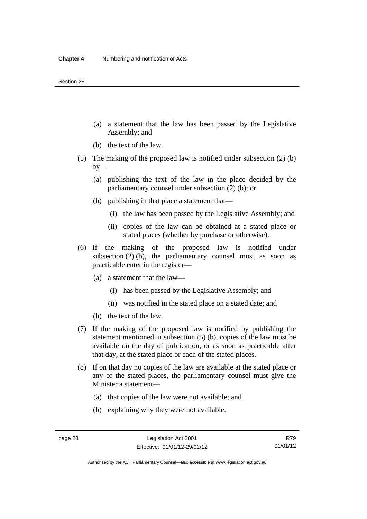- (a) a statement that the law has been passed by the Legislative Assembly; and
- (b) the text of the law.
- (5) The making of the proposed law is notified under subsection (2) (b)  $by-$ 
	- (a) publishing the text of the law in the place decided by the parliamentary counsel under subsection (2) (b); or
	- (b) publishing in that place a statement that—
		- (i) the law has been passed by the Legislative Assembly; and
		- (ii) copies of the law can be obtained at a stated place or stated places (whether by purchase or otherwise).
- (6) If the making of the proposed law is notified under subsection  $(2)$  (b), the parliamentary counsel must as soon as practicable enter in the register—
	- (a) a statement that the law—
		- (i) has been passed by the Legislative Assembly; and
		- (ii) was notified in the stated place on a stated date; and
	- (b) the text of the law.
- (7) If the making of the proposed law is notified by publishing the statement mentioned in subsection (5) (b), copies of the law must be available on the day of publication, or as soon as practicable after that day, at the stated place or each of the stated places.
- (8) If on that day no copies of the law are available at the stated place or any of the stated places, the parliamentary counsel must give the Minister a statement—
	- (a) that copies of the law were not available; and
	- (b) explaining why they were not available.

Authorised by the ACT Parliamentary Counsel—also accessible at www.legislation.act.gov.au

R79 01/01/12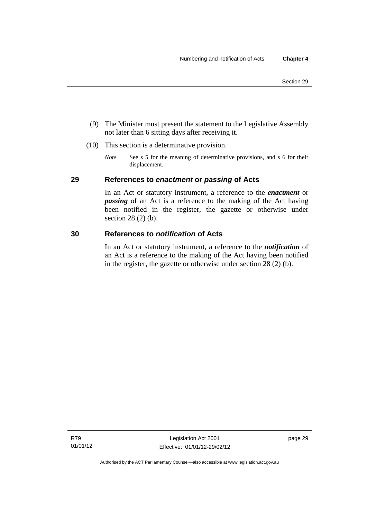- (9) The Minister must present the statement to the Legislative Assembly not later than 6 sitting days after receiving it.
- (10) This section is a determinative provision.
	- *Note* See s 5 for the meaning of determinative provisions, and s 6 for their displacement.

# **29 References to** *enactment* **or** *passing* **of Acts**

In an Act or statutory instrument, a reference to the *enactment* or *passing* of an Act is a reference to the making of the Act having been notified in the register, the gazette or otherwise under section 28 (2) (b).

### **30 References to** *notification* **of Acts**

In an Act or statutory instrument, a reference to the *notification* of an Act is a reference to the making of the Act having been notified in the register, the gazette or otherwise under section 28 (2) (b).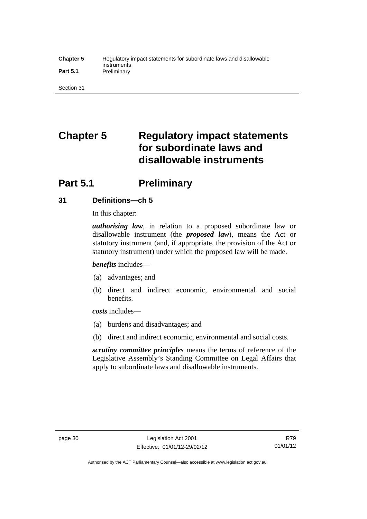#### **Chapter 5** Regulatory impact statements for subordinate laws and disallowable instruments Part 5.1 **Preliminary**

Section 31

# **Chapter 5 Regulatory impact statements for subordinate laws and disallowable instruments**

# **Part 5.1** Preliminary

# **31 Definitions—ch 5**

In this chapter:

*authorising law*, in relation to a proposed subordinate law or disallowable instrument (the *proposed law*), means the Act or statutory instrument (and, if appropriate, the provision of the Act or statutory instrument) under which the proposed law will be made.

*benefits* includes—

- (a) advantages; and
- (b) direct and indirect economic, environmental and social benefits.

*costs* includes—

- (a) burdens and disadvantages; and
- (b) direct and indirect economic, environmental and social costs.

*scrutiny committee principles* means the terms of reference of the Legislative Assembly's Standing Committee on Legal Affairs that apply to subordinate laws and disallowable instruments.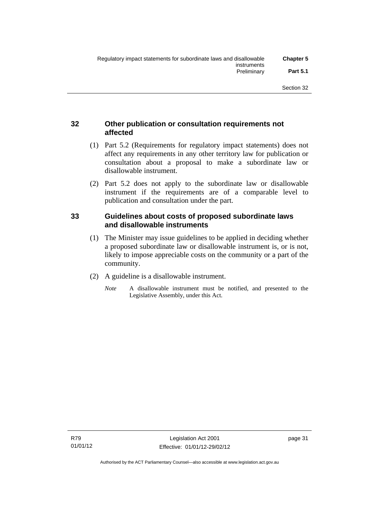# **32 Other publication or consultation requirements not affected**

- (1) Part 5.2 (Requirements for regulatory impact statements) does not affect any requirements in any other territory law for publication or consultation about a proposal to make a subordinate law or disallowable instrument.
- (2) Part 5.2 does not apply to the subordinate law or disallowable instrument if the requirements are of a comparable level to publication and consultation under the part.

## **33 Guidelines about costs of proposed subordinate laws and disallowable instruments**

- (1) The Minister may issue guidelines to be applied in deciding whether a proposed subordinate law or disallowable instrument is, or is not, likely to impose appreciable costs on the community or a part of the community.
- (2) A guideline is a disallowable instrument.
	- *Note* A disallowable instrument must be notified, and presented to the Legislative Assembly, under this Act.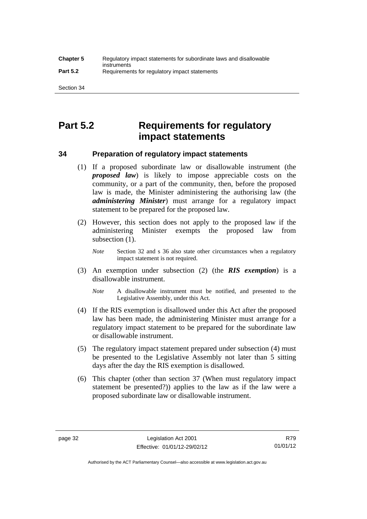# **Part 5.2 Requirements for regulatory impact statements**

## **34 Preparation of regulatory impact statements**

- (1) If a proposed subordinate law or disallowable instrument (the *proposed law*) is likely to impose appreciable costs on the community, or a part of the community, then, before the proposed law is made, the Minister administering the authorising law (the *administering Minister*) must arrange for a regulatory impact statement to be prepared for the proposed law.
- (2) However, this section does not apply to the proposed law if the administering Minister exempts the proposed law from subsection  $(1)$ .

*Note* Section 32 and s 36 also state other circumstances when a regulatory impact statement is not required.

- (3) An exemption under subsection (2) (the *RIS exemption*) is a disallowable instrument.
	- *Note* A disallowable instrument must be notified, and presented to the Legislative Assembly, under this Act.
- (4) If the RIS exemption is disallowed under this Act after the proposed law has been made, the administering Minister must arrange for a regulatory impact statement to be prepared for the subordinate law or disallowable instrument.
- (5) The regulatory impact statement prepared under subsection (4) must be presented to the Legislative Assembly not later than 5 sitting days after the day the RIS exemption is disallowed.
- (6) This chapter (other than section 37 (When must regulatory impact statement be presented?)) applies to the law as if the law were a proposed subordinate law or disallowable instrument.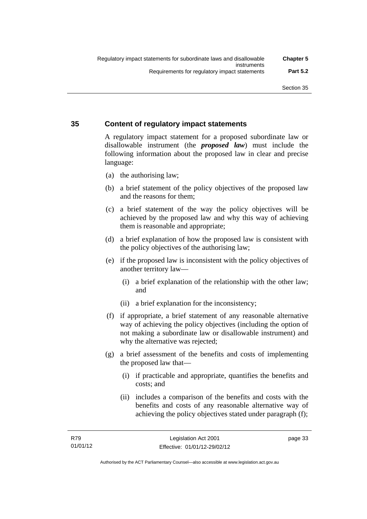# **35 Content of regulatory impact statements**

A regulatory impact statement for a proposed subordinate law or disallowable instrument (the *proposed law*) must include the following information about the proposed law in clear and precise language:

- (a) the authorising law;
- (b) a brief statement of the policy objectives of the proposed law and the reasons for them;
- (c) a brief statement of the way the policy objectives will be achieved by the proposed law and why this way of achieving them is reasonable and appropriate;
- (d) a brief explanation of how the proposed law is consistent with the policy objectives of the authorising law;
- (e) if the proposed law is inconsistent with the policy objectives of another territory law—
	- (i) a brief explanation of the relationship with the other law; and
	- (ii) a brief explanation for the inconsistency;
- (f) if appropriate, a brief statement of any reasonable alternative way of achieving the policy objectives (including the option of not making a subordinate law or disallowable instrument) and why the alternative was rejected;
- (g) a brief assessment of the benefits and costs of implementing the proposed law that—
	- (i) if practicable and appropriate, quantifies the benefits and costs; and
	- (ii) includes a comparison of the benefits and costs with the benefits and costs of any reasonable alternative way of achieving the policy objectives stated under paragraph (f);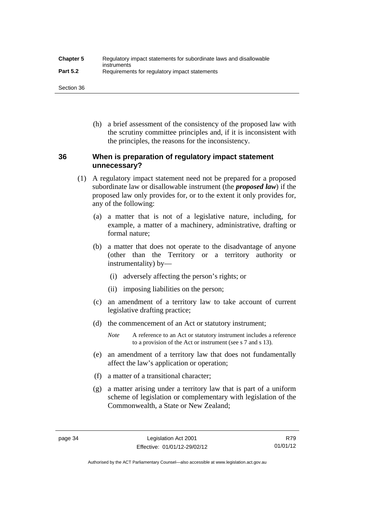| <b>Chapter 5</b> | Regulatory impact statements for subordinate laws and disallowable |
|------------------|--------------------------------------------------------------------|
| <b>Part 5.2</b>  | instruments<br>Requirements for regulatory impact statements       |

Section 36

 (h) a brief assessment of the consistency of the proposed law with the scrutiny committee principles and, if it is inconsistent with the principles, the reasons for the inconsistency.

# **36 When is preparation of regulatory impact statement unnecessary?**

- (1) A regulatory impact statement need not be prepared for a proposed subordinate law or disallowable instrument (the *proposed law*) if the proposed law only provides for, or to the extent it only provides for, any of the following:
	- (a) a matter that is not of a legislative nature, including, for example, a matter of a machinery, administrative, drafting or formal nature;
	- (b) a matter that does not operate to the disadvantage of anyone (other than the Territory or a territory authority or instrumentality) by—
		- (i) adversely affecting the person's rights; or
		- (ii) imposing liabilities on the person;
	- (c) an amendment of a territory law to take account of current legislative drafting practice;
	- (d) the commencement of an Act or statutory instrument;
		- *Note* A reference to an Act or statutory instrument includes a reference to a provision of the Act or instrument (see s 7 and s 13).
	- (e) an amendment of a territory law that does not fundamentally affect the law's application or operation;
	- (f) a matter of a transitional character;
	- (g) a matter arising under a territory law that is part of a uniform scheme of legislation or complementary with legislation of the Commonwealth, a State or New Zealand;

Authorised by the ACT Parliamentary Counsel—also accessible at www.legislation.act.gov.au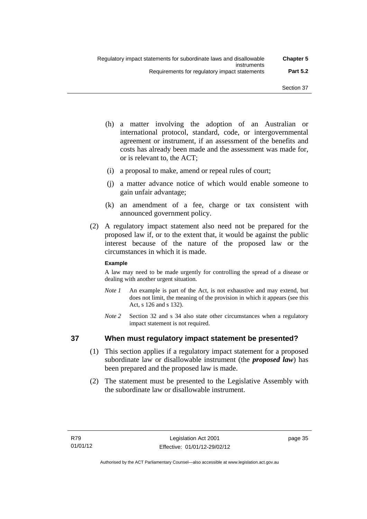- (h) a matter involving the adoption of an Australian or international protocol, standard, code, or intergovernmental agreement or instrument, if an assessment of the benefits and costs has already been made and the assessment was made for, or is relevant to, the ACT;
- (i) a proposal to make, amend or repeal rules of court;
- (j) a matter advance notice of which would enable someone to gain unfair advantage;
- (k) an amendment of a fee, charge or tax consistent with announced government policy.
- (2) A regulatory impact statement also need not be prepared for the proposed law if, or to the extent that, it would be against the public interest because of the nature of the proposed law or the circumstances in which it is made.

#### **Example**

A law may need to be made urgently for controlling the spread of a disease or dealing with another urgent situation.

- *Note 1* An example is part of the Act, is not exhaustive and may extend, but does not limit, the meaning of the provision in which it appears (see this Act, s 126 and s 132).
- *Note* 2 Section 32 and s 34 also state other circumstances when a regulatory impact statement is not required.

# **37 When must regulatory impact statement be presented?**

- (1) This section applies if a regulatory impact statement for a proposed subordinate law or disallowable instrument (the *proposed law*) has been prepared and the proposed law is made.
- (2) The statement must be presented to the Legislative Assembly with the subordinate law or disallowable instrument.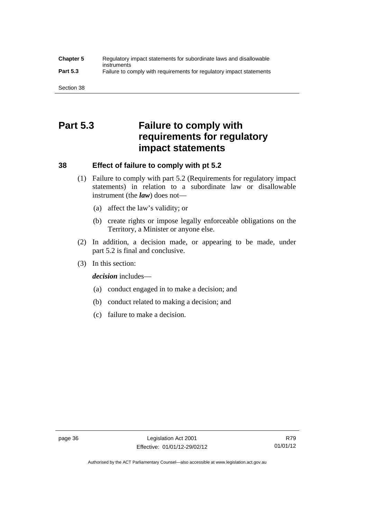#### **Chapter 5** Regulatory impact statements for subordinate laws and disallowable instruments **Part 5.3** Failure to comply with requirements for regulatory impact statements

Section 38

# **Part 5.3 Failure to comply with requirements for regulatory impact statements**

# **38 Effect of failure to comply with pt 5.2**

- (1) Failure to comply with part 5.2 (Requirements for regulatory impact statements) in relation to a subordinate law or disallowable instrument (the *law*) does not—
	- (a) affect the law's validity; or
	- (b) create rights or impose legally enforceable obligations on the Territory, a Minister or anyone else.
- (2) In addition, a decision made, or appearing to be made, under part 5.2 is final and conclusive.
- (3) In this section:

*decision* includes—

- (a) conduct engaged in to make a decision; and
- (b) conduct related to making a decision; and
- (c) failure to make a decision.

Authorised by the ACT Parliamentary Counsel—also accessible at www.legislation.act.gov.au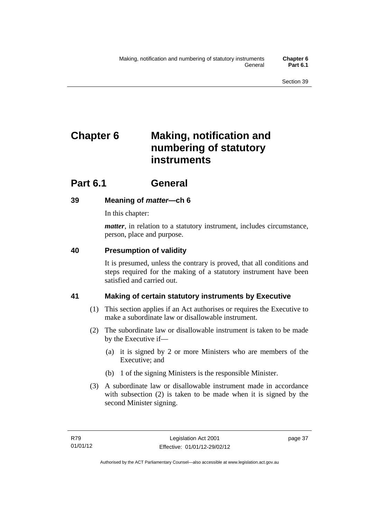# **Chapter 6 Making, notification and numbering of statutory instruments**

# **Part 6.1 General**

# **39 Meaning of** *matter***—ch 6**

In this chapter:

*matter*, in relation to a statutory instrument, includes circumstance, person, place and purpose.

# **40 Presumption of validity**

It is presumed, unless the contrary is proved, that all conditions and steps required for the making of a statutory instrument have been satisfied and carried out.

# **41 Making of certain statutory instruments by Executive**

- (1) This section applies if an Act authorises or requires the Executive to make a subordinate law or disallowable instrument.
- (2) The subordinate law or disallowable instrument is taken to be made by the Executive if—
	- (a) it is signed by 2 or more Ministers who are members of the Executive; and
	- (b) 1 of the signing Ministers is the responsible Minister.
- (3) A subordinate law or disallowable instrument made in accordance with subsection (2) is taken to be made when it is signed by the second Minister signing.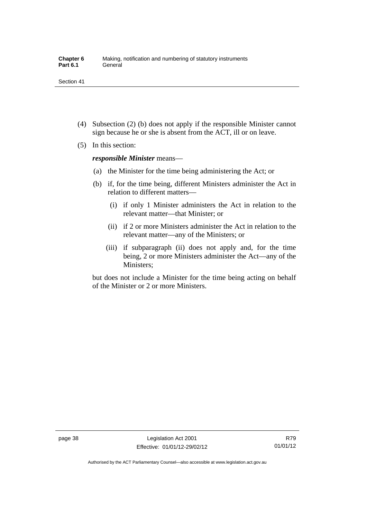- (4) Subsection (2) (b) does not apply if the responsible Minister cannot sign because he or she is absent from the ACT, ill or on leave.
- (5) In this section:

*responsible Minister* means—

- (a) the Minister for the time being administering the Act; or
- (b) if, for the time being, different Ministers administer the Act in relation to different matters—
	- (i) if only 1 Minister administers the Act in relation to the relevant matter—that Minister; or
	- (ii) if 2 or more Ministers administer the Act in relation to the relevant matter—any of the Ministers; or
	- (iii) if subparagraph (ii) does not apply and, for the time being, 2 or more Ministers administer the Act—any of the Ministers;

but does not include a Minister for the time being acting on behalf of the Minister or 2 or more Ministers.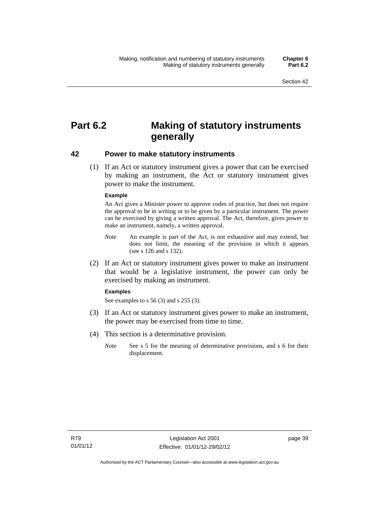# **Part 6.2 Making of statutory instruments generally**

#### **42 Power to make statutory instruments**

 (1) If an Act or statutory instrument gives a power that can be exercised by making an instrument, the Act or statutory instrument gives power to make the instrument.

#### **Example**

An Act gives a Minister power to approve codes of practice, but does not require the approval to be in writing or to be given by a particular instrument. The power can be exercised by giving a written approval. The Act, therefore, gives power to make an instrument, namely, a written approval.

- *Note* An example is part of the Act, is not exhaustive and may extend, but does not limit, the meaning of the provision in which it appears (see s 126 and s 132).
- (2) If an Act or statutory instrument gives power to make an instrument that would be a legislative instrument, the power can only be exercised by making an instrument.

#### **Examples**

See examples to s 56 (3) and s 255 (3).

- (3) If an Act or statutory instrument gives power to make an instrument, the power may be exercised from time to time.
- (4) This section is a determinative provision.
	- *Note* See s 5 for the meaning of determinative provisions, and s 6 for their displacement.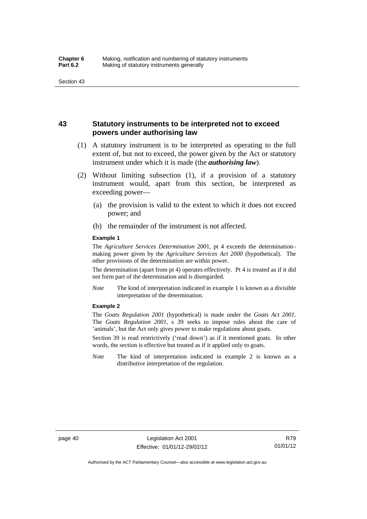## **43 Statutory instruments to be interpreted not to exceed powers under authorising law**

- (1) A statutory instrument is to be interpreted as operating to the full extent of, but not to exceed, the power given by the Act or statutory instrument under which it is made (the *authorising law*).
- (2) Without limiting subsection (1), if a provision of a statutory instrument would, apart from this section, be interpreted as exceeding power—
	- (a) the provision is valid to the extent to which it does not exceed power; and
	- (b) the remainder of the instrument is not affected.

#### **Example 1**

The *Agriculture Services Determination* 2001, pt 4 exceeds the determination– making power given by the *Agriculture Services Act 2000* (hypothetical). The other provisions of the determination are within power.

The determination (apart from pt 4) operates effectively. Pt 4 is treated as if it did not form part of the determination and is disregarded.

*Note* The kind of interpretation indicated in example 1 is known as a divisible interpretation of the determination.

#### **Example 2**

The *Goats Regulation 2001* (hypothetical) is made under the *Goats Act 2001*. The *Goats Regulation 2001*, s 39 seeks to impose rules about the care of 'animals', but the Act only gives power to make regulations about goats.

Section 39 is read restrictively ('read down') as if it mentioned goats. In other words, the section is effective but treated as if it applied only to goats.

*Note* The kind of interpretation indicated in example 2 is known as a distributive interpretation of the regulation.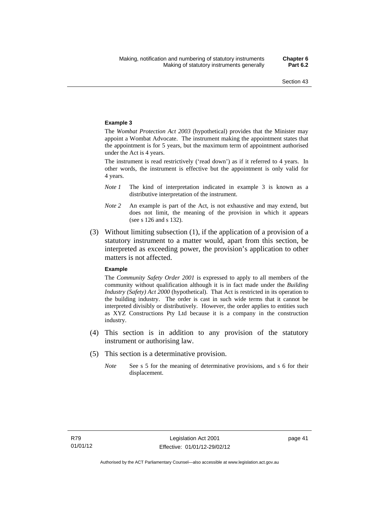#### **Example 3**

The *Wombat Protection Act 2003* (hypothetical) provides that the Minister may appoint a Wombat Advocate. The instrument making the appointment states that the appointment is for 5 years, but the maximum term of appointment authorised under the Act is 4 years.

The instrument is read restrictively ('read down') as if it referred to 4 years. In other words, the instrument is effective but the appointment is only valid for 4 years.

- *Note 1* The kind of interpretation indicated in example 3 is known as a distributive interpretation of the instrument.
- *Note 2* An example is part of the Act, is not exhaustive and may extend, but does not limit, the meaning of the provision in which it appears (see s 126 and s 132).
- (3) Without limiting subsection (1), if the application of a provision of a statutory instrument to a matter would, apart from this section, be interpreted as exceeding power, the provision's application to other matters is not affected.

#### **Example**

The *Community Safety Order 2001* is expressed to apply to all members of the community without qualification although it is in fact made under the *Building Industry (Safety) Act 2000* (hypothetical). That Act is restricted in its operation to the building industry. The order is cast in such wide terms that it cannot be interpreted divisibly or distributively. However, the order applies to entities such as XYZ Constructions Pty Ltd because it is a company in the construction industry.

- (4) This section is in addition to any provision of the statutory instrument or authorising law.
- (5) This section is a determinative provision.
	- *Note* See s 5 for the meaning of determinative provisions, and s 6 for their displacement.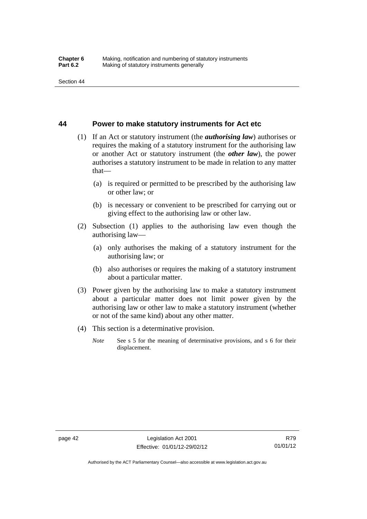#### **44 Power to make statutory instruments for Act etc**

- (1) If an Act or statutory instrument (the *authorising law*) authorises or requires the making of a statutory instrument for the authorising law or another Act or statutory instrument (the *other law*), the power authorises a statutory instrument to be made in relation to any matter that—
	- (a) is required or permitted to be prescribed by the authorising law or other law; or
	- (b) is necessary or convenient to be prescribed for carrying out or giving effect to the authorising law or other law.
- (2) Subsection (1) applies to the authorising law even though the authorising law—
	- (a) only authorises the making of a statutory instrument for the authorising law; or
	- (b) also authorises or requires the making of a statutory instrument about a particular matter.
- (3) Power given by the authorising law to make a statutory instrument about a particular matter does not limit power given by the authorising law or other law to make a statutory instrument (whether or not of the same kind) about any other matter.
- (4) This section is a determinative provision.
	- *Note* See s 5 for the meaning of determinative provisions, and s 6 for their displacement.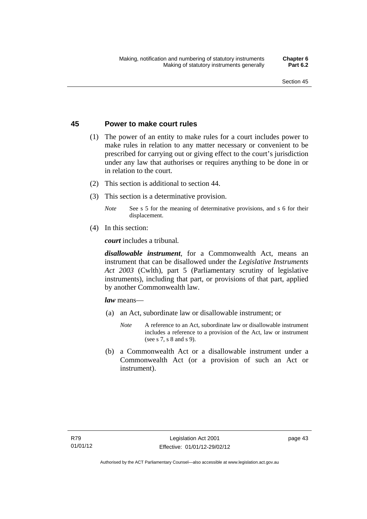### **45 Power to make court rules**

- (1) The power of an entity to make rules for a court includes power to make rules in relation to any matter necessary or convenient to be prescribed for carrying out or giving effect to the court's jurisdiction under any law that authorises or requires anything to be done in or in relation to the court.
- (2) This section is additional to section 44.
- (3) This section is a determinative provision.
	- *Note* See s 5 for the meaning of determinative provisions, and s 6 for their displacement.
- (4) In this section:

*court* includes a tribunal*.*

*disallowable instrument*, for a Commonwealth Act, means an instrument that can be disallowed under the *Legislative Instruments Act 2003* (Cwlth), part 5 (Parliamentary scrutiny of legislative instruments), including that part, or provisions of that part, applied by another Commonwealth law.

*law* means—

- (a) an Act, subordinate law or disallowable instrument; or
	- *Note* A reference to an Act, subordinate law or disallowable instrument includes a reference to a provision of the Act, law or instrument (see s 7, s 8 and s 9).
- (b) a Commonwealth Act or a disallowable instrument under a Commonwealth Act (or a provision of such an Act or instrument).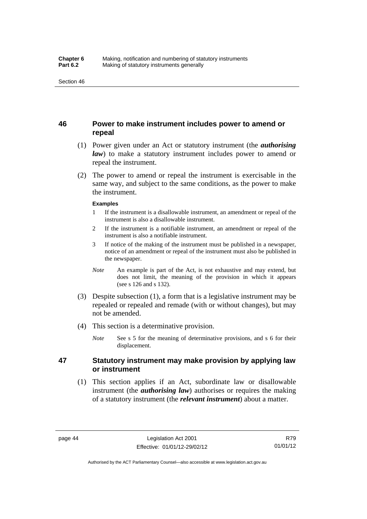# **46 Power to make instrument includes power to amend or repeal**

- (1) Power given under an Act or statutory instrument (the *authorising law*) to make a statutory instrument includes power to amend or repeal the instrument.
- (2) The power to amend or repeal the instrument is exercisable in the same way, and subject to the same conditions, as the power to make the instrument.

#### **Examples**

- 1 If the instrument is a disallowable instrument, an amendment or repeal of the instrument is also a disallowable instrument.
- 2 If the instrument is a notifiable instrument, an amendment or repeal of the instrument is also a notifiable instrument.
- 3 If notice of the making of the instrument must be published in a newspaper, notice of an amendment or repeal of the instrument must also be published in the newspaper.
- *Note* An example is part of the Act, is not exhaustive and may extend, but does not limit, the meaning of the provision in which it appears (see s 126 and s 132).
- (3) Despite subsection (1), a form that is a legislative instrument may be repealed or repealed and remade (with or without changes), but may not be amended.
- (4) This section is a determinative provision.
	- *Note* See s 5 for the meaning of determinative provisions, and s 6 for their displacement.

# **47 Statutory instrument may make provision by applying law or instrument**

 (1) This section applies if an Act, subordinate law or disallowable instrument (the *authorising law*) authorises or requires the making of a statutory instrument (the *relevant instrument*) about a matter.

Authorised by the ACT Parliamentary Counsel—also accessible at www.legislation.act.gov.au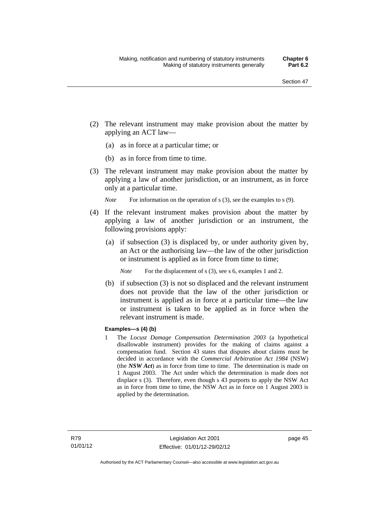- (2) The relevant instrument may make provision about the matter by applying an ACT law—
	- (a) as in force at a particular time; or
	- (b) as in force from time to time.
- (3) The relevant instrument may make provision about the matter by applying a law of another jurisdiction, or an instrument, as in force only at a particular time.

*Note* For information on the operation of s (3), see the examples to s (9).

- (4) If the relevant instrument makes provision about the matter by applying a law of another jurisdiction or an instrument, the following provisions apply:
	- (a) if subsection (3) is displaced by, or under authority given by, an Act or the authorising law—the law of the other jurisdiction or instrument is applied as in force from time to time;
		- *Note* For the displacement of s (3), see s 6, examples 1 and 2.
	- (b) if subsection (3) is not so displaced and the relevant instrument does not provide that the law of the other jurisdiction or instrument is applied as in force at a particular time—the law or instrument is taken to be applied as in force when the relevant instrument is made.

#### **Examples—s (4) (b)**

1 The *Locust Damage Compensation Determination 2003* (a hypothetical disallowable instrument) provides for the making of claims against a compensation fund. Section 43 states that disputes about claims must be decided in accordance with the *Commercial Arbitration Act 1984* (NSW) (the *NSW Act*) as in force from time to time. The determination is made on 1 August 2003. The Act under which the determination is made does not displace s (3). Therefore, even though s 43 purports to apply the NSW Act as in force from time to time, the NSW Act as in force on 1 August 2003 is applied by the determination.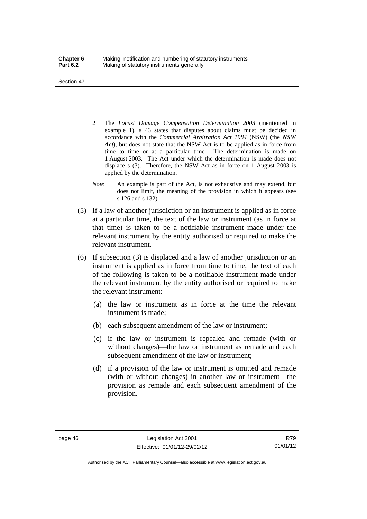Section 47

- 2 The *Locust Damage Compensation Determination 2003* (mentioned in example 1), s 43 states that disputes about claims must be decided in accordance with the *Commercial Arbitration Act 1984* (NSW) (the *NSW Act*), but does not state that the NSW Act is to be applied as in force from time to time or at a particular time. The determination is made on 1 August 2003. The Act under which the determination is made does not displace s (3). Therefore, the NSW Act as in force on 1 August 2003 is applied by the determination.
- *Note* An example is part of the Act, is not exhaustive and may extend, but does not limit, the meaning of the provision in which it appears (see s 126 and s 132).
- (5) If a law of another jurisdiction or an instrument is applied as in force at a particular time, the text of the law or instrument (as in force at that time) is taken to be a notifiable instrument made under the relevant instrument by the entity authorised or required to make the relevant instrument.
- (6) If subsection (3) is displaced and a law of another jurisdiction or an instrument is applied as in force from time to time, the text of each of the following is taken to be a notifiable instrument made under the relevant instrument by the entity authorised or required to make the relevant instrument:
	- (a) the law or instrument as in force at the time the relevant instrument is made;
	- (b) each subsequent amendment of the law or instrument;
	- (c) if the law or instrument is repealed and remade (with or without changes)—the law or instrument as remade and each subsequent amendment of the law or instrument;
	- (d) if a provision of the law or instrument is omitted and remade (with or without changes) in another law or instrument—the provision as remade and each subsequent amendment of the provision.

Authorised by the ACT Parliamentary Counsel—also accessible at www.legislation.act.gov.au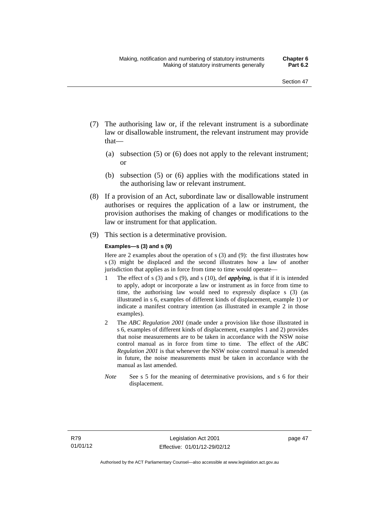- (7) The authorising law or, if the relevant instrument is a subordinate law or disallowable instrument, the relevant instrument may provide that—
	- (a) subsection (5) or (6) does not apply to the relevant instrument; or
	- (b) subsection (5) or (6) applies with the modifications stated in the authorising law or relevant instrument.
- (8) If a provision of an Act, subordinate law or disallowable instrument authorises or requires the application of a law or instrument, the provision authorises the making of changes or modifications to the law or instrument for that application.
- (9) This section is a determinative provision.

#### **Examples—s (3) and s (9)**

Here are 2 examples about the operation of s (3) and (9): the first illustrates how s (3) might be displaced and the second illustrates how a law of another jurisdiction that applies as in force from time to time would operate—

- 1 The effect of s (3) and s (9), and s (10), def *applying*, is that if it is intended to apply, adopt or incorporate a law or instrument as in force from time to time, the authorising law would need to expressly displace s (3) (as illustrated in s 6, examples of different kinds of displacement, example 1) *or* indicate a manifest contrary intention (as illustrated in example 2 in those examples).
- 2 The *ABC Regulation 2001* (made under a provision like those illustrated in s 6, examples of different kinds of displacement, examples 1 and 2) provides that noise measurements are to be taken in accordance with the NSW noise control manual as in force from time to time. The effect of the *ABC Regulation 2001* is that whenever the NSW noise control manual is amended in future, the noise measurements must be taken in accordance with the manual as last amended.
- *Note* See s 5 for the meaning of determinative provisions, and s 6 for their displacement.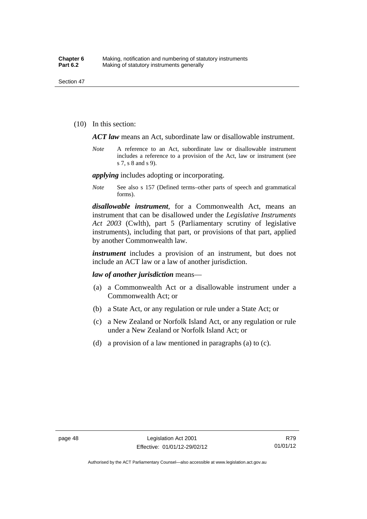(10) In this section:

*ACT law* means an Act, subordinate law or disallowable instrument.

*Note* A reference to an Act, subordinate law or disallowable instrument includes a reference to a provision of the Act, law or instrument (see s 7, s 8 and s 9).

*applying* includes adopting or incorporating.

*Note* See also s 157 (Defined terms–other parts of speech and grammatical forms).

*disallowable instrument*, for a Commonwealth Act, means an instrument that can be disallowed under the *Legislative Instruments Act 2003* (Cwlth), part 5 (Parliamentary scrutiny of legislative instruments), including that part, or provisions of that part, applied by another Commonwealth law.

*instrument* includes a provision of an instrument, but does not include an ACT law or a law of another jurisdiction.

*law of another jurisdiction* means—

- (a) a Commonwealth Act or a disallowable instrument under a Commonwealth Act; or
- (b) a State Act, or any regulation or rule under a State Act; or
- (c) a New Zealand or Norfolk Island Act, or any regulation or rule under a New Zealand or Norfolk Island Act; or
- (d) a provision of a law mentioned in paragraphs (a) to (c).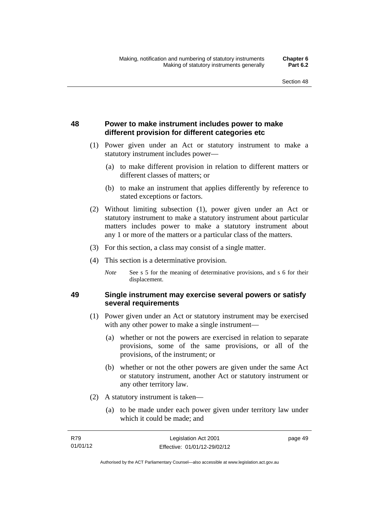# **48 Power to make instrument includes power to make different provision for different categories etc**

- (1) Power given under an Act or statutory instrument to make a statutory instrument includes power—
	- (a) to make different provision in relation to different matters or different classes of matters; or
	- (b) to make an instrument that applies differently by reference to stated exceptions or factors.
- (2) Without limiting subsection (1), power given under an Act or statutory instrument to make a statutory instrument about particular matters includes power to make a statutory instrument about any 1 or more of the matters or a particular class of the matters.
- (3) For this section, a class may consist of a single matter.
- (4) This section is a determinative provision.
	- *Note* See s 5 for the meaning of determinative provisions, and s 6 for their displacement.

# **49 Single instrument may exercise several powers or satisfy several requirements**

- (1) Power given under an Act or statutory instrument may be exercised with any other power to make a single instrument—
	- (a) whether or not the powers are exercised in relation to separate provisions, some of the same provisions, or all of the provisions, of the instrument; or
	- (b) whether or not the other powers are given under the same Act or statutory instrument, another Act or statutory instrument or any other territory law.
- (2) A statutory instrument is taken—
	- (a) to be made under each power given under territory law under which it could be made; and

| R79      | Legislation Act 2001         | page 49 |
|----------|------------------------------|---------|
| 01/01/12 | Effective: 01/01/12-29/02/12 |         |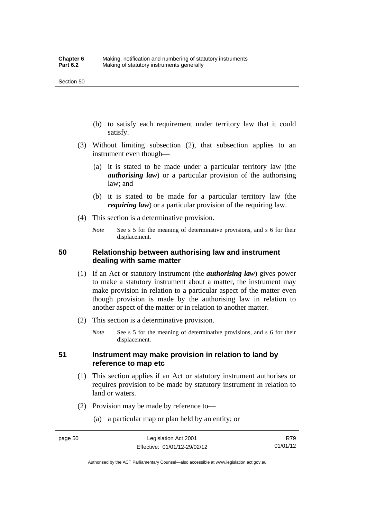- (b) to satisfy each requirement under territory law that it could satisfy.
- (3) Without limiting subsection (2), that subsection applies to an instrument even though—
	- (a) it is stated to be made under a particular territory law (the *authorising law*) or a particular provision of the authorising law; and
	- (b) it is stated to be made for a particular territory law (the *requiring law*) or a particular provision of the requiring law.
- (4) This section is a determinative provision.
	- *Note* See s 5 for the meaning of determinative provisions, and s 6 for their displacement.

## **50 Relationship between authorising law and instrument dealing with same matter**

- (1) If an Act or statutory instrument (the *authorising law*) gives power to make a statutory instrument about a matter, the instrument may make provision in relation to a particular aspect of the matter even though provision is made by the authorising law in relation to another aspect of the matter or in relation to another matter.
- (2) This section is a determinative provision.
	- *Note* See s 5 for the meaning of determinative provisions, and s 6 for their displacement.

## **51 Instrument may make provision in relation to land by reference to map etc**

- (1) This section applies if an Act or statutory instrument authorises or requires provision to be made by statutory instrument in relation to land or waters.
- (2) Provision may be made by reference to—
	- (a) a particular map or plan held by an entity; or

Authorised by the ACT Parliamentary Counsel—also accessible at www.legislation.act.gov.au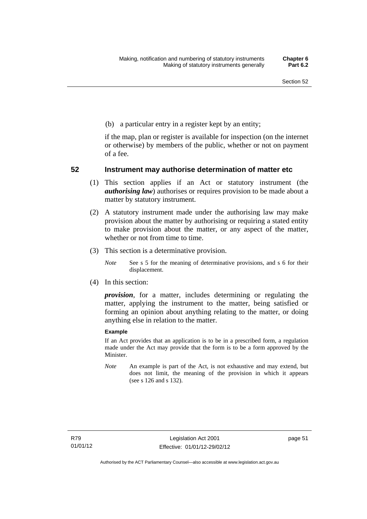(b) a particular entry in a register kept by an entity;

if the map, plan or register is available for inspection (on the internet or otherwise) by members of the public, whether or not on payment of a fee.

### **52 Instrument may authorise determination of matter etc**

- (1) This section applies if an Act or statutory instrument (the *authorising law*) authorises or requires provision to be made about a matter by statutory instrument.
- (2) A statutory instrument made under the authorising law may make provision about the matter by authorising or requiring a stated entity to make provision about the matter, or any aspect of the matter, whether or not from time to time.
- (3) This section is a determinative provision.
	- *Note* See s 5 for the meaning of determinative provisions, and s 6 for their displacement.
- (4) In this section:

*provision*, for a matter, includes determining or regulating the matter, applying the instrument to the matter, being satisfied or forming an opinion about anything relating to the matter, or doing anything else in relation to the matter.

#### **Example**

If an Act provides that an application is to be in a prescribed form, a regulation made under the Act may provide that the form is to be a form approved by the Minister.

*Note* An example is part of the Act, is not exhaustive and may extend, but does not limit, the meaning of the provision in which it appears (see s 126 and s 132).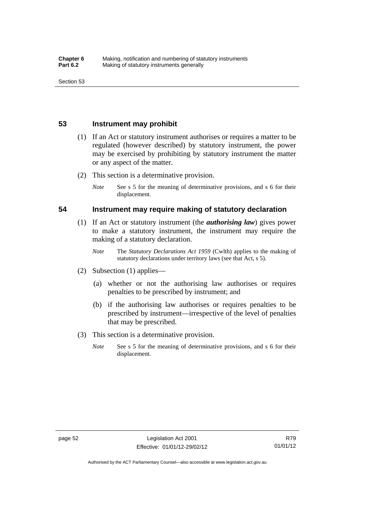### **53 Instrument may prohibit**

- (1) If an Act or statutory instrument authorises or requires a matter to be regulated (however described) by statutory instrument, the power may be exercised by prohibiting by statutory instrument the matter or any aspect of the matter.
- (2) This section is a determinative provision.
	- *Note* See s 5 for the meaning of determinative provisions, and s 6 for their displacement.

### **54 Instrument may require making of statutory declaration**

- (1) If an Act or statutory instrument (the *authorising law*) gives power to make a statutory instrument, the instrument may require the making of a statutory declaration.
	- *Note* The *Statutory Declarations Act 1959* (Cwlth) applies to the making of statutory declarations under territory laws (see that Act, s 5).
- (2) Subsection (1) applies—
	- (a) whether or not the authorising law authorises or requires penalties to be prescribed by instrument; and
	- (b) if the authorising law authorises or requires penalties to be prescribed by instrument—irrespective of the level of penalties that may be prescribed.
- (3) This section is a determinative provision.
	- *Note* See s 5 for the meaning of determinative provisions, and s 6 for their displacement.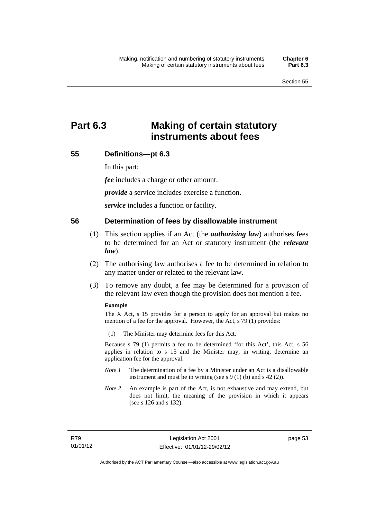# **Part 6.3 Making of certain statutory instruments about fees**

# **55 Definitions—pt 6.3**

In this part:

*fee* includes a charge or other amount.

*provide* a service includes exercise a function.

*service* includes a function or facility.

#### **56 Determination of fees by disallowable instrument**

- (1) This section applies if an Act (the *authorising law*) authorises fees to be determined for an Act or statutory instrument (the *relevant law*).
- (2) The authorising law authorises a fee to be determined in relation to any matter under or related to the relevant law.
- (3) To remove any doubt, a fee may be determined for a provision of the relevant law even though the provision does not mention a fee.

#### **Example**

The X Act, s 15 provides for a person to apply for an approval but makes no mention of a fee for the approval. However, the Act, s 79 (1) provides:

(1) The Minister may determine fees for this Act.

Because s 79 (1) permits a fee to be determined 'for this Act', this Act, s 56 applies in relation to s 15 and the Minister may, in writing, determine an application fee for the approval.

- *Note 1* The determination of a fee by a Minister under an Act is a disallowable instrument and must be in writing (see s 9 (1) (b) and s 42 (2)).
- *Note 2* An example is part of the Act, is not exhaustive and may extend, but does not limit, the meaning of the provision in which it appears (see s 126 and s 132).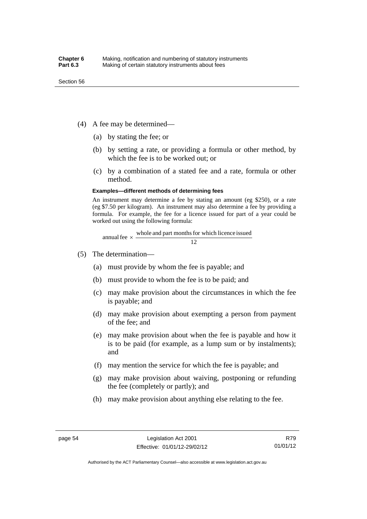- (4) A fee may be determined—
	- (a) by stating the fee; or
	- (b) by setting a rate, or providing a formula or other method, by which the fee is to be worked out; or
	- (c) by a combination of a stated fee and a rate, formula or other method.

#### **Examples—different methods of determining fees**

An instrument may determine a fee by stating an amount (eg \$250), or a rate (eg \$7.50 per kilogram). An instrument may also determine a fee by providing a formula. For example, the fee for a licence issued for part of a year could be worked out using the following formula:

annual fee  $\times$  whole and part months for which licence issued  $\frac{12}{\sqrt{12}}$ 

- (5) The determination—
	- (a) must provide by whom the fee is payable; and
	- (b) must provide to whom the fee is to be paid; and
	- (c) may make provision about the circumstances in which the fee is payable; and
	- (d) may make provision about exempting a person from payment of the fee; and
	- (e) may make provision about when the fee is payable and how it is to be paid (for example, as a lump sum or by instalments); and
	- (f) may mention the service for which the fee is payable; and
	- (g) may make provision about waiving, postponing or refunding the fee (completely or partly); and
	- (h) may make provision about anything else relating to the fee.

Authorised by the ACT Parliamentary Counsel—also accessible at www.legislation.act.gov.au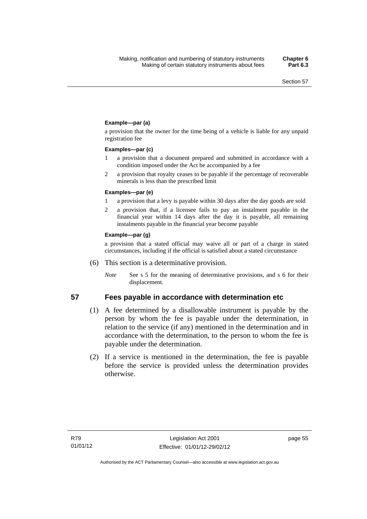#### **Example—par (a)**

a provision that the owner for the time being of a vehicle is liable for any unpaid registration fee

#### **Examples—par (c)**

- 1 a provision that a document prepared and submitted in accordance with a condition imposed under the Act be accompanied by a fee
- 2 a provision that royalty ceases to be payable if the percentage of recoverable minerals is less than the prescribed limit

#### **Examples—par (e)**

- 1 a provision that a levy is payable within 30 days after the day goods are sold
- 2 a provision that, if a licensee fails to pay an instalment payable in the financial year within 14 days after the day it is payable, all remaining instalments payable in the financial year become payable

#### **Example—par (g)**

a provision that a stated official may waive all or part of a charge in stated circumstances, including if the official is satisfied about a stated circumstance

- (6) This section is a determinative provision.
	- *Note* See s 5 for the meaning of determinative provisions, and s 6 for their displacement.

#### **57 Fees payable in accordance with determination etc**

- (1) A fee determined by a disallowable instrument is payable by the
- person by whom the fee is payable under the determination, in relation to the service (if any) mentioned in the determination and in accordance with the determination, to the person to whom the fee is payable under the determination.
- (2) If a service is mentioned in the determination, the fee is payable before the service is provided unless the determination provides otherwise.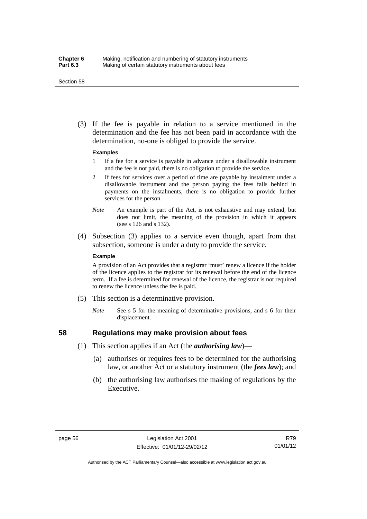#### Section 58

 (3) If the fee is payable in relation to a service mentioned in the determination and the fee has not been paid in accordance with the determination, no-one is obliged to provide the service.

#### **Examples**

- 1 If a fee for a service is payable in advance under a disallowable instrument and the fee is not paid, there is no obligation to provide the service.
- 2 If fees for services over a period of time are payable by instalment under a disallowable instrument and the person paying the fees falls behind in payments on the instalments, there is no obligation to provide further services for the person.
- *Note* An example is part of the Act, is not exhaustive and may extend, but does not limit, the meaning of the provision in which it appears (see s 126 and s 132).
- (4) Subsection (3) applies to a service even though, apart from that subsection, someone is under a duty to provide the service.

#### **Example**

A provision of an Act provides that a registrar 'must' renew a licence if the holder of the licence applies to the registrar for its renewal before the end of the licence term. If a fee is determined for renewal of the licence, the registrar is not required to renew the licence unless the fee is paid.

- (5) This section is a determinative provision.
	- *Note* See s 5 for the meaning of determinative provisions, and s 6 for their displacement.

# **58 Regulations may make provision about fees**

- (1) This section applies if an Act (the *authorising law*)—
	- (a) authorises or requires fees to be determined for the authorising law, or another Act or a statutory instrument (the *fees law*); and
	- (b) the authorising law authorises the making of regulations by the Executive.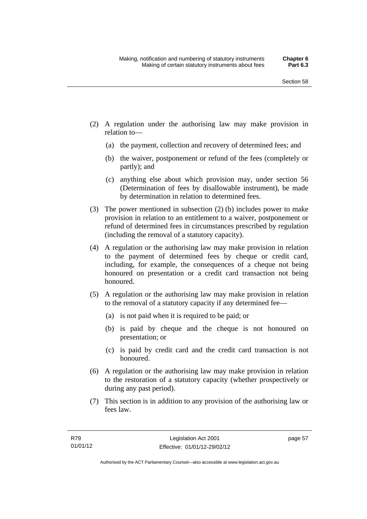- (2) A regulation under the authorising law may make provision in relation to—
	- (a) the payment, collection and recovery of determined fees; and
	- (b) the waiver, postponement or refund of the fees (completely or partly); and
	- (c) anything else about which provision may, under section 56 (Determination of fees by disallowable instrument), be made by determination in relation to determined fees.
- (3) The power mentioned in subsection (2) (b) includes power to make provision in relation to an entitlement to a waiver, postponement or refund of determined fees in circumstances prescribed by regulation (including the removal of a statutory capacity).
- (4) A regulation or the authorising law may make provision in relation to the payment of determined fees by cheque or credit card, including, for example, the consequences of a cheque not being honoured on presentation or a credit card transaction not being honoured.
- (5) A regulation or the authorising law may make provision in relation to the removal of a statutory capacity if any determined fee—
	- (a) is not paid when it is required to be paid; or
	- (b) is paid by cheque and the cheque is not honoured on presentation; or
	- (c) is paid by credit card and the credit card transaction is not honoured.
- (6) A regulation or the authorising law may make provision in relation to the restoration of a statutory capacity (whether prospectively or during any past period).
- (7) This section is in addition to any provision of the authorising law or fees law.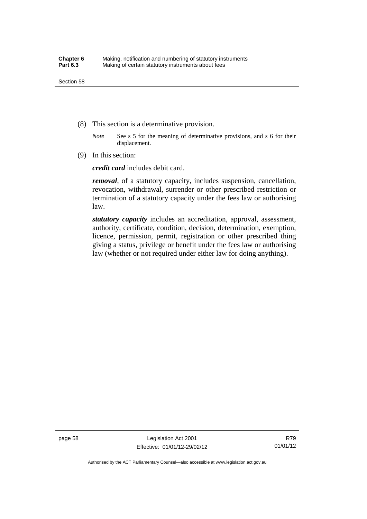- (8) This section is a determinative provision.
	- *Note* See s 5 for the meaning of determinative provisions, and s 6 for their displacement.
- (9) In this section:

*credit card* includes debit card.

*removal*, of a statutory capacity, includes suspension, cancellation, revocation, withdrawal, surrender or other prescribed restriction or termination of a statutory capacity under the fees law or authorising law.

*statutory capacity* includes an accreditation, approval, assessment, authority, certificate, condition, decision, determination, exemption, licence, permission, permit, registration or other prescribed thing giving a status, privilege or benefit under the fees law or authorising law (whether or not required under either law for doing anything).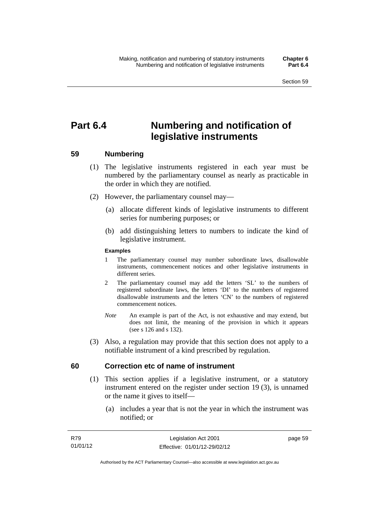# **Part 6.4 Numbering and notification of legislative instruments**

## **59 Numbering**

- (1) The legislative instruments registered in each year must be numbered by the parliamentary counsel as nearly as practicable in the order in which they are notified.
- (2) However, the parliamentary counsel may—
	- (a) allocate different kinds of legislative instruments to different series for numbering purposes; or
	- (b) add distinguishing letters to numbers to indicate the kind of legislative instrument.

## **Examples**

- 1 The parliamentary counsel may number subordinate laws, disallowable instruments, commencement notices and other legislative instruments in different series.
- 2 The parliamentary counsel may add the letters 'SL' to the numbers of registered subordinate laws, the letters 'DI' to the numbers of registered disallowable instruments and the letters 'CN' to the numbers of registered commencement notices.
- *Note* An example is part of the Act, is not exhaustive and may extend, but does not limit, the meaning of the provision in which it appears (see s 126 and s 132).
- (3) Also, a regulation may provide that this section does not apply to a notifiable instrument of a kind prescribed by regulation.

## **60 Correction etc of name of instrument**

- (1) This section applies if a legislative instrument, or a statutory instrument entered on the register under section 19 (3), is unnamed or the name it gives to itself—
	- (a) includes a year that is not the year in which the instrument was notified; or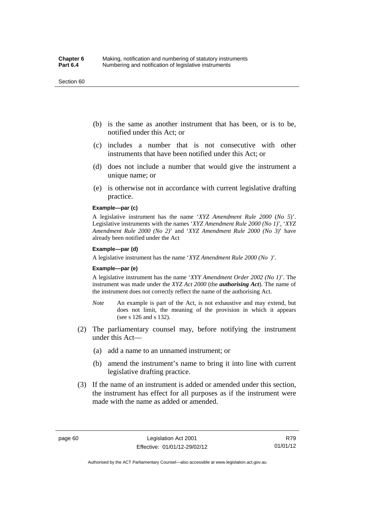#### Section 60

- (b) is the same as another instrument that has been, or is to be, notified under this Act; or
- (c) includes a number that is not consecutive with other instruments that have been notified under this Act; or
- (d) does not include a number that would give the instrument a unique name; or
- (e) is otherwise not in accordance with current legislative drafting practice.

## **Example—par (c)**

A legislative instrument has the name '*XYZ Amendment Rule 2000* (*No 5*)'. Legislative instruments with the names '*XYZ Amendment Rule 2000 (No 1)*', '*XYZ Amendment Rule 2000 (No 2)*' and '*XYZ Amendment Rule 2000 (No 3)*' have already been notified under the Act

#### **Example—par (d)**

A legislative instrument has the name '*XYZ Amendment Rule 2000 (No )*'.

#### **Example—par (e)**

A legislative instrument has the name '*XYY Amendment Order 2002 (No 1)*'. The instrument was made under the *XYZ Act 2000* (the *authorising Act*). The name of the instrument does not correctly reflect the name of the authorising Act.

- *Note* An example is part of the Act, is not exhaustive and may extend, but does not limit, the meaning of the provision in which it appears (see s 126 and s 132).
- (2) The parliamentary counsel may, before notifying the instrument under this Act—
	- (a) add a name to an unnamed instrument; or
	- (b) amend the instrument's name to bring it into line with current legislative drafting practice.
- (3) If the name of an instrument is added or amended under this section, the instrument has effect for all purposes as if the instrument were made with the name as added or amended.

R79 01/01/12

Authorised by the ACT Parliamentary Counsel—also accessible at www.legislation.act.gov.au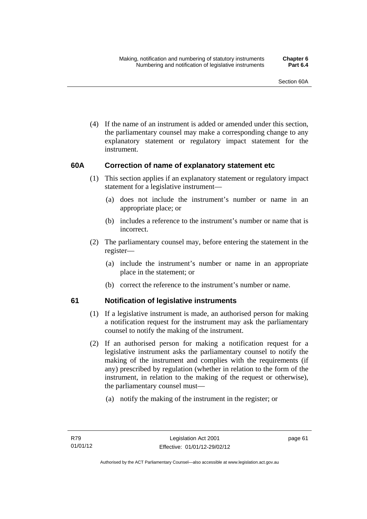(4) If the name of an instrument is added or amended under this section, the parliamentary counsel may make a corresponding change to any explanatory statement or regulatory impact statement for the instrument.

## **60A Correction of name of explanatory statement etc**

- (1) This section applies if an explanatory statement or regulatory impact statement for a legislative instrument—
	- (a) does not include the instrument's number or name in an appropriate place; or
	- (b) includes a reference to the instrument's number or name that is incorrect.
- (2) The parliamentary counsel may, before entering the statement in the register—
	- (a) include the instrument's number or name in an appropriate place in the statement; or
	- (b) correct the reference to the instrument's number or name.

## **61 Notification of legislative instruments**

- (1) If a legislative instrument is made, an authorised person for making a notification request for the instrument may ask the parliamentary counsel to notify the making of the instrument.
- (2) If an authorised person for making a notification request for a legislative instrument asks the parliamentary counsel to notify the making of the instrument and complies with the requirements (if any) prescribed by regulation (whether in relation to the form of the instrument, in relation to the making of the request or otherwise), the parliamentary counsel must—
	- (a) notify the making of the instrument in the register; or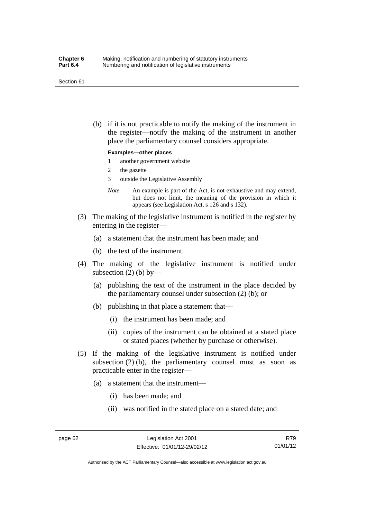#### Section 61

 (b) if it is not practicable to notify the making of the instrument in the register—notify the making of the instrument in another place the parliamentary counsel considers appropriate.

#### **Examples—other places**

- 1 another government website
- 2 the gazette
- 3 outside the Legislative Assembly
- *Note* An example is part of the Act, is not exhaustive and may extend, but does not limit, the meaning of the provision in which it appears (see Legislation Act, s 126 and s 132).
- (3) The making of the legislative instrument is notified in the register by entering in the register—
	- (a) a statement that the instrument has been made; and
	- (b) the text of the instrument.
- (4) The making of the legislative instrument is notified under subsection  $(2)$  (b) by—
	- (a) publishing the text of the instrument in the place decided by the parliamentary counsel under subsection (2) (b); or
	- (b) publishing in that place a statement that—
		- (i) the instrument has been made; and
		- (ii) copies of the instrument can be obtained at a stated place or stated places (whether by purchase or otherwise).
- (5) If the making of the legislative instrument is notified under subsection  $(2)$  (b), the parliamentary counsel must as soon as practicable enter in the register—
	- (a) a statement that the instrument—
		- (i) has been made; and
		- (ii) was notified in the stated place on a stated date; and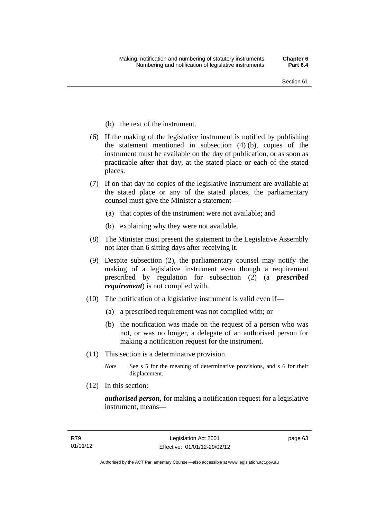- (b) the text of the instrument.
- (6) If the making of the legislative instrument is notified by publishing the statement mentioned in subsection (4) (b), copies of the instrument must be available on the day of publication, or as soon as practicable after that day, at the stated place or each of the stated places.
- (7) If on that day no copies of the legislative instrument are available at the stated place or any of the stated places, the parliamentary counsel must give the Minister a statement—
	- (a) that copies of the instrument were not available; and
	- (b) explaining why they were not available.
- (8) The Minister must present the statement to the Legislative Assembly not later than 6 sitting days after receiving it.
- (9) Despite subsection (2), the parliamentary counsel may notify the making of a legislative instrument even though a requirement prescribed by regulation for subsection (2) (a *prescribed requirement*) is not complied with.
- (10) The notification of a legislative instrument is valid even if—
	- (a) a prescribed requirement was not complied with; or
	- (b) the notification was made on the request of a person who was not, or was no longer, a delegate of an authorised person for making a notification request for the instrument.
- (11) This section is a determinative provision.
	- *Note* See s 5 for the meaning of determinative provisions, and s 6 for their displacement.
- (12) In this section:

*authorised person*, for making a notification request for a legislative instrument, means—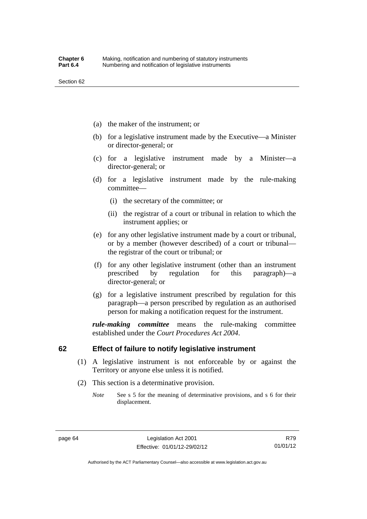- (a) the maker of the instrument; or
- (b) for a legislative instrument made by the Executive—a Minister or director-general; or
- (c) for a legislative instrument made by a Minister—a director-general; or
- (d) for a legislative instrument made by the rule-making committee—
	- (i) the secretary of the committee; or
	- (ii) the registrar of a court or tribunal in relation to which the instrument applies; or
- (e) for any other legislative instrument made by a court or tribunal, or by a member (however described) of a court or tribunal the registrar of the court or tribunal; or
- (f) for any other legislative instrument (other than an instrument prescribed by regulation for this paragraph)—a director-general; or
- (g) for a legislative instrument prescribed by regulation for this paragraph—a person prescribed by regulation as an authorised person for making a notification request for the instrument.

*rule-making committee* means the rule-making committee established under the *Court Procedures Act 2004*.

## **62 Effect of failure to notify legislative instrument**

- (1) A legislative instrument is not enforceable by or against the Territory or anyone else unless it is notified.
- (2) This section is a determinative provision.
	- *Note* See s 5 for the meaning of determinative provisions, and s 6 for their displacement.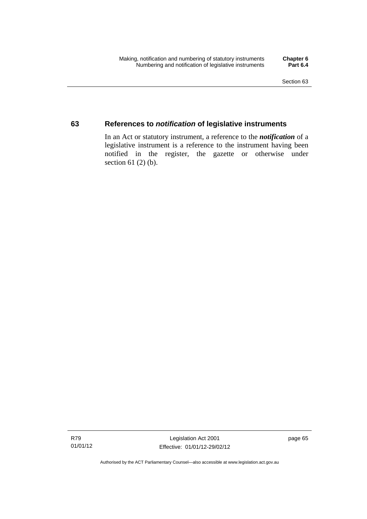## **63 References to** *notification* **of legislative instruments**

In an Act or statutory instrument, a reference to the *notification* of a legislative instrument is a reference to the instrument having been notified in the register, the gazette or otherwise under section  $61$  (2) (b).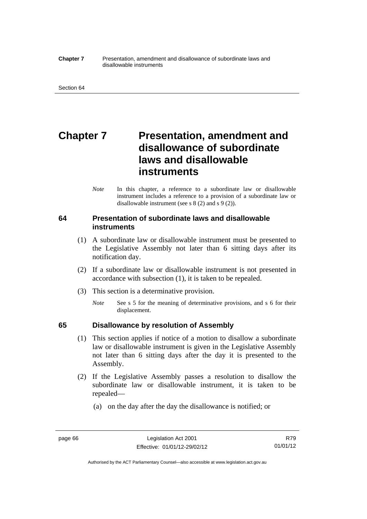#### **Chapter 7** Presentation, amendment and disallowance of subordinate laws and disallowable instruments

# **Chapter 7** Presentation, amendment and **disallowance of subordinate laws and disallowable instruments**

*Note* In this chapter, a reference to a subordinate law or disallowable instrument includes a reference to a provision of a subordinate law or disallowable instrument (see s 8 (2) and s 9 (2)).

## **64 Presentation of subordinate laws and disallowable instruments**

- (1) A subordinate law or disallowable instrument must be presented to the Legislative Assembly not later than 6 sitting days after its notification day.
- (2) If a subordinate law or disallowable instrument is not presented in accordance with subsection (1), it is taken to be repealed.
- (3) This section is a determinative provision.
	- *Note* See s 5 for the meaning of determinative provisions, and s 6 for their displacement.

## **65 Disallowance by resolution of Assembly**

- (1) This section applies if notice of a motion to disallow a subordinate law or disallowable instrument is given in the Legislative Assembly not later than 6 sitting days after the day it is presented to the Assembly.
- (2) If the Legislative Assembly passes a resolution to disallow the subordinate law or disallowable instrument, it is taken to be repealed—
	- (a) on the day after the day the disallowance is notified; or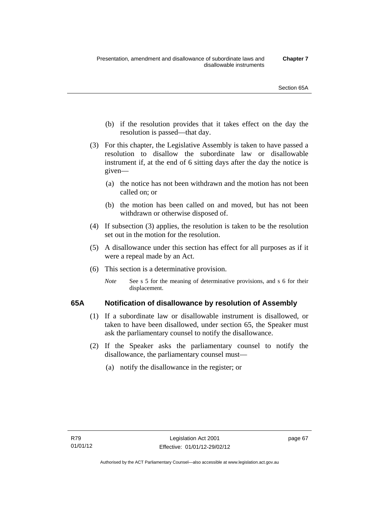- (b) if the resolution provides that it takes effect on the day the resolution is passed—that day.
- (3) For this chapter, the Legislative Assembly is taken to have passed a resolution to disallow the subordinate law or disallowable instrument if, at the end of 6 sitting days after the day the notice is given—
	- (a) the notice has not been withdrawn and the motion has not been called on; or
	- (b) the motion has been called on and moved, but has not been withdrawn or otherwise disposed of.
- (4) If subsection (3) applies, the resolution is taken to be the resolution set out in the motion for the resolution.
- (5) A disallowance under this section has effect for all purposes as if it were a repeal made by an Act.
- (6) This section is a determinative provision.
	- *Note* See s 5 for the meaning of determinative provisions, and s 6 for their displacement.

## **65A Notification of disallowance by resolution of Assembly**

- (1) If a subordinate law or disallowable instrument is disallowed, or taken to have been disallowed, under section 65, the Speaker must ask the parliamentary counsel to notify the disallowance.
- (2) If the Speaker asks the parliamentary counsel to notify the disallowance, the parliamentary counsel must—
	- (a) notify the disallowance in the register; or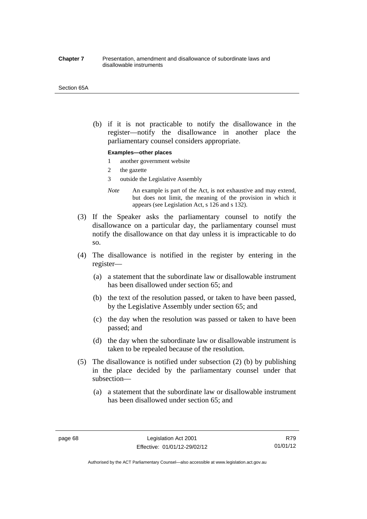#### **Chapter 7** Presentation, amendment and disallowance of subordinate laws and disallowable instruments

#### Section 65A

 (b) if it is not practicable to notify the disallowance in the register—notify the disallowance in another place the parliamentary counsel considers appropriate.

#### **Examples—other places**

- 1 another government website
- 2 the gazette
- 3 outside the Legislative Assembly
- *Note* An example is part of the Act, is not exhaustive and may extend, but does not limit, the meaning of the provision in which it appears (see Legislation Act, s 126 and s 132).
- (3) If the Speaker asks the parliamentary counsel to notify the disallowance on a particular day, the parliamentary counsel must notify the disallowance on that day unless it is impracticable to do so.
- (4) The disallowance is notified in the register by entering in the register—
	- (a) a statement that the subordinate law or disallowable instrument has been disallowed under section 65; and
	- (b) the text of the resolution passed, or taken to have been passed, by the Legislative Assembly under section 65; and
	- (c) the day when the resolution was passed or taken to have been passed; and
	- (d) the day when the subordinate law or disallowable instrument is taken to be repealed because of the resolution.
- (5) The disallowance is notified under subsection (2) (b) by publishing in the place decided by the parliamentary counsel under that subsection—
	- (a) a statement that the subordinate law or disallowable instrument has been disallowed under section 65; and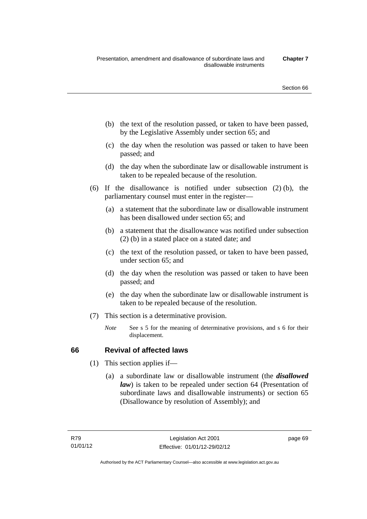- (b) the text of the resolution passed, or taken to have been passed, by the Legislative Assembly under section 65; and
- (c) the day when the resolution was passed or taken to have been passed; and
- (d) the day when the subordinate law or disallowable instrument is taken to be repealed because of the resolution.
- (6) If the disallowance is notified under subsection (2) (b), the parliamentary counsel must enter in the register—
	- (a) a statement that the subordinate law or disallowable instrument has been disallowed under section 65; and
	- (b) a statement that the disallowance was notified under subsection (2) (b) in a stated place on a stated date; and
	- (c) the text of the resolution passed, or taken to have been passed, under section 65; and
	- (d) the day when the resolution was passed or taken to have been passed; and
	- (e) the day when the subordinate law or disallowable instrument is taken to be repealed because of the resolution.
- (7) This section is a determinative provision.
	- *Note* See s 5 for the meaning of determinative provisions, and s 6 for their displacement.

## **66 Revival of affected laws**

- (1) This section applies if—
	- (a) a subordinate law or disallowable instrument (the *disallowed law*) is taken to be repealed under section 64 (Presentation of subordinate laws and disallowable instruments) or section 65 (Disallowance by resolution of Assembly); and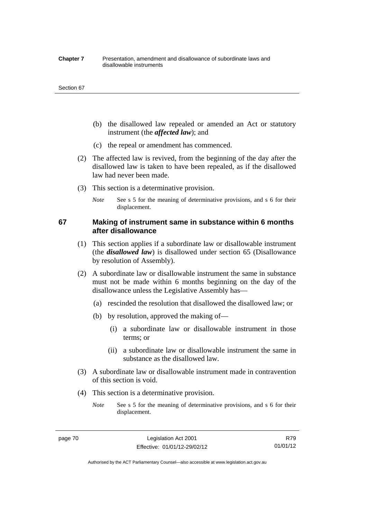#### **Chapter 7** Presentation, amendment and disallowance of subordinate laws and disallowable instruments

#### Section 67

- (b) the disallowed law repealed or amended an Act or statutory instrument (the *affected law*); and
- (c) the repeal or amendment has commenced.
- (2) The affected law is revived, from the beginning of the day after the disallowed law is taken to have been repealed, as if the disallowed law had never been made.
- (3) This section is a determinative provision.
	- *Note* See s 5 for the meaning of determinative provisions, and s 6 for their displacement.

## **67 Making of instrument same in substance within 6 months after disallowance**

- (1) This section applies if a subordinate law or disallowable instrument (the *disallowed law*) is disallowed under section 65 (Disallowance by resolution of Assembly).
- (2) A subordinate law or disallowable instrument the same in substance must not be made within 6 months beginning on the day of the disallowance unless the Legislative Assembly has—
	- (a) rescinded the resolution that disallowed the disallowed law; or
	- (b) by resolution, approved the making of—
		- (i) a subordinate law or disallowable instrument in those terms; or
		- (ii) a subordinate law or disallowable instrument the same in substance as the disallowed law.
- (3) A subordinate law or disallowable instrument made in contravention of this section is void.
- (4) This section is a determinative provision.
	- *Note* See s 5 for the meaning of determinative provisions, and s 6 for their displacement.

R79 01/01/12

Authorised by the ACT Parliamentary Counsel—also accessible at www.legislation.act.gov.au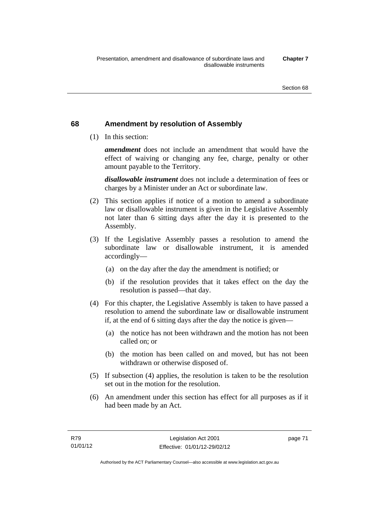## **68 Amendment by resolution of Assembly**

(1) In this section:

*amendment* does not include an amendment that would have the effect of waiving or changing any fee, charge, penalty or other amount payable to the Territory.

*disallowable instrument* does not include a determination of fees or charges by a Minister under an Act or subordinate law.

- (2) This section applies if notice of a motion to amend a subordinate law or disallowable instrument is given in the Legislative Assembly not later than 6 sitting days after the day it is presented to the Assembly.
- (3) If the Legislative Assembly passes a resolution to amend the subordinate law or disallowable instrument, it is amended accordingly—
	- (a) on the day after the day the amendment is notified; or
	- (b) if the resolution provides that it takes effect on the day the resolution is passed—that day.
- (4) For this chapter, the Legislative Assembly is taken to have passed a resolution to amend the subordinate law or disallowable instrument if, at the end of 6 sitting days after the day the notice is given—
	- (a) the notice has not been withdrawn and the motion has not been called on; or
	- (b) the motion has been called on and moved, but has not been withdrawn or otherwise disposed of.
- (5) If subsection (4) applies, the resolution is taken to be the resolution set out in the motion for the resolution.
- (6) An amendment under this section has effect for all purposes as if it had been made by an Act.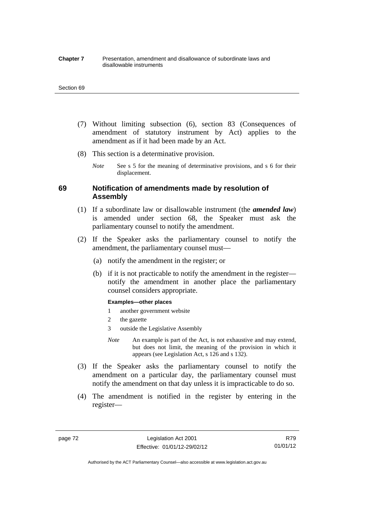#### **Chapter 7** Presentation, amendment and disallowance of subordinate laws and disallowable instruments

#### Section 69

- (7) Without limiting subsection (6), section 83 (Consequences of amendment of statutory instrument by Act) applies to the amendment as if it had been made by an Act.
- (8) This section is a determinative provision.
	- *Note* See s 5 for the meaning of determinative provisions, and s 6 for their displacement.

## **69 Notification of amendments made by resolution of Assembly**

- (1) If a subordinate law or disallowable instrument (the *amended law*) is amended under section 68, the Speaker must ask the parliamentary counsel to notify the amendment.
- (2) If the Speaker asks the parliamentary counsel to notify the amendment, the parliamentary counsel must—
	- (a) notify the amendment in the register; or
	- (b) if it is not practicable to notify the amendment in the register notify the amendment in another place the parliamentary counsel considers appropriate.

#### **Examples—other places**

- 1 another government website
- 2 the gazette
- 3 outside the Legislative Assembly
- *Note* An example is part of the Act, is not exhaustive and may extend, but does not limit, the meaning of the provision in which it appears (see Legislation Act, s 126 and s 132).
- (3) If the Speaker asks the parliamentary counsel to notify the amendment on a particular day, the parliamentary counsel must notify the amendment on that day unless it is impracticable to do so.
- (4) The amendment is notified in the register by entering in the register—

page 72 Legislation Act 2001 Effective: 01/01/12-29/02/12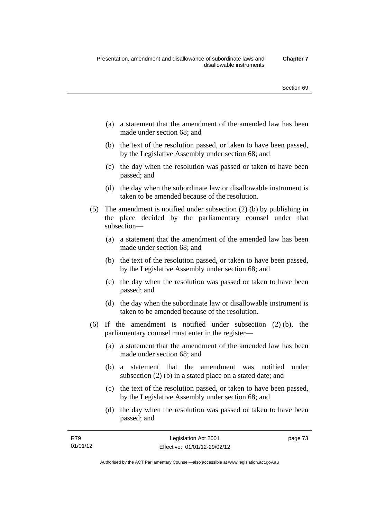- (a) a statement that the amendment of the amended law has been made under section 68; and
- (b) the text of the resolution passed, or taken to have been passed, by the Legislative Assembly under section 68; and
- (c) the day when the resolution was passed or taken to have been passed; and
- (d) the day when the subordinate law or disallowable instrument is taken to be amended because of the resolution.
- (5) The amendment is notified under subsection (2) (b) by publishing in the place decided by the parliamentary counsel under that subsection—
	- (a) a statement that the amendment of the amended law has been made under section 68; and
	- (b) the text of the resolution passed, or taken to have been passed, by the Legislative Assembly under section 68; and
	- (c) the day when the resolution was passed or taken to have been passed; and
	- (d) the day when the subordinate law or disallowable instrument is taken to be amended because of the resolution.
- (6) If the amendment is notified under subsection (2) (b), the parliamentary counsel must enter in the register—
	- (a) a statement that the amendment of the amended law has been made under section 68; and
	- (b) a statement that the amendment was notified under subsection (2) (b) in a stated place on a stated date; and
	- (c) the text of the resolution passed, or taken to have been passed, by the Legislative Assembly under section 68; and
	- (d) the day when the resolution was passed or taken to have been passed; and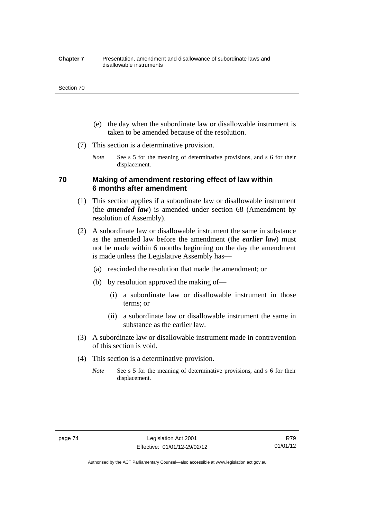#### **Chapter 7** Presentation, amendment and disallowance of subordinate laws and disallowable instruments

#### Section 70

- (e) the day when the subordinate law or disallowable instrument is taken to be amended because of the resolution.
- (7) This section is a determinative provision.
	- *Note* See s 5 for the meaning of determinative provisions, and s 6 for their displacement.

## **70 Making of amendment restoring effect of law within 6 months after amendment**

- (1) This section applies if a subordinate law or disallowable instrument (the *amended law*) is amended under section 68 (Amendment by resolution of Assembly).
- (2) A subordinate law or disallowable instrument the same in substance as the amended law before the amendment (the *earlier law*) must not be made within 6 months beginning on the day the amendment is made unless the Legislative Assembly has—
	- (a) rescinded the resolution that made the amendment; or
	- (b) by resolution approved the making of—
		- (i) a subordinate law or disallowable instrument in those terms; or
		- (ii) a subordinate law or disallowable instrument the same in substance as the earlier law.
- (3) A subordinate law or disallowable instrument made in contravention of this section is void.
- (4) This section is a determinative provision.
	- *Note* See s 5 for the meaning of determinative provisions, and s 6 for their displacement.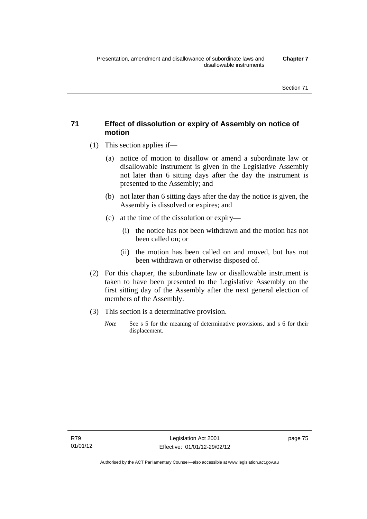## **71 Effect of dissolution or expiry of Assembly on notice of motion**

- (1) This section applies if—
	- (a) notice of motion to disallow or amend a subordinate law or disallowable instrument is given in the Legislative Assembly not later than 6 sitting days after the day the instrument is presented to the Assembly; and
	- (b) not later than 6 sitting days after the day the notice is given, the Assembly is dissolved or expires; and
	- (c) at the time of the dissolution or expiry—
		- (i) the notice has not been withdrawn and the motion has not been called on; or
		- (ii) the motion has been called on and moved, but has not been withdrawn or otherwise disposed of.
- (2) For this chapter, the subordinate law or disallowable instrument is taken to have been presented to the Legislative Assembly on the first sitting day of the Assembly after the next general election of members of the Assembly.
- (3) This section is a determinative provision.
	- *Note* See s 5 for the meaning of determinative provisions, and s 6 for their displacement.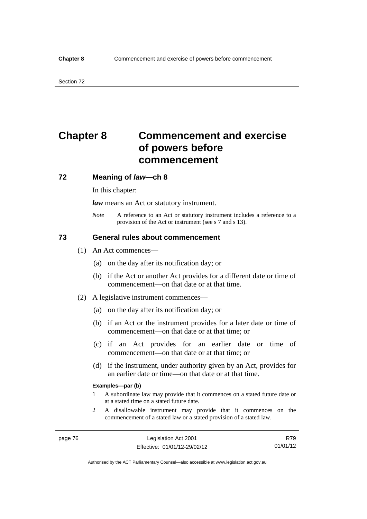# **Chapter 8 Commencement and exercise of powers before commencement**

### **72 Meaning of** *law***—ch 8**

In this chapter:

*law* means an Act or statutory instrument.

*Note* A reference to an Act or statutory instrument includes a reference to a provision of the Act or instrument (see s 7 and s 13).

## **73 General rules about commencement**

- (1) An Act commences—
	- (a) on the day after its notification day; or
	- (b) if the Act or another Act provides for a different date or time of commencement—on that date or at that time.
- (2) A legislative instrument commences—
	- (a) on the day after its notification day; or
	- (b) if an Act or the instrument provides for a later date or time of commencement—on that date or at that time; or
	- (c) if an Act provides for an earlier date or time of commencement—on that date or at that time; or
	- (d) if the instrument, under authority given by an Act, provides for an earlier date or time—on that date or at that time.

#### **Examples—par (b)**

- 1 A subordinate law may provide that it commences on a stated future date or at a stated time on a stated future date.
- 2 A disallowable instrument may provide that it commences on the commencement of a stated law or a stated provision of a stated law.

R79 01/01/12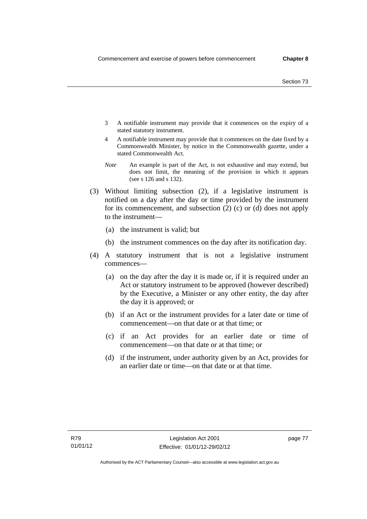- 3 A notifiable instrument may provide that it commences on the expiry of a stated statutory instrument.
- 4 A notifiable instrument may provide that it commences on the date fixed by a Commonwealth Minister, by notice in the Commonwealth gazette, under a stated Commonwealth Act.
- *Note* An example is part of the Act, is not exhaustive and may extend, but does not limit, the meaning of the provision in which it appears (see s 126 and s 132).
- (3) Without limiting subsection (2), if a legislative instrument is notified on a day after the day or time provided by the instrument for its commencement, and subsection (2) (c) or (d) does not apply to the instrument—
	- (a) the instrument is valid; but
	- (b) the instrument commences on the day after its notification day.
- (4) A statutory instrument that is not a legislative instrument commences—
	- (a) on the day after the day it is made or, if it is required under an Act or statutory instrument to be approved (however described) by the Executive, a Minister or any other entity, the day after the day it is approved; or
	- (b) if an Act or the instrument provides for a later date or time of commencement—on that date or at that time; or
	- (c) if an Act provides for an earlier date or time of commencement—on that date or at that time; or
	- (d) if the instrument, under authority given by an Act, provides for an earlier date or time—on that date or at that time.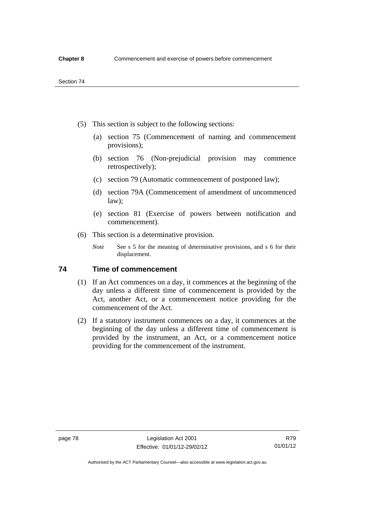- (5) This section is subject to the following sections:
	- (a) section 75 (Commencement of naming and commencement provisions);
	- (b) section 76 (Non-prejudicial provision may commence retrospectively);
	- (c) section 79 (Automatic commencement of postponed law);
	- (d) section 79A (Commencement of amendment of uncommenced law);
	- (e) section 81 (Exercise of powers between notification and commencement).
- (6) This section is a determinative provision.
	- *Note* See s 5 for the meaning of determinative provisions, and s 6 for their displacement.

## **74 Time of commencement**

- (1) If an Act commences on a day, it commences at the beginning of the day unless a different time of commencement is provided by the Act, another Act, or a commencement notice providing for the commencement of the Act.
- (2) If a statutory instrument commences on a day, it commences at the beginning of the day unless a different time of commencement is provided by the instrument, an Act, or a commencement notice providing for the commencement of the instrument.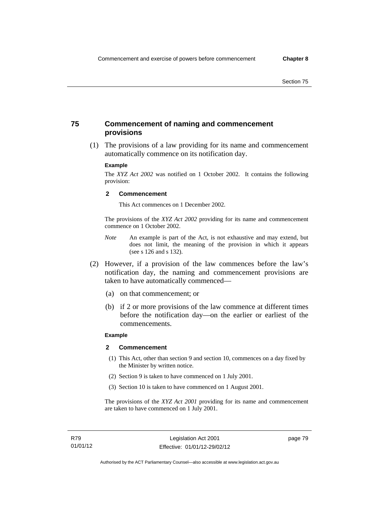## **75 Commencement of naming and commencement provisions**

 (1) The provisions of a law providing for its name and commencement automatically commence on its notification day.

#### **Example**

The *XYZ Act 2002* was notified on 1 October 2002. It contains the following provision:

#### **2 Commencement**

This Act commences on 1 December 2002.

The provisions of the *XYZ Act 2002* providing for its name and commencement commence on 1 October 2002.

- *Note* An example is part of the Act, is not exhaustive and may extend, but does not limit, the meaning of the provision in which it appears (see s 126 and s 132).
- (2) However, if a provision of the law commences before the law's notification day, the naming and commencement provisions are taken to have automatically commenced—
	- (a) on that commencement; or
	- (b) if 2 or more provisions of the law commence at different times before the notification day—on the earlier or earliest of the commencements.

### **Example**

#### **2 Commencement**

- (1) This Act, other than section 9 and section 10, commences on a day fixed by the Minister by written notice.
- (2) Section 9 is taken to have commenced on 1 July 2001.
- (3) Section 10 is taken to have commenced on 1 August 2001.

The provisions of the *XYZ Act 2001* providing for its name and commencement are taken to have commenced on 1 July 2001.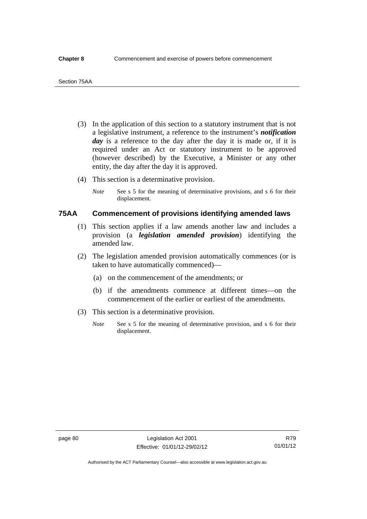- (3) In the application of this section to a statutory instrument that is not a legislative instrument, a reference to the instrument's *notification*  day is a reference to the day after the day it is made or, if it is required under an Act or statutory instrument to be approved (however described) by the Executive, a Minister or any other entity, the day after the day it is approved.
- (4) This section is a determinative provision.
	- *Note* See s 5 for the meaning of determinative provisions, and s 6 for their displacement.

## **75AA Commencement of provisions identifying amended laws**

- (1) This section applies if a law amends another law and includes a provision (a *legislation amended provision*) identifying the amended law.
- (2) The legislation amended provision automatically commences (or is taken to have automatically commenced)—
	- (a) on the commencement of the amendments; or
	- (b) if the amendments commence at different times—on the commencement of the earlier or earliest of the amendments.
- (3) This section is a determinative provision.
	- *Note* See s 5 for the meaning of determinative provision, and s 6 for their displacement.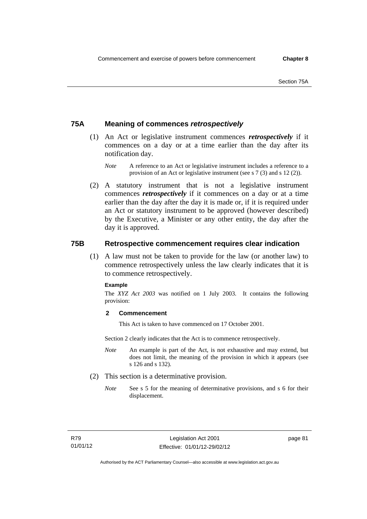## **75A Meaning of commences** *retrospectively*

- (1) An Act or legislative instrument commences *retrospectively* if it commences on a day or at a time earlier than the day after its notification day.
	- *Note* A reference to an Act or legislative instrument includes a reference to a provision of an Act or legislative instrument (see s 7 (3) and s 12 (2)).
- (2) A statutory instrument that is not a legislative instrument commences *retrospectively* if it commences on a day or at a time earlier than the day after the day it is made or, if it is required under an Act or statutory instrument to be approved (however described) by the Executive, a Minister or any other entity, the day after the day it is approved.

## **75B Retrospective commencement requires clear indication**

(1) A law must not be taken to provide for the law (or another law) to commence retrospectively unless the law clearly indicates that it is to commence retrospectively.

### **Example**

The *XYZ Act 2003* was notified on 1 July 2003. It contains the following provision:

### **2 Commencement**

This Act is taken to have commenced on 17 October 2001.

Section 2 clearly indicates that the Act is to commence retrospectively.

- *Note* An example is part of the Act, is not exhaustive and may extend, but does not limit, the meaning of the provision in which it appears (see s 126 and s 132).
- (2) This section is a determinative provision.
	- *Note* See s 5 for the meaning of determinative provisions, and s 6 for their displacement.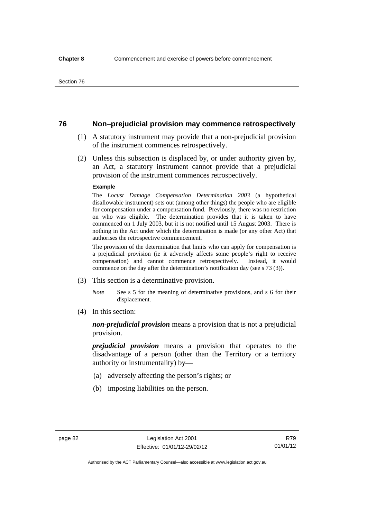## **76 Non–prejudicial provision may commence retrospectively**

- (1) A statutory instrument may provide that a non-prejudicial provision of the instrument commences retrospectively.
- (2) Unless this subsection is displaced by, or under authority given by, an Act, a statutory instrument cannot provide that a prejudicial provision of the instrument commences retrospectively.

#### **Example**

The *Locust Damage Compensation Determination 2003* (a hypothetical disallowable instrument) sets out (among other things) the people who are eligible for compensation under a compensation fund. Previously, there was no restriction on who was eligible. The determination provides that it is taken to have commenced on 1 July 2003, but it is not notified until 15 August 2003. There is nothing in the Act under which the determination is made (or any other Act) that authorises the retrospective commencement.

The provision of the determination that limits who can apply for compensation is a prejudicial provision (ie it adversely affects some people's right to receive compensation) and cannot commence retrospectively. Instead, it would commence on the day after the determination's notification day (see s 73 (3)).

- (3) This section is a determinative provision.
	- *Note* See s 5 for the meaning of determinative provisions, and s 6 for their displacement.
- (4) In this section:

*non-prejudicial provision* means a provision that is not a prejudicial provision.

*prejudicial provision* means a provision that operates to the disadvantage of a person (other than the Territory or a territory authority or instrumentality) by—

- (a) adversely affecting the person's rights; or
- (b) imposing liabilities on the person.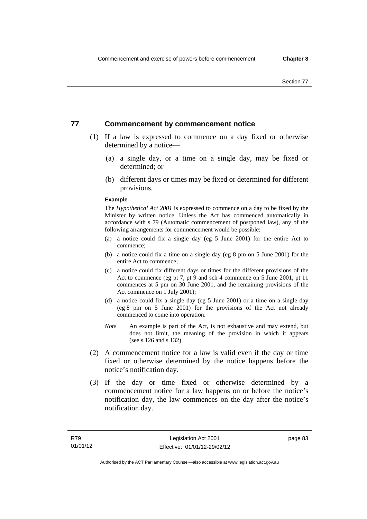## **77 Commencement by commencement notice**

- (1) If a law is expressed to commence on a day fixed or otherwise determined by a notice—
	- (a) a single day, or a time on a single day, may be fixed or determined; or
	- (b) different days or times may be fixed or determined for different provisions.

#### **Example**

The *Hypothetical Act 2001* is expressed to commence on a day to be fixed by the Minister by written notice. Unless the Act has commenced automatically in accordance with s 79 (Automatic commencement of postponed law), any of the following arrangements for commencement would be possible:

- (a) a notice could fix a single day (eg 5 June 2001) for the entire Act to commence;
- (b) a notice could fix a time on a single day (eg 8 pm on 5 June 2001) for the entire Act to commence;
- (c) a notice could fix different days or times for the different provisions of the Act to commence (eg pt 7, pt 9 and sch 4 commence on 5 June 2001, pt 11 commences at 5 pm on 30 June 2001, and the remaining provisions of the Act commence on 1 July 2001);
- (d) a notice could fix a single day (eg 5 June 2001) or a time on a single day (eg 8 pm on 5 June 2001) for the provisions of the Act not already commenced to come into operation.
- *Note* An example is part of the Act, is not exhaustive and may extend, but does not limit, the meaning of the provision in which it appears (see s 126 and s 132).
- (2) A commencement notice for a law is valid even if the day or time fixed or otherwise determined by the notice happens before the notice's notification day.
- (3) If the day or time fixed or otherwise determined by a commencement notice for a law happens on or before the notice's notification day, the law commences on the day after the notice's notification day.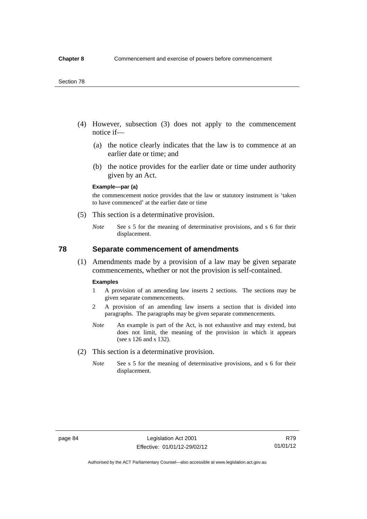- (4) However, subsection (3) does not apply to the commencement notice if—
	- (a) the notice clearly indicates that the law is to commence at an earlier date or time; and
	- (b) the notice provides for the earlier date or time under authority given by an Act.

### **Example—par (a)**

the commencement notice provides that the law or statutory instrument is 'taken to have commenced' at the earlier date or time

- (5) This section is a determinative provision.
	- *Note* See s 5 for the meaning of determinative provisions, and s 6 for their displacement.

## **78 Separate commencement of amendments**

 (1) Amendments made by a provision of a law may be given separate commencements, whether or not the provision is self-contained.

#### **Examples**

- 1 A provision of an amending law inserts 2 sections. The sections may be given separate commencements.
- 2 A provision of an amending law inserts a section that is divided into paragraphs. The paragraphs may be given separate commencements.
- *Note* An example is part of the Act, is not exhaustive and may extend, but does not limit, the meaning of the provision in which it appears (see s 126 and s 132).
- (2) This section is a determinative provision.
	- *Note* See s 5 for the meaning of determinative provisions, and s 6 for their displacement.

R79 01/01/12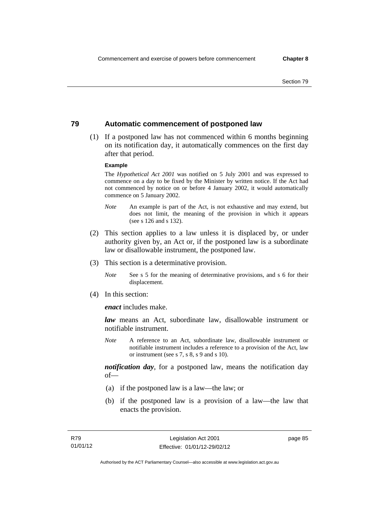## **79 Automatic commencement of postponed law**

 (1) If a postponed law has not commenced within 6 months beginning on its notification day, it automatically commences on the first day after that period.

### **Example**

The *Hypothetical Act 2001* was notified on 5 July 2001 and was expressed to commence on a day to be fixed by the Minister by written notice. If the Act had not commenced by notice on or before 4 January 2002, it would automatically commence on 5 January 2002.

- *Note* An example is part of the Act, is not exhaustive and may extend, but does not limit, the meaning of the provision in which it appears (see s 126 and s 132).
- (2) This section applies to a law unless it is displaced by, or under authority given by, an Act or, if the postponed law is a subordinate law or disallowable instrument, the postponed law.
- (3) This section is a determinative provision.
	- *Note* See s 5 for the meaning of determinative provisions, and s 6 for their displacement.
- (4) In this section:

*enact* includes make.

*law* means an Act, subordinate law, disallowable instrument or notifiable instrument.

*Note* A reference to an Act, subordinate law, disallowable instrument or notifiable instrument includes a reference to a provision of the Act, law or instrument (see s 7, s 8, s 9 and s 10).

*notification day*, for a postponed law, means the notification day  $of$ 

- (a) if the postponed law is a law—the law; or
- (b) if the postponed law is a provision of a law—the law that enacts the provision.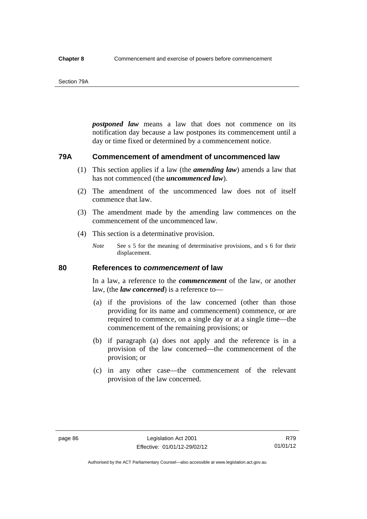#### Section 79A

*postponed law* means a law that does not commence on its notification day because a law postpones its commencement until a day or time fixed or determined by a commencement notice.

## **79A Commencement of amendment of uncommenced law**

- (1) This section applies if a law (the *amending law*) amends a law that has not commenced (the *uncommenced law*).
- (2) The amendment of the uncommenced law does not of itself commence that law.
- (3) The amendment made by the amending law commences on the commencement of the uncommenced law.
- (4) This section is a determinative provision.
	- *Note* See s 5 for the meaning of determinative provisions, and s 6 for their displacement.

## **80 References to** *commencement* **of law**

In a law, a reference to the *commencement* of the law, or another law, (the *law concerned*) is a reference to—

- (a) if the provisions of the law concerned (other than those providing for its name and commencement) commence, or are required to commence, on a single day or at a single time—the commencement of the remaining provisions; or
- (b) if paragraph (a) does not apply and the reference is in a provision of the law concerned—the commencement of the provision; or
- (c) in any other case—the commencement of the relevant provision of the law concerned.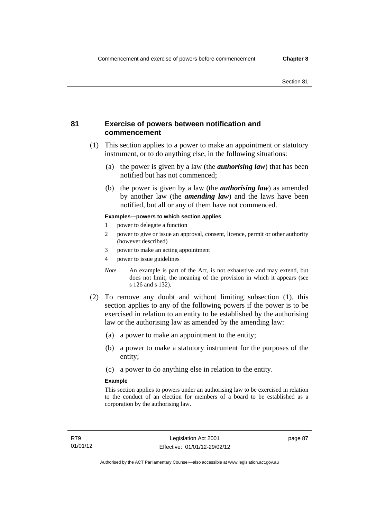## **81 Exercise of powers between notification and commencement**

- (1) This section applies to a power to make an appointment or statutory instrument, or to do anything else, in the following situations:
	- (a) the power is given by a law (the *authorising law*) that has been notified but has not commenced;
	- (b) the power is given by a law (the *authorising law*) as amended by another law (the *amending law*) and the laws have been notified, but all or any of them have not commenced.

### **Examples—powers to which section applies**

- 1 power to delegate a function
- 2 power to give or issue an approval, consent, licence, permit or other authority (however described)
- 3 power to make an acting appointment
- 4 power to issue guidelines
- *Note* An example is part of the Act, is not exhaustive and may extend, but does not limit, the meaning of the provision in which it appears (see s 126 and s 132).
- (2) To remove any doubt and without limiting subsection (1), this section applies to any of the following powers if the power is to be exercised in relation to an entity to be established by the authorising law or the authorising law as amended by the amending law:
	- (a) a power to make an appointment to the entity;
	- (b) a power to make a statutory instrument for the purposes of the entity;
	- (c) a power to do anything else in relation to the entity.

#### **Example**

This section applies to powers under an authorising law to be exercised in relation to the conduct of an election for members of a board to be established as a corporation by the authorising law.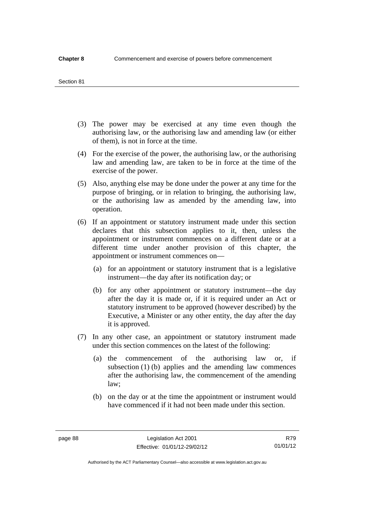#### Section 81

- (3) The power may be exercised at any time even though the authorising law, or the authorising law and amending law (or either of them), is not in force at the time.
- (4) For the exercise of the power, the authorising law, or the authorising law and amending law, are taken to be in force at the time of the exercise of the power.
- (5) Also, anything else may be done under the power at any time for the purpose of bringing, or in relation to bringing, the authorising law, or the authorising law as amended by the amending law, into operation.
- (6) If an appointment or statutory instrument made under this section declares that this subsection applies to it, then, unless the appointment or instrument commences on a different date or at a different time under another provision of this chapter, the appointment or instrument commences on—
	- (a) for an appointment or statutory instrument that is a legislative instrument—the day after its notification day; or
	- (b) for any other appointment or statutory instrument—the day after the day it is made or, if it is required under an Act or statutory instrument to be approved (however described) by the Executive, a Minister or any other entity, the day after the day it is approved.
- (7) In any other case, an appointment or statutory instrument made under this section commences on the latest of the following:
	- (a) the commencement of the authorising law or, if subsection (1) (b) applies and the amending law commences after the authorising law, the commencement of the amending law;
	- (b) on the day or at the time the appointment or instrument would have commenced if it had not been made under this section.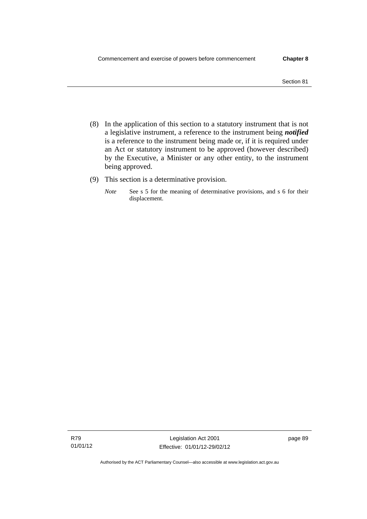- (8) In the application of this section to a statutory instrument that is not a legislative instrument, a reference to the instrument being *notified*  is a reference to the instrument being made or, if it is required under an Act or statutory instrument to be approved (however described) by the Executive, a Minister or any other entity, to the instrument being approved.
- (9) This section is a determinative provision.
	- *Note* See s 5 for the meaning of determinative provisions, and s 6 for their displacement.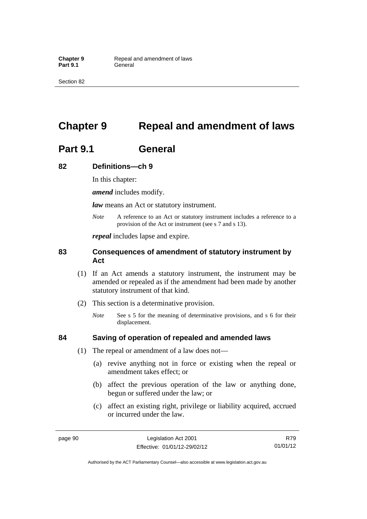# **Chapter 9 Repeal and amendment of laws**

# **Part 9.1 General**

## **82 Definitions—ch 9**

In this chapter:

*amend* includes modify.

*law* means an Act or statutory instrument.

*Note* A reference to an Act or statutory instrument includes a reference to a provision of the Act or instrument (see s 7 and s 13).

*repeal* includes lapse and expire.

## **83 Consequences of amendment of statutory instrument by Act**

- (1) If an Act amends a statutory instrument, the instrument may be amended or repealed as if the amendment had been made by another statutory instrument of that kind.
- (2) This section is a determinative provision.
	- *Note* See s 5 for the meaning of determinative provisions, and s 6 for their displacement.

## **84 Saving of operation of repealed and amended laws**

- (1) The repeal or amendment of a law does not—
	- (a) revive anything not in force or existing when the repeal or amendment takes effect; or
	- (b) affect the previous operation of the law or anything done, begun or suffered under the law; or
	- (c) affect an existing right, privilege or liability acquired, accrued or incurred under the law.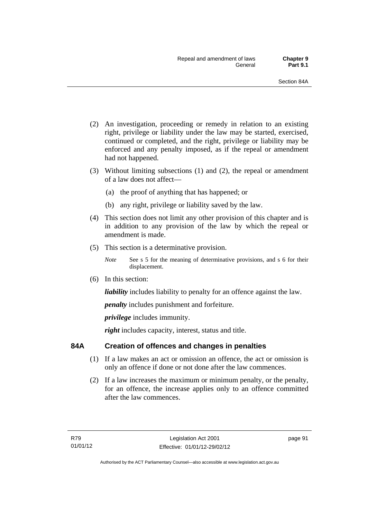- (2) An investigation, proceeding or remedy in relation to an existing right, privilege or liability under the law may be started, exercised, continued or completed, and the right, privilege or liability may be enforced and any penalty imposed, as if the repeal or amendment had not happened.
- (3) Without limiting subsections (1) and (2), the repeal or amendment of a law does not affect—
	- (a) the proof of anything that has happened; or
	- (b) any right, privilege or liability saved by the law.
- (4) This section does not limit any other provision of this chapter and is in addition to any provision of the law by which the repeal or amendment is made.
- (5) This section is a determinative provision.
	- *Note* See s 5 for the meaning of determinative provisions, and s 6 for their displacement.
- (6) In this section:

*liability* includes liability to penalty for an offence against the law.

*penalty* includes punishment and forfeiture.

*privilege* includes immunity.

right includes capacity, interest, status and title.

## **84A Creation of offences and changes in penalties**

- (1) If a law makes an act or omission an offence, the act or omission is only an offence if done or not done after the law commences.
- (2) If a law increases the maximum or minimum penalty, or the penalty, for an offence, the increase applies only to an offence committed after the law commences.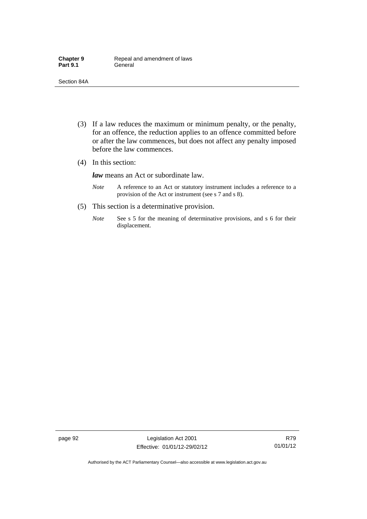- (3) If a law reduces the maximum or minimum penalty, or the penalty, for an offence, the reduction applies to an offence committed before or after the law commences, but does not affect any penalty imposed before the law commences.
- (4) In this section:

*law* means an Act or subordinate law.

- *Note* A reference to an Act or statutory instrument includes a reference to a provision of the Act or instrument (see s 7 and s 8).
- (5) This section is a determinative provision.
	- *Note* See s 5 for the meaning of determinative provisions, and s 6 for their displacement.

Authorised by the ACT Parliamentary Counsel—also accessible at www.legislation.act.gov.au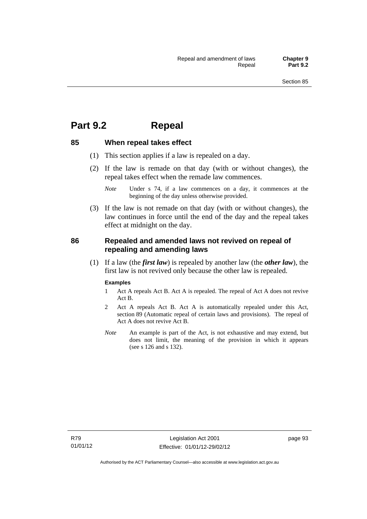## **Part 9.2 Repeal**

## **85 When repeal takes effect**

- (1) This section applies if a law is repealed on a day.
- (2) If the law is remade on that day (with or without changes), the repeal takes effect when the remade law commences.

 (3) If the law is not remade on that day (with or without changes), the law continues in force until the end of the day and the repeal takes effect at midnight on the day.

## **86 Repealed and amended laws not revived on repeal of repealing and amending laws**

 (1) If a law (the *first law*) is repealed by another law (the *other law*), the first law is not revived only because the other law is repealed.

#### **Examples**

- 1 Act A repeals Act B. Act A is repealed. The repeal of Act A does not revive Act B.
- 2 Act A repeals Act B. Act A is automatically repealed under this Act, section 89 (Automatic repeal of certain laws and provisions). The repeal of Act A does not revive Act B.
- *Note* An example is part of the Act, is not exhaustive and may extend, but does not limit, the meaning of the provision in which it appears (see s 126 and s 132).

*Note* Under s 74, if a law commences on a day, it commences at the beginning of the day unless otherwise provided.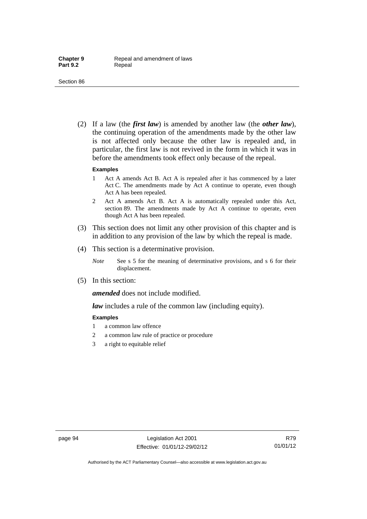(2) If a law (the *first law*) is amended by another law (the *other law*), the continuing operation of the amendments made by the other law is not affected only because the other law is repealed and, in particular, the first law is not revived in the form in which it was in before the amendments took effect only because of the repeal.

#### **Examples**

- 1 Act A amends Act B. Act A is repealed after it has commenced by a later Act C. The amendments made by Act A continue to operate, even though Act A has been repealed.
- 2 Act A amends Act B. Act A is automatically repealed under this Act, section 89. The amendments made by Act A continue to operate, even though Act A has been repealed.
- (3) This section does not limit any other provision of this chapter and is in addition to any provision of the law by which the repeal is made.
- (4) This section is a determinative provision.
	- *Note* See s 5 for the meaning of determinative provisions, and s 6 for their displacement.
- (5) In this section:

*amended* does not include modified.

*law* includes a rule of the common law (including equity).

#### **Examples**

- 1 a common law offence
- 2 a common law rule of practice or procedure
- 3 a right to equitable relief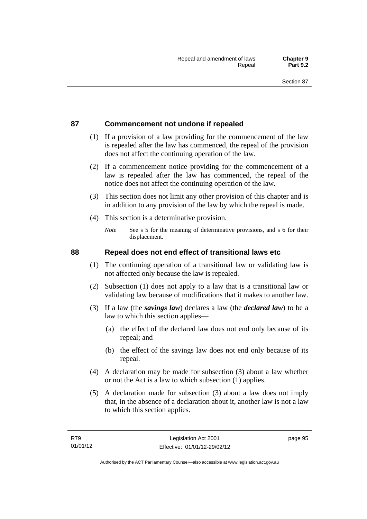## **87 Commencement not undone if repealed**

- (1) If a provision of a law providing for the commencement of the law is repealed after the law has commenced, the repeal of the provision does not affect the continuing operation of the law.
- (2) If a commencement notice providing for the commencement of a law is repealed after the law has commenced, the repeal of the notice does not affect the continuing operation of the law.
- (3) This section does not limit any other provision of this chapter and is in addition to any provision of the law by which the repeal is made.
- (4) This section is a determinative provision.
	- *Note* See s 5 for the meaning of determinative provisions, and s 6 for their displacement.

## **88 Repeal does not end effect of transitional laws etc**

- (1) The continuing operation of a transitional law or validating law is not affected only because the law is repealed.
- (2) Subsection (1) does not apply to a law that is a transitional law or validating law because of modifications that it makes to another law.
- (3) If a law (the *savings law*) declares a law (the *declared law*) to be a law to which this section applies—
	- (a) the effect of the declared law does not end only because of its repeal; and
	- (b) the effect of the savings law does not end only because of its repeal.
- (4) A declaration may be made for subsection (3) about a law whether or not the Act is a law to which subsection (1) applies.
- (5) A declaration made for subsection (3) about a law does not imply that, in the absence of a declaration about it, another law is not a law to which this section applies.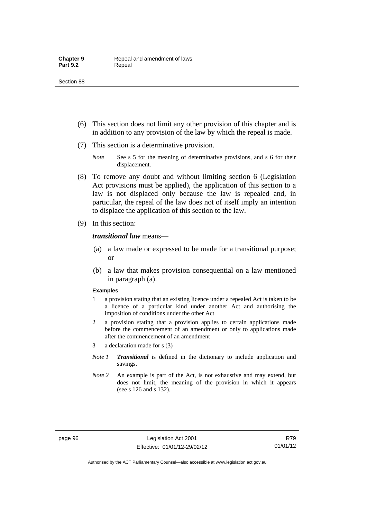- (6) This section does not limit any other provision of this chapter and is in addition to any provision of the law by which the repeal is made.
- (7) This section is a determinative provision.
	- *Note* See s 5 for the meaning of determinative provisions, and s 6 for their displacement.
- (8) To remove any doubt and without limiting section 6 (Legislation Act provisions must be applied), the application of this section to a law is not displaced only because the law is repealed and, in particular, the repeal of the law does not of itself imply an intention to displace the application of this section to the law.
- (9) In this section:

#### *transitional law* means—

- (a) a law made or expressed to be made for a transitional purpose; or
- (b) a law that makes provision consequential on a law mentioned in paragraph (a).

#### **Examples**

- 1 a provision stating that an existing licence under a repealed Act is taken to be a licence of a particular kind under another Act and authorising the imposition of conditions under the other Act
- 2 a provision stating that a provision applies to certain applications made before the commencement of an amendment or only to applications made after the commencement of an amendment
- 3 a declaration made for s (3)
- *Note 1 Transitional* is defined in the dictionary to include application and savings.
- *Note 2* An example is part of the Act, is not exhaustive and may extend, but does not limit, the meaning of the provision in which it appears (see s 126 and s 132).

R79 01/01/12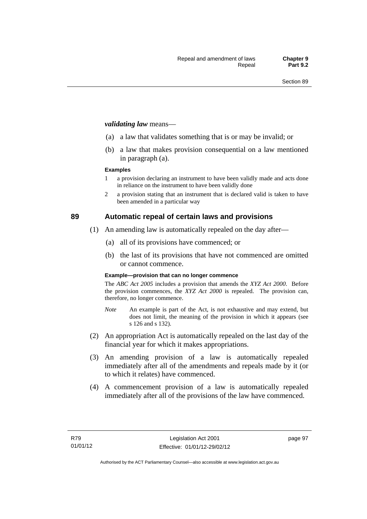#### *validating law* means—

- (a) a law that validates something that is or may be invalid; or
- (b) a law that makes provision consequential on a law mentioned in paragraph (a).

#### **Examples**

- 1 a provision declaring an instrument to have been validly made and acts done in reliance on the instrument to have been validly done
- 2 a provision stating that an instrument that is declared valid is taken to have been amended in a particular way

## **89 Automatic repeal of certain laws and provisions**

- (1) An amending law is automatically repealed on the day after—
	- (a) all of its provisions have commenced; or
	- (b) the last of its provisions that have not commenced are omitted or cannot commence.

#### **Example—provision that can no longer commence**

The *ABC Act 2005* includes a provision that amends the *XYZ Act 2000*. Before the provision commences, the *XYZ Act 2000* is repealed. The provision can, therefore, no longer commence.

- *Note* An example is part of the Act, is not exhaustive and may extend, but does not limit, the meaning of the provision in which it appears (see s 126 and s 132).
- (2) An appropriation Act is automatically repealed on the last day of the financial year for which it makes appropriations.
- (3) An amending provision of a law is automatically repealed immediately after all of the amendments and repeals made by it (or to which it relates) have commenced.
- (4) A commencement provision of a law is automatically repealed immediately after all of the provisions of the law have commenced.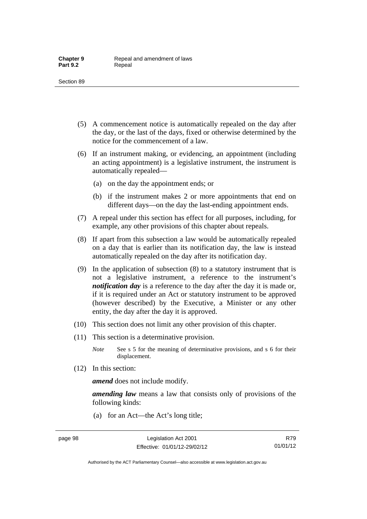- (5) A commencement notice is automatically repealed on the day after the day, or the last of the days, fixed or otherwise determined by the notice for the commencement of a law.
- (6) If an instrument making, or evidencing, an appointment (including an acting appointment) is a legislative instrument, the instrument is automatically repealed—
	- (a) on the day the appointment ends; or
	- (b) if the instrument makes 2 or more appointments that end on different days—on the day the last-ending appointment ends.
- (7) A repeal under this section has effect for all purposes, including, for example, any other provisions of this chapter about repeals.
- (8) If apart from this subsection a law would be automatically repealed on a day that is earlier than its notification day, the law is instead automatically repealed on the day after its notification day.
- (9) In the application of subsection (8) to a statutory instrument that is not a legislative instrument, a reference to the instrument's *notification day* is a reference to the day after the day it is made or, if it is required under an Act or statutory instrument to be approved (however described) by the Executive, a Minister or any other entity, the day after the day it is approved.
- (10) This section does not limit any other provision of this chapter.
- (11) This section is a determinative provision.
	- *Note* See s 5 for the meaning of determinative provisions, and s 6 for their displacement.
- (12) In this section:

*amend* does not include modify.

*amending law* means a law that consists only of provisions of the following kinds:

(a) for an Act—the Act's long title;

Authorised by the ACT Parliamentary Counsel—also accessible at www.legislation.act.gov.au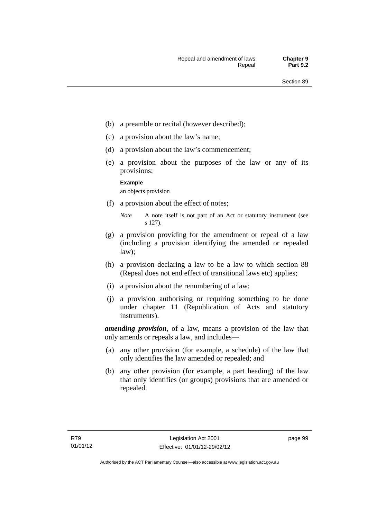- (b) a preamble or recital (however described);
- (c) a provision about the law's name;
- (d) a provision about the law's commencement;
- (e) a provision about the purposes of the law or any of its provisions;

#### **Example**

an objects provision

(f) a provision about the effect of notes;

- (g) a provision providing for the amendment or repeal of a law (including a provision identifying the amended or repealed law);
- (h) a provision declaring a law to be a law to which section 88 (Repeal does not end effect of transitional laws etc) applies;
- (i) a provision about the renumbering of a law;
- (j) a provision authorising or requiring something to be done under chapter 11 (Republication of Acts and statutory instruments).

*amending provision*, of a law, means a provision of the law that only amends or repeals a law, and includes—

- (a) any other provision (for example, a schedule) of the law that only identifies the law amended or repealed; and
- (b) any other provision (for example, a part heading) of the law that only identifies (or groups) provisions that are amended or repealed.

*Note* A note itself is not part of an Act or statutory instrument (see s 127).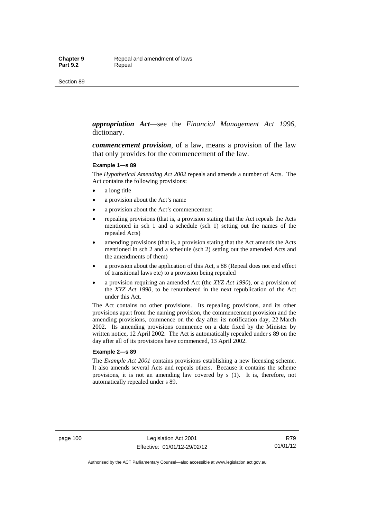*appropriation Act*—see the *Financial Management Act 1996*, dictionary.

*commencement provision*, of a law, means a provision of the law that only provides for the commencement of the law.

#### **Example 1—s 89**

The *Hypothetical Amending Act 2002* repeals and amends a number of Acts. The Act contains the following provisions:

- a long title
- a provision about the Act's name
- a provision about the Act's commencement
- repealing provisions (that is, a provision stating that the Act repeals the Acts mentioned in sch 1 and a schedule (sch 1) setting out the names of the repealed Acts)
- amending provisions (that is, a provision stating that the Act amends the Acts mentioned in sch 2 and a schedule (sch 2) setting out the amended Acts and the amendments of them)
- a provision about the application of this Act, s 88 (Repeal does not end effect of transitional laws etc) to a provision being repealed
- a provision requiring an amended Act (the *XYZ Act 1990*), or a provision of the *XYZ Act 1990*, to be renumbered in the next republication of the Act under this Act.

The Act contains no other provisions. Its repealing provisions, and its other provisions apart from the naming provision, the commencement provision and the amending provisions, commence on the day after its notification day, 22 March 2002. Its amending provisions commence on a date fixed by the Minister by written notice, 12 April 2002. The Act is automatically repealed under s 89 on the day after all of its provisions have commenced, 13 April 2002.

#### **Example 2—s 89**

The *Example Act 2001* contains provisions establishing a new licensing scheme. It also amends several Acts and repeals others. Because it contains the scheme provisions, it is not an amending law covered by s (1). It is, therefore, not automatically repealed under s 89.

page 100 Legislation Act 2001 Effective: 01/01/12-29/02/12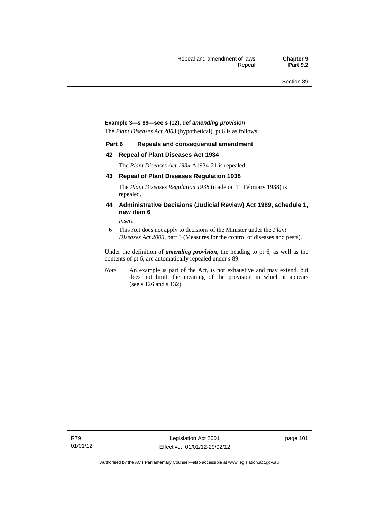#### **Example 3—s 89—see s (12), def** *amending provision*

The *Plant Diseases Act 2003* (hypothetical), pt 6 is as follows:

#### **Part 6 Repeals and consequential amendment**

#### **42 Repeal of Plant Diseases Act 1934**

The *Plant Diseases Act 1934* A1934-21 is repealed.

#### **43 Repeal of Plant Diseases Regulation 1938**

The *Plant Diseases Regulation 1938* (made on 11 February 1938) is repealed.

#### **44 Administrative Decisions (Judicial Review) Act 1989, schedule 1, new item 6**

*insert* 

6 This Act does not apply to decisions of the Minister under the *Plant Diseases Act 2003*, part 3 (Measures for the control of diseases and pests).

Under the definition of *amending provision*, the heading to pt 6, as well as the contents of pt 6, are automatically repealed under s 89.

*Note* An example is part of the Act, is not exhaustive and may extend, but does not limit, the meaning of the provision in which it appears (see s 126 and s 132).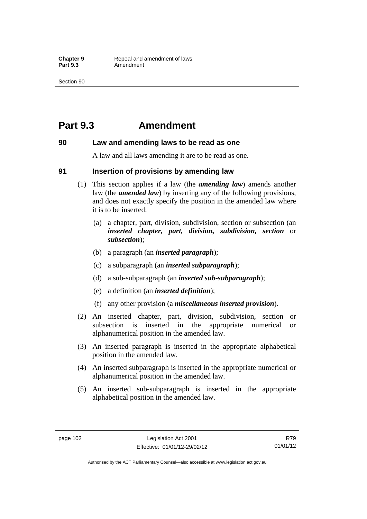## **Part 9.3 Amendment**

#### **90 Law and amending laws to be read as one**

A law and all laws amending it are to be read as one.

#### **91 Insertion of provisions by amending law**

- (1) This section applies if a law (the *amending law*) amends another law (the *amended law*) by inserting any of the following provisions, and does not exactly specify the position in the amended law where it is to be inserted:
	- (a) a chapter, part, division, subdivision, section or subsection (an *inserted chapter, part, division, subdivision, section* or *subsection*);
	- (b) a paragraph (an *inserted paragraph*);
	- (c) a subparagraph (an *inserted subparagraph*);
	- (d) a sub-subparagraph (an *inserted sub-subparagraph*);
	- (e) a definition (an *inserted definition*);
	- (f) any other provision (a *miscellaneous inserted provision*).
- (2) An inserted chapter, part, division, subdivision, section or subsection is inserted in the appropriate numerical or alphanumerical position in the amended law.
- (3) An inserted paragraph is inserted in the appropriate alphabetical position in the amended law.
- (4) An inserted subparagraph is inserted in the appropriate numerical or alphanumerical position in the amended law.
- (5) An inserted sub-subparagraph is inserted in the appropriate alphabetical position in the amended law.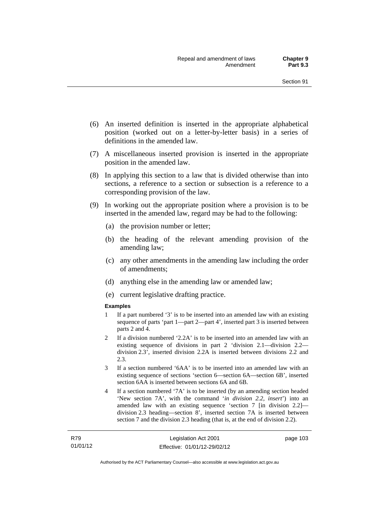- (6) An inserted definition is inserted in the appropriate alphabetical position (worked out on a letter-by-letter basis) in a series of definitions in the amended law.
- (7) A miscellaneous inserted provision is inserted in the appropriate position in the amended law.
- (8) In applying this section to a law that is divided otherwise than into sections, a reference to a section or subsection is a reference to a corresponding provision of the law.
- (9) In working out the appropriate position where a provision is to be inserted in the amended law, regard may be had to the following:
	- (a) the provision number or letter;
	- (b) the heading of the relevant amending provision of the amending law;
	- (c) any other amendments in the amending law including the order of amendments;
	- (d) anything else in the amending law or amended law;
	- (e) current legislative drafting practice.

#### **Examples**

- 1 If a part numbered '3' is to be inserted into an amended law with an existing sequence of parts 'part 1—part 2—part 4', inserted part 3 is inserted between parts 2 and 4.
- 2 If a division numbered '2.2A' is to be inserted into an amended law with an existing sequence of divisions in part 2 'division 2.1—division 2.2 division 2.3', inserted division 2.2A is inserted between divisions 2.2 and 2.3.
- 3 If a section numbered '6AA' is to be inserted into an amended law with an existing sequence of sections 'section 6—section 6A—section 6B', inserted section 6AA is inserted between sections 6A and 6B.
- 4 If a section numbered '7A' is to be inserted (by an amending section headed 'New section 7A', with the command '*in division 2.2, insert*') into an amended law with an existing sequence 'section 7 [in division 2.2] division 2.3 heading—section 8', inserted section 7A is inserted between section 7 and the division 2.3 heading (that is, at the end of division 2.2).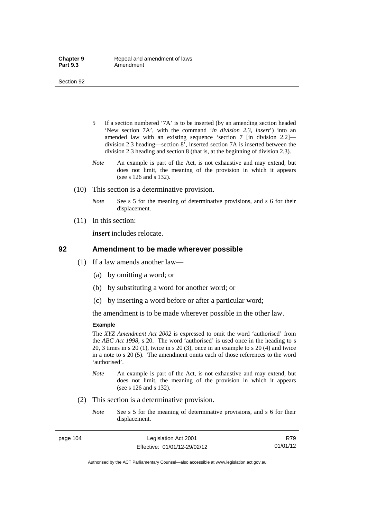- 5 If a section numbered '7A' is to be inserted (by an amending section headed 'New section 7A', with the command '*in division 2.3, insert*') into an amended law with an existing sequence 'section 7 [in division 2.2] division 2.3 heading—section 8', inserted section 7A is inserted between the division 2.3 heading and section 8 (that is, at the beginning of division 2.3).
- *Note* An example is part of the Act, is not exhaustive and may extend, but does not limit, the meaning of the provision in which it appears (see s 126 and s 132).
- (10) This section is a determinative provision.
	- *Note* See s 5 for the meaning of determinative provisions, and s 6 for their displacement.
- (11) In this section:

*insert* includes relocate.

#### **92 Amendment to be made wherever possible**

- (1) If a law amends another law—
	- (a) by omitting a word; or
	- (b) by substituting a word for another word; or
	- (c) by inserting a word before or after a particular word;

the amendment is to be made wherever possible in the other law.

#### **Example**

The *XYZ Amendment Act 2002* is expressed to omit the word 'authorised' from the *ABC Act 1998*, s 20. The word 'authorised' is used once in the heading to s 20, 3 times in s 20 (1), twice in s 20 (3), once in an example to s 20 (4) and twice in a note to s 20 (5). The amendment omits each of those references to the word 'authorised'.

- *Note* An example is part of the Act, is not exhaustive and may extend, but does not limit, the meaning of the provision in which it appears (see s 126 and s 132).
- (2) This section is a determinative provision.
	- *Note* See s 5 for the meaning of determinative provisions, and s 6 for their displacement.

Authorised by the ACT Parliamentary Counsel—also accessible at www.legislation.act.gov.au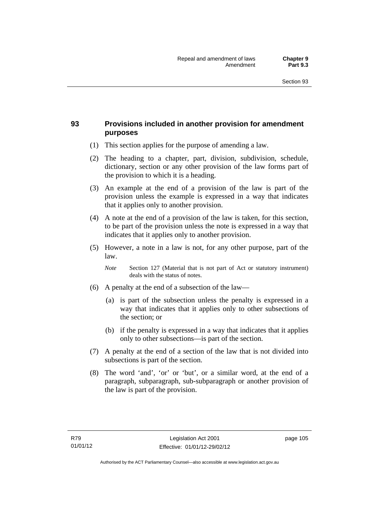## **93 Provisions included in another provision for amendment purposes**

- (1) This section applies for the purpose of amending a law.
- (2) The heading to a chapter, part, division, subdivision, schedule, dictionary, section or any other provision of the law forms part of the provision to which it is a heading.
- (3) An example at the end of a provision of the law is part of the provision unless the example is expressed in a way that indicates that it applies only to another provision.
- (4) A note at the end of a provision of the law is taken, for this section, to be part of the provision unless the note is expressed in a way that indicates that it applies only to another provision.
- (5) However, a note in a law is not, for any other purpose, part of the law.

*Note* Section 127 (Material that is not part of Act or statutory instrument) deals with the status of notes.

- (6) A penalty at the end of a subsection of the law—
	- (a) is part of the subsection unless the penalty is expressed in a way that indicates that it applies only to other subsections of the section; or
	- (b) if the penalty is expressed in a way that indicates that it applies only to other subsections—is part of the section.
- (7) A penalty at the end of a section of the law that is not divided into subsections is part of the section.
- (8) The word 'and', 'or' or 'but', or a similar word, at the end of a paragraph, subparagraph, sub-subparagraph or another provision of the law is part of the provision.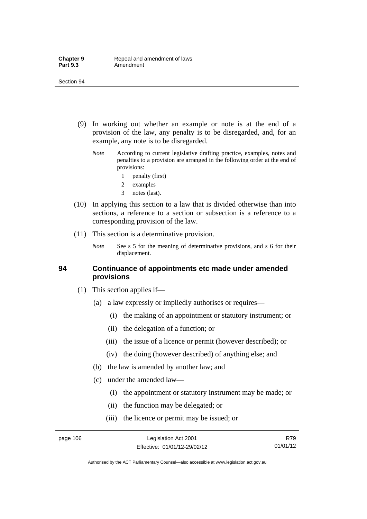- (9) In working out whether an example or note is at the end of a provision of the law, any penalty is to be disregarded, and, for an example, any note is to be disregarded.
	- *Note* According to current legislative drafting practice, examples, notes and penalties to a provision are arranged in the following order at the end of provisions:
		- 1 penalty (first)
		- 2 examples
		- 3 notes (last).
- (10) In applying this section to a law that is divided otherwise than into sections, a reference to a section or subsection is a reference to a corresponding provision of the law.
- (11) This section is a determinative provision.
	- *Note* See s 5 for the meaning of determinative provisions, and s 6 for their displacement.

### **94 Continuance of appointments etc made under amended provisions**

- (1) This section applies if—
	- (a) a law expressly or impliedly authorises or requires—
		- (i) the making of an appointment or statutory instrument; or
		- (ii) the delegation of a function; or
		- (iii) the issue of a licence or permit (however described); or
		- (iv) the doing (however described) of anything else; and
	- (b) the law is amended by another law; and
	- (c) under the amended law—
		- (i) the appointment or statutory instrument may be made; or
		- (ii) the function may be delegated; or
		- (iii) the licence or permit may be issued; or

R79 01/01/12

Authorised by the ACT Parliamentary Counsel—also accessible at www.legislation.act.gov.au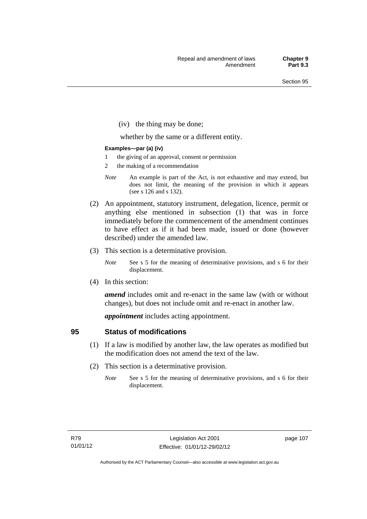(iv) the thing may be done;

whether by the same or a different entity.

#### **Examples—par (a) (iv)**

- 1 the giving of an approval, consent or permission
- 2 the making of a recommendation
- *Note* An example is part of the Act, is not exhaustive and may extend, but does not limit, the meaning of the provision in which it appears (see s 126 and s 132).
- (2) An appointment, statutory instrument, delegation, licence, permit or anything else mentioned in subsection (1) that was in force immediately before the commencement of the amendment continues to have effect as if it had been made, issued or done (however described) under the amended law.
- (3) This section is a determinative provision.
	- *Note* See s 5 for the meaning of determinative provisions, and s 6 for their displacement.
- (4) In this section:

*amend* includes omit and re-enact in the same law (with or without changes), but does not include omit and re-enact in another law.

*appointment* includes acting appointment.

### **95 Status of modifications**

- (1) If a law is modified by another law, the law operates as modified but the modification does not amend the text of the law.
- (2) This section is a determinative provision.
	- *Note* See s 5 for the meaning of determinative provisions, and s 6 for their displacement.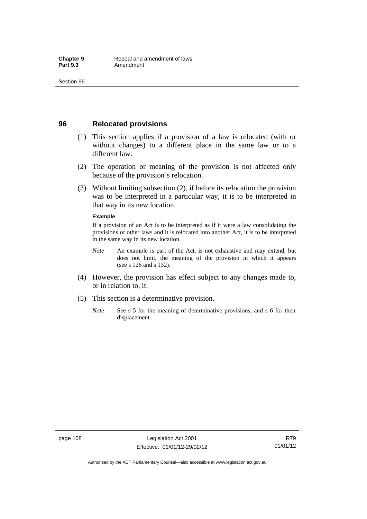### **96 Relocated provisions**

- (1) This section applies if a provision of a law is relocated (with or without changes) to a different place in the same law or to a different law.
- (2) The operation or meaning of the provision is not affected only because of the provision's relocation.
- (3) Without limiting subsection (2), if before its relocation the provision was to be interpreted in a particular way, it is to be interpreted in that way in its new location.

#### **Example**

If a provision of an Act is to be interpreted as if it were a law consolidating the provisions of other laws and it is relocated into another Act, it is to be interpreted in the same way in its new location.

- *Note* An example is part of the Act, is not exhaustive and may extend, but does not limit, the meaning of the provision in which it appears (see s 126 and s 132).
- (4) However, the provision has effect subject to any changes made to, or in relation to, it.
- (5) This section is a determinative provision.
	- *Note* See s 5 for the meaning of determinative provisions, and s 6 for their displacement.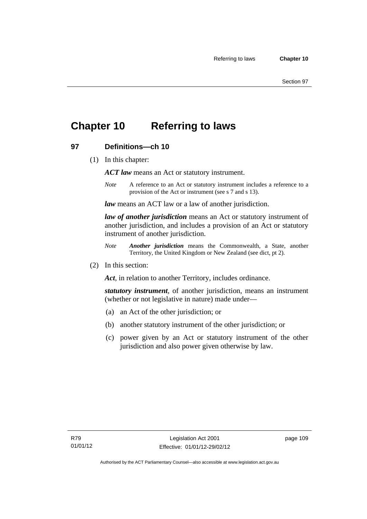## **Chapter 10 Referring to laws**

## **97 Definitions—ch 10**

(1) In this chapter:

*ACT law* means an Act or statutory instrument.

*Note* A reference to an Act or statutory instrument includes a reference to a provision of the Act or instrument (see s 7 and s 13).

*law* means an ACT law or a law of another jurisdiction.

*law of another jurisdiction* means an Act or statutory instrument of another jurisdiction, and includes a provision of an Act or statutory instrument of another jurisdiction.

- *Note Another jurisdiction* means the Commonwealth, a State, another Territory, the United Kingdom or New Zealand (see dict, pt 2).
- (2) In this section:

*Act*, in relation to another Territory, includes ordinance.

*statutory instrument*, of another jurisdiction, means an instrument (whether or not legislative in nature) made under—

- (a) an Act of the other jurisdiction; or
- (b) another statutory instrument of the other jurisdiction; or
- (c) power given by an Act or statutory instrument of the other jurisdiction and also power given otherwise by law.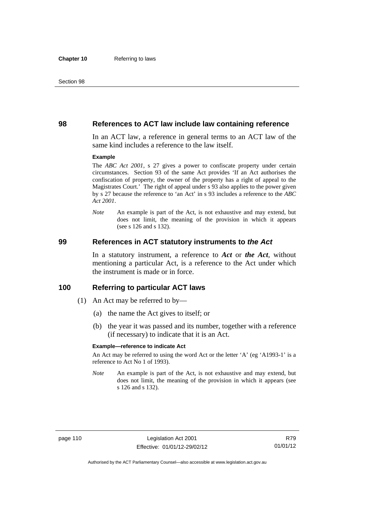#### **98 References to ACT law include law containing reference**

In an ACT law, a reference in general terms to an ACT law of the same kind includes a reference to the law itself.

#### **Example**

The *ABC Act 2001*, s 27 gives a power to confiscate property under certain circumstances. Section 93 of the same Act provides 'If an Act authorises the confiscation of property, the owner of the property has a right of appeal to the Magistrates Court.' The right of appeal under s 93 also applies to the power given by s 27 because the reference to 'an Act' in s 93 includes a reference to the *ABC Act 2001*.

*Note* An example is part of the Act, is not exhaustive and may extend, but does not limit, the meaning of the provision in which it appears (see s 126 and s 132).

#### **99 References in ACT statutory instruments to** *the Act*

In a statutory instrument, a reference to *Act* or *the Act*, without mentioning a particular Act, is a reference to the Act under which the instrument is made or in force.

### **100 Referring to particular ACT laws**

- (1) An Act may be referred to by—
	- (a) the name the Act gives to itself; or
	- (b) the year it was passed and its number, together with a reference (if necessary) to indicate that it is an Act.

#### **Example—reference to indicate Act**

An Act may be referred to using the word Act or the letter 'A' (eg 'A1993-1' is a reference to Act No 1 of 1993).

*Note* An example is part of the Act, is not exhaustive and may extend, but does not limit, the meaning of the provision in which it appears (see s 126 and s 132).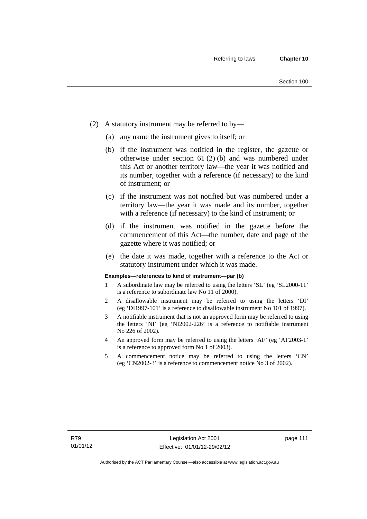- (2) A statutory instrument may be referred to by—
	- (a) any name the instrument gives to itself; or
	- (b) if the instrument was notified in the register, the gazette or otherwise under section 61 (2) (b) and was numbered under this Act or another territory law—the year it was notified and its number, together with a reference (if necessary) to the kind of instrument; or
	- (c) if the instrument was not notified but was numbered under a territory law—the year it was made and its number, together with a reference (if necessary) to the kind of instrument; or
	- (d) if the instrument was notified in the gazette before the commencement of this Act—the number, date and page of the gazette where it was notified; or
	- (e) the date it was made, together with a reference to the Act or statutory instrument under which it was made.

#### **Examples—references to kind of instrument—par (b)**

- 1 A subordinate law may be referred to using the letters 'SL' (eg 'SL2000-11' is a reference to subordinate law No 11 of 2000).
- 2 A disallowable instrument may be referred to using the letters 'DI' (eg 'DI1997-101' is a reference to disallowable instrument No 101 of 1997).
- 3 A notifiable instrument that is not an approved form may be referred to using the letters 'NI' (eg 'NI2002-226' is a reference to notifiable instrument No 226 of 2002).
- 4 An approved form may be referred to using the letters 'AF' (eg 'AF2003-1' is a reference to approved form No 1 of 2003).
- 5 A commencement notice may be referred to using the letters 'CN' (eg 'CN2002-3' is a reference to commencement notice No 3 of 2002).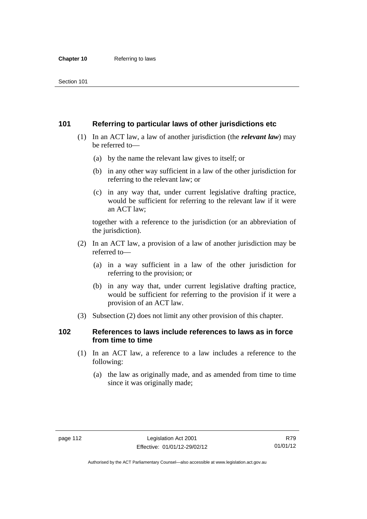## **101 Referring to particular laws of other jurisdictions etc**

- (1) In an ACT law, a law of another jurisdiction (the *relevant law*) may be referred to—
	- (a) by the name the relevant law gives to itself; or
	- (b) in any other way sufficient in a law of the other jurisdiction for referring to the relevant law; or
	- (c) in any way that, under current legislative drafting practice, would be sufficient for referring to the relevant law if it were an ACT law;

together with a reference to the jurisdiction (or an abbreviation of the jurisdiction).

- (2) In an ACT law, a provision of a law of another jurisdiction may be referred to—
	- (a) in a way sufficient in a law of the other jurisdiction for referring to the provision; or
	- (b) in any way that, under current legislative drafting practice, would be sufficient for referring to the provision if it were a provision of an ACT law.
- (3) Subsection (2) does not limit any other provision of this chapter.

## **102 References to laws include references to laws as in force from time to time**

- (1) In an ACT law, a reference to a law includes a reference to the following:
	- (a) the law as originally made, and as amended from time to time since it was originally made;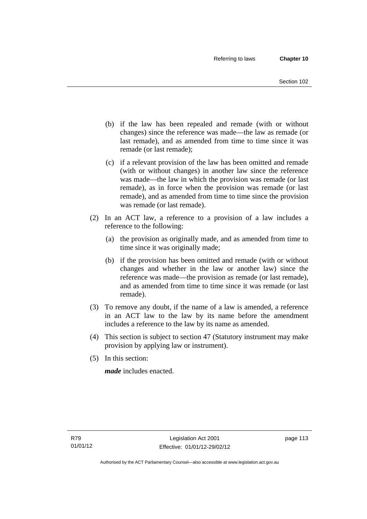- (b) if the law has been repealed and remade (with or without changes) since the reference was made—the law as remade (or last remade), and as amended from time to time since it was remade (or last remade);
- (c) if a relevant provision of the law has been omitted and remade (with or without changes) in another law since the reference was made—the law in which the provision was remade (or last remade), as in force when the provision was remade (or last remade), and as amended from time to time since the provision was remade (or last remade).
- (2) In an ACT law, a reference to a provision of a law includes a reference to the following:
	- (a) the provision as originally made, and as amended from time to time since it was originally made;
	- (b) if the provision has been omitted and remade (with or without changes and whether in the law or another law) since the reference was made—the provision as remade (or last remade), and as amended from time to time since it was remade (or last remade).
- (3) To remove any doubt, if the name of a law is amended, a reference in an ACT law to the law by its name before the amendment includes a reference to the law by its name as amended.
- (4) This section is subject to section 47 (Statutory instrument may make provision by applying law or instrument).
- (5) In this section:

*made* includes enacted.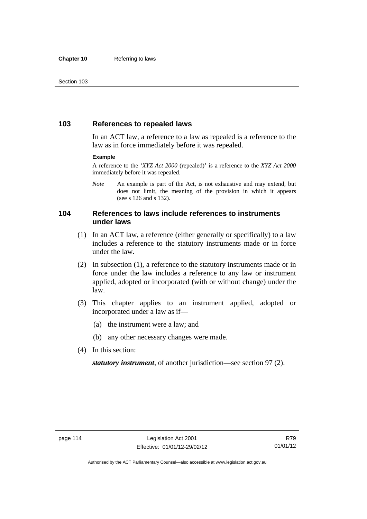## **103 References to repealed laws**

In an ACT law, a reference to a law as repealed is a reference to the law as in force immediately before it was repealed.

#### **Example**

A reference to the '*XYZ Act 2000* (repealed)' is a reference to the *XYZ Act 2000* immediately before it was repealed.

*Note* An example is part of the Act, is not exhaustive and may extend, but does not limit, the meaning of the provision in which it appears (see s 126 and s 132).

### **104 References to laws include references to instruments under laws**

- (1) In an ACT law, a reference (either generally or specifically) to a law includes a reference to the statutory instruments made or in force under the law.
- (2) In subsection (1), a reference to the statutory instruments made or in force under the law includes a reference to any law or instrument applied, adopted or incorporated (with or without change) under the law.
- (3) This chapter applies to an instrument applied, adopted or incorporated under a law as if—
	- (a) the instrument were a law; and
	- (b) any other necessary changes were made.
- (4) In this section:

*statutory instrument*, of another jurisdiction—see section 97 (2).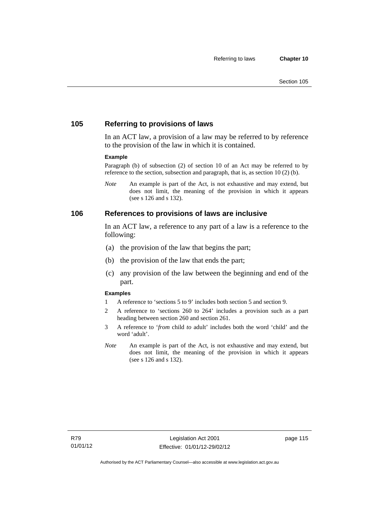## **105 Referring to provisions of laws**

In an ACT law, a provision of a law may be referred to by reference to the provision of the law in which it is contained.

#### **Example**

Paragraph (b) of subsection (2) of section 10 of an Act may be referred to by reference to the section, subsection and paragraph, that is, as section 10 (2) (b).

*Note* An example is part of the Act, is not exhaustive and may extend, but does not limit, the meaning of the provision in which it appears (see s 126 and s 132).

#### **106 References to provisions of laws are inclusive**

In an ACT law, a reference to any part of a law is a reference to the following:

- (a) the provision of the law that begins the part;
- (b) the provision of the law that ends the part;
- (c) any provision of the law between the beginning and end of the part.

#### **Examples**

- 1 A reference to 'sections 5 to 9' includes both section 5 and section 9.
- 2 A reference to 'sections 260 to 264' includes a provision such as a part heading between section 260 and section 261.
- 3 A reference to '*from* child *to* adult' includes both the word 'child' and the word 'adult'.
- *Note* An example is part of the Act, is not exhaustive and may extend, but does not limit, the meaning of the provision in which it appears (see s 126 and s 132).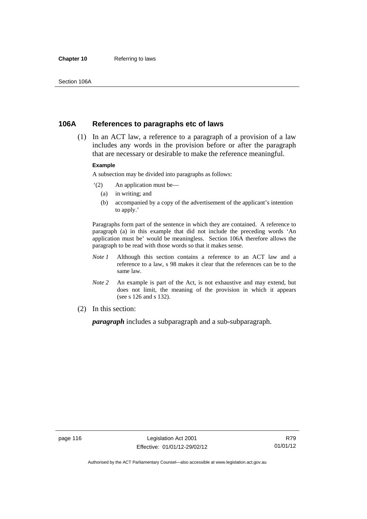#### **Chapter 10** Referring to laws

### **106A References to paragraphs etc of laws**

 (1) In an ACT law, a reference to a paragraph of a provision of a law includes any words in the provision before or after the paragraph that are necessary or desirable to make the reference meaningful.

#### **Example**

A subsection may be divided into paragraphs as follows:

- '(2) An application must be—
	- (a) in writing; and
	- (b) accompanied by a copy of the advertisement of the applicant's intention to apply.'

Paragraphs form part of the sentence in which they are contained. A reference to paragraph (a) in this example that did not include the preceding words 'An application must be' would be meaningless. Section 106A therefore allows the paragraph to be read with those words so that it makes sense.

- *Note 1* Although this section contains a reference to an ACT law and a reference to a law, s 98 makes it clear that the references can be to the same law.
- *Note 2* An example is part of the Act, is not exhaustive and may extend, but does not limit, the meaning of the provision in which it appears (see s 126 and s 132).
- (2) In this section:

*paragraph* includes a subparagraph and a sub-subparagraph.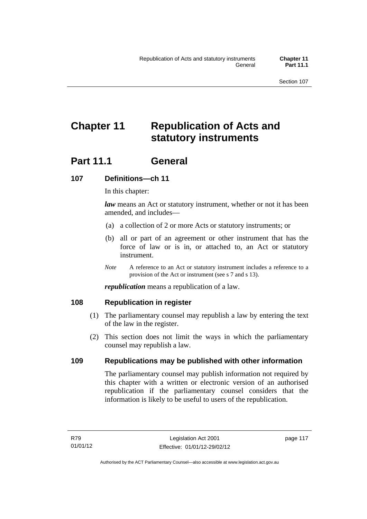# **Chapter 11 Republication of Acts and statutory instruments**

## **Part 11.1 General**

## **107 Definitions—ch 11**

In this chapter:

*law* means an Act or statutory instrument, whether or not it has been amended, and includes—

- (a) a collection of 2 or more Acts or statutory instruments; or
- (b) all or part of an agreement or other instrument that has the force of law or is in, or attached to, an Act or statutory instrument.
- *Note* A reference to an Act or statutory instrument includes a reference to a provision of the Act or instrument (see s 7 and s 13).

*republication* means a republication of a law.

### **108 Republication in register**

- (1) The parliamentary counsel may republish a law by entering the text of the law in the register.
- (2) This section does not limit the ways in which the parliamentary counsel may republish a law.

## **109 Republications may be published with other information**

The parliamentary counsel may publish information not required by this chapter with a written or electronic version of an authorised republication if the parliamentary counsel considers that the information is likely to be useful to users of the republication.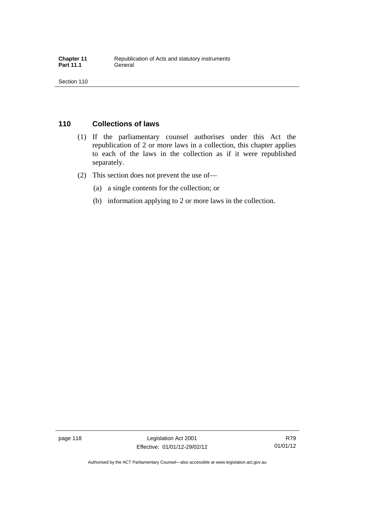## **110 Collections of laws**

- (1) If the parliamentary counsel authorises under this Act the republication of 2 or more laws in a collection, this chapter applies to each of the laws in the collection as if it were republished separately.
- (2) This section does not prevent the use of—
	- (a) a single contents for the collection; or
	- (b) information applying to 2 or more laws in the collection.

Authorised by the ACT Parliamentary Counsel—also accessible at www.legislation.act.gov.au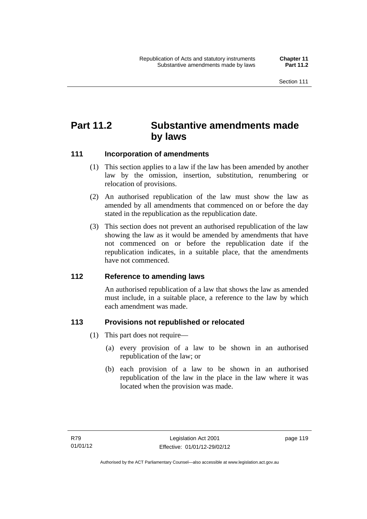## **Part 11.2 Substantive amendments made by laws**

## **111 Incorporation of amendments**

- (1) This section applies to a law if the law has been amended by another law by the omission, insertion, substitution, renumbering or relocation of provisions.
- (2) An authorised republication of the law must show the law as amended by all amendments that commenced on or before the day stated in the republication as the republication date.
- (3) This section does not prevent an authorised republication of the law showing the law as it would be amended by amendments that have not commenced on or before the republication date if the republication indicates, in a suitable place, that the amendments have not commenced.

### **112 Reference to amending laws**

An authorised republication of a law that shows the law as amended must include, in a suitable place, a reference to the law by which each amendment was made.

### **113 Provisions not republished or relocated**

- (1) This part does not require—
	- (a) every provision of a law to be shown in an authorised republication of the law; or
	- (b) each provision of a law to be shown in an authorised republication of the law in the place in the law where it was located when the provision was made.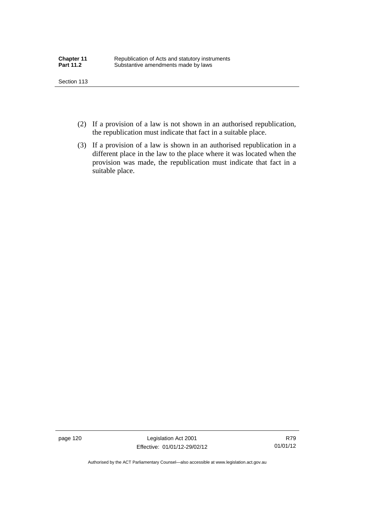- (2) If a provision of a law is not shown in an authorised republication, the republication must indicate that fact in a suitable place.
- (3) If a provision of a law is shown in an authorised republication in a different place in the law to the place where it was located when the provision was made, the republication must indicate that fact in a suitable place.

page 120 Legislation Act 2001 Effective: 01/01/12-29/02/12

R79 01/01/12

Authorised by the ACT Parliamentary Counsel—also accessible at www.legislation.act.gov.au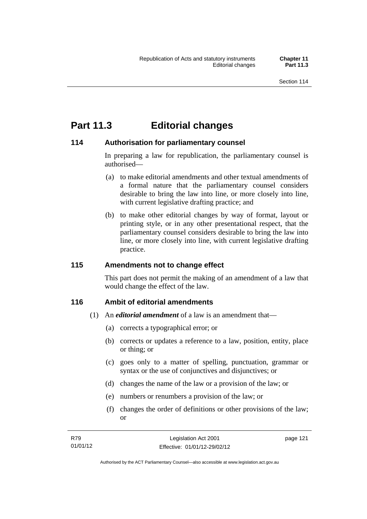## **Part 11.3 Editorial changes**

## **114 Authorisation for parliamentary counsel**

In preparing a law for republication, the parliamentary counsel is authorised—

- (a) to make editorial amendments and other textual amendments of a formal nature that the parliamentary counsel considers desirable to bring the law into line, or more closely into line, with current legislative drafting practice; and
- (b) to make other editorial changes by way of format, layout or printing style, or in any other presentational respect, that the parliamentary counsel considers desirable to bring the law into line, or more closely into line, with current legislative drafting practice.

## **115 Amendments not to change effect**

This part does not permit the making of an amendment of a law that would change the effect of the law.

## **116 Ambit of editorial amendments**

- (1) An *editorial amendment* of a law is an amendment that—
	- (a) corrects a typographical error; or
	- (b) corrects or updates a reference to a law, position, entity, place or thing; or
	- (c) goes only to a matter of spelling, punctuation, grammar or syntax or the use of conjunctives and disjunctives; or
	- (d) changes the name of the law or a provision of the law; or
	- (e) numbers or renumbers a provision of the law; or
	- (f) changes the order of definitions or other provisions of the law; or

| R79      | Legislation Act 2001         | page 121 |
|----------|------------------------------|----------|
| 01/01/12 | Effective: 01/01/12-29/02/12 |          |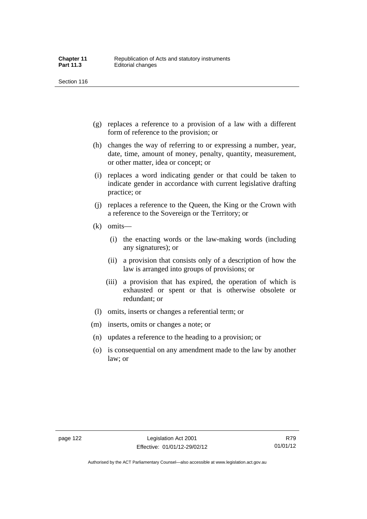- (g) replaces a reference to a provision of a law with a different form of reference to the provision; or
- (h) changes the way of referring to or expressing a number, year, date, time, amount of money, penalty, quantity, measurement, or other matter, idea or concept; or
- (i) replaces a word indicating gender or that could be taken to indicate gender in accordance with current legislative drafting practice; or
- (j) replaces a reference to the Queen, the King or the Crown with a reference to the Sovereign or the Territory; or
- (k) omits—
	- (i) the enacting words or the law-making words (including any signatures); or
	- (ii) a provision that consists only of a description of how the law is arranged into groups of provisions; or
	- (iii) a provision that has expired, the operation of which is exhausted or spent or that is otherwise obsolete or redundant; or
- (l) omits, inserts or changes a referential term; or
- (m) inserts, omits or changes a note; or
- (n) updates a reference to the heading to a provision; or
- (o) is consequential on any amendment made to the law by another law; or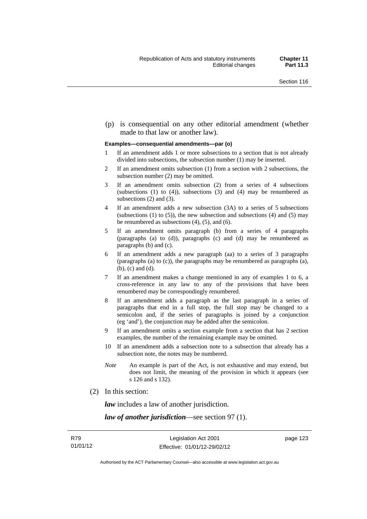(p) is consequential on any other editorial amendment (whether made to that law or another law).

#### **Examples—consequential amendments—par (o)**

- 1 If an amendment adds 1 or more subsections to a section that is not already divided into subsections, the subsection number (1) may be inserted.
- 2 If an amendment omits subsection (1) from a section with 2 subsections, the subsection number (2) may be omitted.
- 3 If an amendment omits subsection (2) from a series of 4 subsections (subsections  $(1)$  to  $(4)$ ), subsections  $(3)$  and  $(4)$  may be renumbered as subsections (2) and (3).
- 4 If an amendment adds a new subsection (3A) to a series of 5 subsections (subsections  $(1)$  to  $(5)$ ), the new subsection and subsections  $(4)$  and  $(5)$  may be renumbered as subsections (4), (5), and (6).
- 5 If an amendment omits paragraph (b) from a series of 4 paragraphs (paragraphs (a) to (d)), paragraphs (c) and (d) may be renumbered as paragraphs (b) and (c).
- 6 If an amendment adds a new paragraph (aa) to a series of 3 paragraphs (paragraphs (a) to (c)), the paragraphs may be renumbered as paragraphs (a), (b), (c) and (d).
- 7 If an amendment makes a change mentioned in any of examples 1 to 6, a cross-reference in any law to any of the provisions that have been renumbered may be correspondingly renumbered.
- 8 If an amendment adds a paragraph as the last paragraph in a series of paragraphs that end in a full stop, the full stop may be changed to a semicolon and, if the series of paragraphs is joined by a conjunction (eg 'and'), the conjunction may be added after the semicolon.
- 9 If an amendment omits a section example from a section that has 2 section examples, the number of the remaining example may be omitted.
- 10 If an amendment adds a subsection note to a subsection that already has a subsection note, the notes may be numbered.
- *Note* An example is part of the Act, is not exhaustive and may extend, but does not limit, the meaning of the provision in which it appears (see s 126 and s 132).
- (2) In this section:

*law* includes a law of another jurisdiction.

*law of another jurisdiction*—see section 97 (1).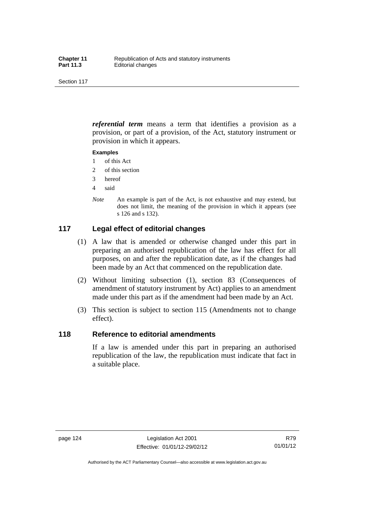*referential term* means a term that identifies a provision as a provision, or part of a provision, of the Act, statutory instrument or provision in which it appears.

#### **Examples**

- 1 of this Act
- 2 of this section
- 3 hereof
- 4 said
- *Note* An example is part of the Act, is not exhaustive and may extend, but does not limit, the meaning of the provision in which it appears (see s 126 and s 132).

## **117 Legal effect of editorial changes**

- (1) A law that is amended or otherwise changed under this part in preparing an authorised republication of the law has effect for all purposes, on and after the republication date, as if the changes had been made by an Act that commenced on the republication date.
- (2) Without limiting subsection (1), section 83 (Consequences of amendment of statutory instrument by Act) applies to an amendment made under this part as if the amendment had been made by an Act.
- (3) This section is subject to section 115 (Amendments not to change effect).

#### **118 Reference to editorial amendments**

If a law is amended under this part in preparing an authorised republication of the law, the republication must indicate that fact in a suitable place.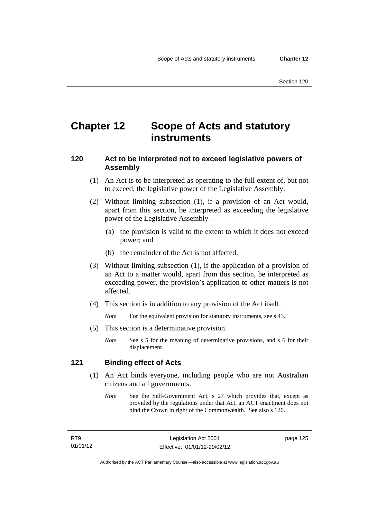## **Chapter 12 Scope of Acts and statutory instruments**

## **120 Act to be interpreted not to exceed legislative powers of Assembly**

- (1) An Act is to be interpreted as operating to the full extent of, but not to exceed, the legislative power of the Legislative Assembly.
- (2) Without limiting subsection (1), if a provision of an Act would, apart from this section, be interpreted as exceeding the legislative power of the Legislative Assembly—
	- (a) the provision is valid to the extent to which it does not exceed power; and
	- (b) the remainder of the Act is not affected.
- (3) Without limiting subsection (1), if the application of a provision of an Act to a matter would, apart from this section, be interpreted as exceeding power, the provision's application to other matters is not affected.
- (4) This section is in addition to any provision of the Act itself.

*Note* For the equivalent provision for statutory instruments, see s 43.

- (5) This section is a determinative provision.
	- *Note* See s 5 for the meaning of determinative provisions, and s 6 for their displacement.

### **121 Binding effect of Acts**

- (1) An Act binds everyone, including people who are not Australian citizens and all governments.
	- *Note* See the Self-Government Act, s 27 which provides that, except as provided by the regulations under that Act, an ACT enactment does not bind the Crown in right of the Commonwealth. See also s 120.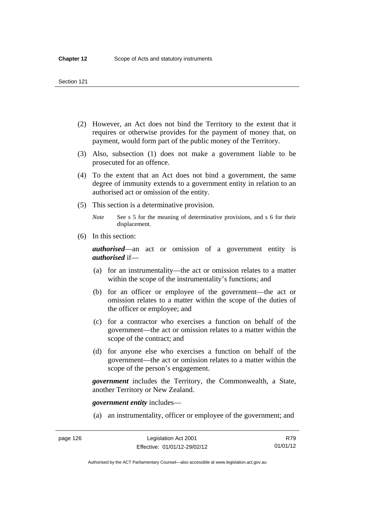- (2) However, an Act does not bind the Territory to the extent that it requires or otherwise provides for the payment of money that, on payment, would form part of the public money of the Territory.
- (3) Also, subsection (1) does not make a government liable to be prosecuted for an offence.
- (4) To the extent that an Act does not bind a government, the same degree of immunity extends to a government entity in relation to an authorised act or omission of the entity.
- (5) This section is a determinative provision.

*Note* See s 5 for the meaning of determinative provisions, and s 6 for their displacement.

(6) In this section:

*authorised*—an act or omission of a government entity is *authorised* if—

- (a) for an instrumentality—the act or omission relates to a matter within the scope of the instrumentality's functions; and
- (b) for an officer or employee of the government—the act or omission relates to a matter within the scope of the duties of the officer or employee; and
- (c) for a contractor who exercises a function on behalf of the government—the act or omission relates to a matter within the scope of the contract; and
- (d) for anyone else who exercises a function on behalf of the government—the act or omission relates to a matter within the scope of the person's engagement.

*government* includes the Territory, the Commonwealth, a State, another Territory or New Zealand.

*government entity* includes—

(a) an instrumentality, officer or employee of the government; and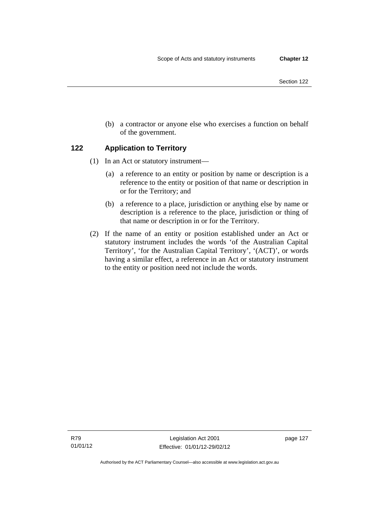(b) a contractor or anyone else who exercises a function on behalf of the government.

## **122 Application to Territory**

- (1) In an Act or statutory instrument—
	- (a) a reference to an entity or position by name or description is a reference to the entity or position of that name or description in or for the Territory; and
	- (b) a reference to a place, jurisdiction or anything else by name or description is a reference to the place, jurisdiction or thing of that name or description in or for the Territory.
- (2) If the name of an entity or position established under an Act or statutory instrument includes the words 'of the Australian Capital Territory', 'for the Australian Capital Territory', '(ACT)', or words having a similar effect, a reference in an Act or statutory instrument to the entity or position need not include the words.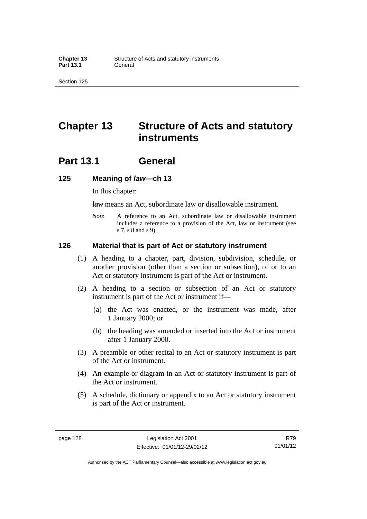## **Chapter 13 Structure of Acts and statutory instruments**

## **Part 13.1 General**

#### **125 Meaning of** *law***—ch 13**

In this chapter:

*law* means an Act, subordinate law or disallowable instrument.

*Note* A reference to an Act, subordinate law or disallowable instrument includes a reference to a provision of the Act, law or instrument (see s 7, s 8 and s 9).

#### **126 Material that is part of Act or statutory instrument**

- (1) A heading to a chapter, part, division, subdivision, schedule, or another provision (other than a section or subsection), of or to an Act or statutory instrument is part of the Act or instrument.
- (2) A heading to a section or subsection of an Act or statutory instrument is part of the Act or instrument if—
	- (a) the Act was enacted, or the instrument was made, after 1 January 2000; or
	- (b) the heading was amended or inserted into the Act or instrument after 1 January 2000.
- (3) A preamble or other recital to an Act or statutory instrument is part of the Act or instrument.
- (4) An example or diagram in an Act or statutory instrument is part of the Act or instrument.
- (5) A schedule, dictionary or appendix to an Act or statutory instrument is part of the Act or instrument.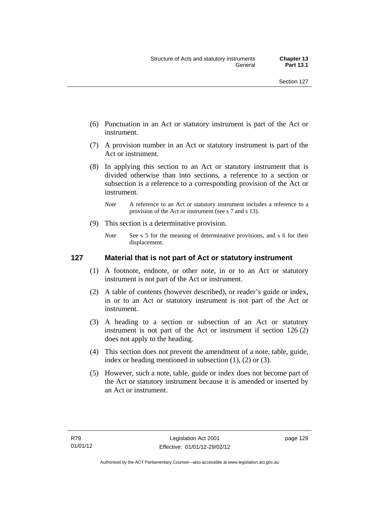- (6) Punctuation in an Act or statutory instrument is part of the Act or instrument.
- (7) A provision number in an Act or statutory instrument is part of the Act or instrument.
- (8) In applying this section to an Act or statutory instrument that is divided otherwise than into sections, a reference to a section or subsection is a reference to a corresponding provision of the Act or instrument.
	- *Note* A reference to an Act or statutory instrument includes a reference to a provision of the Act or instrument (see s 7 and s 13).
- (9) This section is a determinative provision.
	- *Note* See s 5 for the meaning of determinative provisions, and s 6 for their displacement.

# **127 Material that is not part of Act or statutory instrument**

- (1) A footnote, endnote, or other note, in or to an Act or statutory instrument is not part of the Act or instrument.
- (2) A table of contents (however described), or reader's guide or index, in or to an Act or statutory instrument is not part of the Act or instrument.
- (3) A heading to a section or subsection of an Act or statutory instrument is not part of the Act or instrument if section 126 (2) does not apply to the heading.
- (4) This section does not prevent the amendment of a note, table, guide, index or heading mentioned in subsection (1), (2) or (3).
- (5) However, such a note, table, guide or index does not become part of the Act or statutory instrument because it is amended or inserted by an Act or instrument.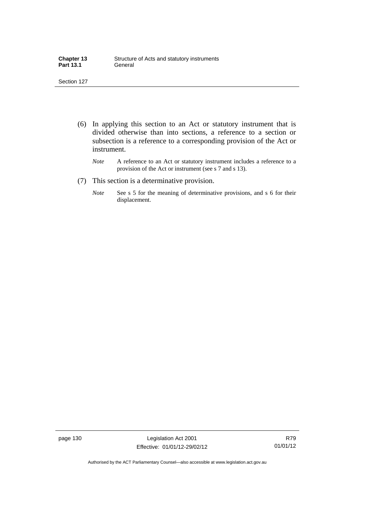| <b>Chapter 13</b> | Structure of Acts and statutory instruments |
|-------------------|---------------------------------------------|
| <b>Part 13.1</b>  | General                                     |

- (6) In applying this section to an Act or statutory instrument that is divided otherwise than into sections, a reference to a section or subsection is a reference to a corresponding provision of the Act or instrument.
	- *Note* A reference to an Act or statutory instrument includes a reference to a provision of the Act or instrument (see s 7 and s 13).
- (7) This section is a determinative provision.
	- *Note* See s 5 for the meaning of determinative provisions, and s 6 for their displacement.

page 130 Legislation Act 2001 Effective: 01/01/12-29/02/12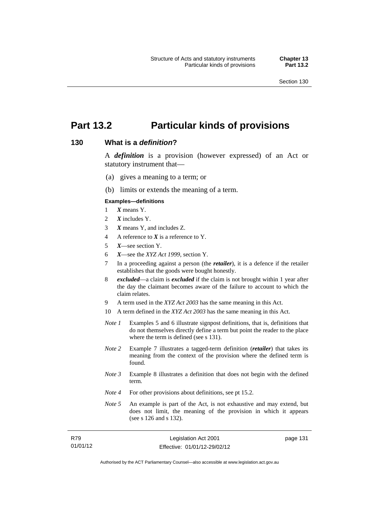page 131

# **Part 13.2 Particular kinds of provisions**

#### **130 What is a** *definition***?**

A *definition* is a provision (however expressed) of an Act or statutory instrument that—

- (a) gives a meaning to a term; or
- (b) limits or extends the meaning of a term.

#### **Examples—definitions**

- 1 *X* means Y.
- 2 *X* includes Y.
- 3 *X* means Y, and includes Z.
- 4 A reference to *X* is a reference to Y.
- 5 *X*—see section Y.
- 6 *X*—see the *XYZ Act 1999*, section Y.
- 7 In a proceeding against a person (the *retailer*), it is a defence if the retailer establishes that the goods were bought honestly.
- 8 *excluded*—a claim is *excluded* if the claim is not brought within 1 year after the day the claimant becomes aware of the failure to account to which the claim relates.
- 9 A term used in the *XYZ Act 2003* has the same meaning in this Act.
- 10 A term defined in the *XYZ Act 2003* has the same meaning in this Act.
- *Note 1* Examples 5 and 6 illustrate signpost definitions, that is, definitions that do not themselves directly define a term but point the reader to the place where the term is defined (see s 131).
- *Note 2* Example 7 illustrates a tagged-term definition (*retailer*) that takes its meaning from the context of the provision where the defined term is found.
- *Note 3* Example 8 illustrates a definition that does not begin with the defined term.
- *Note 4* For other provisions about definitions, see pt 15.2.
- *Note* 5 An example is part of the Act, is not exhaustive and may extend, but does not limit, the meaning of the provision in which it appears (see s 126 and s 132).

| R79      | Legislation Act 2001         |  |
|----------|------------------------------|--|
| 01/01/12 | Effective: 01/01/12-29/02/12 |  |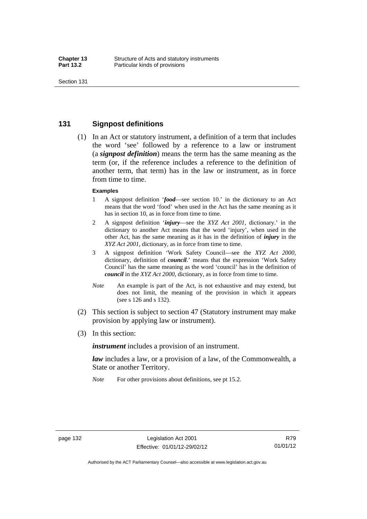### **131 Signpost definitions**

 (1) In an Act or statutory instrument, a definition of a term that includes the word 'see' followed by a reference to a law or instrument (a *signpost definition*) means the term has the same meaning as the term (or, if the reference includes a reference to the definition of another term, that term) has in the law or instrument, as in force from time to time.

#### **Examples**

- 1 A signpost definition '*food*—see section 10.' in the dictionary to an Act means that the word 'food' when used in the Act has the same meaning as it has in section 10, as in force from time to time.
- 2 A signpost definition '*injury*—see the *XYZ Act 2001*, dictionary.' in the dictionary to another Act means that the word 'injury', when used in the other Act, has the same meaning as it has in the definition of *injury* in the *XYZ Act 2001*, dictionary, as in force from time to time.
- 3 A signpost definition 'Work Safety Council—see the *XYZ Act 2000*, dictionary, definition of *council*.' means that the expression 'Work Safety Council' has the same meaning as the word 'council' has in the definition of *council* in the *XYZ Act 2000*, dictionary, as in force from time to time.
- *Note* An example is part of the Act, is not exhaustive and may extend, but does not limit, the meaning of the provision in which it appears (see s 126 and s 132).
- (2) This section is subject to section 47 (Statutory instrument may make provision by applying law or instrument).
- (3) In this section:

*instrument* includes a provision of an instrument.

*law* includes a law, or a provision of a law, of the Commonwealth, a State or another Territory.

*Note* For other provisions about definitions, see pt 15.2.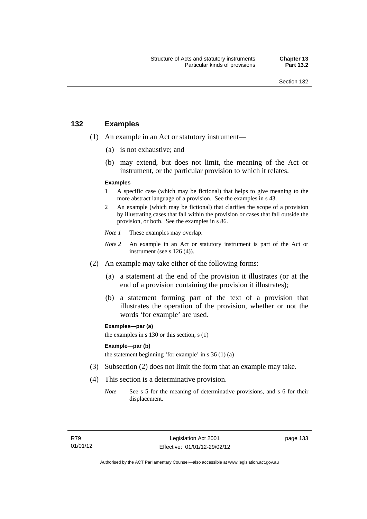# **132 Examples**

- (1) An example in an Act or statutory instrument—
	- (a) is not exhaustive; and
	- (b) may extend, but does not limit, the meaning of the Act or instrument, or the particular provision to which it relates.

#### **Examples**

- 1 A specific case (which may be fictional) that helps to give meaning to the more abstract language of a provision. See the examples in s 43.
- 2 An example (which may be fictional) that clarifies the scope of a provision by illustrating cases that fall within the provision or cases that fall outside the provision, or both. See the examples in s 86.
- *Note 1* These examples may overlap.
- *Note* 2 An example in an Act or statutory instrument is part of the Act or instrument (see s 126 (4)).
- (2) An example may take either of the following forms:
	- (a) a statement at the end of the provision it illustrates (or at the end of a provision containing the provision it illustrates);
	- (b) a statement forming part of the text of a provision that illustrates the operation of the provision, whether or not the words 'for example' are used.

**Examples—par (a)** 

the examples in s 130 or this section, s (1)

#### **Example—par (b)**

the statement beginning 'for example' in s 36 (1) (a)

- (3) Subsection (2) does not limit the form that an example may take.
- (4) This section is a determinative provision.
	- *Note* See s 5 for the meaning of determinative provisions, and s 6 for their displacement.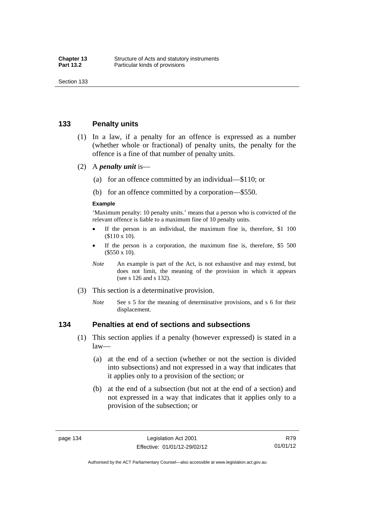### **133 Penalty units**

- (1) In a law, if a penalty for an offence is expressed as a number (whether whole or fractional) of penalty units, the penalty for the offence is a fine of that number of penalty units.
- (2) A *penalty unit* is—
	- (a) for an offence committed by an individual—\$110; or
	- (b) for an offence committed by a corporation—\$550.

#### **Example**

'Maximum penalty: 10 penalty units.' means that a person who is convicted of the relevant offence is liable to a maximum fine of 10 penalty units.

- If the person is an individual, the maximum fine is, therefore, \$1 100 (\$110 x 10).
- If the person is a corporation, the maximum fine is, therefore, \$5 500 (\$550 x 10).
- *Note* An example is part of the Act, is not exhaustive and may extend, but does not limit, the meaning of the provision in which it appears (see s 126 and s 132).
- (3) This section is a determinative provision.
	- *Note* See s 5 for the meaning of determinative provisions, and s 6 for their displacement.

#### **134 Penalties at end of sections and subsections**

- (1) This section applies if a penalty (however expressed) is stated in a law—
	- (a) at the end of a section (whether or not the section is divided into subsections) and not expressed in a way that indicates that it applies only to a provision of the section; or
	- (b) at the end of a subsection (but not at the end of a section) and not expressed in a way that indicates that it applies only to a provision of the subsection; or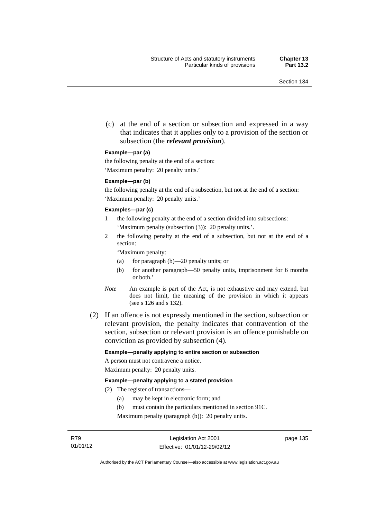(c) at the end of a section or subsection and expressed in a way that indicates that it applies only to a provision of the section or subsection (the *relevant provision*).

#### **Example—par (a)**

the following penalty at the end of a section:

'Maximum penalty: 20 penalty units.'

#### **Example—par (b)**

the following penalty at the end of a subsection, but not at the end of a section: 'Maximum penalty: 20 penalty units.'

#### **Examples—par (c)**

- 1 the following penalty at the end of a section divided into subsections: 'Maximum penalty (subsection (3)): 20 penalty units.'.
- 2 the following penalty at the end of a subsection, but not at the end of a section:

'Maximum penalty:

- (a) for paragraph (b)—20 penalty units; or
- (b) for another paragraph—50 penalty units, imprisonment for 6 months or both.'
- *Note* An example is part of the Act, is not exhaustive and may extend, but does not limit, the meaning of the provision in which it appears (see s 126 and s 132).
- (2) If an offence is not expressly mentioned in the section, subsection or relevant provision, the penalty indicates that contravention of the section, subsection or relevant provision is an offence punishable on conviction as provided by subsection (4).

#### **Example—penalty applying to entire section or subsection**

A person must not contravene a notice. Maximum penalty: 20 penalty units.

#### **Example—penalty applying to a stated provision**

- (2) The register of transactions—
	- (a) may be kept in electronic form; and
	- (b) must contain the particulars mentioned in section 91C.

Maximum penalty (paragraph (b)): 20 penalty units.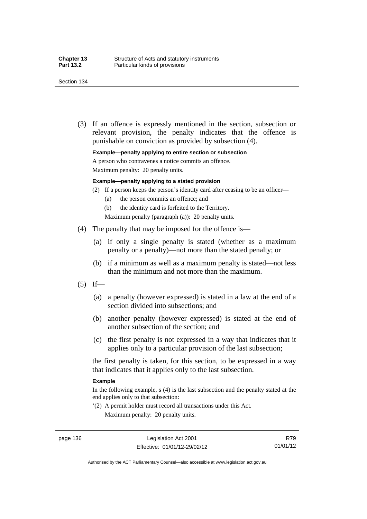(3) If an offence is expressly mentioned in the section, subsection or relevant provision, the penalty indicates that the offence is

punishable on conviction as provided by subsection (4).

**Example—penalty applying to entire section or subsection** 

A person who contravenes a notice commits an offence.

Maximum penalty: 20 penalty units.

#### **Example—penalty applying to a stated provision**

- (2) If a person keeps the person's identity card after ceasing to be an officer—
	- (a) the person commits an offence; and
	- (b) the identity card is forfeited to the Territory.
	- Maximum penalty (paragraph (a)): 20 penalty units.
- (4) The penalty that may be imposed for the offence is—
	- (a) if only a single penalty is stated (whether as a maximum penalty or a penalty)—not more than the stated penalty; or
	- (b) if a minimum as well as a maximum penalty is stated—not less than the minimum and not more than the maximum.
- $(5)$  If—
	- (a) a penalty (however expressed) is stated in a law at the end of a section divided into subsections; and
	- (b) another penalty (however expressed) is stated at the end of another subsection of the section; and
	- (c) the first penalty is not expressed in a way that indicates that it applies only to a particular provision of the last subsection;

the first penalty is taken, for this section, to be expressed in a way that indicates that it applies only to the last subsection.

#### **Example**

In the following example, s (4) is the last subsection and the penalty stated at the end applies only to that subsection:

'(2) A permit holder must record all transactions under this Act. Maximum penalty: 20 penalty units.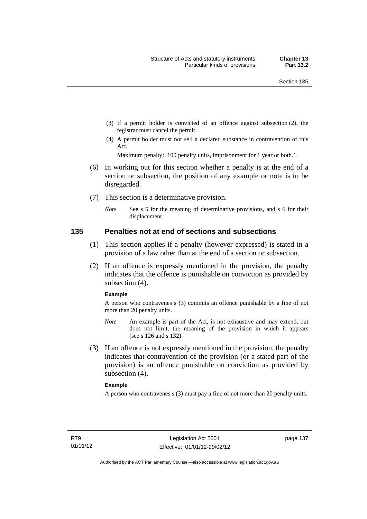- (3) If a permit holder is convicted of an offence against subsection (2), the registrar must cancel the permit.
- (4) A permit holder must not sell a declared substance in contravention of this Act.

Maximum penalty: 100 penalty units, imprisonment for 1 year or both.'.

- (6) In working out for this section whether a penalty is at the end of a section or subsection, the position of any example or note is to be disregarded.
- (7) This section is a determinative provision.
	- *Note* See s 5 for the meaning of determinative provisions, and s 6 for their displacement.

#### **135 Penalties not at end of sections and subsections**

- (1) This section applies if a penalty (however expressed) is stated in a provision of a law other than at the end of a section or subsection.
- (2) If an offence is expressly mentioned in the provision, the penalty indicates that the offence is punishable on conviction as provided by subsection (4).

#### **Example**

A person who contravenes s (3) commits an offence punishable by a fine of not more than 20 penalty units.

- *Note* An example is part of the Act, is not exhaustive and may extend, but does not limit, the meaning of the provision in which it appears (see s 126 and s 132).
- (3) If an offence is not expressly mentioned in the provision, the penalty indicates that contravention of the provision (or a stated part of the provision) is an offence punishable on conviction as provided by subsection (4).

#### **Example**

A person who contravenes s (3) must pay a fine of not more than 20 penalty units.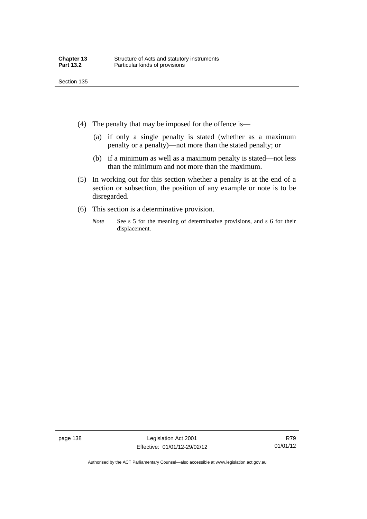- (4) The penalty that may be imposed for the offence is—
	- (a) if only a single penalty is stated (whether as a maximum penalty or a penalty)—not more than the stated penalty; or
	- (b) if a minimum as well as a maximum penalty is stated—not less than the minimum and not more than the maximum.
- (5) In working out for this section whether a penalty is at the end of a section or subsection, the position of any example or note is to be disregarded.
- (6) This section is a determinative provision.
	- *Note* See s 5 for the meaning of determinative provisions, and s 6 for their displacement.

Authorised by the ACT Parliamentary Counsel—also accessible at www.legislation.act.gov.au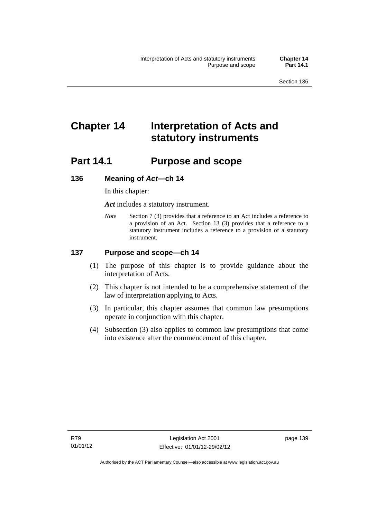# **Chapter 14 Interpretation of Acts and statutory instruments**

# **Part 14.1 Purpose and scope**

### **136 Meaning of** *Act***—ch 14**

In this chapter:

*Act* includes a statutory instrument.

*Note* Section 7 (3) provides that a reference to an Act includes a reference to a provision of an Act. Section 13 (3) provides that a reference to a statutory instrument includes a reference to a provision of a statutory instrument.

### **137 Purpose and scope—ch 14**

- (1) The purpose of this chapter is to provide guidance about the interpretation of Acts.
- (2) This chapter is not intended to be a comprehensive statement of the law of interpretation applying to Acts.
- (3) In particular, this chapter assumes that common law presumptions operate in conjunction with this chapter.
- (4) Subsection (3) also applies to common law presumptions that come into existence after the commencement of this chapter.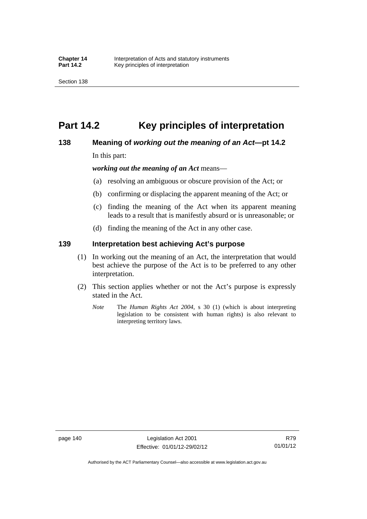# **Part 14.2 Key principles of interpretation**

### **138 Meaning of** *working out the meaning of an Act***—pt 14.2**

In this part:

*working out the meaning of an Act* means—

- (a) resolving an ambiguous or obscure provision of the Act; or
- (b) confirming or displacing the apparent meaning of the Act; or
- (c) finding the meaning of the Act when its apparent meaning leads to a result that is manifestly absurd or is unreasonable; or
- (d) finding the meaning of the Act in any other case.

### **139 Interpretation best achieving Act's purpose**

- (1) In working out the meaning of an Act, the interpretation that would best achieve the purpose of the Act is to be preferred to any other interpretation.
- (2) This section applies whether or not the Act's purpose is expressly stated in the Act.
	- *Note* The *Human Rights Act 2004*, s 30 (1) (which is about interpreting legislation to be consistent with human rights) is also relevant to interpreting territory laws.

R79 01/01/12

Authorised by the ACT Parliamentary Counsel—also accessible at www.legislation.act.gov.au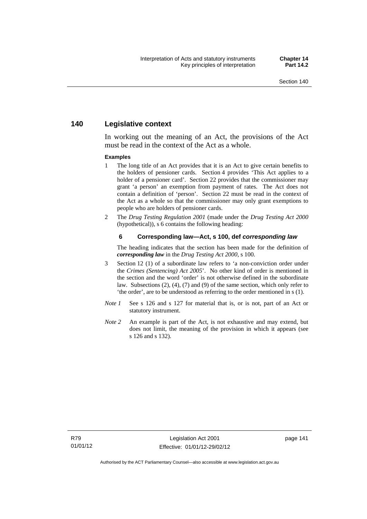# **140 Legislative context**

In working out the meaning of an Act, the provisions of the Act must be read in the context of the Act as a whole.

#### **Examples**

- 1 The long title of an Act provides that it is an Act to give certain benefits to the holders of pensioner cards. Section 4 provides 'This Act applies to a holder of a pensioner card'. Section 22 provides that the commissioner may grant 'a person' an exemption from payment of rates. The Act does not contain a definition of 'person'. Section 22 must be read in the context of the Act as a whole so that the commissioner may only grant exemptions to people who are holders of pensioner cards.
- 2 The *Drug Testing Regulation 2001* (made under the *Drug Testing Act 2000* (hypothetical)), s 6 contains the following heading:

#### **6 Corresponding law—Act, s 100, def** *corresponding law*

The heading indicates that the section has been made for the definition of *corresponding law* in the *Drug Testing Act 2000*, s 100.

- 3 Section 12 (1) of a subordinate law refers to 'a non-conviction order under the *Crimes (Sentencing) Act 2005*'. No other kind of order is mentioned in the section and the word 'order' is not otherwise defined in the subordinate law. Subsections (2), (4), (7) and (9) of the same section, which only refer to 'the order', are to be understood as referring to the order mentioned in s (1).
- *Note 1* See s 126 and s 127 for material that is, or is not, part of an Act or statutory instrument.
- *Note* 2 An example is part of the Act, is not exhaustive and may extend, but does not limit, the meaning of the provision in which it appears (see s 126 and s 132).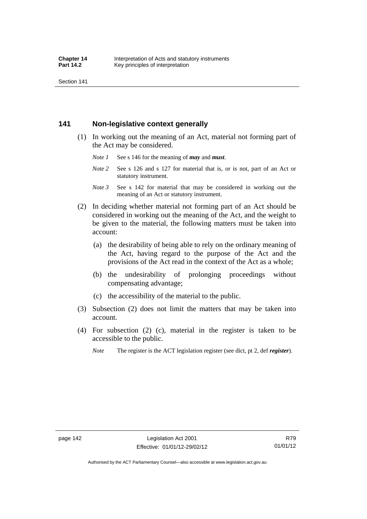Section 141

# **141 Non-legislative context generally**

- (1) In working out the meaning of an Act, material not forming part of the Act may be considered.
	- *Note 1* See s 146 for the meaning of *may* and *must*.
	- *Note* 2 See s 126 and s 127 for material that is, or is not, part of an Act or statutory instrument.
	- *Note 3* See s 142 for material that may be considered in working out the meaning of an Act or statutory instrument.
- (2) In deciding whether material not forming part of an Act should be considered in working out the meaning of the Act, and the weight to be given to the material, the following matters must be taken into account:
	- (a) the desirability of being able to rely on the ordinary meaning of the Act, having regard to the purpose of the Act and the provisions of the Act read in the context of the Act as a whole;
	- (b) the undesirability of prolonging proceedings without compensating advantage;
	- (c) the accessibility of the material to the public.
- (3) Subsection (2) does not limit the matters that may be taken into account.
- (4) For subsection (2) (c), material in the register is taken to be accessible to the public.
	- *Note* The register is the ACT legislation register (see dict, pt 2, def *register*).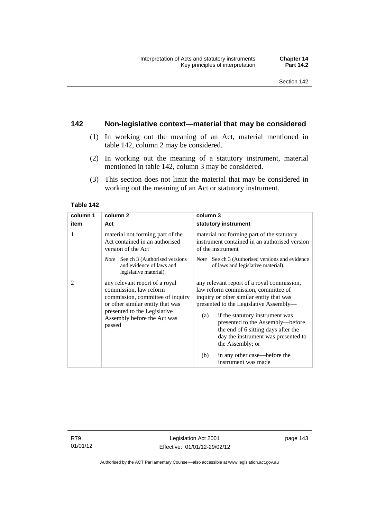# **142 Non-legislative context—material that may be considered**

- (1) In working out the meaning of an Act, material mentioned in table 142, column 2 may be considered.
- (2) In working out the meaning of a statutory instrument, material mentioned in table 142, column 3 may be considered.
- (3) This section does not limit the material that may be considered in working out the meaning of an Act or statutory instrument.

#### **Table 142**

| column 1       | column <sub>2</sub>                                                                                                                                                                                       | column 3                                                                                                                                                                                                                                                                                                                                                                                                              |
|----------------|-----------------------------------------------------------------------------------------------------------------------------------------------------------------------------------------------------------|-----------------------------------------------------------------------------------------------------------------------------------------------------------------------------------------------------------------------------------------------------------------------------------------------------------------------------------------------------------------------------------------------------------------------|
| item           | Act                                                                                                                                                                                                       | statutory instrument                                                                                                                                                                                                                                                                                                                                                                                                  |
| 1              | material not forming part of the<br>Act contained in an authorised<br>version of the Act                                                                                                                  | material not forming part of the statutory<br>instrument contained in an authorised version<br>of the instrument                                                                                                                                                                                                                                                                                                      |
|                | <i>Note</i> See ch 3 (Authorised versions<br>and evidence of laws and<br>legislative material).                                                                                                           | <i>Note</i> See ch 3 (Authorised versions and evidence<br>of laws and legislative material).                                                                                                                                                                                                                                                                                                                          |
| $\overline{2}$ | any relevant report of a royal<br>commission, law reform<br>commission, committee of inquiry<br>or other similar entity that was<br>presented to the Legislative<br>Assembly before the Act was<br>passed | any relevant report of a royal commission,<br>law reform commission, committee of<br>inquiry or other similar entity that was<br>presented to the Legislative Assembly—<br>if the statutory instrument was<br>(a)<br>presented to the Assembly—before<br>the end of 6 sitting days after the<br>day the instrument was presented to<br>the Assembly; or<br>in any other case—before the<br>(b)<br>instrument was made |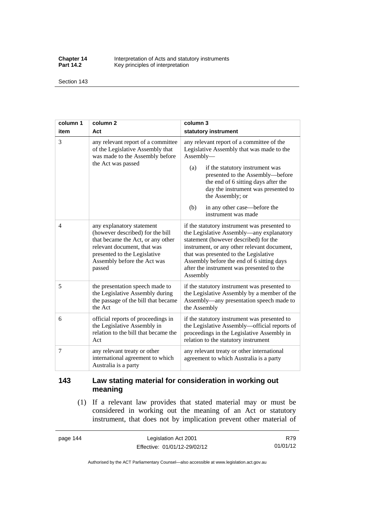**Chapter 14** Interpretation of Acts and statutory instruments<br>**Part 14.2** Key principles of interpretation Key principles of interpretation

Section 143

| column 1       | column <sub>2</sub>                                                                                                                                                                                        | column 3                                                                                                                                                                                                                                                                                                                                          |
|----------------|------------------------------------------------------------------------------------------------------------------------------------------------------------------------------------------------------------|---------------------------------------------------------------------------------------------------------------------------------------------------------------------------------------------------------------------------------------------------------------------------------------------------------------------------------------------------|
| item           | Act                                                                                                                                                                                                        | statutory instrument                                                                                                                                                                                                                                                                                                                              |
| $\overline{3}$ | any relevant report of a committee<br>of the Legislative Assembly that<br>was made to the Assembly before<br>the Act was passed                                                                            | any relevant report of a committee of the<br>Legislative Assembly that was made to the<br>Assembly-<br>if the statutory instrument was<br>(a)<br>presented to the Assembly-before<br>the end of 6 sitting days after the<br>day the instrument was presented to<br>the Assembly; or<br>in any other case—before the<br>(b)<br>instrument was made |
| 4              | any explanatory statement<br>(however described) for the bill<br>that became the Act, or any other<br>relevant document, that was<br>presented to the Legislative<br>Assembly before the Act was<br>passed | if the statutory instrument was presented to<br>the Legislative Assembly—any explanatory<br>statement (however described) for the<br>instrument, or any other relevant document,<br>that was presented to the Legislative<br>Assembly before the end of 6 sitting days<br>after the instrument was presented to the<br>Assembly                   |
| 5              | the presentation speech made to<br>the Legislative Assembly during<br>the passage of the bill that became<br>the Act                                                                                       | if the statutory instrument was presented to<br>the Legislative Assembly by a member of the<br>Assembly—any presentation speech made to<br>the Assembly                                                                                                                                                                                           |
| 6              | official reports of proceedings in<br>the Legislative Assembly in<br>relation to the bill that became the<br>Act                                                                                           | if the statutory instrument was presented to<br>the Legislative Assembly-official reports of<br>proceedings in the Legislative Assembly in<br>relation to the statutory instrument                                                                                                                                                                |
| 7              | any relevant treaty or other<br>international agreement to which<br>Australia is a party                                                                                                                   | any relevant treaty or other international<br>agreement to which Australia is a party                                                                                                                                                                                                                                                             |

# **143 Law stating material for consideration in working out meaning**

 (1) If a relevant law provides that stated material may or must be considered in working out the meaning of an Act or statutory instrument, that does not by implication prevent other material of

page 144 Legislation Act 2001 Effective: 01/01/12-29/02/12

R79 01/01/12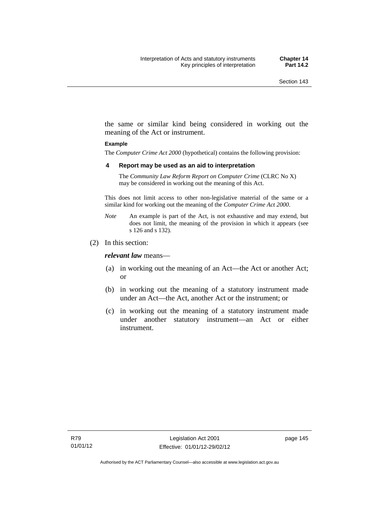the same or similar kind being considered in working out the meaning of the Act or instrument.

#### **Example**

The *Computer Crime Act 2000* (hypothetical) contains the following provision:

#### **4 Report may be used as an aid to interpretation**

The *Community Law Reform Report on Computer Crime* (CLRC No X) may be considered in working out the meaning of this Act.

This does not limit access to other non-legislative material of the same or a similar kind for working out the meaning of the *Computer Crime Act 2000*.

- *Note* An example is part of the Act, is not exhaustive and may extend, but does not limit, the meaning of the provision in which it appears (see s 126 and s 132).
- (2) In this section:

*relevant law* means—

- (a) in working out the meaning of an Act—the Act or another Act; or
- (b) in working out the meaning of a statutory instrument made under an Act—the Act, another Act or the instrument; or
- (c) in working out the meaning of a statutory instrument made under another statutory instrument—an Act or either instrument.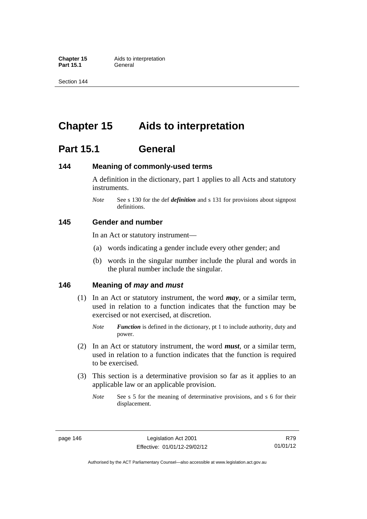**Part 15.1** 

Section 144

# **Chapter 15 Aids to interpretation**

# **Part 15.1 General**

# **144 Meaning of commonly-used terms**

A definition in the dictionary, part 1 applies to all Acts and statutory instruments.

*Note* See s 130 for the def *definition* and s 131 for provisions about signpost definitions.

# **145 Gender and number**

In an Act or statutory instrument—

- (a) words indicating a gender include every other gender; and
- (b) words in the singular number include the plural and words in the plural number include the singular.

# **146 Meaning of** *may* **and** *must*

- (1) In an Act or statutory instrument, the word *may*, or a similar term, used in relation to a function indicates that the function may be exercised or not exercised, at discretion.
	- *Note Function* is defined in the dictionary, pt 1 to include authority, duty and power.
- (2) In an Act or statutory instrument, the word *must*, or a similar term, used in relation to a function indicates that the function is required to be exercised.
- (3) This section is a determinative provision so far as it applies to an applicable law or an applicable provision.
	- *Note* See s 5 for the meaning of determinative provisions, and s 6 for their displacement.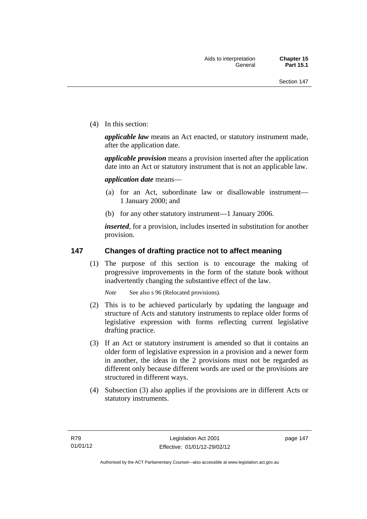(4) In this section:

*applicable law* means an Act enacted, or statutory instrument made, after the application date.

*applicable provision* means a provision inserted after the application date into an Act or statutory instrument that is not an applicable law.

*application date* means—

- (a) for an Act, subordinate law or disallowable instrument— 1 January 2000; and
- (b) for any other statutory instrument—1 January 2006.

*inserted*, for a provision, includes inserted in substitution for another provision.

# **147 Changes of drafting practice not to affect meaning**

(1) The purpose of this section is to encourage the making of progressive improvements in the form of the statute book without inadvertently changing the substantive effect of the law.

*Note* See also s 96 (Relocated provisions).

- (2) This is to be achieved particularly by updating the language and structure of Acts and statutory instruments to replace older forms of legislative expression with forms reflecting current legislative drafting practice.
- (3) If an Act or statutory instrument is amended so that it contains an older form of legislative expression in a provision and a newer form in another, the ideas in the 2 provisions must not be regarded as different only because different words are used or the provisions are structured in different ways.
- (4) Subsection (3) also applies if the provisions are in different Acts or statutory instruments.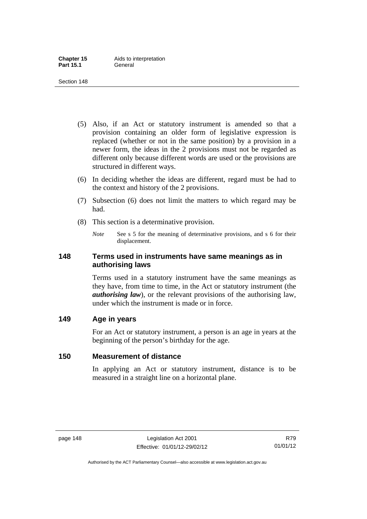- (5) Also, if an Act or statutory instrument is amended so that a provision containing an older form of legislative expression is replaced (whether or not in the same position) by a provision in a newer form, the ideas in the 2 provisions must not be regarded as different only because different words are used or the provisions are structured in different ways.
- (6) In deciding whether the ideas are different, regard must be had to the context and history of the 2 provisions.
- (7) Subsection (6) does not limit the matters to which regard may be had.
- (8) This section is a determinative provision.
	- *Note* See s 5 for the meaning of determinative provisions, and s 6 for their displacement.

# **148 Terms used in instruments have same meanings as in authorising laws**

Terms used in a statutory instrument have the same meanings as they have, from time to time, in the Act or statutory instrument (the *authorising law*), or the relevant provisions of the authorising law, under which the instrument is made or in force.

# **149 Age in years**

For an Act or statutory instrument, a person is an age in years at the beginning of the person's birthday for the age.

# **150 Measurement of distance**

In applying an Act or statutory instrument, distance is to be measured in a straight line on a horizontal plane.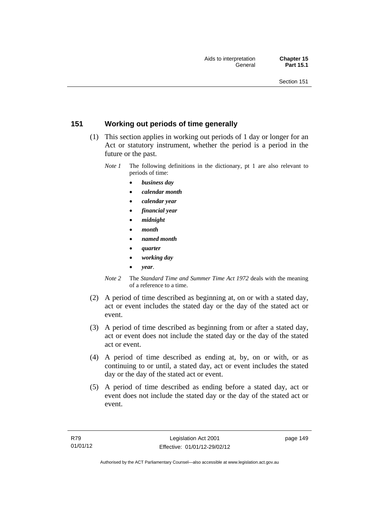# **151 Working out periods of time generally**

- (1) This section applies in working out periods of 1 day or longer for an Act or statutory instrument, whether the period is a period in the future or the past.
	- *Note 1* The following definitions in the dictionary, pt 1 are also relevant to periods of time:
		- *business day*
		- *calendar month*
		- *calendar year*
		- *financial year*
		- *midnight*
		- *month*
		- *named month*
		- *quarter*
		- *working day*
		- *year*.
	- *Note 2* The *Standard Time and Summer Time Act 1972* deals with the meaning of a reference to a time.
- (2) A period of time described as beginning at, on or with a stated day, act or event includes the stated day or the day of the stated act or event.
- (3) A period of time described as beginning from or after a stated day, act or event does not include the stated day or the day of the stated act or event.
- (4) A period of time described as ending at, by, on or with, or as continuing to or until, a stated day, act or event includes the stated day or the day of the stated act or event.
- (5) A period of time described as ending before a stated day, act or event does not include the stated day or the day of the stated act or event.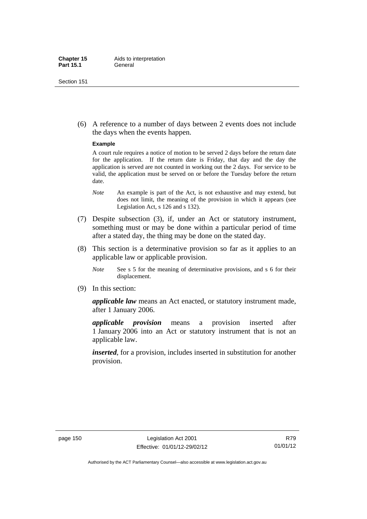(6) A reference to a number of days between 2 events does not include the days when the events happen.

#### **Example**

A court rule requires a notice of motion to be served 2 days before the return date for the application. If the return date is Friday, that day and the day the application is served are not counted in working out the 2 days. For service to be valid, the application must be served on or before the Tuesday before the return date.

- *Note* An example is part of the Act, is not exhaustive and may extend, but does not limit, the meaning of the provision in which it appears (see Legislation Act, s 126 and s 132).
- (7) Despite subsection (3), if, under an Act or statutory instrument, something must or may be done within a particular period of time after a stated day, the thing may be done on the stated day.
- (8) This section is a determinative provision so far as it applies to an applicable law or applicable provision.
	- *Note* See s 5 for the meaning of determinative provisions, and s 6 for their displacement.
- (9) In this section:

*applicable law* means an Act enacted, or statutory instrument made, after 1 January 2006.

*applicable provision* means a provision inserted after 1 January 2006 into an Act or statutory instrument that is not an applicable law.

*inserted*, for a provision, includes inserted in substitution for another provision.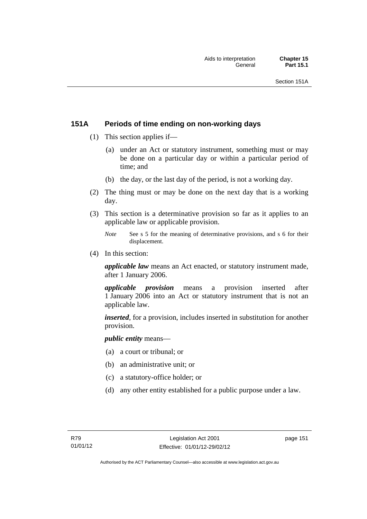# **151A Periods of time ending on non-working days**

- (1) This section applies if—
	- (a) under an Act or statutory instrument, something must or may be done on a particular day or within a particular period of time; and
	- (b) the day, or the last day of the period, is not a working day.
- (2) The thing must or may be done on the next day that is a working day.
- (3) This section is a determinative provision so far as it applies to an applicable law or applicable provision.
	- *Note* See s 5 for the meaning of determinative provisions, and s 6 for their displacement.
- (4) In this section:

*applicable law* means an Act enacted, or statutory instrument made, after 1 January 2006.

*applicable provision* means a provision inserted after 1 January 2006 into an Act or statutory instrument that is not an applicable law.

*inserted*, for a provision, includes inserted in substitution for another provision.

*public entity* means—

- (a) a court or tribunal; or
- (b) an administrative unit; or
- (c) a statutory-office holder; or
- (d) any other entity established for a public purpose under a law.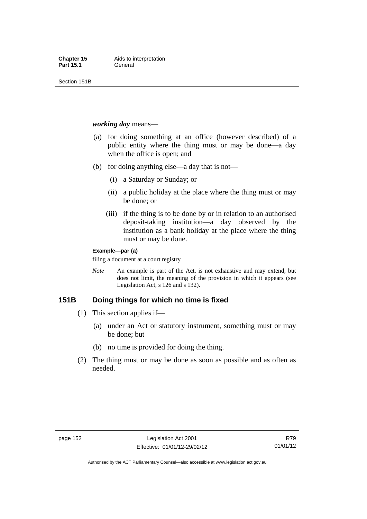Section 151B

*working day* means—

- (a) for doing something at an office (however described) of a public entity where the thing must or may be done—a day when the office is open; and
- (b) for doing anything else—a day that is not—
	- (i) a Saturday or Sunday; or
	- (ii) a public holiday at the place where the thing must or may be done; or
	- (iii) if the thing is to be done by or in relation to an authorised deposit-taking institution—a day observed by the institution as a bank holiday at the place where the thing must or may be done.

#### **Example—par (a)**

filing a document at a court registry

*Note* An example is part of the Act, is not exhaustive and may extend, but does not limit, the meaning of the provision in which it appears (see Legislation Act, s 126 and s 132).

# **151B Doing things for which no time is fixed**

- (1) This section applies if—
	- (a) under an Act or statutory instrument, something must or may be done; but
	- (b) no time is provided for doing the thing.
- (2) The thing must or may be done as soon as possible and as often as needed.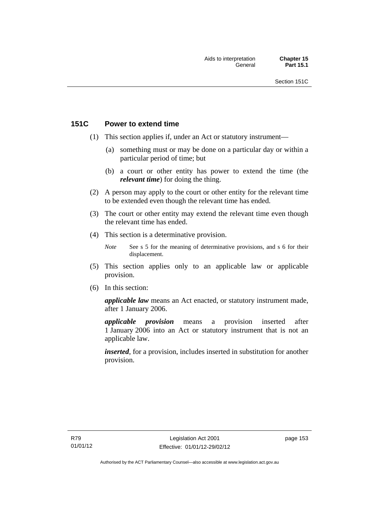# **151C Power to extend time**

- (1) This section applies if, under an Act or statutory instrument—
	- (a) something must or may be done on a particular day or within a particular period of time; but
	- (b) a court or other entity has power to extend the time (the *relevant time*) for doing the thing.
- (2) A person may apply to the court or other entity for the relevant time to be extended even though the relevant time has ended.
- (3) The court or other entity may extend the relevant time even though the relevant time has ended.
- (4) This section is a determinative provision.
	- *Note* See s 5 for the meaning of determinative provisions, and s 6 for their displacement.
- (5) This section applies only to an applicable law or applicable provision.
- (6) In this section:

*applicable law* means an Act enacted, or statutory instrument made, after 1 January 2006.

*applicable provision* means a provision inserted after 1 January 2006 into an Act or statutory instrument that is not an applicable law.

*inserted*, for a provision, includes inserted in substitution for another provision.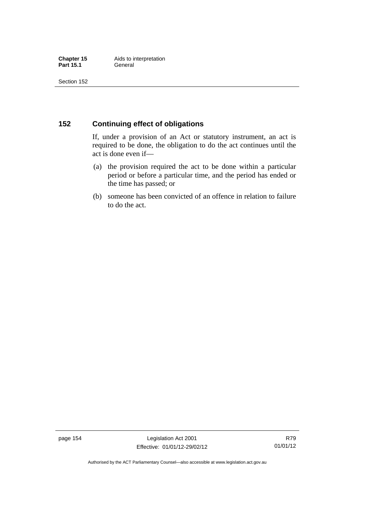# **152 Continuing effect of obligations**

If, under a provision of an Act or statutory instrument, an act is required to be done, the obligation to do the act continues until the act is done even if—

- (a) the provision required the act to be done within a particular period or before a particular time, and the period has ended or the time has passed; or
- (b) someone has been convicted of an offence in relation to failure to do the act.

page 154 Legislation Act 2001 Effective: 01/01/12-29/02/12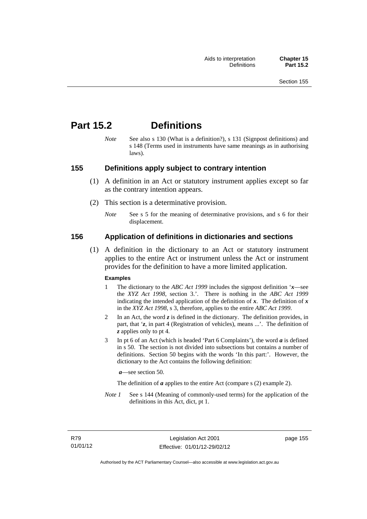# **Part 15.2 Definitions**

*Note* See also s 130 (What is a definition?), s 131 (Signpost definitions) and s 148 (Terms used in instruments have same meanings as in authorising laws).

# **155 Definitions apply subject to contrary intention**

- (1) A definition in an Act or statutory instrument applies except so far as the contrary intention appears.
- (2) This section is a determinative provision.
	- *Note* See s 5 for the meaning of determinative provisions, and s 6 for their displacement.

# **156 Application of definitions in dictionaries and sections**

 (1) A definition in the dictionary to an Act or statutory instrument applies to the entire Act or instrument unless the Act or instrument provides for the definition to have a more limited application.

#### **Examples**

- 1 The dictionary to the *ABC Act 1999* includes the signpost definition '*x*—see the *XYZ Act 1998*, section 3.'. There is nothing in the *ABC Act 1999* indicating the intended application of the definition of  $x$ . The definition of  $x$ in the *XYZ Act 1998*, s 3, therefore, applies to the entire *ABC Act 1999*.
- 2 In an Act, the word *z* is defined in the dictionary. The definition provides, in part, that '*z*, in part 4 (Registration of vehicles), means ...'. The definition of *z* applies only to pt 4.
- 3 In pt 6 of an Act (which is headed 'Part 6 Complaints'), the word *a* is defined in s 50. The section is not divided into subsections but contains a number of definitions. Section 50 begins with the words 'In this part:'. However, the dictionary to the Act contains the following definition:

*a*—see section 50.

The definition of *a* applies to the entire Act (compare s (2) example 2).

*Note 1* See s 144 (Meaning of commonly-used terms) for the application of the definitions in this Act, dict, pt 1.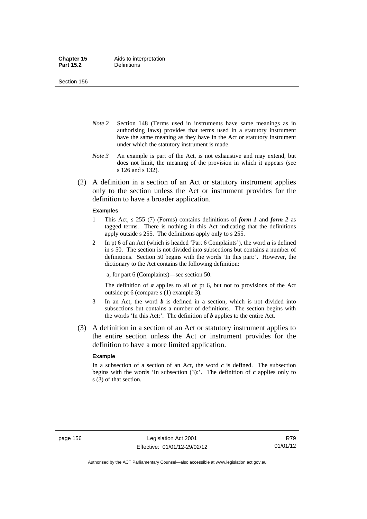Section 156

- *Note 2* Section 148 (Terms used in instruments have same meanings as in authorising laws) provides that terms used in a statutory instrument have the same meaning as they have in the Act or statutory instrument under which the statutory instrument is made.
- *Note 3* An example is part of the Act, is not exhaustive and may extend, but does not limit, the meaning of the provision in which it appears (see s 126 and s 132).
- (2) A definition in a section of an Act or statutory instrument applies only to the section unless the Act or instrument provides for the definition to have a broader application.

#### **Examples**

- 1 This Act, s 255 (7) (Forms) contains definitions of *form 1* and *form 2* as tagged terms. There is nothing in this Act indicating that the definitions apply outside s 255. The definitions apply only to s 255.
- 2 In pt 6 of an Act (which is headed 'Part 6 Complaints'), the word *a* is defined in s 50. The section is not divided into subsections but contains a number of definitions. Section 50 begins with the words 'In this part:'. However, the dictionary to the Act contains the following definition:

a, for part 6 (Complaints)—see section 50.

The definition of *a* applies to all of pt 6, but not to provisions of the Act outside pt 6 (compare s (1) example 3).

- 3 In an Act, the word *b* is defined in a section, which is not divided into subsections but contains a number of definitions. The section begins with the words 'In this Act:'. The definition of *b* applies to the entire Act.
- (3) A definition in a section of an Act or statutory instrument applies to the entire section unless the Act or instrument provides for the definition to have a more limited application.

#### **Example**

In a subsection of a section of an Act, the word *c* is defined. The subsection begins with the words 'In subsection  $(3)$ :'. The definition of  $c$  applies only to s (3) of that section.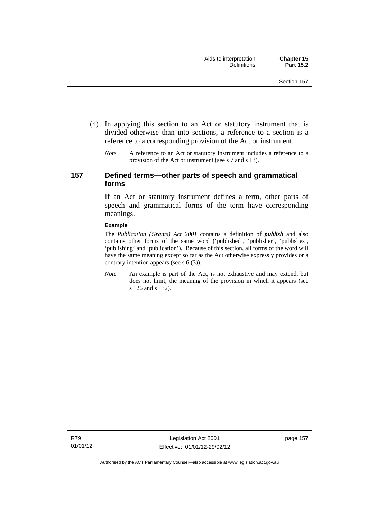- (4) In applying this section to an Act or statutory instrument that is divided otherwise than into sections, a reference to a section is a reference to a corresponding provision of the Act or instrument.
	- *Note* A reference to an Act or statutory instrument includes a reference to a provision of the Act or instrument (see s 7 and s 13).

# **157 Defined terms—other parts of speech and grammatical forms**

If an Act or statutory instrument defines a term, other parts of speech and grammatical forms of the term have corresponding meanings.

#### **Example**

The *Publication (Grants) Act 2001* contains a definition of *publish* and also contains other forms of the same word ('published', 'publisher', 'publishes', 'publishing' and 'publication'). Because of this section, all forms of the word will have the same meaning except so far as the Act otherwise expressly provides or a contrary intention appears (see s 6 (3)).

*Note* An example is part of the Act, is not exhaustive and may extend, but does not limit, the meaning of the provision in which it appears (see s 126 and s 132).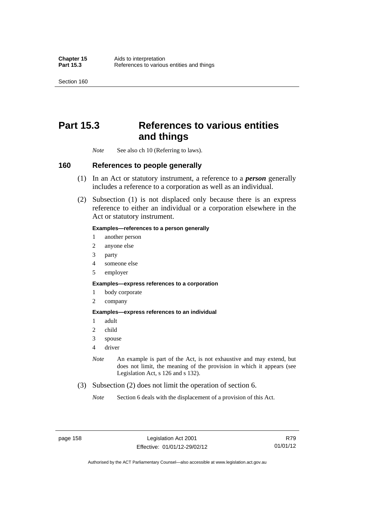Section 160

# **Part 15.3 References to various entities and things**

*Note* See also ch 10 (Referring to laws).

### **160 References to people generally**

- (1) In an Act or statutory instrument, a reference to a *person* generally includes a reference to a corporation as well as an individual.
- (2) Subsection (1) is not displaced only because there is an express reference to either an individual or a corporation elsewhere in the Act or statutory instrument.

#### **Examples—references to a person generally**

- 1 another person
- 2 anyone else
- 3 party
- 4 someone else
- 5 employer

#### **Examples—express references to a corporation**

- 1 body corporate
- 2 company

#### **Examples—express references to an individual**

- 1 adult
- 2 child
- 3 spouse
- 4 driver
- *Note* An example is part of the Act, is not exhaustive and may extend, but does not limit, the meaning of the provision in which it appears (see Legislation Act, s 126 and s 132).
- (3) Subsection (2) does not limit the operation of section 6.
	- *Note* Section 6 deals with the displacement of a provision of this Act.

page 158 Legislation Act 2001 Effective: 01/01/12-29/02/12

R79 01/01/12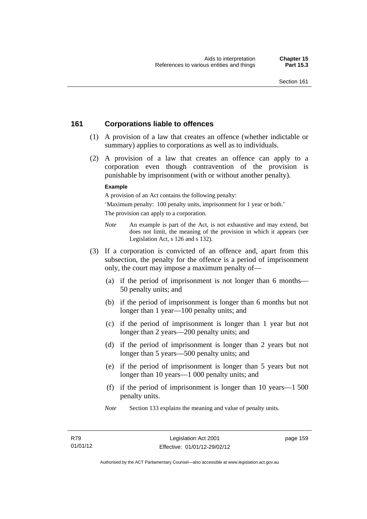# **161 Corporations liable to offences**

- (1) A provision of a law that creates an offence (whether indictable or summary) applies to corporations as well as to individuals.
- (2) A provision of a law that creates an offence can apply to a corporation even though contravention of the provision is punishable by imprisonment (with or without another penalty).

#### **Example**

A provision of an Act contains the following penalty:

'Maximum penalty: 100 penalty units, imprisonment for 1 year or both.' The provision can apply to a corporation.

- *Note* An example is part of the Act, is not exhaustive and may extend, but does not limit, the meaning of the provision in which it appears (see Legislation Act, s 126 and s 132).
- (3) If a corporation is convicted of an offence and, apart from this subsection, the penalty for the offence is a period of imprisonment only, the court may impose a maximum penalty of—
	- (a) if the period of imprisonment is not longer than 6 months— 50 penalty units; and
	- (b) if the period of imprisonment is longer than 6 months but not longer than 1 year—100 penalty units; and
	- (c) if the period of imprisonment is longer than 1 year but not longer than 2 years—200 penalty units; and
	- (d) if the period of imprisonment is longer than 2 years but not longer than 5 years—500 penalty units; and
	- (e) if the period of imprisonment is longer than 5 years but not longer than 10 years—1 000 penalty units; and
	- (f) if the period of imprisonment is longer than 10 years—1 500 penalty units.
	- *Note* Section 133 explains the meaning and value of penalty units.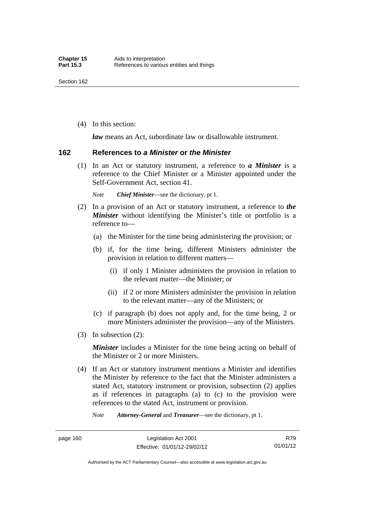(4) In this section:

*law* means an Act, subordinate law or disallowable instrument.

#### **162 References to** *a Minister* **or** *the Minister*

 (1) In an Act or statutory instrument, a reference to *a Minister* is a reference to the Chief Minister or a Minister appointed under the Self-Government Act, section 41.

*Note Chief Minister*—see the dictionary, pt 1.

- (2) In a provision of an Act or statutory instrument, a reference to *the Minister* without identifying the Minister's title or portfolio is a reference to—
	- (a) the Minister for the time being administering the provision; or
	- (b) if, for the time being, different Ministers administer the provision in relation to different matters—
		- (i) if only 1 Minister administers the provision in relation to the relevant matter—the Minister; or
		- (ii) if 2 or more Ministers administer the provision in relation to the relevant matter—any of the Ministers; or
	- (c) if paragraph (b) does not apply and, for the time being, 2 or more Ministers administer the provision—any of the Ministers.
- (3) In subsection (2):

*Minister* includes a Minister for the time being acting on behalf of the Minister or 2 or more Ministers.

 (4) If an Act or statutory instrument mentions a Minister and identifies the Minister by reference to the fact that the Minister administers a stated Act, statutory instrument or provision, subsection (2) applies as if references in paragraphs (a) to (c) to the provision were references to the stated Act, instrument or provision.

*Note Attorney-General* and *Treasurer*—see the dictionary, pt 1.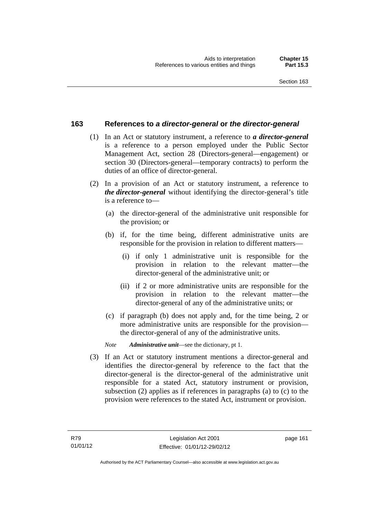### **163 References to** *a director-general* **or** *the director-general*

- (1) In an Act or statutory instrument, a reference to *a director-general* is a reference to a person employed under the Public Sector Management Act, section 28 (Directors-general—engagement) or section 30 (Directors-general—temporary contracts) to perform the duties of an office of director-general.
- (2) In a provision of an Act or statutory instrument, a reference to *the director-general* without identifying the director-general's title is a reference to—
	- (a) the director-general of the administrative unit responsible for the provision; or
	- (b) if, for the time being, different administrative units are responsible for the provision in relation to different matters—
		- (i) if only 1 administrative unit is responsible for the provision in relation to the relevant matter—the director-general of the administrative unit; or
		- (ii) if 2 or more administrative units are responsible for the provision in relation to the relevant matter—the director-general of any of the administrative units; or
	- (c) if paragraph (b) does not apply and, for the time being, 2 or more administrative units are responsible for the provision the director-general of any of the administrative units.
	- *Note Administrative unit*—see the dictionary, pt 1.
- (3) If an Act or statutory instrument mentions a director-general and identifies the director-general by reference to the fact that the director-general is the director-general of the administrative unit responsible for a stated Act, statutory instrument or provision, subsection (2) applies as if references in paragraphs (a) to (c) to the provision were references to the stated Act, instrument or provision.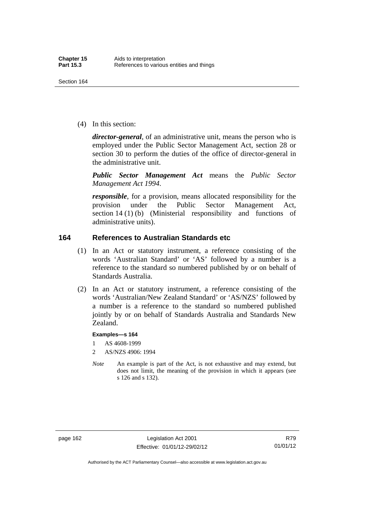(4) In this section:

*director-general*, of an administrative unit, means the person who is employed under the Public Sector Management Act, section 28 or section 30 to perform the duties of the office of director-general in the administrative unit.

*Public Sector Management Act* means the *Public Sector Management Act 1994*.

*responsible*, for a provision, means allocated responsibility for the provision under the Public Sector Management Act, section 14 (1) (b) (Ministerial responsibility and functions of administrative units).

# **164 References to Australian Standards etc**

- (1) In an Act or statutory instrument, a reference consisting of the words 'Australian Standard' or 'AS' followed by a number is a reference to the standard so numbered published by or on behalf of Standards Australia.
- (2) In an Act or statutory instrument, a reference consisting of the words 'Australian/New Zealand Standard' or 'AS/NZS' followed by a number is a reference to the standard so numbered published jointly by or on behalf of Standards Australia and Standards New Zealand.

#### **Examples—s 164**

- 1 AS 4608-1999
- 2 AS/NZS 4906: 1994
- *Note* An example is part of the Act, is not exhaustive and may extend, but does not limit, the meaning of the provision in which it appears (see s 126 and s 132).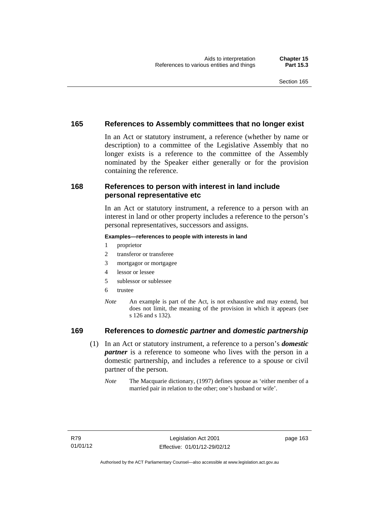# **165 References to Assembly committees that no longer exist**

In an Act or statutory instrument, a reference (whether by name or description) to a committee of the Legislative Assembly that no longer exists is a reference to the committee of the Assembly nominated by the Speaker either generally or for the provision containing the reference.

# **168 References to person with interest in land include personal representative etc**

In an Act or statutory instrument, a reference to a person with an interest in land or other property includes a reference to the person's personal representatives, successors and assigns.

#### **Examples—references to people with interests in land**

- 1 proprietor
- 2 transferor or transferee
- 3 mortgagor or mortgagee
- 4 lessor or lessee
- 5 sublessor or sublessee
- 6 trustee
- *Note* An example is part of the Act, is not exhaustive and may extend, but does not limit, the meaning of the provision in which it appears (see s 126 and s 132).

# **169 References to** *domestic partner* **and** *domestic partnership*

- (1) In an Act or statutory instrument, a reference to a person's *domestic partner* is a reference to someone who lives with the person in a domestic partnership, and includes a reference to a spouse or civil partner of the person.
	- *Note* The Macquarie dictionary, (1997) defines spouse as 'either member of a married pair in relation to the other; one's husband or wife'.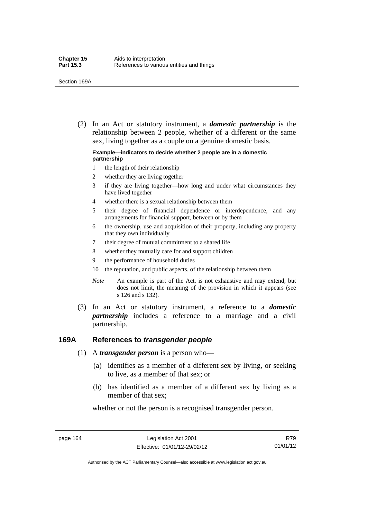(2) In an Act or statutory instrument, a *domestic partnership* is the relationship between 2 people, whether of a different or the same sex, living together as a couple on a genuine domestic basis.

#### **Example—indicators to decide whether 2 people are in a domestic partnership**

- 1 the length of their relationship
- 2 whether they are living together
- 3 if they are living together—how long and under what circumstances they have lived together
- 4 whether there is a sexual relationship between them
- 5 their degree of financial dependence or interdependence, and any arrangements for financial support, between or by them
- 6 the ownership, use and acquisition of their property, including any property that they own individually
- 7 their degree of mutual commitment to a shared life
- 8 whether they mutually care for and support children
- 9 the performance of household duties
- 10 the reputation, and public aspects, of the relationship between them
- *Note* An example is part of the Act, is not exhaustive and may extend, but does not limit, the meaning of the provision in which it appears (see s 126 and s 132).
- (3) In an Act or statutory instrument, a reference to a *domestic partnership* includes a reference to a marriage and a civil partnership.

#### **169A References to** *transgender people*

- (1) A *transgender person* is a person who—
	- (a) identifies as a member of a different sex by living, or seeking to live, as a member of that sex; or
	- (b) has identified as a member of a different sex by living as a member of that sex;

whether or not the person is a recognised transgender person.

page 164 Legislation Act 2001 Effective: 01/01/12-29/02/12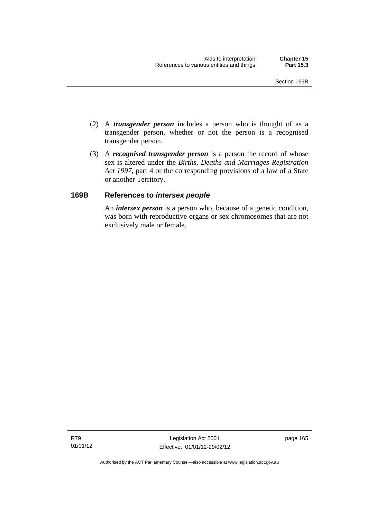- (2) A *transgender person* includes a person who is thought of as a transgender person, whether or not the person is a recognised transgender person.
- (3) A *recognised transgender person* is a person the record of whose sex is altered under the *Births, Deaths and Marriages Registration Act 1997*, part 4 or the corresponding provisions of a law of a State or another Territory.

# **169B References to** *intersex people*

An *intersex person* is a person who, because of a genetic condition, was born with reproductive organs or sex chromosomes that are not exclusively male or female.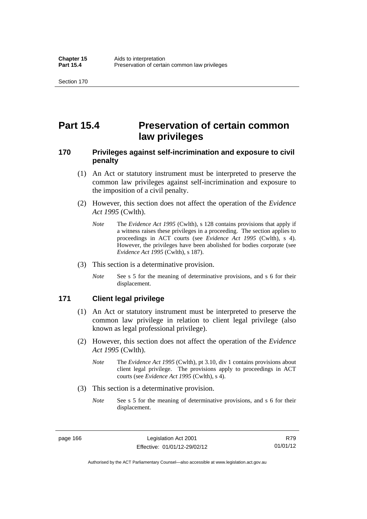# **Part 15.4 Preservation of certain common law privileges**

# **170 Privileges against self-incrimination and exposure to civil penalty**

- (1) An Act or statutory instrument must be interpreted to preserve the common law privileges against self-incrimination and exposure to the imposition of a civil penalty.
- (2) However, this section does not affect the operation of the *Evidence Act 1995* (Cwlth).
	- *Note* The *Evidence Act 1995* (Cwlth), s 128 contains provisions that apply if a witness raises these privileges in a proceeding. The section applies to proceedings in ACT courts (see *Evidence Act 1995* (Cwlth), s 4). However, the privileges have been abolished for bodies corporate (see *Evidence Act 1995* (Cwlth), s 187).
- (3) This section is a determinative provision.
	- *Note* See s 5 for the meaning of determinative provisions, and s 6 for their displacement.

# **171 Client legal privilege**

- (1) An Act or statutory instrument must be interpreted to preserve the common law privilege in relation to client legal privilege (also known as legal professional privilege).
- (2) However, this section does not affect the operation of the *Evidence Act 1995* (Cwlth).
	- *Note* The *Evidence Act 1995* (Cwlth), pt 3.10, div 1 contains provisions about client legal privilege. The provisions apply to proceedings in ACT courts (see *Evidence Act 1995* (Cwlth), s 4).
- (3) This section is a determinative provision.
	- *Note* See s 5 for the meaning of determinative provisions, and s 6 for their displacement.

page 166 Legislation Act 2001 Effective: 01/01/12-29/02/12

R79 01/01/12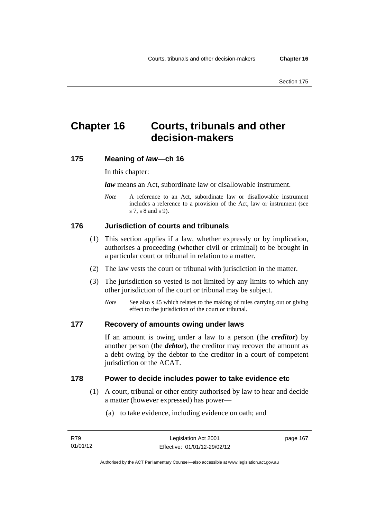# **Chapter 16 Courts, tribunals and other decision-makers**

# **175 Meaning of** *law***—ch 16**

In this chapter:

*law* means an Act, subordinate law or disallowable instrument.

*Note* A reference to an Act, subordinate law or disallowable instrument includes a reference to a provision of the Act, law or instrument (see s 7, s 8 and s 9).

# **176 Jurisdiction of courts and tribunals**

- (1) This section applies if a law, whether expressly or by implication, authorises a proceeding (whether civil or criminal) to be brought in a particular court or tribunal in relation to a matter.
- (2) The law vests the court or tribunal with jurisdiction in the matter.
- (3) The jurisdiction so vested is not limited by any limits to which any other jurisdiction of the court or tribunal may be subject.
	- *Note* See also s 45 which relates to the making of rules carrying out or giving effect to the jurisdiction of the court or tribunal.

# **177 Recovery of amounts owing under laws**

If an amount is owing under a law to a person (the *creditor*) by another person (the *debtor*), the creditor may recover the amount as a debt owing by the debtor to the creditor in a court of competent jurisdiction or the ACAT.

### **178 Power to decide includes power to take evidence etc**

- (1) A court, tribunal or other entity authorised by law to hear and decide a matter (however expressed) has power—
	- (a) to take evidence, including evidence on oath; and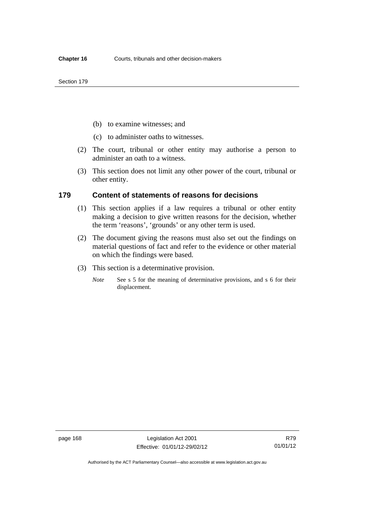- (b) to examine witnesses; and
- (c) to administer oaths to witnesses.
- (2) The court, tribunal or other entity may authorise a person to administer an oath to a witness.
- (3) This section does not limit any other power of the court, tribunal or other entity.

### **179 Content of statements of reasons for decisions**

- (1) This section applies if a law requires a tribunal or other entity making a decision to give written reasons for the decision, whether the term 'reasons', 'grounds' or any other term is used.
- (2) The document giving the reasons must also set out the findings on material questions of fact and refer to the evidence or other material on which the findings were based.
- (3) This section is a determinative provision.
	- *Note* See s 5 for the meaning of determinative provisions, and s 6 for their displacement.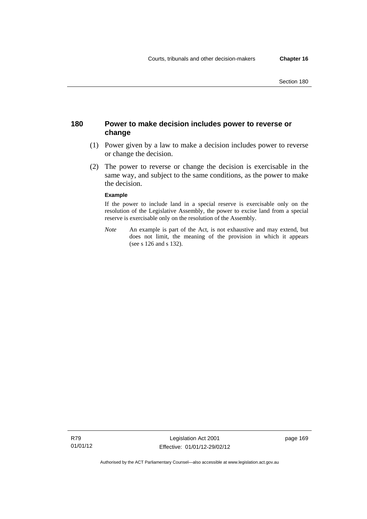# **180 Power to make decision includes power to reverse or change**

- (1) Power given by a law to make a decision includes power to reverse or change the decision.
- (2) The power to reverse or change the decision is exercisable in the same way, and subject to the same conditions, as the power to make the decision.

#### **Example**

If the power to include land in a special reserve is exercisable only on the resolution of the Legislative Assembly, the power to excise land from a special reserve is exercisable only on the resolution of the Assembly.

*Note* An example is part of the Act, is not exhaustive and may extend, but does not limit, the meaning of the provision in which it appears (see s 126 and s 132).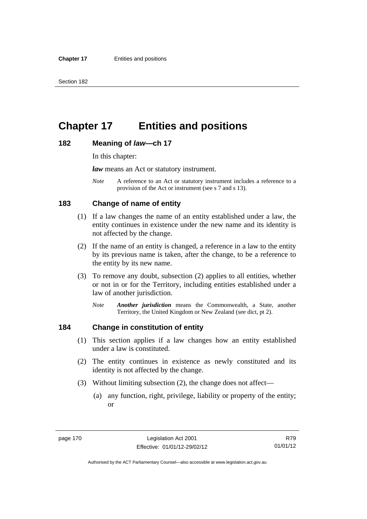# **Chapter 17 Entities and positions**

### **182 Meaning of** *law***—ch 17**

In this chapter:

*law* means an Act or statutory instrument.

*Note* A reference to an Act or statutory instrument includes a reference to a provision of the Act or instrument (see s 7 and s 13).

# **183 Change of name of entity**

- (1) If a law changes the name of an entity established under a law, the entity continues in existence under the new name and its identity is not affected by the change.
- (2) If the name of an entity is changed, a reference in a law to the entity by its previous name is taken, after the change, to be a reference to the entity by its new name.
- (3) To remove any doubt, subsection (2) applies to all entities, whether or not in or for the Territory, including entities established under a law of another jurisdiction.
	- *Note Another jurisdiction* means the Commonwealth, a State, another Territory, the United Kingdom or New Zealand (see dict, pt 2).

# **184 Change in constitution of entity**

- (1) This section applies if a law changes how an entity established under a law is constituted.
- (2) The entity continues in existence as newly constituted and its identity is not affected by the change.
- (3) Without limiting subsection (2), the change does not affect—
	- (a) any function, right, privilege, liability or property of the entity; or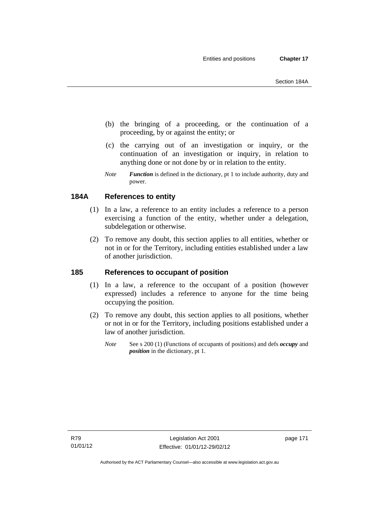- (b) the bringing of a proceeding, or the continuation of a proceeding, by or against the entity; or
- (c) the carrying out of an investigation or inquiry, or the continuation of an investigation or inquiry, in relation to anything done or not done by or in relation to the entity.
- *Note Function* is defined in the dictionary, pt 1 to include authority, duty and power.

# **184A References to entity**

- (1) In a law, a reference to an entity includes a reference to a person exercising a function of the entity, whether under a delegation, subdelegation or otherwise.
- (2) To remove any doubt, this section applies to all entities, whether or not in or for the Territory, including entities established under a law of another jurisdiction.

# **185 References to occupant of position**

- (1) In a law, a reference to the occupant of a position (however expressed) includes a reference to anyone for the time being occupying the position.
- (2) To remove any doubt, this section applies to all positions, whether or not in or for the Territory, including positions established under a law of another jurisdiction.
	- *Note* See s 200 (1) (Functions of occupants of positions) and defs *occupy* and *position* in the dictionary, pt 1.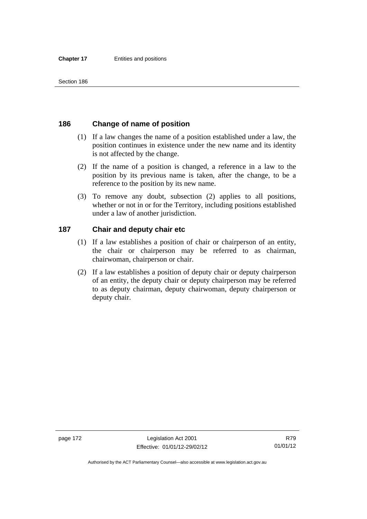# **186 Change of name of position**

- (1) If a law changes the name of a position established under a law, the position continues in existence under the new name and its identity is not affected by the change.
- (2) If the name of a position is changed, a reference in a law to the position by its previous name is taken, after the change, to be a reference to the position by its new name.
- (3) To remove any doubt, subsection (2) applies to all positions, whether or not in or for the Territory, including positions established under a law of another jurisdiction.

# **187 Chair and deputy chair etc**

- (1) If a law establishes a position of chair or chairperson of an entity, the chair or chairperson may be referred to as chairman, chairwoman, chairperson or chair.
- (2) If a law establishes a position of deputy chair or deputy chairperson of an entity, the deputy chair or deputy chairperson may be referred to as deputy chairman, deputy chairwoman, deputy chairperson or deputy chair.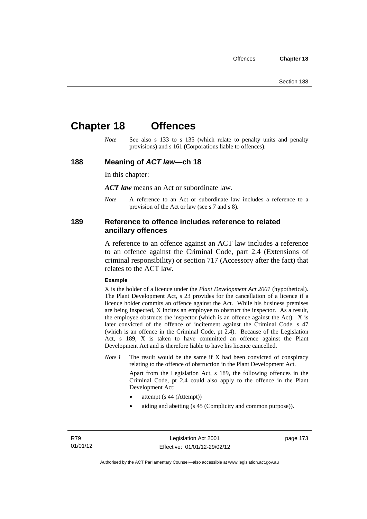# **Chapter 18 Offences**

*Note* See also s 133 to s 135 (which relate to penalty units and penalty provisions) and s 161 (Corporations liable to offences).

## **188 Meaning of** *ACT law***—ch 18**

In this chapter:

*ACT law* means an Act or subordinate law.

*Note* A reference to an Act or subordinate law includes a reference to a provision of the Act or law (see s 7 and s 8).

# **189 Reference to offence includes reference to related ancillary offences**

A reference to an offence against an ACT law includes a reference to an offence against the Criminal Code, part 2.4 (Extensions of criminal responsibility) or section 717 (Accessory after the fact) that relates to the ACT law.

#### **Example**

X is the holder of a licence under the *Plant Development Act 2001* (hypothetical). The Plant Development Act, s 23 provides for the cancellation of a licence if a licence holder commits an offence against the Act. While his business premises are being inspected, X incites an employee to obstruct the inspector. As a result, the employee obstructs the inspector (which is an offence against the Act). X is later convicted of the offence of incitement against the Criminal Code, s 47 (which is an offence in the Criminal Code, pt 2.4). Because of the Legislation Act, s 189, X is taken to have committed an offence against the Plant Development Act and is therefore liable to have his licence cancelled.

*Note 1* The result would be the same if X had been convicted of conspiracy relating to the offence of obstruction in the Plant Development Act.

> Apart from the Legislation Act, s 189, the following offences in the Criminal Code, pt 2.4 could also apply to the offence in the Plant Development Act:

- attempt (s 44 (Attempt))
- aiding and abetting (s 45 (Complicity and common purpose)).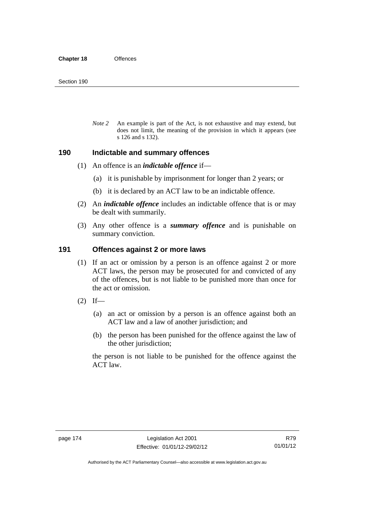*Note 2* An example is part of the Act, is not exhaustive and may extend, but does not limit, the meaning of the provision in which it appears (see s 126 and s 132).

### **190 Indictable and summary offences**

- (1) An offence is an *indictable offence* if—
	- (a) it is punishable by imprisonment for longer than 2 years; or
	- (b) it is declared by an ACT law to be an indictable offence.
- (2) An *indictable offence* includes an indictable offence that is or may be dealt with summarily.
- (3) Any other offence is a *summary offence* and is punishable on summary conviction.

# **191 Offences against 2 or more laws**

- (1) If an act or omission by a person is an offence against 2 or more ACT laws, the person may be prosecuted for and convicted of any of the offences, but is not liable to be punished more than once for the act or omission.
- $(2)$  If—
	- (a) an act or omission by a person is an offence against both an ACT law and a law of another jurisdiction; and
	- (b) the person has been punished for the offence against the law of the other jurisdiction;

the person is not liable to be punished for the offence against the ACT law.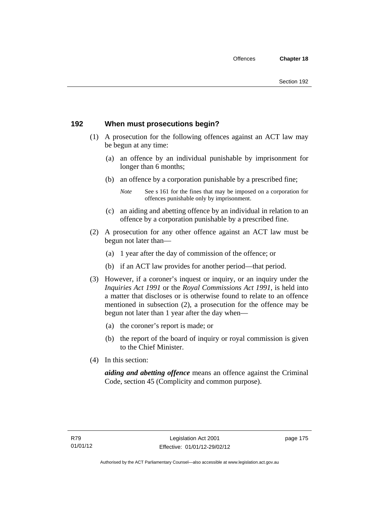# **192 When must prosecutions begin?**

- (1) A prosecution for the following offences against an ACT law may be begun at any time:
	- (a) an offence by an individual punishable by imprisonment for longer than 6 months;
	- (b) an offence by a corporation punishable by a prescribed fine;
		- *Note* See s 161 for the fines that may be imposed on a corporation for offences punishable only by imprisonment.
	- (c) an aiding and abetting offence by an individual in relation to an offence by a corporation punishable by a prescribed fine.
- (2) A prosecution for any other offence against an ACT law must be begun not later than—
	- (a) 1 year after the day of commission of the offence; or
	- (b) if an ACT law provides for another period—that period.
- (3) However, if a coroner's inquest or inquiry, or an inquiry under the *Inquiries Act 1991* or the *Royal Commissions Act 1991*, is held into a matter that discloses or is otherwise found to relate to an offence mentioned in subsection (2), a prosecution for the offence may be begun not later than 1 year after the day when—
	- (a) the coroner's report is made; or
	- (b) the report of the board of inquiry or royal commission is given to the Chief Minister.
- (4) In this section:

*aiding and abetting offence* means an offence against the Criminal Code, section 45 (Complicity and common purpose).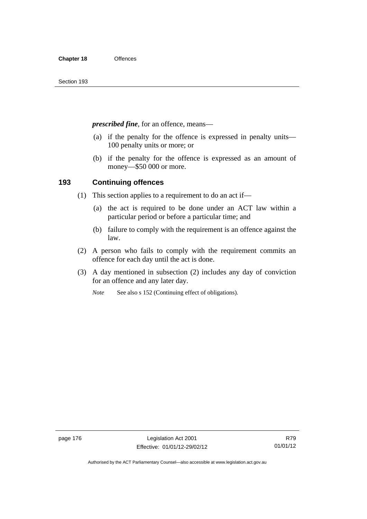*prescribed fine*, for an offence, means—

- (a) if the penalty for the offence is expressed in penalty units— 100 penalty units or more; or
- (b) if the penalty for the offence is expressed as an amount of money—\$50 000 or more.

# **193 Continuing offences**

- (1) This section applies to a requirement to do an act if—
	- (a) the act is required to be done under an ACT law within a particular period or before a particular time; and
	- (b) failure to comply with the requirement is an offence against the law.
- (2) A person who fails to comply with the requirement commits an offence for each day until the act is done.
- (3) A day mentioned in subsection (2) includes any day of conviction for an offence and any later day.

*Note* See also s 152 (Continuing effect of obligations).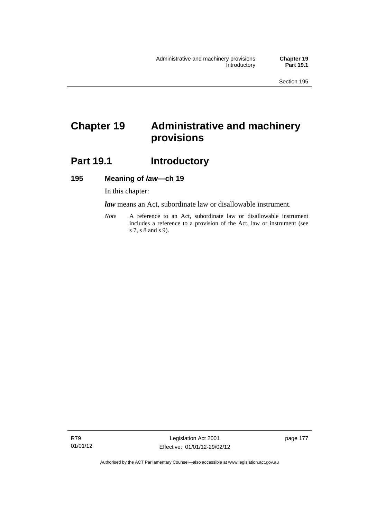# **Chapter 19 Administrative and machinery provisions**

# **Part 19.1 Introductory**

## **195 Meaning of** *law***—ch 19**

In this chapter:

*law* means an Act, subordinate law or disallowable instrument.

*Note* A reference to an Act, subordinate law or disallowable instrument includes a reference to a provision of the Act, law or instrument (see s 7, s 8 and s 9).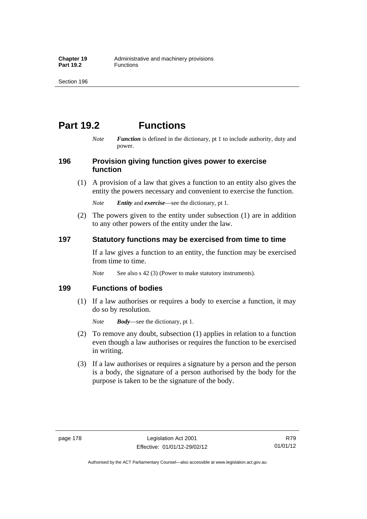# **Part 19.2 Functions**

*Note Function* is defined in the dictionary, pt 1 to include authority, duty and power.

# **196 Provision giving function gives power to exercise function**

 (1) A provision of a law that gives a function to an entity also gives the entity the powers necessary and convenient to exercise the function.

*Note Entity* and *exercise*—see the dictionary, pt 1.

 (2) The powers given to the entity under subsection (1) are in addition to any other powers of the entity under the law.

# **197 Statutory functions may be exercised from time to time**

If a law gives a function to an entity, the function may be exercised from time to time.

*Note* See also s 42 (3) (Power to make statutory instruments).

# **199 Functions of bodies**

 (1) If a law authorises or requires a body to exercise a function, it may do so by resolution.

*Note Body*—see the dictionary, pt 1.

- (2) To remove any doubt, subsection (1) applies in relation to a function even though a law authorises or requires the function to be exercised in writing.
- (3) If a law authorises or requires a signature by a person and the person is a body, the signature of a person authorised by the body for the purpose is taken to be the signature of the body.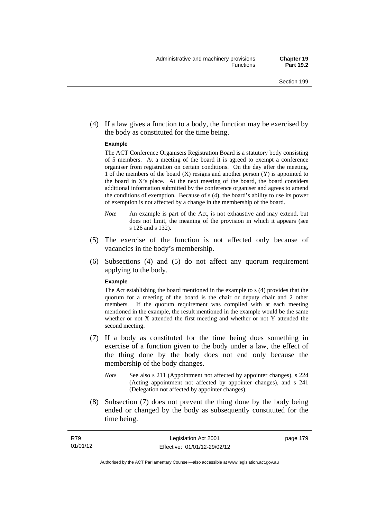(4) If a law gives a function to a body, the function may be exercised by the body as constituted for the time being.

#### **Example**

The ACT Conference Organisers Registration Board is a statutory body consisting of 5 members. At a meeting of the board it is agreed to exempt a conference organiser from registration on certain conditions. On the day after the meeting, 1 of the members of the board (X) resigns and another person (Y) is appointed to the board in  $X$ 's place. At the next meeting of the board, the board considers additional information submitted by the conference organiser and agrees to amend the conditions of exemption. Because of s (4), the board's ability to use its power of exemption is not affected by a change in the membership of the board.

- *Note* An example is part of the Act, is not exhaustive and may extend, but does not limit, the meaning of the provision in which it appears (see s 126 and s 132).
- (5) The exercise of the function is not affected only because of vacancies in the body's membership.
- (6) Subsections (4) and (5) do not affect any quorum requirement applying to the body.

#### **Example**

The Act establishing the board mentioned in the example to s (4) provides that the quorum for a meeting of the board is the chair or deputy chair and 2 other members. If the quorum requirement was complied with at each meeting mentioned in the example, the result mentioned in the example would be the same whether or not X attended the first meeting and whether or not Y attended the second meeting.

- (7) If a body as constituted for the time being does something in exercise of a function given to the body under a law, the effect of the thing done by the body does not end only because the membership of the body changes.
	- *Note* See also s 211 (Appointment not affected by appointer changes), s 224 (Acting appointment not affected by appointer changes), and s 241 (Delegation not affected by appointer changes).
- (8) Subsection (7) does not prevent the thing done by the body being ended or changed by the body as subsequently constituted for the time being.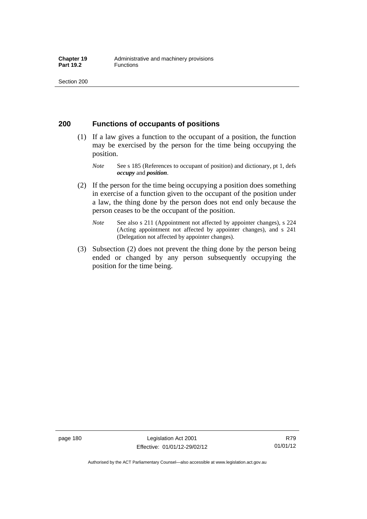# **200 Functions of occupants of positions**

- (1) If a law gives a function to the occupant of a position, the function may be exercised by the person for the time being occupying the position.
	- *Note* See s 185 (References to occupant of position) and dictionary, pt 1, defs *occupy* and *position*.
- (2) If the person for the time being occupying a position does something in exercise of a function given to the occupant of the position under a law, the thing done by the person does not end only because the person ceases to be the occupant of the position.
	- *Note* See also s 211 (Appointment not affected by appointer changes), s 224 (Acting appointment not affected by appointer changes), and s 241 (Delegation not affected by appointer changes).
- (3) Subsection (2) does not prevent the thing done by the person being ended or changed by any person subsequently occupying the position for the time being.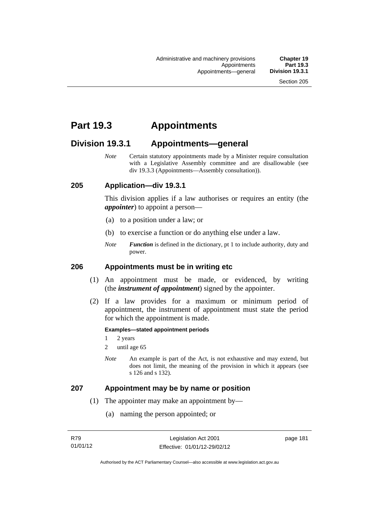# **Part 19.3 Appointments**

# **Division 19.3.1 Appointments—general**

*Note* Certain statutory appointments made by a Minister require consultation with a Legislative Assembly committee and are disallowable (see div 19.3.3 (Appointments—Assembly consultation)).

# **205 Application—div 19.3.1**

This division applies if a law authorises or requires an entity (the *appointer*) to appoint a person—

- (a) to a position under a law; or
- (b) to exercise a function or do anything else under a law.
- *Note Function* is defined in the dictionary, pt 1 to include authority, duty and power.

### **206 Appointments must be in writing etc**

- (1) An appointment must be made, or evidenced, by writing (the *instrument of appointment*) signed by the appointer.
- (2) If a law provides for a maximum or minimum period of appointment, the instrument of appointment must state the period for which the appointment is made.

#### **Examples—stated appointment periods**

- 1 2 years
- 2 until age 65
- *Note* An example is part of the Act, is not exhaustive and may extend, but does not limit, the meaning of the provision in which it appears (see s 126 and s 132).

### **207 Appointment may be by name or position**

- (1) The appointer may make an appointment by—
	- (a) naming the person appointed; or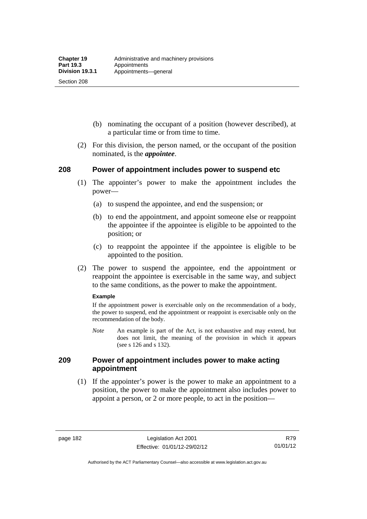Section 208

- (b) nominating the occupant of a position (however described), at a particular time or from time to time.
- (2) For this division, the person named, or the occupant of the position nominated, is the *appointee*.

# **208 Power of appointment includes power to suspend etc**

- (1) The appointer's power to make the appointment includes the power—
	- (a) to suspend the appointee, and end the suspension; or
	- (b) to end the appointment, and appoint someone else or reappoint the appointee if the appointee is eligible to be appointed to the position; or
	- (c) to reappoint the appointee if the appointee is eligible to be appointed to the position.
- (2) The power to suspend the appointee, end the appointment or reappoint the appointee is exercisable in the same way, and subject to the same conditions, as the power to make the appointment.

#### **Example**

If the appointment power is exercisable only on the recommendation of a body, the power to suspend, end the appointment or reappoint is exercisable only on the recommendation of the body.

*Note* An example is part of the Act, is not exhaustive and may extend, but does not limit, the meaning of the provision in which it appears (see s 126 and s 132).

# **209 Power of appointment includes power to make acting appointment**

 (1) If the appointer's power is the power to make an appointment to a position, the power to make the appointment also includes power to appoint a person, or 2 or more people, to act in the position—

R79 01/01/12

Authorised by the ACT Parliamentary Counsel—also accessible at www.legislation.act.gov.au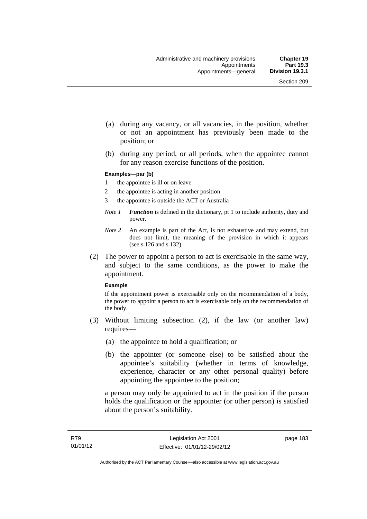- (a) during any vacancy, or all vacancies, in the position, whether or not an appointment has previously been made to the position; or
- (b) during any period, or all periods, when the appointee cannot for any reason exercise functions of the position.

#### **Examples—par (b)**

- 1 the appointee is ill or on leave
- 2 the appointee is acting in another position
- 3 the appointee is outside the ACT or Australia
- *Note 1 Function* is defined in the dictionary, pt 1 to include authority, duty and power.
- *Note 2* An example is part of the Act, is not exhaustive and may extend, but does not limit, the meaning of the provision in which it appears (see s 126 and s 132).
- (2) The power to appoint a person to act is exercisable in the same way, and subject to the same conditions, as the power to make the appointment.

#### **Example**

If the appointment power is exercisable only on the recommendation of a body, the power to appoint a person to act is exercisable only on the recommendation of the body.

- (3) Without limiting subsection (2), if the law (or another law) requires—
	- (a) the appointee to hold a qualification; or
	- (b) the appointer (or someone else) to be satisfied about the appointee's suitability (whether in terms of knowledge, experience, character or any other personal quality) before appointing the appointee to the position;

a person may only be appointed to act in the position if the person holds the qualification or the appointer (or other person) is satisfied about the person's suitability.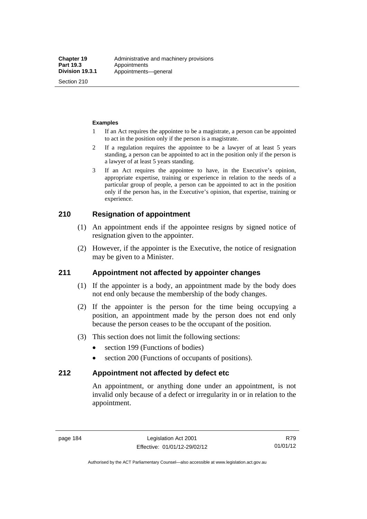Section 210

#### **Examples**

- 1 If an Act requires the appointee to be a magistrate, a person can be appointed to act in the position only if the person is a magistrate.
- 2 If a regulation requires the appointee to be a lawyer of at least 5 years standing, a person can be appointed to act in the position only if the person is a lawyer of at least 5 years standing.
- 3 If an Act requires the appointee to have, in the Executive's opinion, appropriate expertise, training or experience in relation to the needs of a particular group of people, a person can be appointed to act in the position only if the person has, in the Executive's opinion, that expertise, training or experience.

# **210 Resignation of appointment**

- (1) An appointment ends if the appointee resigns by signed notice of resignation given to the appointer.
- (2) However, if the appointer is the Executive, the notice of resignation may be given to a Minister.

# **211 Appointment not affected by appointer changes**

- (1) If the appointer is a body, an appointment made by the body does not end only because the membership of the body changes.
- (2) If the appointer is the person for the time being occupying a position, an appointment made by the person does not end only because the person ceases to be the occupant of the position.
- (3) This section does not limit the following sections:
	- section 199 (Functions of bodies)
	- section 200 (Functions of occupants of positions).

## **212 Appointment not affected by defect etc**

An appointment, or anything done under an appointment, is not invalid only because of a defect or irregularity in or in relation to the appointment.

R79 01/01/12

Authorised by the ACT Parliamentary Counsel—also accessible at www.legislation.act.gov.au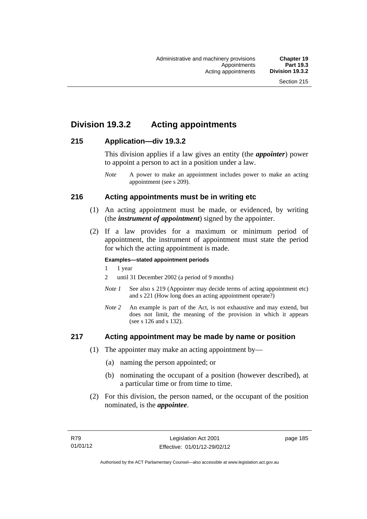# **Division 19.3.2 Acting appointments**

# **215 Application—div 19.3.2**

This division applies if a law gives an entity (the *appointer*) power to appoint a person to act in a position under a law.

# **216 Acting appointments must be in writing etc**

- (1) An acting appointment must be made, or evidenced, by writing (the *instrument of appointment*) signed by the appointer.
- (2) If a law provides for a maximum or minimum period of appointment, the instrument of appointment must state the period for which the acting appointment is made.

### **Examples—stated appointment periods**

- 1 1 year
- 2 until 31 December 2002 (a period of 9 months)
- *Note 1* See also s 219 (Appointer may decide terms of acting appointment etc) and s 221 (How long does an acting appointment operate?)
- *Note 2* An example is part of the Act, is not exhaustive and may extend, but does not limit, the meaning of the provision in which it appears (see s 126 and s 132).

# **217 Acting appointment may be made by name or position**

- (1) The appointer may make an acting appointment by—
	- (a) naming the person appointed; or
	- (b) nominating the occupant of a position (however described), at a particular time or from time to time.
- (2) For this division, the person named, or the occupant of the position nominated, is the *appointee*.

*Note* A power to make an appointment includes power to make an acting appointment (see s 209).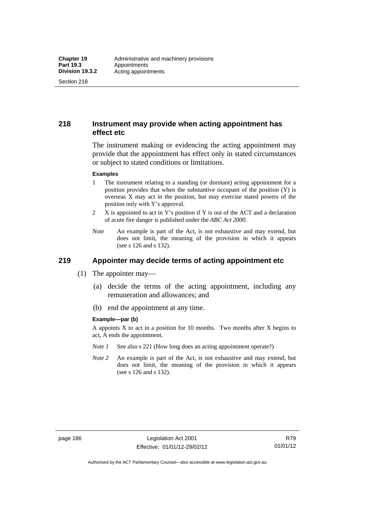Section 218

# **218 Instrument may provide when acting appointment has effect etc**

The instrument making or evidencing the acting appointment may provide that the appointment has effect only in stated circumstances or subject to stated conditions or limitations.

#### **Examples**

- 1 The instrument relating to a standing (or dormant) acting appointment for a position provides that when the substantive occupant of the position (Y) is overseas X may act in the position, but may exercise stated powers of the position only with Y's approval.
- 2 X is appointed to act in Y's position if Y is out of the ACT and a declaration of acute fire danger is published under the *ABC Act 2000*.
- *Note* An example is part of the Act, is not exhaustive and may extend, but does not limit, the meaning of the provision in which it appears (see s 126 and s 132).

# **219 Appointer may decide terms of acting appointment etc**

- (1) The appointer may—
	- (a) decide the terms of the acting appointment, including any remuneration and allowances; and
	- (b) end the appointment at any time.

#### **Example—par (b)**

A appoints X to act in a position for 10 months. Two months after X begins to act, A ends the appointment.

- *Note 1* See also s 221 (How long does an acting appointment operate?)
- *Note 2* An example is part of the Act, is not exhaustive and may extend, but does not limit, the meaning of the provision in which it appears (see s 126 and s 132).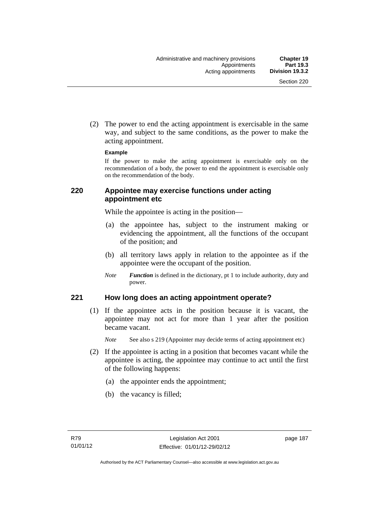(2) The power to end the acting appointment is exercisable in the same way, and subject to the same conditions, as the power to make the acting appointment.

#### **Example**

If the power to make the acting appointment is exercisable only on the recommendation of a body, the power to end the appointment is exercisable only on the recommendation of the body.

# **220 Appointee may exercise functions under acting appointment etc**

While the appointee is acting in the position—

- (a) the appointee has, subject to the instrument making or evidencing the appointment, all the functions of the occupant of the position; and
- (b) all territory laws apply in relation to the appointee as if the appointee were the occupant of the position.
- *Note Function* is defined in the dictionary, pt 1 to include authority, duty and power.

# **221 How long does an acting appointment operate?**

 (1) If the appointee acts in the position because it is vacant, the appointee may not act for more than 1 year after the position became vacant.

*Note* See also s 219 (Appointer may decide terms of acting appointment etc)

- (2) If the appointee is acting in a position that becomes vacant while the appointee is acting, the appointee may continue to act until the first of the following happens:
	- (a) the appointer ends the appointment;
	- (b) the vacancy is filled;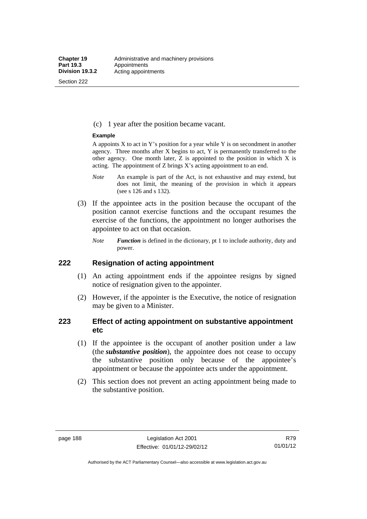Section 222

(c) 1 year after the position became vacant.

#### **Example**

A appoints  $X$  to act in Y's position for a year while Y is on secondment in another agency. Three months after X begins to act, Y is permanently transferred to the other agency. One month later,  $Z$  is appointed to the position in which  $X$  is acting. The appointment of Z brings X's acting appointment to an end.

- *Note* An example is part of the Act, is not exhaustive and may extend, but does not limit, the meaning of the provision in which it appears (see s 126 and s 132).
- (3) If the appointee acts in the position because the occupant of the position cannot exercise functions and the occupant resumes the exercise of the functions, the appointment no longer authorises the appointee to act on that occasion.
	- *Note Function* is defined in the dictionary, pt 1 to include authority, duty and power.

# **222 Resignation of acting appointment**

- (1) An acting appointment ends if the appointee resigns by signed notice of resignation given to the appointer.
- (2) However, if the appointer is the Executive, the notice of resignation may be given to a Minister.

# **223 Effect of acting appointment on substantive appointment etc**

- (1) If the appointee is the occupant of another position under a law (the *substantive position*), the appointee does not cease to occupy the substantive position only because of the appointee's appointment or because the appointee acts under the appointment.
- (2) This section does not prevent an acting appointment being made to the substantive position.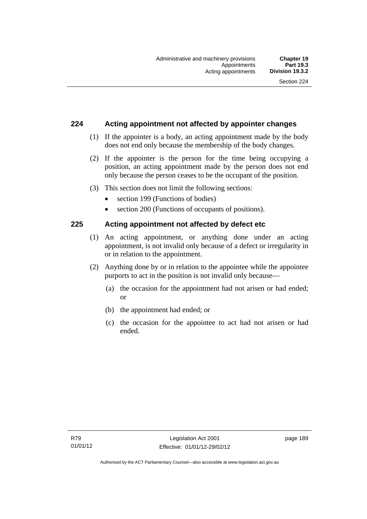# **224 Acting appointment not affected by appointer changes**

- (1) If the appointer is a body, an acting appointment made by the body does not end only because the membership of the body changes.
- (2) If the appointer is the person for the time being occupying a position, an acting appointment made by the person does not end only because the person ceases to be the occupant of the position.
- (3) This section does not limit the following sections:
	- section 199 (Functions of bodies)
	- section 200 (Functions of occupants of positions).

# **225 Acting appointment not affected by defect etc**

- (1) An acting appointment, or anything done under an acting appointment, is not invalid only because of a defect or irregularity in or in relation to the appointment.
- (2) Anything done by or in relation to the appointee while the appointee purports to act in the position is not invalid only because—
	- (a) the occasion for the appointment had not arisen or had ended; or
	- (b) the appointment had ended; or
	- (c) the occasion for the appointee to act had not arisen or had ended.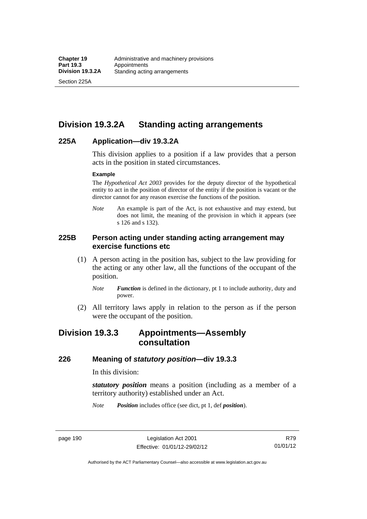Section 225A

# **Division 19.3.2A Standing acting arrangements**

# **225A Application—div 19.3.2A**

This division applies to a position if a law provides that a person acts in the position in stated circumstances.

#### **Example**

The *Hypothetical Act 2003* provides for the deputy director of the hypothetical entity to act in the position of director of the entity if the position is vacant or the director cannot for any reason exercise the functions of the position.

*Note* An example is part of the Act, is not exhaustive and may extend, but does not limit, the meaning of the provision in which it appears (see s 126 and s 132).

# **225B Person acting under standing acting arrangement may exercise functions etc**

- (1) A person acting in the position has, subject to the law providing for the acting or any other law, all the functions of the occupant of the position.
	- *Note Function* is defined in the dictionary, pt 1 to include authority, duty and power.
- (2) All territory laws apply in relation to the person as if the person were the occupant of the position.

# **Division 19.3.3 Appointments—Assembly consultation**

# **226 Meaning of** *statutory position***—div 19.3.3**

In this division:

*statutory position* means a position (including as a member of a territory authority) established under an Act.

*Note Position* includes office (see dict, pt 1, def *position*).

page 190 Legislation Act 2001 Effective: 01/01/12-29/02/12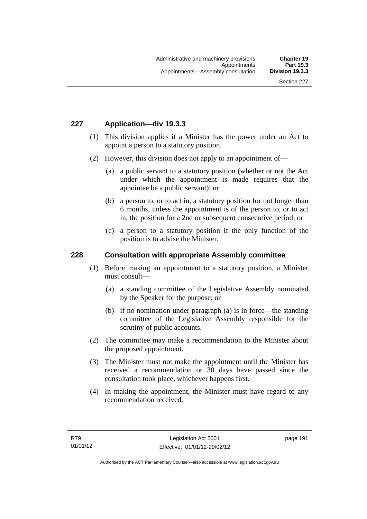# **227 Application—div 19.3.3**

- (1) This division applies if a Minister has the power under an Act to appoint a person to a statutory position.
- (2) However, this division does not apply to an appointment of—
	- (a) a public servant to a statutory position (whether or not the Act under which the appointment is made requires that the appointee be a public servant); or
	- (b) a person to, or to act in, a statutory position for not longer than 6 months, unless the appointment is of the person to, or to act in, the position for a 2nd or subsequent consecutive period; or
	- (c) a person to a statutory position if the only function of the position is to advise the Minister.

## **228 Consultation with appropriate Assembly committee**

- (1) Before making an appointment to a statutory position, a Minister must consult—
	- (a) a standing committee of the Legislative Assembly nominated by the Speaker for the purpose; or
	- (b) if no nomination under paragraph (a) is in force—the standing committee of the Legislative Assembly responsible for the scrutiny of public accounts.
- (2) The committee may make a recommendation to the Minister about the proposed appointment.
- (3) The Minister must not make the appointment until the Minister has received a recommendation or 30 days have passed since the consultation took place, whichever happens first.
- (4) In making the appointment, the Minister must have regard to any recommendation received.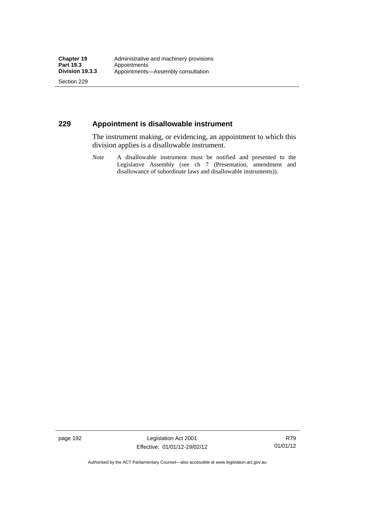Section 229

# **229 Appointment is disallowable instrument**

The instrument making, or evidencing, an appointment to which this division applies is a disallowable instrument.

*Note* A disallowable instrument must be notified and presented to the Legislative Assembly (see ch 7 (Presentation, amendment and disallowance of subordinate laws and disallowable instruments)).

page 192 Legislation Act 2001 Effective: 01/01/12-29/02/12

R79 01/01/12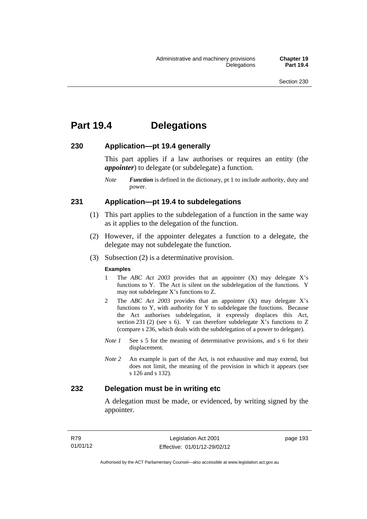# **Part 19.4 Delegations**

# **230 Application—pt 19.4 generally**

This part applies if a law authorises or requires an entity (the *appointer*) to delegate (or subdelegate) a function.

*Note Function* is defined in the dictionary, pt 1 to include authority, duty and power.

# **231 Application—pt 19.4 to subdelegations**

- (1) This part applies to the subdelegation of a function in the same way as it applies to the delegation of the function.
- (2) However, if the appointer delegates a function to a delegate, the delegate may not subdelegate the function.
- (3) Subsection (2) is a determinative provision.

#### **Examples**

- 1 The *ABC Act 2003* provides that an appointer (X) may delegate X's functions to Y. The Act is silent on the subdelegation of the functions. Y may not subdelegate X's functions to Z.
- 2 The *ABC Act 2003* provides that an appointer (X) may delegate X's functions to Y, with authority for Y to subdelegate the functions. Because the Act authorises subdelegation, it expressly displaces this Act, section 231 (2) (see s 6). Y can therefore subdelegate  $\overline{X}$ 's functions to Z (compare s 236, which deals with the subdelegation of a power to delegate)*.*
- *Note 1* See s 5 for the meaning of determinative provisions, and s 6 for their displacement.
- *Note 2* An example is part of the Act, is not exhaustive and may extend, but does not limit, the meaning of the provision in which it appears (see s 126 and s 132).

# **232 Delegation must be in writing etc**

A delegation must be made, or evidenced, by writing signed by the appointer.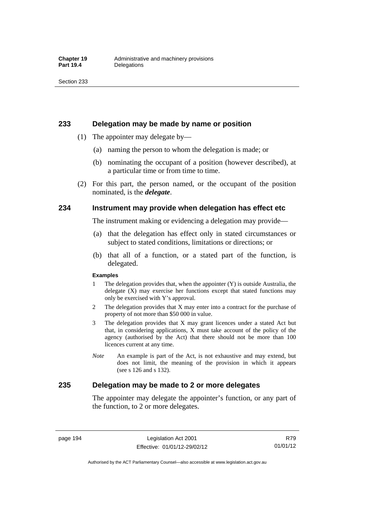### **233 Delegation may be made by name or position**

- (1) The appointer may delegate by—
	- (a) naming the person to whom the delegation is made; or
	- (b) nominating the occupant of a position (however described), at a particular time or from time to time.
- (2) For this part, the person named, or the occupant of the position nominated, is the *delegate*.

# **234 Instrument may provide when delegation has effect etc**

The instrument making or evidencing a delegation may provide—

- (a) that the delegation has effect only in stated circumstances or subject to stated conditions, limitations or directions; or
- (b) that all of a function, or a stated part of the function, is delegated.

#### **Examples**

- 1 The delegation provides that, when the appointer (Y) is outside Australia, the delegate (X) may exercise her functions except that stated functions may only be exercised with Y's approval.
- 2 The delegation provides that X may enter into a contract for the purchase of property of not more than \$50 000 in value.
- 3 The delegation provides that X may grant licences under a stated Act but that, in considering applications, X must take account of the policy of the agency (authorised by the Act) that there should not be more than 100 licences current at any time.
- *Note* An example is part of the Act, is not exhaustive and may extend, but does not limit, the meaning of the provision in which it appears (see s 126 and s 132).

# **235 Delegation may be made to 2 or more delegates**

The appointer may delegate the appointer's function, or any part of the function, to 2 or more delegates.

page 194 Legislation Act 2001 Effective: 01/01/12-29/02/12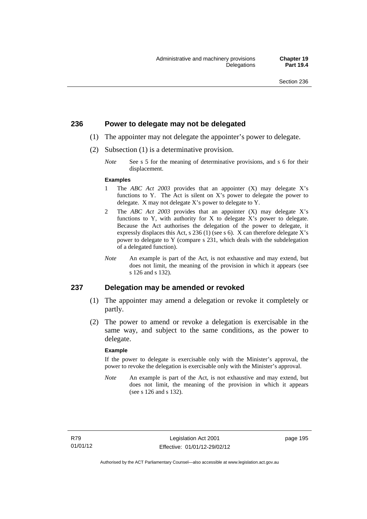# **236 Power to delegate may not be delegated**

- (1) The appointer may not delegate the appointer's power to delegate.
- (2) Subsection (1) is a determinative provision.
	- *Note* See s 5 for the meaning of determinative provisions, and s 6 for their displacement.

#### **Examples**

- 1 The *ABC Act 2003* provides that an appointer (X) may delegate X's functions to Y. The Act is silent on X's power to delegate the power to delegate. X may not delegate X's power to delegate to Y.
- 2 The *ABC Act 2003* provides that an appointer (X) may delegate X's functions to Y, with authority for X to delegate X's power to delegate. Because the Act authorises the delegation of the power to delegate, it expressly displaces this Act, s 236 (1) (see s 6). X can therefore delegate X's power to delegate to Y (compare s 231, which deals with the subdelegation of a delegated function).
- *Note* An example is part of the Act, is not exhaustive and may extend, but does not limit, the meaning of the provision in which it appears (see s 126 and s 132).

### **237 Delegation may be amended or revoked**

- (1) The appointer may amend a delegation or revoke it completely or partly.
- (2) The power to amend or revoke a delegation is exercisable in the same way, and subject to the same conditions, as the power to delegate.

#### **Example**

If the power to delegate is exercisable only with the Minister's approval, the power to revoke the delegation is exercisable only with the Minister's approval.

*Note* An example is part of the Act, is not exhaustive and may extend, but does not limit, the meaning of the provision in which it appears (see s 126 and s 132).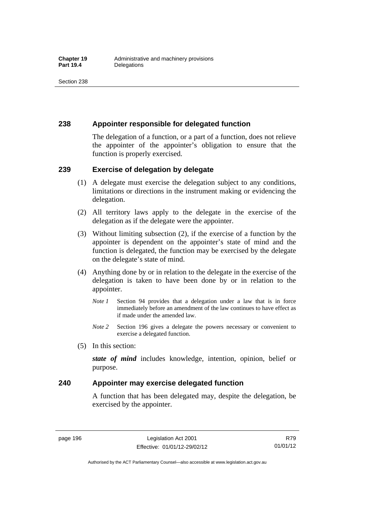# **238 Appointer responsible for delegated function**

The delegation of a function, or a part of a function, does not relieve the appointer of the appointer's obligation to ensure that the function is properly exercised.

# **239 Exercise of delegation by delegate**

- (1) A delegate must exercise the delegation subject to any conditions, limitations or directions in the instrument making or evidencing the delegation.
- (2) All territory laws apply to the delegate in the exercise of the delegation as if the delegate were the appointer.
- (3) Without limiting subsection (2), if the exercise of a function by the appointer is dependent on the appointer's state of mind and the function is delegated, the function may be exercised by the delegate on the delegate's state of mind.
- (4) Anything done by or in relation to the delegate in the exercise of the delegation is taken to have been done by or in relation to the appointer.
	- *Note 1* Section 94 provides that a delegation under a law that is in force immediately before an amendment of the law continues to have effect as if made under the amended law.
	- *Note 2* Section 196 gives a delegate the powers necessary or convenient to exercise a delegated function.
- (5) In this section:

*state of mind* includes knowledge, intention, opinion, belief or purpose.

# **240 Appointer may exercise delegated function**

A function that has been delegated may, despite the delegation, be exercised by the appointer.

page 196 Legislation Act 2001 Effective: 01/01/12-29/02/12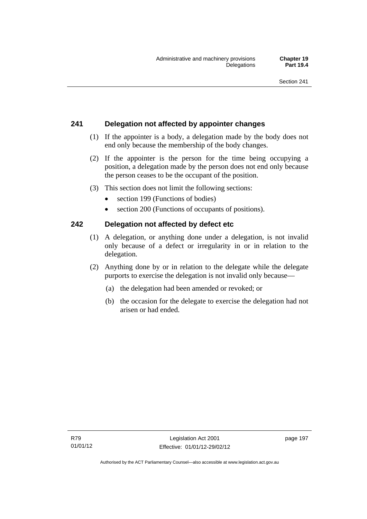# **241 Delegation not affected by appointer changes**

- (1) If the appointer is a body, a delegation made by the body does not end only because the membership of the body changes.
- (2) If the appointer is the person for the time being occupying a position, a delegation made by the person does not end only because the person ceases to be the occupant of the position.
- (3) This section does not limit the following sections:
	- section 199 (Functions of bodies)
	- section 200 (Functions of occupants of positions).

# **242 Delegation not affected by defect etc**

- (1) A delegation, or anything done under a delegation, is not invalid only because of a defect or irregularity in or in relation to the delegation.
- (2) Anything done by or in relation to the delegate while the delegate purports to exercise the delegation is not invalid only because—
	- (a) the delegation had been amended or revoked; or
	- (b) the occasion for the delegate to exercise the delegation had not arisen or had ended.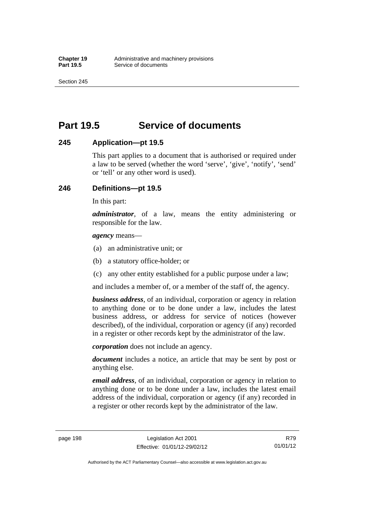Section 245

# **Part 19.5 Service of documents**

# **245 Application—pt 19.5**

This part applies to a document that is authorised or required under a law to be served (whether the word 'serve', 'give', 'notify', 'send' or 'tell' or any other word is used).

# **246 Definitions—pt 19.5**

In this part:

*administrator*, of a law, means the entity administering or responsible for the law.

*agency* means—

- (a) an administrative unit; or
- (b) a statutory office-holder; or
- (c) any other entity established for a public purpose under a law;

and includes a member of, or a member of the staff of, the agency.

*business address*, of an individual, corporation or agency in relation to anything done or to be done under a law, includes the latest business address, or address for service of notices (however described), of the individual, corporation or agency (if any) recorded in a register or other records kept by the administrator of the law.

*corporation* does not include an agency.

*document* includes a notice, an article that may be sent by post or anything else.

*email address*, of an individual, corporation or agency in relation to anything done or to be done under a law, includes the latest email address of the individual, corporation or agency (if any) recorded in a register or other records kept by the administrator of the law.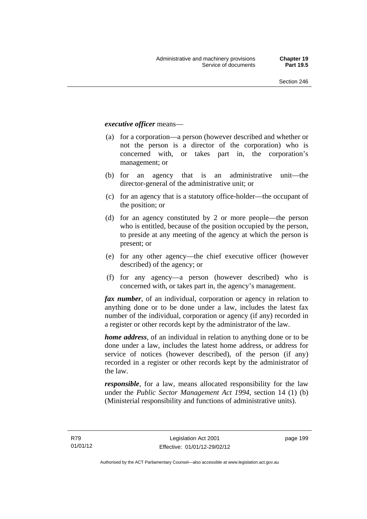## *executive officer* means—

- (a) for a corporation—a person (however described and whether or not the person is a director of the corporation) who is concerned with, or takes part in, the corporation's management; or
- (b) for an agency that is an administrative unit—the director-general of the administrative unit; or
- (c) for an agency that is a statutory office-holder—the occupant of the position; or
- (d) for an agency constituted by 2 or more people—the person who is entitled, because of the position occupied by the person, to preside at any meeting of the agency at which the person is present; or
- (e) for any other agency—the chief executive officer (however described) of the agency; or
- (f) for any agency—a person (however described) who is concerned with, or takes part in, the agency's management.

*fax number*, of an individual, corporation or agency in relation to anything done or to be done under a law, includes the latest fax number of the individual, corporation or agency (if any) recorded in a register or other records kept by the administrator of the law.

*home address*, of an individual in relation to anything done or to be done under a law, includes the latest home address, or address for service of notices (however described), of the person (if any) recorded in a register or other records kept by the administrator of the law.

*responsible*, for a law, means allocated responsibility for the law under the *Public Sector Management Act 1994*, section 14 (1) (b) (Ministerial responsibility and functions of administrative units).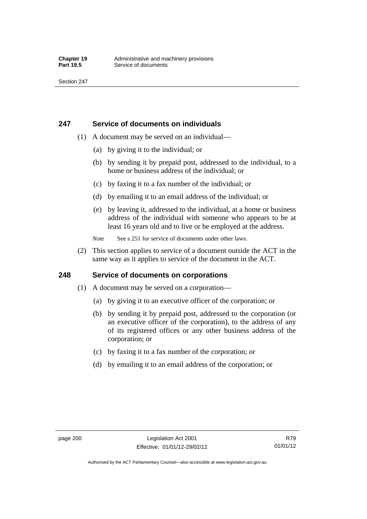# **247 Service of documents on individuals**

- (1) A document may be served on an individual—
	- (a) by giving it to the individual; or
	- (b) by sending it by prepaid post, addressed to the individual, to a home or business address of the individual; or
	- (c) by faxing it to a fax number of the individual; or
	- (d) by emailing it to an email address of the individual; or
	- (e) by leaving it, addressed to the individual, at a home or business address of the individual with someone who appears to be at least 16 years old and to live or be employed at the address.
	- *Note* See s 251 for service of documents under other laws.
- (2) This section applies to service of a document outside the ACT in the same way as it applies to service of the document in the ACT.

# **248 Service of documents on corporations**

- (1) A document may be served on a corporation—
	- (a) by giving it to an executive officer of the corporation; or
	- (b) by sending it by prepaid post, addressed to the corporation (or an executive officer of the corporation), to the address of any of its registered offices or any other business address of the corporation; or
	- (c) by faxing it to a fax number of the corporation; or
	- (d) by emailing it to an email address of the corporation; or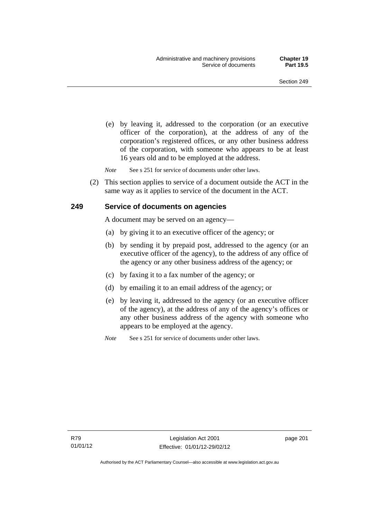(e) by leaving it, addressed to the corporation (or an executive officer of the corporation), at the address of any of the corporation's registered offices, or any other business address of the corporation, with someone who appears to be at least 16 years old and to be employed at the address.

*Note* See s 251 for service of documents under other laws.

 (2) This section applies to service of a document outside the ACT in the same way as it applies to service of the document in the ACT.

### **249 Service of documents on agencies**

A document may be served on an agency—

- (a) by giving it to an executive officer of the agency; or
- (b) by sending it by prepaid post, addressed to the agency (or an executive officer of the agency), to the address of any office of the agency or any other business address of the agency; or
- (c) by faxing it to a fax number of the agency; or
- (d) by emailing it to an email address of the agency; or
- (e) by leaving it, addressed to the agency (or an executive officer of the agency), at the address of any of the agency's offices or any other business address of the agency with someone who appears to be employed at the agency.

*Note* See s 251 for service of documents under other laws.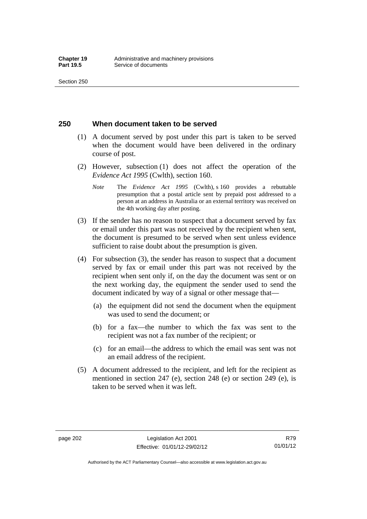### **250 When document taken to be served**

- (1) A document served by post under this part is taken to be served when the document would have been delivered in the ordinary course of post.
- (2) However, subsection (1) does not affect the operation of the *Evidence Act 1995* (Cwlth), section 160.
	- *Note* The *Evidence Act 1995* (Cwlth), s 160 provides a rebuttable presumption that a postal article sent by prepaid post addressed to a person at an address in Australia or an external territory was received on the 4th working day after posting.
- (3) If the sender has no reason to suspect that a document served by fax or email under this part was not received by the recipient when sent, the document is presumed to be served when sent unless evidence sufficient to raise doubt about the presumption is given.
- (4) For subsection (3), the sender has reason to suspect that a document served by fax or email under this part was not received by the recipient when sent only if, on the day the document was sent or on the next working day, the equipment the sender used to send the document indicated by way of a signal or other message that—
	- (a) the equipment did not send the document when the equipment was used to send the document; or
	- (b) for a fax—the number to which the fax was sent to the recipient was not a fax number of the recipient; or
	- (c) for an email—the address to which the email was sent was not an email address of the recipient.
- (5) A document addressed to the recipient, and left for the recipient as mentioned in section 247 (e), section 248 (e) or section 249 (e), is taken to be served when it was left.

Authorised by the ACT Parliamentary Counsel—also accessible at www.legislation.act.gov.au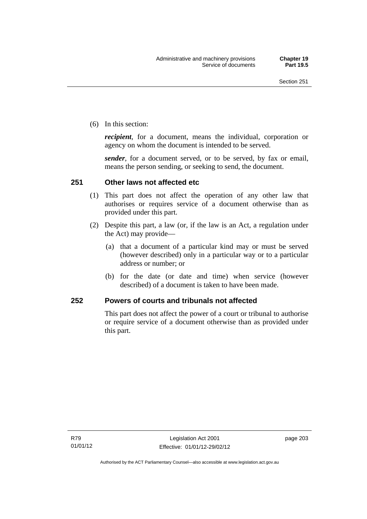(6) In this section:

*recipient*, for a document, means the individual, corporation or agency on whom the document is intended to be served.

*sender*, for a document served, or to be served, by fax or email, means the person sending, or seeking to send, the document.

### **251 Other laws not affected etc**

- (1) This part does not affect the operation of any other law that authorises or requires service of a document otherwise than as provided under this part.
- (2) Despite this part, a law (or, if the law is an Act, a regulation under the Act) may provide—
	- (a) that a document of a particular kind may or must be served (however described) only in a particular way or to a particular address or number; or
	- (b) for the date (or date and time) when service (however described) of a document is taken to have been made.

### **252 Powers of courts and tribunals not affected**

This part does not affect the power of a court or tribunal to authorise or require service of a document otherwise than as provided under this part.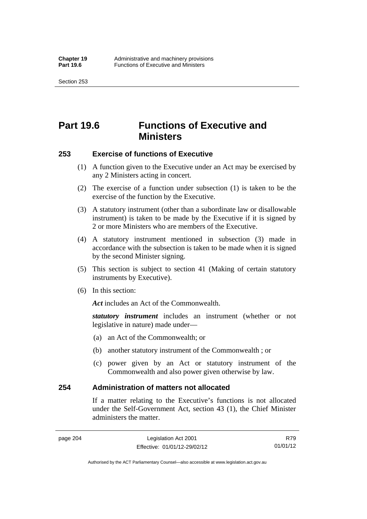Section 253

# **Part 19.6 Functions of Executive and Ministers**

### **253 Exercise of functions of Executive**

- (1) A function given to the Executive under an Act may be exercised by any 2 Ministers acting in concert.
- (2) The exercise of a function under subsection (1) is taken to be the exercise of the function by the Executive.
- (3) A statutory instrument (other than a subordinate law or disallowable instrument) is taken to be made by the Executive if it is signed by 2 or more Ministers who are members of the Executive.
- (4) A statutory instrument mentioned in subsection (3) made in accordance with the subsection is taken to be made when it is signed by the second Minister signing.
- (5) This section is subject to section 41 (Making of certain statutory instruments by Executive).
- (6) In this section:

Act includes an Act of the Commonwealth.

*statutory instrument* includes an instrument (whether or not legislative in nature) made under—

- (a) an Act of the Commonwealth; or
- (b) another statutory instrument of the Commonwealth ; or
- (c) power given by an Act or statutory instrument of the Commonwealth and also power given otherwise by law.

### **254 Administration of matters not allocated**

If a matter relating to the Executive's functions is not allocated under the Self-Government Act, section 43 (1), the Chief Minister administers the matter.

R79 01/01/12

Authorised by the ACT Parliamentary Counsel—also accessible at www.legislation.act.gov.au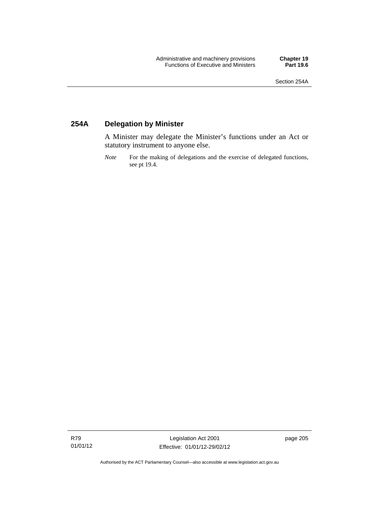## **254A Delegation by Minister**

A Minister may delegate the Minister's functions under an Act or statutory instrument to anyone else.

*Note* For the making of delegations and the exercise of delegated functions, see pt 19.4.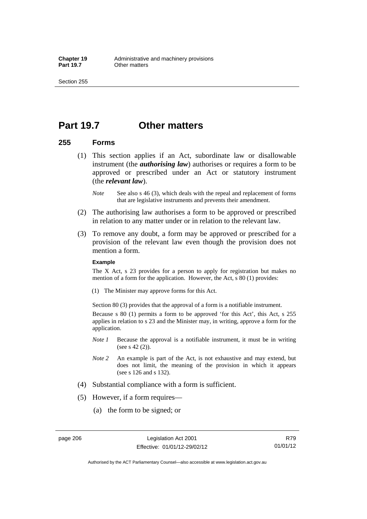# **Part 19.7 Other matters**

### **255 Forms**

- (1) This section applies if an Act, subordinate law or disallowable instrument (the *authorising law*) authorises or requires a form to be approved or prescribed under an Act or statutory instrument (the *relevant law*).
	- *Note* See also s 46 (3), which deals with the repeal and replacement of forms that are legislative instruments and prevents their amendment.
- (2) The authorising law authorises a form to be approved or prescribed in relation to any matter under or in relation to the relevant law.
- (3) To remove any doubt, a form may be approved or prescribed for a provision of the relevant law even though the provision does not mention a form.

#### **Example**

The X Act, s 23 provides for a person to apply for registration but makes no mention of a form for the application. However, the Act, s 80 (1) provides:

(1) The Minister may approve forms for this Act.

Section 80 (3) provides that the approval of a form is a notifiable instrument.

Because s 80 (1) permits a form to be approved 'for this Act', this Act, s 255 applies in relation to s 23 and the Minister may, in writing, approve a form for the application.

- *Note 1* Because the approval is a notifiable instrument, it must be in writing (see s 42 (2)).
- *Note 2* An example is part of the Act, is not exhaustive and may extend, but does not limit, the meaning of the provision in which it appears (see s 126 and s 132).
- (4) Substantial compliance with a form is sufficient.
- (5) However, if a form requires—
	- (a) the form to be signed; or

page 206 Legislation Act 2001 Effective: 01/01/12-29/02/12

R79 01/01/12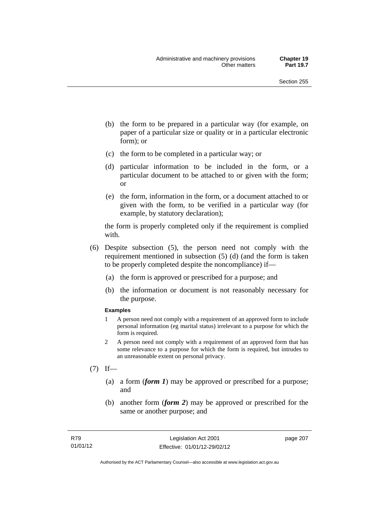- (b) the form to be prepared in a particular way (for example, on paper of a particular size or quality or in a particular electronic form); or
- (c) the form to be completed in a particular way; or
- (d) particular information to be included in the form, or a particular document to be attached to or given with the form; or
- (e) the form, information in the form, or a document attached to or given with the form, to be verified in a particular way (for example, by statutory declaration);

the form is properly completed only if the requirement is complied with.

- (6) Despite subsection (5), the person need not comply with the requirement mentioned in subsection (5) (d) (and the form is taken to be properly completed despite the noncompliance) if—
	- (a) the form is approved or prescribed for a purpose; and
	- (b) the information or document is not reasonably necessary for the purpose.

#### **Examples**

- 1 A person need not comply with a requirement of an approved form to include personal information (eg marital status) irrelevant to a purpose for which the form is required.
- 2 A person need not comply with a requirement of an approved form that has some relevance to a purpose for which the form is required, but intrudes to an unreasonable extent on personal privacy.
- $(7)$  If—
	- (a) a form (*form 1*) may be approved or prescribed for a purpose; and
	- (b) another form (*form 2*) may be approved or prescribed for the same or another purpose; and

page 207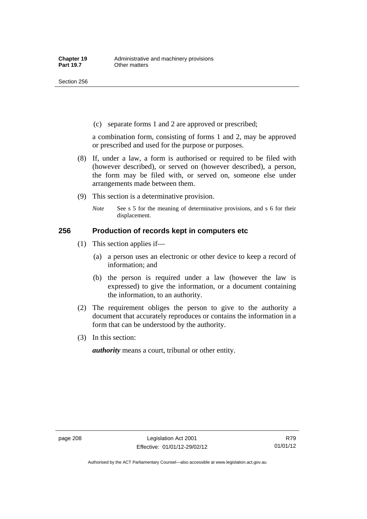(c) separate forms 1 and 2 are approved or prescribed;

a combination form, consisting of forms 1 and 2, may be approved or prescribed and used for the purpose or purposes.

- (8) If, under a law, a form is authorised or required to be filed with (however described), or served on (however described), a person, the form may be filed with, or served on, someone else under arrangements made between them.
- (9) This section is a determinative provision.
	- *Note* See s 5 for the meaning of determinative provisions, and s 6 for their displacement.

### **256 Production of records kept in computers etc**

- (1) This section applies if—
	- (a) a person uses an electronic or other device to keep a record of information; and
	- (b) the person is required under a law (however the law is expressed) to give the information, or a document containing the information, to an authority.
- (2) The requirement obliges the person to give to the authority a document that accurately reproduces or contains the information in a form that can be understood by the authority.
- (3) In this section:

*authority* means a court, tribunal or other entity.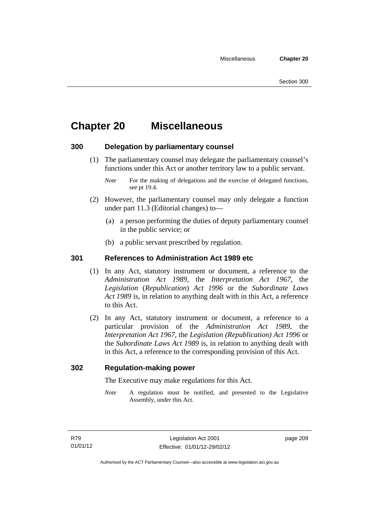# **Chapter 20 Miscellaneous**

### **300 Delegation by parliamentary counsel**

 (1) The parliamentary counsel may delegate the parliamentary counsel's functions under this Act or another territory law to a public servant.

- (2) However, the parliamentary counsel may only delegate a function under part 11.3 (Editorial changes) to—
	- (a) a person performing the duties of deputy parliamentary counsel in the public service; or
	- (b) a public servant prescribed by regulation.

### **301 References to Administration Act 1989 etc**

- (1) In any Act, statutory instrument or document, a reference to the *Administration Act 1989*, the *Interpretation Act 1967*, the *Legislation* (*Republication*) *Act 1996* or the *Subordinate Laws Act 1989* is, in relation to anything dealt with in this Act, a reference to this Act.
- (2) In any Act, statutory instrument or document, a reference to a particular provision of the *Administration Act 1989*, the *Interpretation Act 1967*, the *Legislation (Republication) Act 1996* or the *Subordinate Laws Act 1989* is, in relation to anything dealt with in this Act, a reference to the corresponding provision of this Act.

### **302 Regulation-making power**

The Executive may make regulations for this Act.

*Note* A regulation must be notified, and presented to the Legislative Assembly, under this Act.

page 209

*Note* For the making of delegations and the exercise of delegated functions, see pt 19.4.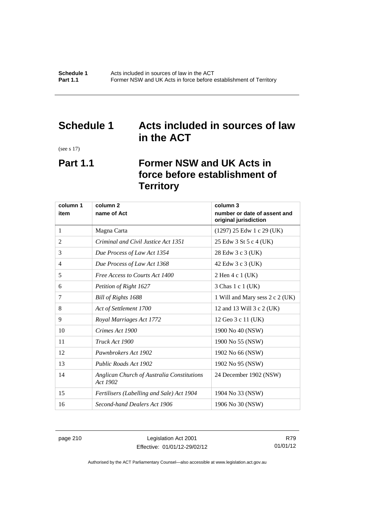# **Schedule 1 Acts included in sources of law in the ACT**

(see s 17)

# **Part 1.1 Former NSW and UK Acts in force before establishment of Territory**

| column 1 | column <sub>2</sub><br>column 3                        |                                                       |  |
|----------|--------------------------------------------------------|-------------------------------------------------------|--|
| item     | name of Act                                            | number or date of assent and<br>original jurisdiction |  |
| 1        | Magna Carta                                            | $(1297)$ 25 Edw 1 c 29 (UK)                           |  |
| 2        | Criminal and Civil Justice Act 1351                    | 25 Edw 3 St 5 c 4 (UK)                                |  |
| 3        | Due Process of Law Act 1354                            | 28 Edw 3 c 3 (UK)                                     |  |
| 4        | Due Process of Law Act 1368                            | 42 Edw 3 c 3 (UK)                                     |  |
| 5        | Free Access to Courts Act 1400                         | 2 Hen 4 c 1 (UK)                                      |  |
| 6        | Petition of Right 1627                                 | 3 Chas 1 c 1 (UK)                                     |  |
| 7        | Bill of Rights 1688                                    | 1 Will and Mary sess 2 c 2 (UK)                       |  |
| 8        | Act of Settlement 1700                                 | 12 and 13 Will 3 c 2 (UK)                             |  |
| 9        | Royal Marriages Act 1772                               | 12 Geo 3 c 11 (UK)                                    |  |
| 10       | Crimes Act 1900                                        | 1900 No 40 (NSW)                                      |  |
| 11       | Truck Act 1900                                         | 1900 No 55 (NSW)                                      |  |
| 12       | Pawnbrokers Act 1902                                   | 1902 No 66 (NSW)                                      |  |
| 13       | Public Roads Act 1902                                  | 1902 No 95 (NSW)                                      |  |
| 14       | Anglican Church of Australia Constitutions<br>Act 1902 | 24 December 1902 (NSW)                                |  |
| 15       | Fertilisers (Labelling and Sale) Act 1904              | 1904 No 33 (NSW)                                      |  |
| 16       | Second-hand Dealers Act 1906                           | 1906 No 30 (NSW)                                      |  |

page 210 Legislation Act 2001 Effective: 01/01/12-29/02/12

R79 01/01/12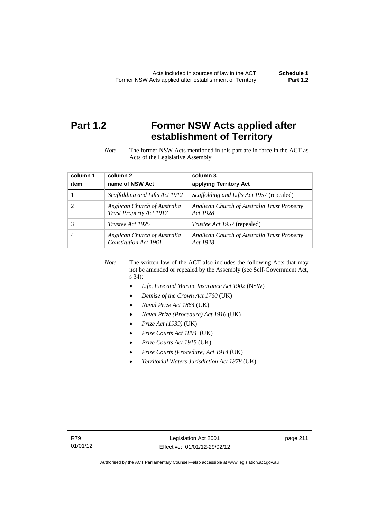# **Part 1.2 Former NSW Acts applied after establishment of Territory**

*Note* The former NSW Acts mentioned in this part are in force in the ACT as Acts of the Legislative Assembly

| column 1 | column <sub>2</sub>                                     | column 3                                                |
|----------|---------------------------------------------------------|---------------------------------------------------------|
| item     | name of NSW Act                                         | applying Territory Act                                  |
|          | Scaffolding and Lifts Act 1912                          | <i>Scaffolding and Lifts Act 1957</i> (repealed)        |
|          | Anglican Church of Australia<br>Trust Property Act 1917 | Anglican Church of Australia Trust Property<br>Act 1928 |
| 3        | Trustee Act 1925                                        | <i>Trustee Act 1957</i> (repealed)                      |
|          | Anglican Church of Australia<br>Constitution Act 1961   | Anglican Church of Australia Trust Property<br>Act 1928 |

*Note* The written law of the ACT also includes the following Acts that may not be amended or repealed by the Assembly (see Self-Government Act, s 34):

- *Life, Fire and Marine Insurance Act 1902* (NSW)
- *Demise of the Crown Act 1760* (UK)
- *Naval Prize Act 1864* (UK)
- *Naval Prize (Procedure) Act 1916* (UK)
- *Prize Act (1939)* (UK)
- *Prize Courts Act 1894* (UK)
- *Prize Courts Act 1915* (UK)
- *Prize Courts (Procedure) Act 1914* (UK)
- *Territorial Waters Jurisdiction Act 1878* (UK).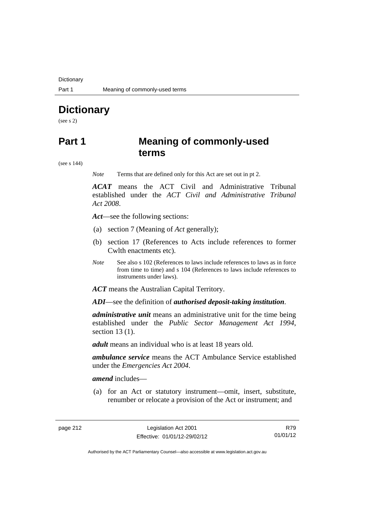**Dictionary** 

# **Dictionary**

(see s 2)

# **Part 1 Meaning of commonly-used terms**

(see s 144)

*Note* Terms that are defined only for this Act are set out in pt 2.

*ACAT* means the ACT Civil and Administrative Tribunal established under the *ACT Civil and Administrative Tribunal Act 2008*.

*Act*—see the following sections:

- (a) section 7 (Meaning of *Act* generally);
- (b) section 17 (References to Acts include references to former Cwlth enactments etc).
- *Note* See also s 102 (References to laws include references to laws as in force from time to time) and s 104 (References to laws include references to instruments under laws).

*ACT* means the Australian Capital Territory.

*ADI*—see the definition of *authorised deposit-taking institution*.

*administrative unit* means an administrative unit for the time being established under the *Public Sector Management Act 1994*, section 13 (1).

*adult* means an individual who is at least 18 years old.

*ambulance service* means the ACT Ambulance Service established under the *Emergencies Act 2004*.

*amend* includes—

 (a) for an Act or statutory instrument—omit, insert, substitute, renumber or relocate a provision of the Act or instrument; and

R79 01/01/12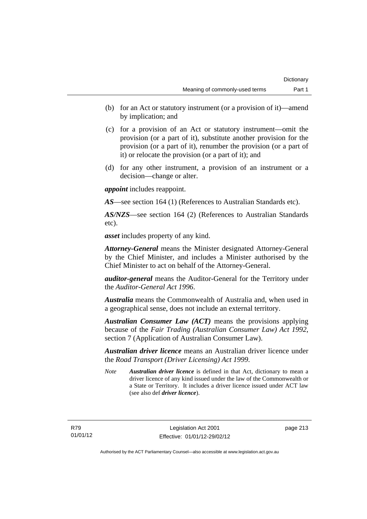- (b) for an Act or statutory instrument (or a provision of it)—amend by implication; and
- (c) for a provision of an Act or statutory instrument—omit the provision (or a part of it), substitute another provision for the provision (or a part of it), renumber the provision (or a part of it) or relocate the provision (or a part of it); and
- (d) for any other instrument, a provision of an instrument or a decision—change or alter.

*appoint* includes reappoint.

*AS*—see section 164 (1) (References to Australian Standards etc).

*AS/NZS*—see section 164 (2) (References to Australian Standards etc).

*asset* includes property of any kind.

*Attorney-General* means the Minister designated Attorney-General by the Chief Minister, and includes a Minister authorised by the Chief Minister to act on behalf of the Attorney-General.

*auditor-general* means the Auditor-General for the Territory under the *Auditor-General Act 1996*.

*Australia* means the Commonwealth of Australia and, when used in a geographical sense, does not include an external territory.

*Australian Consumer Law (ACT)* means the provisions applying because of the *Fair Trading (Australian Consumer Law) Act 1992*, section 7 (Application of Australian Consumer Law).

*Australian driver licence* means an Australian driver licence under the *Road Transport (Driver Licensing) Act 1999*.

*Note Australian driver licence* is defined in that Act, dictionary to mean a driver licence of any kind issued under the law of the Commonwealth or a State or Territory. It includes a driver licence issued under ACT law (see also def *driver licence*).

page 213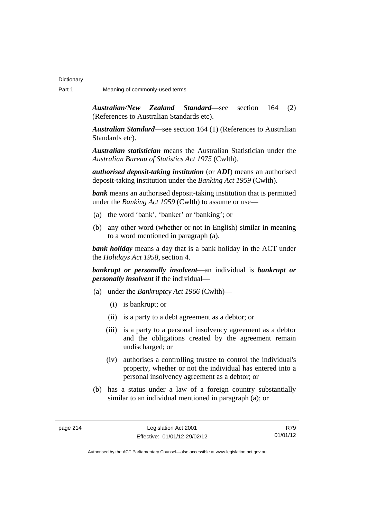*Australian/New Zealand Standard*—see section 164 (2) (References to Australian Standards etc).

*Australian Standard*—see section 164 (1) (References to Australian Standards etc).

*Australian statistician* means the Australian Statistician under the *Australian Bureau of Statistics Act 1975* (Cwlth).

*authorised deposit-taking institution* (or *ADI*) means an authorised deposit-taking institution under the *Banking Act 1959* (Cwlth).

*bank* means an authorised deposit-taking institution that is permitted under the *Banking Act 1959* (Cwlth) to assume or use—

- (a) the word 'bank', 'banker' or 'banking'; or
- (b) any other word (whether or not in English) similar in meaning to a word mentioned in paragraph (a).

*bank holiday* means a day that is a bank holiday in the ACT under the *Holidays Act 1958*, section 4.

*bankrupt or personally insolvent*—an individual is *bankrupt or personally insolvent* if the individual—

- (a) under the *Bankruptcy Act 1966* (Cwlth)—
	- (i) is bankrupt; or
	- (ii) is a party to a debt agreement as a debtor; or
	- (iii) is a party to a personal insolvency agreement as a debtor and the obligations created by the agreement remain undischarged; or
	- (iv) authorises a controlling trustee to control the individual's property, whether or not the individual has entered into a personal insolvency agreement as a debtor; or
- (b) has a status under a law of a foreign country substantially similar to an individual mentioned in paragraph (a); or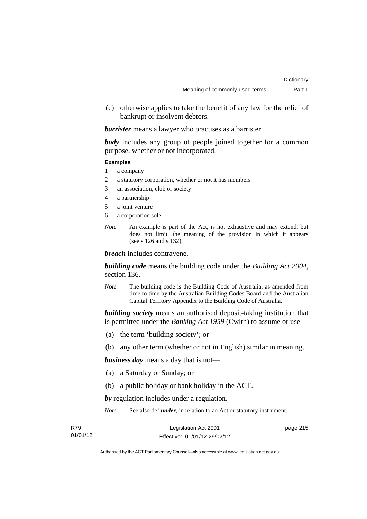(c) otherwise applies to take the benefit of any law for the relief of bankrupt or insolvent debtors.

*barrister* means a lawyer who practises as a barrister.

*body* includes any group of people joined together for a common purpose, whether or not incorporated.

#### **Examples**

- 1 a company
- 2 a statutory corporation, whether or not it has members
- 3 an association, club or society
- 4 a partnership
- 5 a joint venture
- 6 a corporation sole
- *Note* An example is part of the Act, is not exhaustive and may extend, but does not limit, the meaning of the provision in which it appears (see s 126 and s 132).

*breach* includes contravene.

*building code* means the building code under the *Building Act 2004*, section 136.

*Note* The building code is the Building Code of Australia, as amended from time to time by the Australian Building Codes Board and the Australian Capital Territory Appendix to the Building Code of Australia.

*building society* means an authorised deposit-taking institution that is permitted under the *Banking Act 1959* (Cwlth) to assume or use—

- (a) the term 'building society'; or
- (b) any other term (whether or not in English) similar in meaning.

*business day* means a day that is not—

- (a) a Saturday or Sunday; or
- (b) a public holiday or bank holiday in the ACT.

*by* regulation includes under a regulation.

*Note* See also def *under*, in relation to an Act or statutory instrument.

| R79      | Legislation Act 2001         | page 215 |
|----------|------------------------------|----------|
| 01/01/12 | Effective: 01/01/12-29/02/12 |          |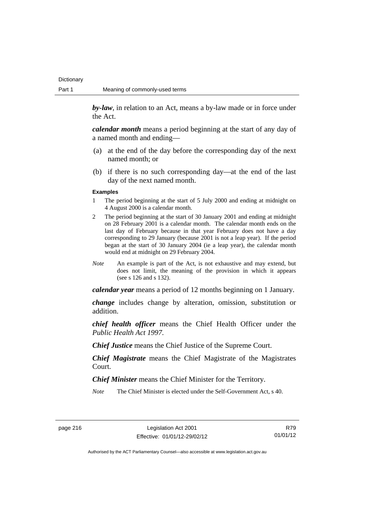**Dictionary** 

*by-law*, in relation to an Act, means a by-law made or in force under the Act.

*calendar month* means a period beginning at the start of any day of a named month and ending—

- (a) at the end of the day before the corresponding day of the next named month; or
- (b) if there is no such corresponding day—at the end of the last day of the next named month.

#### **Examples**

- 1 The period beginning at the start of 5 July 2000 and ending at midnight on 4 August 2000 is a calendar month.
- 2 The period beginning at the start of 30 January 2001 and ending at midnight on 28 February 2001 is a calendar month. The calendar month ends on the last day of February because in that year February does not have a day corresponding to 29 January (because 2001 is not a leap year). If the period began at the start of 30 January 2004 (ie a leap year), the calendar month would end at midnight on 29 February 2004.
- *Note* An example is part of the Act, is not exhaustive and may extend, but does not limit, the meaning of the provision in which it appears (see s 126 and s 132).

*calendar year* means a period of 12 months beginning on 1 January.

*change* includes change by alteration, omission, substitution or addition.

*chief health officer* means the Chief Health Officer under the *Public Health Act 1997*.

*Chief Justice* means the Chief Justice of the Supreme Court.

*Chief Magistrate* means the Chief Magistrate of the Magistrates Court.

*Chief Minister* means the Chief Minister for the Territory.

*Note* The Chief Minister is elected under the Self-Government Act, s 40.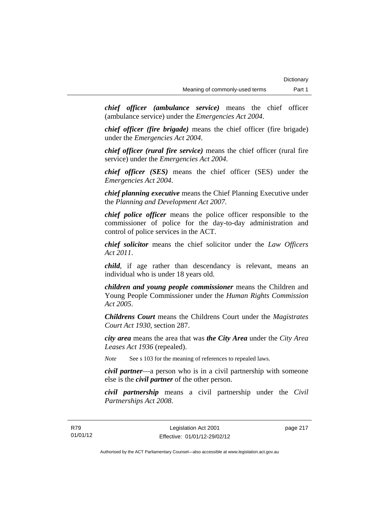*chief officer (ambulance service)* means the chief officer (ambulance service) under the *Emergencies Act 2004*.

*chief officer (fire brigade)* means the chief officer (fire brigade) under the *Emergencies Act 2004*.

*chief officer (rural fire service)* means the chief officer (rural fire service) under the *Emergencies Act 2004*.

*chief officer (SES)* means the chief officer (SES) under the *Emergencies Act 2004*.

*chief planning executive* means the Chief Planning Executive under the *Planning and Development Act 2007*.

*chief police officer* means the police officer responsible to the commissioner of police for the day-to-day administration and control of police services in the ACT.

*chief solicitor* means the chief solicitor under the *Law Officers Act 2011*.

*child*, if age rather than descendancy is relevant, means an individual who is under 18 years old.

*children and young people commissioner* means the Children and Young People Commissioner under the *Human Rights Commission Act 2005*.

*Childrens Court* means the Childrens Court under the *Magistrates Court Act 1930*, section 287.

*city area* means the area that was *the City Area* under the *City Area Leases Act 1936* (repealed).

*Note* See s 103 for the meaning of references to repealed laws.

*civil partner*—a person who is in a civil partnership with someone else is the *civil partner* of the other person.

*civil partnership* means a civil partnership under the *Civil Partnerships Act 2008*.

page 217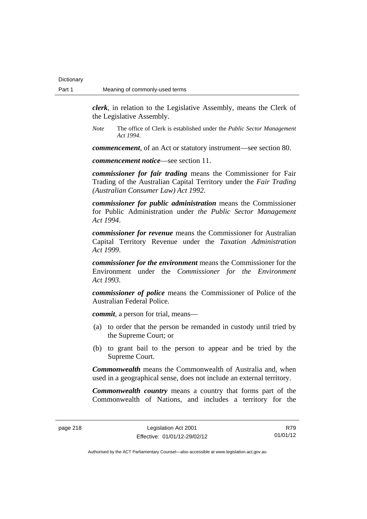*clerk*, in relation to the Legislative Assembly, means the Clerk of the Legislative Assembly.

*Note* The office of Clerk is established under the *Public Sector Management Act 1994*.

*commencement*, of an Act or statutory instrument—see section 80.

*commencement notice*—see section 11.

*commissioner for fair trading* means the Commissioner for Fair Trading of the Australian Capital Territory under the *Fair Trading (Australian Consumer Law) Act 1992*.

*commissioner for public administration* means the Commissioner for Public Administration under *the Public Sector Management Act 1994*.

*commissioner for revenue* means the Commissioner for Australian Capital Territory Revenue under the *Taxation Administration Act 1999*.

*commissioner for the environment* means the Commissioner for the Environment under the *Commissioner for the Environment Act 1993.* 

*commissioner of police* means the Commissioner of Police of the Australian Federal Police.

*commit*, a person for trial, means—

- (a) to order that the person be remanded in custody until tried by the Supreme Court; or
- (b) to grant bail to the person to appear and be tried by the Supreme Court.

*Commonwealth* means the Commonwealth of Australia and, when used in a geographical sense, does not include an external territory.

*Commonwealth country* means a country that forms part of the Commonwealth of Nations, and includes a territory for the

R79 01/01/12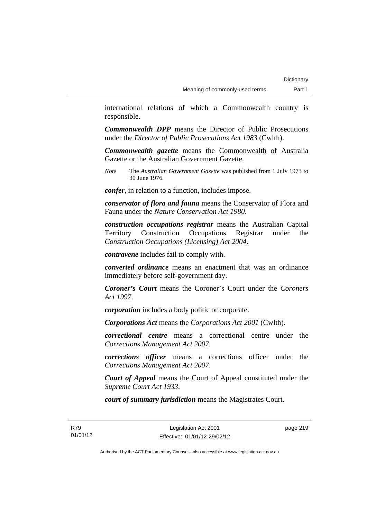international relations of which a Commonwealth country is responsible.

*Commonwealth DPP* means the Director of Public Prosecutions under the *Director of Public Prosecutions Act 1983* (Cwlth).

*Commonwealth gazette* means the Commonwealth of Australia Gazette or the Australian Government Gazette.

*Note* The *Australian Government Gazette* was published from 1 July 1973 to 30 June 1976.

*confer*, in relation to a function, includes impose.

*conservator of flora and fauna* means the Conservator of Flora and Fauna under the *Nature Conservation Act 1980*.

*construction occupations registrar* means the Australian Capital Territory Construction Occupations Registrar under the *Construction Occupations (Licensing) Act 2004*.

*contravene* includes fail to comply with.

*converted ordinance* means an enactment that was an ordinance immediately before self-government day.

*Coroner's Court* means the Coroner's Court under the *Coroners Act 1997*.

*corporation* includes a body politic or corporate.

*Corporations Act* means the *Corporations Act 2001* (Cwlth).

*correctional centre* means a correctional centre under the *Corrections Management Act 2007*.

*corrections officer* means a corrections officer under the *Corrections Management Act 2007*.

*Court of Appeal* means the Court of Appeal constituted under the *Supreme Court Act 1933*.

*court of summary jurisdiction* means the Magistrates Court.

page 219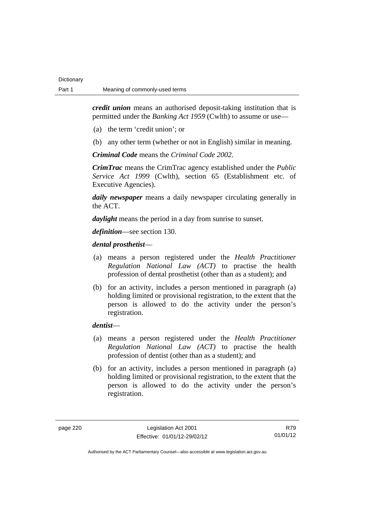*credit union* means an authorised deposit-taking institution that is permitted under the *Banking Act 1959* (Cwlth) to assume or use—

- (a) the term 'credit union'; or
- (b) any other term (whether or not in English) similar in meaning.

*Criminal Code* means the *Criminal Code 2002*.

*CrimTrac* means the CrimTrac agency established under the *Public Service Act 1999* (Cwlth), section 65 (Establishment etc. of Executive Agencies).

*daily newspaper* means a daily newspaper circulating generally in the ACT.

*daylight* means the period in a day from sunrise to sunset.

*definition*—see section 130.

### *dental prosthetist*—

- (a) means a person registered under the *Health Practitioner Regulation National Law (ACT)* to practise the health profession of dental prosthetist (other than as a student); and
- (b) for an activity, includes a person mentioned in paragraph (a) holding limited or provisional registration, to the extent that the person is allowed to do the activity under the person's registration.

### *dentist*—

- (a) means a person registered under the *Health Practitioner Regulation National Law (ACT)* to practise the health profession of dentist (other than as a student); and
- (b) for an activity, includes a person mentioned in paragraph (a) holding limited or provisional registration, to the extent that the person is allowed to do the activity under the person's registration.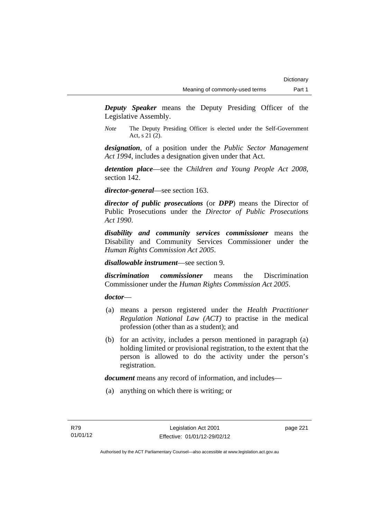*Deputy Speaker* means the Deputy Presiding Officer of the Legislative Assembly.

*Note* The Deputy Presiding Officer is elected under the Self-Government Act, s 21 (2).

*designation*, of a position under the *Public Sector Management Act 1994*, includes a designation given under that Act.

*detention place*—see the *Children and Young People Act 2008*, section 142.

*director-general*—see section 163.

*director of public prosecutions* (or *DPP*) means the Director of Public Prosecutions under the *Director of Public Prosecutions Act 1990*.

*disability and community services commissioner* means the Disability and Community Services Commissioner under the *Human Rights Commission Act 2005*.

*disallowable instrument*—see section 9.

*discrimination commissioner* means the Discrimination Commissioner under the *Human Rights Commission Act 2005*.

*doctor*—

- (a) means a person registered under the *Health Practitioner Regulation National Law (ACT)* to practise in the medical profession (other than as a student); and
- (b) for an activity, includes a person mentioned in paragraph (a) holding limited or provisional registration, to the extent that the person is allowed to do the activity under the person's registration.

*document* means any record of information, and includes—

(a) anything on which there is writing; or

page 221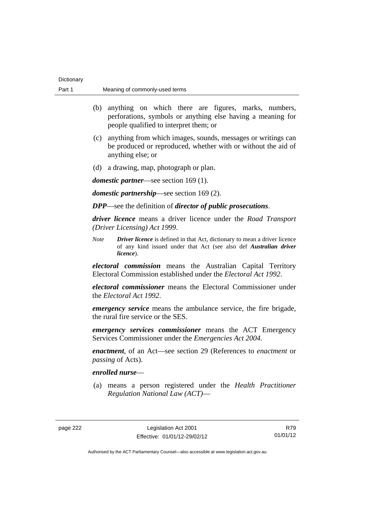| Part 1 | Meaning of commonly-used terms                                                                                                                                                     |  |
|--------|------------------------------------------------------------------------------------------------------------------------------------------------------------------------------------|--|
|        | anything on which there are figures, marks, numbers,<br>(b)<br>perforations, symbols or anything else having a meaning for<br>people qualified to interpret them; or               |  |
|        | anything from which images, sounds, messages or writings can<br>(c)<br>be produced or reproduced, whether with or without the aid of<br>anything else; or                          |  |
|        | a drawing, map, photograph or plan.<br>(d)                                                                                                                                         |  |
|        | <i>domestic partner</i> —see section 169 (1).                                                                                                                                      |  |
|        | <i>domestic partnership</i> —see section $169(2)$ .                                                                                                                                |  |
|        | <b>DPP</b> —see the definition of <i>director of public prosecutions</i> .                                                                                                         |  |
|        | driver licence means a driver licence under the Road Transport<br>(Driver Licensing) Act 1999.                                                                                     |  |
|        | <b>Note</b><br><b>Driver licence</b> is defined in that Act, dictionary to mean a driver licence<br>of any kind issued under that Act (see also def Australian driver<br>licence). |  |
|        | <i>electoral commission</i> means the Australian Capital Territory<br>Electoral Commission established under the <i>Electoral Act 1992</i> .                                       |  |
|        | electoral commissioner means the Electoral Commissioner under<br>the Electoral Act 1992.                                                                                           |  |
|        | <i>emergency service</i> means the ambulance service, the fire brigade,<br>the rural fire service or the SES.                                                                      |  |
|        | <i>emergency services commissioner</i> means the ACT Emergency<br>Services Commissioner under the <i>Emergencies Act 2004</i> .                                                    |  |
|        | <i>enactment</i> , of an Act—see section 29 (References to <i>enactment</i> or<br>passing of Acts).                                                                                |  |
|        | enrolled nurse—                                                                                                                                                                    |  |
|        | means a person registered under the Health Practitioner<br>(a)<br>Regulation National Law (ACT)—                                                                                   |  |
|        |                                                                                                                                                                                    |  |

Dictionary

R79 01/01/12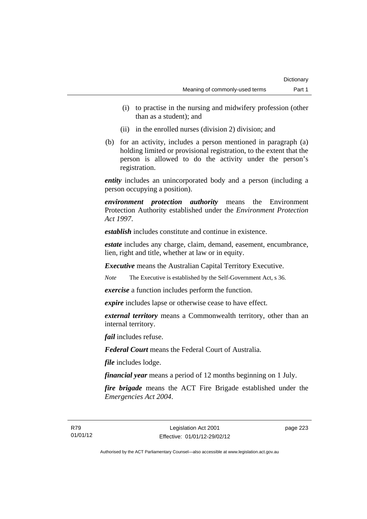- (i) to practise in the nursing and midwifery profession (other than as a student); and
- (ii) in the enrolled nurses (division 2) division; and
- (b) for an activity, includes a person mentioned in paragraph (a) holding limited or provisional registration, to the extent that the person is allowed to do the activity under the person's registration.

*entity* includes an unincorporated body and a person (including a person occupying a position).

*environment protection authority* means the Environment Protection Authority established under the *Environment Protection Act 1997*.

*establish* includes constitute and continue in existence.

*estate* includes any charge, claim, demand, easement, encumbrance, lien, right and title, whether at law or in equity.

*Executive* means the Australian Capital Territory Executive.

*Note* The Executive is established by the Self-Government Act, s 36.

*exercise* a function includes perform the function.

*expire* includes lapse or otherwise cease to have effect.

*external territory* means a Commonwealth territory, other than an internal territory.

*fail* includes refuse.

*Federal Court* means the Federal Court of Australia.

*file* includes lodge.

*financial year* means a period of 12 months beginning on 1 July.

*fire brigade* means the ACT Fire Brigade established under the *Emergencies Act 2004*.

page 223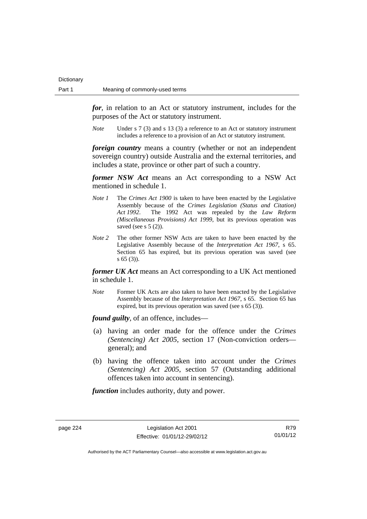*for*, in relation to an Act or statutory instrument, includes for the purposes of the Act or statutory instrument.

*Note* Under s 7 (3) and s 13 (3) a reference to an Act or statutory instrument includes a reference to a provision of an Act or statutory instrument.

*foreign country* means a country (whether or not an independent sovereign country) outside Australia and the external territories, and includes a state, province or other part of such a country.

*former NSW Act* means an Act corresponding to a NSW Act mentioned in schedule 1.

- *Note 1* The *Crimes Act 1900* is taken to have been enacted by the Legislative Assembly because of the *Crimes Legislation (Status and Citation) Act 1992*. The 1992 Act was repealed by the *Law Reform (Miscellaneous Provisions) Act 1999*, but its previous operation was saved (see s  $5(2)$ ).
- *Note 2* The other former NSW Acts are taken to have been enacted by the Legislative Assembly because of the *Interpretation Act 1967*, s 65. Section 65 has expired, but its previous operation was saved (see s 65 (3)).

*former UK Act* means an Act corresponding to a UK Act mentioned in schedule 1.

*Note* Former UK Acts are also taken to have been enacted by the Legislative Assembly because of the *Interpretation Act 1967*, s 65. Section 65 has expired, but its previous operation was saved (see s 65 (3)).

*found guilty*, of an offence, includes—

- (a) having an order made for the offence under the *Crimes (Sentencing) Act 2005*, section 17 (Non-conviction orders general); and
- (b) having the offence taken into account under the *Crimes (Sentencing) Act 2005*, section 57 (Outstanding additional offences taken into account in sentencing).

*function* includes authority, duty and power.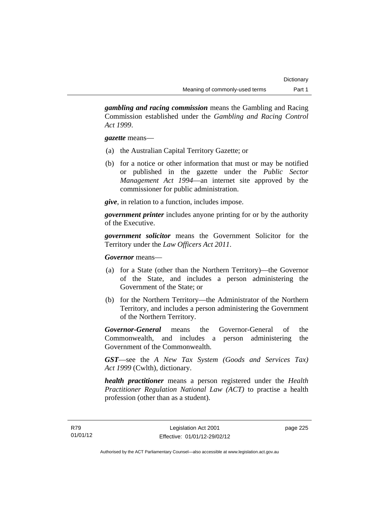*gambling and racing commission* means the Gambling and Racing Commission established under the *Gambling and Racing Control Act 1999*.

*gazette* means—

- (a) the Australian Capital Territory Gazette; or
- (b) for a notice or other information that must or may be notified or published in the gazette under the *Public Sector Management Act 1994*—an internet site approved by the commissioner for public administration.

*give*, in relation to a function, includes impose.

*government printer* includes anyone printing for or by the authority of the Executive.

*government solicitor* means the Government Solicitor for the Territory under the *Law Officers Act 2011*.

*Governor* means—

- (a) for a State (other than the Northern Territory)—the Governor of the State, and includes a person administering the Government of the State; or
- (b) for the Northern Territory—the Administrator of the Northern Territory, and includes a person administering the Government of the Northern Territory.

*Governor-General* means the Governor-General of the Commonwealth, and includes a person administering the Government of the Commonwealth.

*GST*—see the *A New Tax System (Goods and Services Tax) Act 1999* (Cwlth), dictionary.

*health practitioner* means a person registered under the *Health Practitioner Regulation National Law (ACT)* to practise a health profession (other than as a student).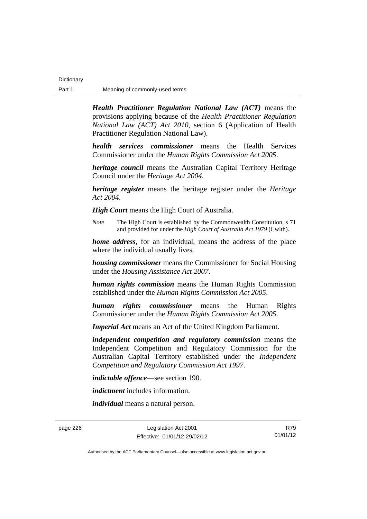*Health Practitioner Regulation National Law (ACT)* means the provisions applying because of the *Health Practitioner Regulation National Law (ACT) Act 2010*, section 6 (Application of Health Practitioner Regulation National Law).

*health services commissioner* means the Health Services Commissioner under the *Human Rights Commission Act 2005*.

*heritage council* means the Australian Capital Territory Heritage Council under the *Heritage Act 2004*.

*heritage register* means the heritage register under the *Heritage Act 2004*.

*High Court* means the High Court of Australia.

*Note* The High Court is established by the Commonwealth Constitution, s 71 and provided for under the *High Court of Australia Act 1979* (Cwlth).

*home address*, for an individual, means the address of the place where the individual usually lives.

*housing commissioner* means the Commissioner for Social Housing under the *Housing Assistance Act 2007*.

*human rights commission* means the Human Rights Commission established under the *Human Rights Commission Act 2005*.

*human rights commissioner* means the Human Rights Commissioner under the *Human Rights Commission Act 2005*.

*Imperial Act* means an Act of the United Kingdom Parliament.

*independent competition and regulatory commission* means the Independent Competition and Regulatory Commission for the Australian Capital Territory established under the *Independent Competition and Regulatory Commission Act 1997*.

*indictable offence*—see section 190.

*indictment* includes information.

*individual* means a natural person.

page 226 Legislation Act 2001 Effective: 01/01/12-29/02/12

R79 01/01/12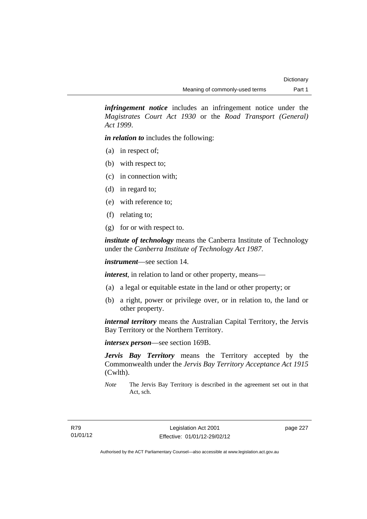*infringement notice* includes an infringement notice under the *Magistrates Court Act 1930* or the *Road Transport (General) Act 1999*.

*in relation to* includes the following:

- (a) in respect of;
- (b) with respect to;
- (c) in connection with;
- (d) in regard to;
- (e) with reference to;
- (f) relating to;
- (g) for or with respect to.

*institute of technology* means the Canberra Institute of Technology under the *Canberra Institute of Technology Act 1987*.

*instrument*—see section 14.

*interest*, in relation to land or other property, means—

- (a) a legal or equitable estate in the land or other property; or
- (b) a right, power or privilege over, or in relation to, the land or other property.

*internal territory* means the Australian Capital Territory, the Jervis Bay Territory or the Northern Territory.

*intersex person*—see section 169B.

*Jervis Bay Territory* means the Territory accepted by the Commonwealth under the *Jervis Bay Territory Acceptance Act 1915* (Cwlth).

*Note* The Jervis Bay Territory is described in the agreement set out in that Act, sch.

page 227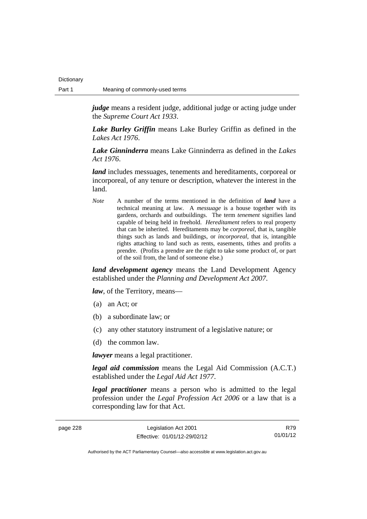**Dictionary** 

*judge* means a resident judge, additional judge or acting judge under the *Supreme Court Act 1933*.

*Lake Burley Griffin* means Lake Burley Griffin as defined in the *Lakes Act 1976*.

*Lake Ginninderra* means Lake Ginninderra as defined in the *Lakes Act 1976*.

*land* includes messuages, tenements and hereditaments, corporeal or incorporeal, of any tenure or description, whatever the interest in the land.

*Note* A number of the terms mentioned in the definition of *land* have a technical meaning at law. A *messuage* is a house together with its gardens, orchards and outbuildings. The term *tenement* signifies land capable of being held in freehold. *Hereditament* refers to real property that can be inherited. Hereditaments may be *corporeal*, that is, tangible things such as lands and buildings, or *incorporeal*, that is, intangible rights attaching to land such as rents, easements, tithes and profits a prendre. (Profits a prendre are the right to take some product of, or part of the soil from, the land of someone else.)

*land development agency* means the Land Development Agency established under the *Planning and Development Act 2007*.

*law*, of the Territory, means—

- (a) an Act; or
- (b) a subordinate law; or
- (c) any other statutory instrument of a legislative nature; or
- (d) the common law.

*lawyer* means a legal practitioner.

*legal aid commission* means the Legal Aid Commission (A.C.T.) established under the *Legal Aid Act 1977*.

*legal practitioner* means a person who is admitted to the legal profession under the *Legal Profession Act 2006* or a law that is a corresponding law for that Act.

| page 228 | Legislation Act 2001         | R79      |
|----------|------------------------------|----------|
|          | Effective: 01/01/12-29/02/12 | 01/01/12 |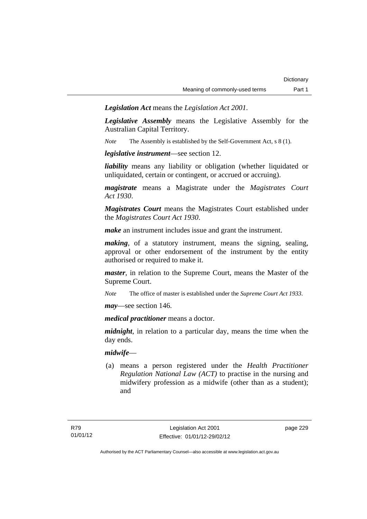*Legislation Act* means the *Legislation Act 2001*.

*Legislative Assembly* means the Legislative Assembly for the Australian Capital Territory.

*Note* The Assembly is established by the Self-Government Act, s 8 (1).

*legislative instrument*—see section 12.

*liability* means any liability or obligation (whether liquidated or unliquidated, certain or contingent, or accrued or accruing).

*magistrate* means a Magistrate under the *Magistrates Court Act 1930*.

*Magistrates Court* means the Magistrates Court established under the *Magistrates Court Act 1930*.

*make* an instrument includes issue and grant the instrument.

*making*, of a statutory instrument, means the signing, sealing, approval or other endorsement of the instrument by the entity authorised or required to make it.

*master*, in relation to the Supreme Court, means the Master of the Supreme Court.

*Note* The office of master is established under the *Supreme Court Act 1933*.

*may*—see section 146.

*medical practitioner* means a doctor.

*midnight*, in relation to a particular day, means the time when the day ends.

### *midwife*—

 (a) means a person registered under the *Health Practitioner Regulation National Law (ACT)* to practise in the nursing and midwifery profession as a midwife (other than as a student); and

page 229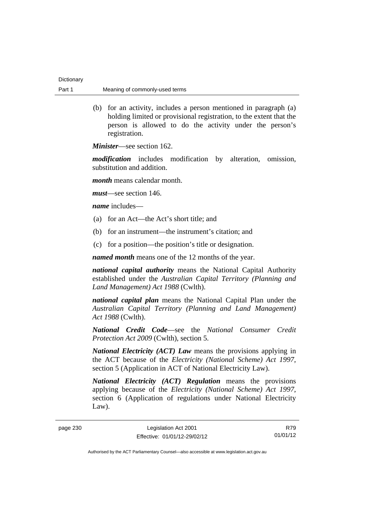| Dictionary |                                |
|------------|--------------------------------|
| Part 1     | Meaning of commonly-used terms |

 (b) for an activity, includes a person mentioned in paragraph (a) holding limited or provisional registration, to the extent that the person is allowed to do the activity under the person's registration.

*Minister*—see section 162.

*modification* includes modification by alteration, omission, substitution and addition.

*month* means calendar month.

*must*—see section 146.

*name* includes—

- (a) for an Act—the Act's short title; and
- (b) for an instrument—the instrument's citation; and
- (c) for a position—the position's title or designation.

*named month* means one of the 12 months of the year.

*national capital authority* means the National Capital Authority established under the *Australian Capital Territory (Planning and Land Management) Act 1988* (Cwlth).

*national capital plan* means the National Capital Plan under the *Australian Capital Territory (Planning and Land Management) Act 1988* (Cwlth).

*National Credit Code*—see the *National Consumer Credit Protection Act 2009* (Cwlth), section 5.

*National Electricity (ACT) Law* means the provisions applying in the ACT because of the *Electricity (National Scheme) Act 1997*, section 5 (Application in ACT of National Electricity Law).

*National Electricity (ACT) Regulation* means the provisions applying because of the *Electricity (National Scheme) Act 1997*, section 6 (Application of regulations under National Electricity Law).

page 230 Legislation Act 2001 Effective: 01/01/12-29/02/12

R79 01/01/12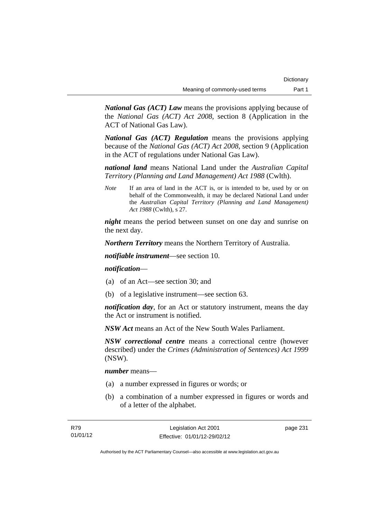*National Gas (ACT) Law* means the provisions applying because of the *National Gas (ACT) Act 2008*, section 8 (Application in the ACT of National Gas Law).

*National Gas (ACT) Regulation* means the provisions applying because of the *National Gas (ACT) Act 2008*, section 9 (Application in the ACT of regulations under National Gas Law).

*national land* means National Land under the *Australian Capital Territory (Planning and Land Management) Act 1988* (Cwlth).

*Note* If an area of land in the ACT is, or is intended to be, used by or on behalf of the Commonwealth, it may be declared National Land under the *Australian Capital Territory (Planning and Land Management) Act 1988* (Cwlth), s 27.

*night* means the period between sunset on one day and sunrise on the next day.

*Northern Territory* means the Northern Territory of Australia.

*notifiable instrument*—see section 10.

### *notification*—

- (a) of an Act—see section 30; and
- (b) of a legislative instrument—see section 63.

*notification day*, for an Act or statutory instrument, means the day the Act or instrument is notified.

*NSW Act* means an Act of the New South Wales Parliament.

*NSW correctional centre* means a correctional centre (however described) under the *Crimes (Administration of Sentences) Act 1999* (NSW).

*number* means—

- (a) a number expressed in figures or words; or
- (b) a combination of a number expressed in figures or words and of a letter of the alphabet.

page 231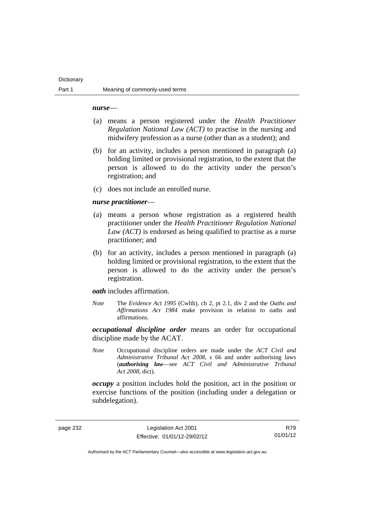#### **Dictionary**

#### *nurse*—

- (a) means a person registered under the *Health Practitioner Regulation National Law (ACT)* to practise in the nursing and midwifery profession as a nurse (other than as a student); and
- (b) for an activity, includes a person mentioned in paragraph (a) holding limited or provisional registration, to the extent that the person is allowed to do the activity under the person's registration; and
- (c) does not include an enrolled nurse.

#### *nurse practitioner*—

- (a) means a person whose registration as a registered health practitioner under the *Health Practitioner Regulation National Law (ACT)* is endorsed as being qualified to practise as a nurse practitioner; and
- (b) for an activity, includes a person mentioned in paragraph (a) holding limited or provisional registration, to the extent that the person is allowed to do the activity under the person's registration.

*oath* includes affirmation.

*Note* The *Evidence Act 1995* (Cwlth), ch 2, pt 2.1, div 2 and the *Oaths and Affirmations Act 1984* make provision in relation to oaths and affirmations.

*occupational discipline order* means an order for occupational discipline made by the ACAT.

*Note* Occupational discipline orders are made under the *ACT Civil and Administrative Tribunal Act 2008*, s 66 and under authorising laws (*authorising law*—see *ACT Civil and Administrative Tribunal Act 2008*, dict).

*occupy* a position includes hold the position, act in the position or exercise functions of the position (including under a delegation or subdelegation).

page 232 Legislation Act 2001 Effective: 01/01/12-29/02/12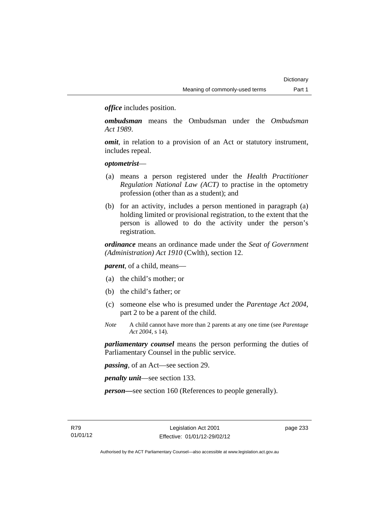*office* includes position.

*ombudsman* means the Ombudsman under the *Ombudsman Act 1989*.

*omit*, in relation to a provision of an Act or statutory instrument, includes repeal.

### *optometrist*—

- (a) means a person registered under the *Health Practitioner Regulation National Law (ACT)* to practise in the optometry profession (other than as a student); and
- (b) for an activity, includes a person mentioned in paragraph (a) holding limited or provisional registration, to the extent that the person is allowed to do the activity under the person's registration.

*ordinance* means an ordinance made under the *Seat of Government (Administration) Act 1910* (Cwlth), section 12.

*parent*, of a child, means—

- (a) the child's mother; or
- (b) the child's father; or
- (c) someone else who is presumed under the *Parentage Act 2004*, part 2 to be a parent of the child.
- *Note* A child cannot have more than 2 parents at any one time (see *Parentage Act 2004*, s 14).

*parliamentary counsel* means the person performing the duties of Parliamentary Counsel in the public service.

*passing*, of an Act—see section 29.

*penalty unit*—see section 133.

*person—*see section 160 (References to people generally).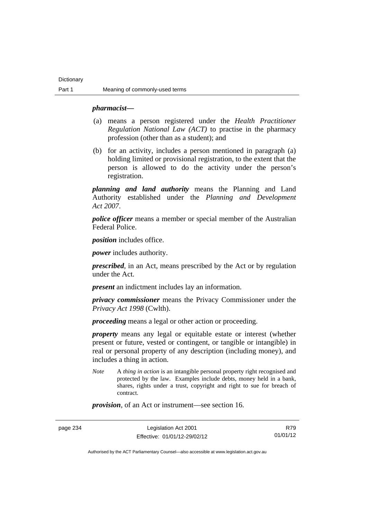#### *pharmacist***—**

- (a) means a person registered under the *Health Practitioner Regulation National Law (ACT)* to practise in the pharmacy profession (other than as a student); and
- (b) for an activity, includes a person mentioned in paragraph (a) holding limited or provisional registration, to the extent that the person is allowed to do the activity under the person's registration.

*planning and land authority* means the Planning and Land Authority established under the *Planning and Development Act 2007*.

*police officer* means a member or special member of the Australian Federal Police.

*position* includes office.

*power* includes authority.

*prescribed*, in an Act, means prescribed by the Act or by regulation under the Act.

*present* an indictment includes lay an information.

*privacy commissioner* means the Privacy Commissioner under the *Privacy Act 1998* (Cwlth).

*proceeding* means a legal or other action or proceeding.

*property* means any legal or equitable estate or interest (whether present or future, vested or contingent, or tangible or intangible) in real or personal property of any description (including money), and includes a thing in action.

*Note* A *thing in action* is an intangible personal property right recognised and protected by the law. Examples include debts, money held in a bank, shares, rights under a trust, copyright and right to sue for breach of contract.

*provision*, of an Act or instrument—see section 16.

page 234 Legislation Act 2001 Effective: 01/01/12-29/02/12

R79 01/01/12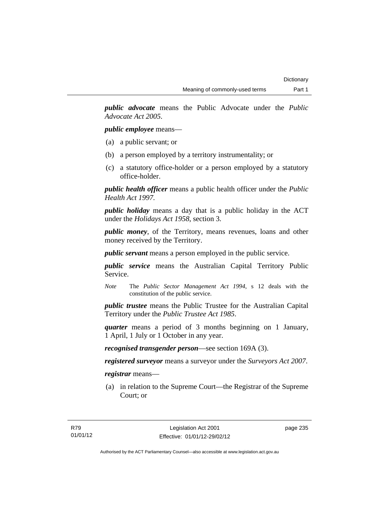*public advocate* means the Public Advocate under the *Public Advocate Act 2005*.

*public employee* means—

- (a) a public servant; or
- (b) a person employed by a territory instrumentality; or
- (c) a statutory office-holder or a person employed by a statutory office-holder.

*public health officer* means a public health officer under the *Public Health Act 1997.*

*public holiday* means a day that is a public holiday in the ACT under the *Holidays Act 1958*, section 3.

*public money*, of the Territory, means revenues, loans and other money received by the Territory.

*public servant* means a person employed in the public service.

*public service* means the Australian Capital Territory Public Service.

*Note* The *Public Sector Management Act 1994*, s 12 deals with the constitution of the public service.

*public trustee* means the Public Trustee for the Australian Capital Territory under the *Public Trustee Act 1985*.

*quarter* means a period of 3 months beginning on 1 January, 1 April, 1 July or 1 October in any year.

*recognised transgender person*—see section 169A (3).

*registered surveyor* means a surveyor under the *Surveyors Act 2007*.

*registrar* means—

 (a) in relation to the Supreme Court—the Registrar of the Supreme Court; or

page 235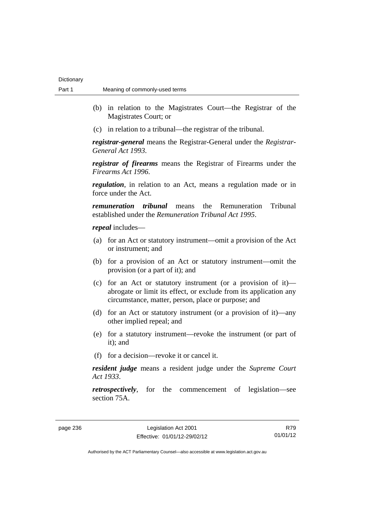- (b) in relation to the Magistrates Court—the Registrar of the Magistrates Court; or
- (c) in relation to a tribunal—the registrar of the tribunal.

*registrar-general* means the Registrar-General under the *Registrar-General Act 1993*.

*registrar of firearms* means the Registrar of Firearms under the *Firearms Act 1996*.

*regulation*, in relation to an Act, means a regulation made or in force under the Act.

*remuneration tribunal* means the Remuneration Tribunal established under the *Remuneration Tribunal Act 1995*.

*repeal* includes—

- (a) for an Act or statutory instrument—omit a provision of the Act or instrument; and
- (b) for a provision of an Act or statutory instrument—omit the provision (or a part of it); and
- (c) for an Act or statutory instrument (or a provision of it) abrogate or limit its effect, or exclude from its application any circumstance, matter, person, place or purpose; and
- (d) for an Act or statutory instrument (or a provision of it)—any other implied repeal; and
- (e) for a statutory instrument—revoke the instrument (or part of it); and
- (f) for a decision—revoke it or cancel it.

*resident judge* means a resident judge under the *Supreme Court Act 1933*.

*retrospectively*, for the commencement of legislation—see section 75A.

page 236 Legislation Act 2001 Effective: 01/01/12-29/02/12

R79 01/01/12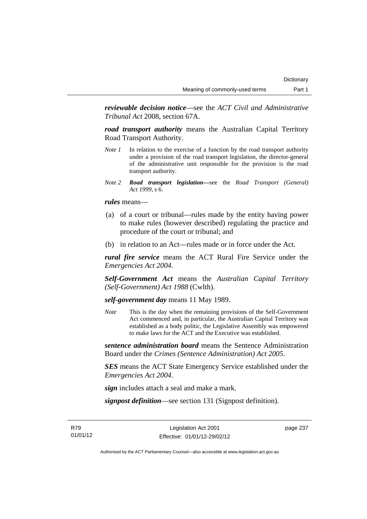*reviewable decision notice*—see the *ACT Civil and Administrative Tribunal Act* 2008, section 67A.

*road transport authority* means the Australian Capital Territory Road Transport Authority.

- *Note 1* In relation to the exercise of a function by the road transport authority under a provision of the road transport legislation, the director-general of the administrative unit responsible for the provision is the road transport authority.
- *Note 2 Road transport legislation––*see the *Road Transport (General) Act 1999*, s 6.

*rules* means—

- (a) of a court or tribunal—rules made by the entity having power to make rules (however described) regulating the practice and procedure of the court or tribunal; and
- (b) in relation to an Act—rules made or in force under the Act.

*rural fire service* means the ACT Rural Fire Service under the *Emergencies Act 2004*.

*Self-Government Act* means the *Australian Capital Territory (Self-Government) Act 1988* (Cwlth).

*self-government day* means 11 May 1989.

*Note* This is the day when the remaining provisions of the Self-Government Act commenced and, in particular, the Australian Capital Territory was established as a body politic, the Legislative Assembly was empowered to make laws for the ACT and the Executive was established.

*sentence administration board* means the Sentence Administration Board under the *Crimes (Sentence Administration) Act 2005*.

*SES* means the ACT State Emergency Service established under the *Emergencies Act 2004*.

*sign* includes attach a seal and make a mark.

*signpost definition*—see section 131 (Signpost definition).

R79 01/01/12

Legislation Act 2001 Effective: 01/01/12-29/02/12 page 237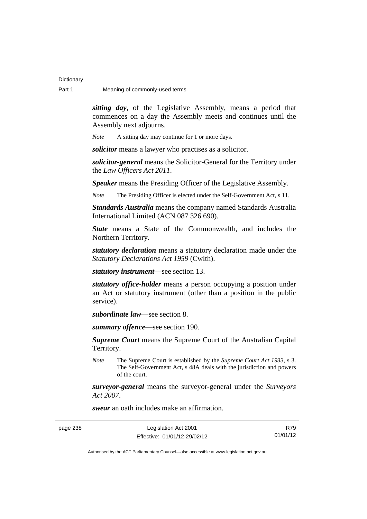*sitting day*, of the Legislative Assembly, means a period that commences on a day the Assembly meets and continues until the Assembly next adjourns.

*Note* A sitting day may continue for 1 or more days.

*solicitor* means a lawyer who practises as a solicitor.

*solicitor-general* means the Solicitor-General for the Territory under the *Law Officers Act 2011*.

*Speaker* means the Presiding Officer of the Legislative Assembly.

*Note* The Presiding Officer is elected under the Self-Government Act, s 11.

*Standards Australia* means the company named Standards Australia International Limited (ACN 087 326 690).

*State* means a State of the Commonwealth, and includes the Northern Territory.

*statutory declaration* means a statutory declaration made under the *Statutory Declarations Act 1959* (Cwlth).

*statutory instrument*—see section 13.

*statutory office-holder* means a person occupying a position under an Act or statutory instrument (other than a position in the public service).

*subordinate law*—see section 8.

*summary offence*—see section 190.

*Supreme Court* means the Supreme Court of the Australian Capital Territory.

*Note* The Supreme Court is established by the *Supreme Court Act 1933*, s 3. The Self-Government Act, s 48A deals with the jurisdiction and powers of the court.

*surveyor-general* means the surveyor-general under the *Surveyors Act 2007*.

*swear* an oath includes make an affirmation.

page 238 Legislation Act 2001 Effective: 01/01/12-29/02/12

R79 01/01/12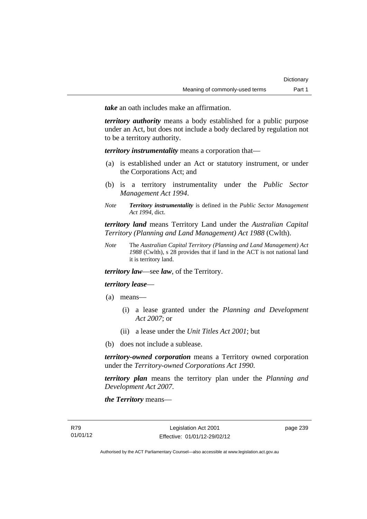*take* an oath includes make an affirmation.

*territory authority* means a body established for a public purpose under an Act, but does not include a body declared by regulation not to be a territory authority.

*territory instrumentality* means a corporation that—

- (a) is established under an Act or statutory instrument, or under the Corporations Act; and
- (b) is a territory instrumentality under the *Public Sector Management Act 1994*.
- *Note Territory instrumentality* is defined in the *Public Sector Management Act 1994*, dict.

*territory land* means Territory Land under the *Australian Capital Territory (Planning and Land Management) Act 1988* (Cwlth).

*Note* The *Australian Capital Territory (Planning and Land Management) Act 1988* (Cwlth), s 28 provides that if land in the ACT is not national land it is territory land.

*territory law*—see *law*, of the Territory.

### *territory lease*—

- (a) means—
	- (i) a lease granted under the *Planning and Development Act 2007*; or
	- (ii) a lease under the *Unit Titles Act 2001*; but
- (b) does not include a sublease.

*territory-owned corporation* means a Territory owned corporation under the *Territory-owned Corporations Act 1990*.

*territory plan* means the territory plan under the *Planning and Development Act 2007*.

*the Territory* means—

page 239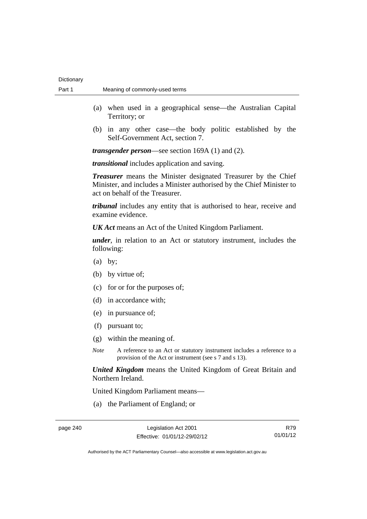- (a) when used in a geographical sense—the Australian Capital Territory; or
- (b) in any other case—the body politic established by the Self-Government Act, section 7.

*transgender person*—see section 169A (1) and (2).

*transitional* includes application and saving.

*Treasurer* means the Minister designated Treasurer by the Chief Minister, and includes a Minister authorised by the Chief Minister to act on behalf of the Treasurer.

*tribunal* includes any entity that is authorised to hear, receive and examine evidence.

*UK Act* means an Act of the United Kingdom Parliament.

*under*, in relation to an Act or statutory instrument, includes the following:

- (a) by;
- (b) by virtue of;
- (c) for or for the purposes of;
- (d) in accordance with;
- (e) in pursuance of;
- (f) pursuant to;
- (g) within the meaning of.
- *Note* A reference to an Act or statutory instrument includes a reference to a provision of the Act or instrument (see s 7 and s 13).

*United Kingdom* means the United Kingdom of Great Britain and Northern Ireland.

United Kingdom Parliament means—

(a) the Parliament of England; or

R79 01/01/12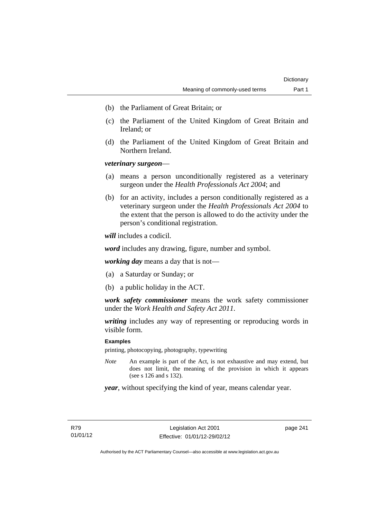- (b) the Parliament of Great Britain; or
- (c) the Parliament of the United Kingdom of Great Britain and Ireland; or
- (d) the Parliament of the United Kingdom of Great Britain and Northern Ireland.

# *veterinary surgeon*—

- (a) means a person unconditionally registered as a veterinary surgeon under the *Health Professionals Act 2004*; and
- (b) for an activity, includes a person conditionally registered as a veterinary surgeon under the *Health Professionals Act 2004* to the extent that the person is allowed to do the activity under the person's conditional registration.

*will* includes a codicil.

*word* includes any drawing, figure, number and symbol.

*working day* means a day that is not—

- (a) a Saturday or Sunday; or
- (b) a public holiday in the ACT.

*work safety commissioner* means the work safety commissioner under the *Work Health and Safety Act 2011*.

*writing* includes any way of representing or reproducing words in visible form.

### **Examples**

printing, photocopying, photography, typewriting

*Note* An example is part of the Act, is not exhaustive and may extend, but does not limit, the meaning of the provision in which it appears (see s 126 and s 132).

*year*, without specifying the kind of year, means calendar year.

page 241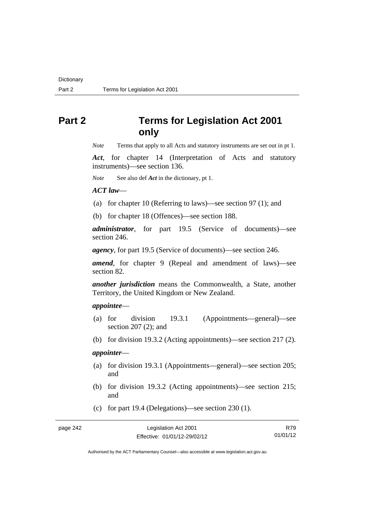# **Part 2 Terms for Legislation Act 2001 only**

*Note* Terms that apply to all Acts and statutory instruments are set out in pt 1.

*Act*, for chapter 14 (Interpretation of Acts and statutory instruments)—see section 136.

*Note* See also def *Act* in the dictionary, pt 1.

#### *ACT law*—

- (a) for chapter 10 (Referring to laws)—see section 97 (1); and
- (b) for chapter 18 (Offences)—see section 188.

*administrator*, for part 19.5 (Service of documents)—see section 246.

*agency*, for part 19.5 (Service of documents)—see section 246.

*amend*, for chapter 9 (Repeal and amendment of laws)—see section 82.

*another jurisdiction* means the Commonwealth, a State, another Territory, the United Kingdom or New Zealand.

# *appointee*—

- (a) for division 19.3.1 (Appointments—general)—see section 207 (2); and
- (b) for division 19.3.2 (Acting appointments)—see section 217 (2).

# *appointer*—

- (a) for division 19.3.1 (Appointments—general)—see section 205; and
- (b) for division 19.3.2 (Acting appointments)—see section 215; and
- (c) for part 19.4 (Delegations)—see section 230 (1).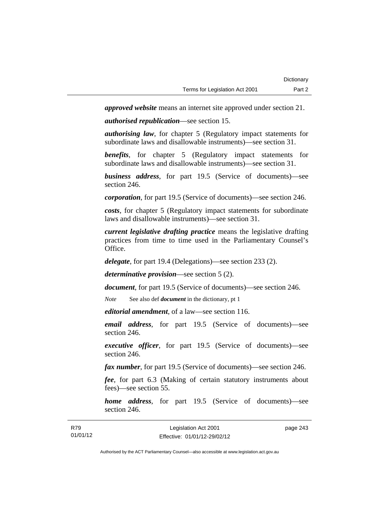*approved website* means an internet site approved under section 21.

*authorised republication*—see section 15.

*authorising law*, for chapter 5 (Regulatory impact statements for subordinate laws and disallowable instruments)—see section 31.

*benefits*, for chapter 5 (Regulatory impact statements for subordinate laws and disallowable instruments)—see section 31.

*business address*, for part 19.5 (Service of documents)—see section 246.

*corporation*, for part 19.5 (Service of documents)—see section 246.

*costs*, for chapter 5 (Regulatory impact statements for subordinate laws and disallowable instruments)—see section 31.

*current legislative drafting practice* means the legislative drafting practices from time to time used in the Parliamentary Counsel's Office.

*delegate*, for part 19.4 (Delegations)—see section 233 (2).

*determinative provision*—see section 5 (2).

*document*, for part 19.5 (Service of documents)—see section 246.

*Note* See also def *document* in the dictionary, pt 1

*editorial amendment*, of a law—see section 116.

*email address*, for part 19.5 (Service of documents)—see section 246.

*executive officer*, for part 19.5 (Service of documents)—see section 246.

*fax number*, for part 19.5 (Service of documents)—see section 246.

*fee*, for part 6.3 (Making of certain statutory instruments about fees)—see section 55.

*home address*, for part 19.5 (Service of documents)—see section 246.

| R79      | Legislation Act 2001         | page 243 |
|----------|------------------------------|----------|
| 01/01/12 | Effective: 01/01/12-29/02/12 |          |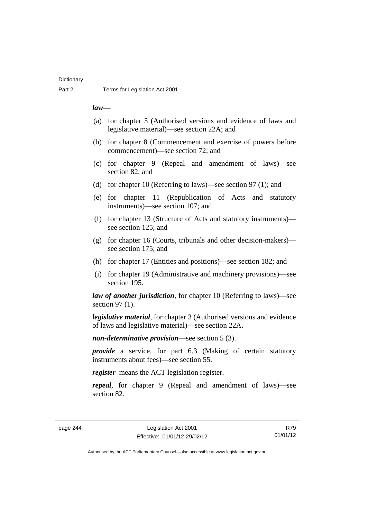# **Dictionary**

### *law*—

- (a) for chapter 3 (Authorised versions and evidence of laws and legislative material)—see section 22A; and
- (b) for chapter 8 (Commencement and exercise of powers before commencement)—see section 72; and
- (c) for chapter 9 (Repeal and amendment of laws)—see section 82; and
- (d) for chapter 10 (Referring to laws)—see section 97 (1); and
- (e) for chapter 11 (Republication of Acts and statutory instruments)—see section 107; and
- (f) for chapter 13 (Structure of Acts and statutory instruments) see section 125; and
- (g) for chapter 16 (Courts, tribunals and other decision-makers) see section 175; and
- (h) for chapter 17 (Entities and positions)—see section 182; and
- (i) for chapter 19 (Administrative and machinery provisions)—see section 195.

*law of another jurisdiction*, for chapter 10 (Referring to laws)—see section 97 (1).

*legislative material*, for chapter 3 (Authorised versions and evidence of laws and legislative material)—see section 22A.

*non-determinative provision*—see section 5 (3).

*provide* a service, for part 6.3 (Making of certain statutory instruments about fees)—see section 55.

*register* means the ACT legislation register.

*repeal*, for chapter 9 (Repeal and amendment of laws)—see section 82.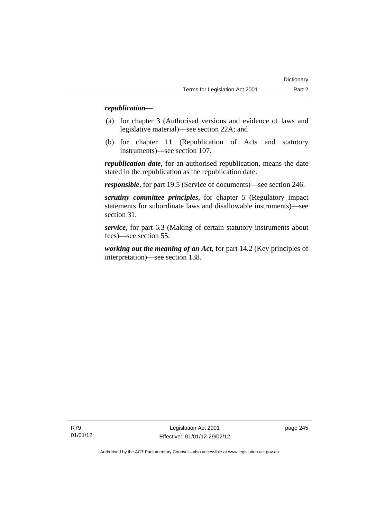# *republication—*

- (a) for chapter 3 (Authorised versions and evidence of laws and legislative material)—see section 22A; and
- (b) for chapter 11 (Republication of Acts and statutory instruments)—see section 107.

*republication date*, for an authorised republication, means the date stated in the republication as the republication date.

*responsible*, for part 19.5 (Service of documents)—see section 246.

*scrutiny committee principles*, for chapter 5 (Regulatory impact statements for subordinate laws and disallowable instruments)—see section 31.

*service*, for part 6.3 (Making of certain statutory instruments about fees)—see section 55.

*working out the meaning of an Act*, for part 14.2 (Key principles of interpretation)—see section 138.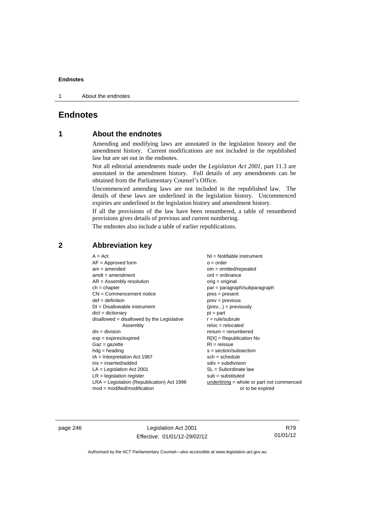1 About the endnotes

# **Endnotes**

# **1 About the endnotes**

Amending and modifying laws are annotated in the legislation history and the amendment history. Current modifications are not included in the republished law but are set out in the endnotes.

Not all editorial amendments made under the *Legislation Act 2001*, part 11.3 are annotated in the amendment history. Full details of any amendments can be obtained from the Parliamentary Counsel's Office.

Uncommenced amending laws are not included in the republished law. The details of these laws are underlined in the legislation history. Uncommenced expiries are underlined in the legislation history and amendment history.

If all the provisions of the law have been renumbered, a table of renumbered provisions gives details of previous and current numbering.

The endnotes also include a table of earlier republications.

| $A = Act$                                    | $NI =$ Notifiable instrument              |
|----------------------------------------------|-------------------------------------------|
| $AF =$ Approved form                         | $o = order$                               |
| $am = amended$                               | $om = omitted/repealed$                   |
| $amdt = amendment$                           | $ord = ordinance$                         |
| $AR = Assembly resolution$                   | orig = original                           |
| $ch = chapter$                               | $par = paragraph/subparagraph$            |
| $CN =$ Commencement notice                   | $pres = present$                          |
| $def = definition$                           | $prev = previous$                         |
| $DI = Disallowable instrument$               | $(\text{prev}) = \text{previously}$       |
| $dict = dictionary$                          | $pt = part$                               |
| disallowed = disallowed by the Legislative   | $r = rule/subrule$                        |
| Assembly                                     | $reloc = relocated$                       |
| $div =$ division                             | $remum = renumbered$                      |
| $exp = expires/expired$                      | $R[X]$ = Republication No                 |
| $Gaz = gazette$                              | $RI = reissue$                            |
| $hdg =$ heading                              | $s = section/subsection$                  |
| $IA = Interpretation Act 1967$               | $sch = schedule$                          |
| $ins = inserted/added$                       | $sdiv = subdivision$                      |
| $LA =$ Legislation Act 2001                  | $SL = Subordinate$ law                    |
| $LR =$ legislation register                  | $sub =$ substituted                       |
| $LRA =$ Legislation (Republication) Act 1996 | underlining = whole or part not commenced |
| $mod = modified/modification$                | or to be expired                          |
|                                              |                                           |

# **2 Abbreviation key**

page 246 Legislation Act 2001 Effective: 01/01/12-29/02/12

R79 01/01/12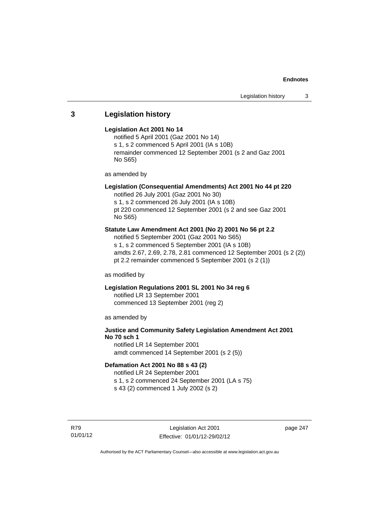# **3 Legislation history**

### **Legislation Act 2001 No 14**

notified 5 April 2001 (Gaz 2001 No 14) s 1, s 2 commenced 5 April 2001 (IA s 10B) remainder commenced 12 September 2001 (s 2 and Gaz 2001 No S65)

as amended by

# **Legislation (Consequential Amendments) Act 2001 No 44 pt 220**

notified 26 July 2001 (Gaz 2001 No 30) s 1, s 2 commenced 26 July 2001 (IA s 10B) pt 220 commenced 12 September 2001 (s 2 and see Gaz 2001 No S65)

# **Statute Law Amendment Act 2001 (No 2) 2001 No 56 pt 2.2**

notified 5 September 2001 (Gaz 2001 No S65) s 1, s 2 commenced 5 September 2001 (IA s 10B) amdts 2.67, 2.69, 2.78, 2.81 commenced 12 September 2001 (s 2 (2)) pt 2.2 remainder commenced 5 September 2001 (s 2 (1))

as modified by

# **Legislation Regulations 2001 SL 2001 No 34 reg 6**

notified LR 13 September 2001 commenced 13 September 2001 (reg 2)

as amended by

# **Justice and Community Safety Legislation Amendment Act 2001 No 70 sch 1**

notified LR 14 September 2001 amdt commenced 14 September 2001 (s 2 (5))

### **Defamation Act 2001 No 88 s 43 (2)**

notified LR 24 September 2001 s 1, s 2 commenced 24 September 2001 (LA s 75) s 43 (2) commenced 1 July 2002 (s 2)

R79 01/01/12

Legislation Act 2001 Effective: 01/01/12-29/02/12 page 247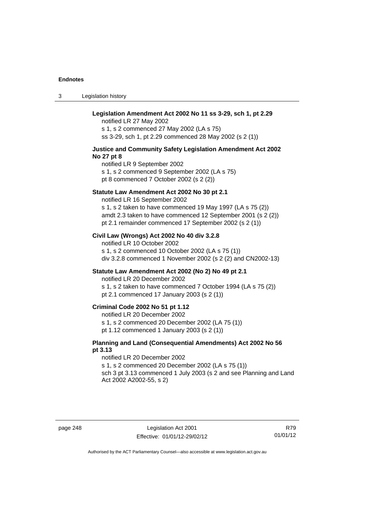3 Legislation history

| Legislation Amendment Act 2002 No 11 ss 3-29, sch 1, pt 2.29<br>notified LR 27 May 2002<br>s 1, s 2 commenced 27 May 2002 (LA s 75)<br>ss 3-29, sch 1, pt 2.29 commenced 28 May 2002 (s 2 (1))                                                                       |
|----------------------------------------------------------------------------------------------------------------------------------------------------------------------------------------------------------------------------------------------------------------------|
| Justice and Community Safety Legislation Amendment Act 2002<br>No 27 pt 8<br>notified LR 9 September 2002<br>s 1, s 2 commenced 9 September 2002 (LA s 75)<br>pt 8 commenced 7 October 2002 (s 2 (2))                                                                |
| Statute Law Amendment Act 2002 No 30 pt 2.1<br>notified LR 16 September 2002<br>s 1, s 2 taken to have commenced 19 May 1997 (LA s 75 (2))<br>amdt 2.3 taken to have commenced 12 September 2001 (s 2 (2))<br>pt 2.1 remainder commenced 17 September 2002 (s 2 (1)) |
| Civil Law (Wrongs) Act 2002 No 40 div 3.2.8<br>notified LR 10 October 2002<br>s 1, s 2 commenced 10 October 2002 (LA s 75 (1))<br>div 3.2.8 commenced 1 November 2002 (s 2 (2) and CN2002-13)                                                                        |
| Statute Law Amendment Act 2002 (No 2) No 49 pt 2.1<br>notified LR 20 December 2002<br>s 1, s 2 taken to have commenced 7 October 1994 (LA s 75 (2))<br>pt 2.1 commenced 17 January 2003 (s 2 (1))                                                                    |
| Criminal Code 2002 No 51 pt 1.12<br>notified LR 20 December 2002<br>s 1, s 2 commenced 20 December 2002 (LA 75 (1))<br>pt 1.12 commenced 1 January 2003 (s 2 (1))                                                                                                    |
| Planning and Land (Consequential Amendments) Act 2002 No 56<br>pt 3.13<br>notified LR 20 December 2002<br>s 1, s 2 commenced 20 December 2002 (LA s 75 (1))<br>sch 3 pt 3.13 commenced 1 July 2003 (s 2 and see Planning and Land<br>Act 2002 A2002-55, s 2)         |
|                                                                                                                                                                                                                                                                      |

page 248 Legislation Act 2001 Effective: 01/01/12-29/02/12

R79 01/01/12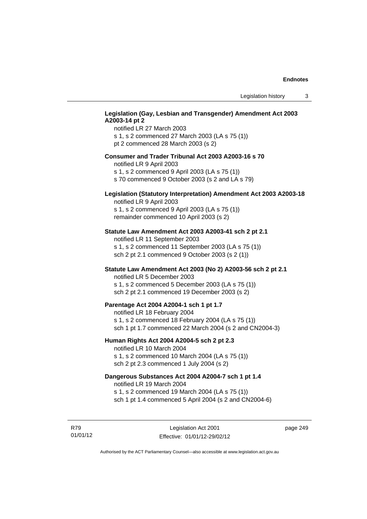# **Legislation (Gay, Lesbian and Transgender) Amendment Act 2003 A2003-14 pt 2**

notified LR 27 March 2003 s 1, s 2 commenced 27 March 2003 (LA s 75 (1)) pt 2 commenced 28 March 2003 (s 2)

### **Consumer and Trader Tribunal Act 2003 A2003-16 s 70**

notified LR 9 April 2003

s 1, s 2 commenced 9 April 2003 (LA s 75 (1))

s 70 commenced 9 October 2003 (s 2 and LA s 79)

# **Legislation (Statutory Interpretation) Amendment Act 2003 A2003-18**

notified LR 9 April 2003 s 1, s 2 commenced 9 April 2003 (LA s 75 (1)) remainder commenced 10 April 2003 (s 2)

### **Statute Law Amendment Act 2003 A2003-41 sch 2 pt 2.1**

notified LR 11 September 2003 s 1, s 2 commenced 11 September 2003 (LA s 75 (1)) sch 2 pt 2.1 commenced 9 October 2003 (s 2 (1))

### **Statute Law Amendment Act 2003 (No 2) A2003-56 sch 2 pt 2.1**

notified LR 5 December 2003 s 1, s 2 commenced 5 December 2003 (LA s 75 (1)) sch 2 pt 2.1 commenced 19 December 2003 (s 2)

### **Parentage Act 2004 A2004-1 sch 1 pt 1.7**

notified LR 18 February 2004 s 1, s 2 commenced 18 February 2004 (LA s 75 (1)) sch 1 pt 1.7 commenced 22 March 2004 (s 2 and CN2004-3)

### **Human Rights Act 2004 A2004-5 sch 2 pt 2.3**

notified LR 10 March 2004 s 1, s 2 commenced 10 March 2004 (LA s 75 (1)) sch 2 pt 2.3 commenced 1 July 2004 (s 2)

# **Dangerous Substances Act 2004 A2004-7 sch 1 pt 1.4**

notified LR 19 March 2004 s 1, s 2 commenced 19 March 2004 (LA s 75 (1)) sch 1 pt 1.4 commenced 5 April 2004 (s 2 and CN2004-6)

R79 01/01/12

Legislation Act 2001 Effective: 01/01/12-29/02/12 page 249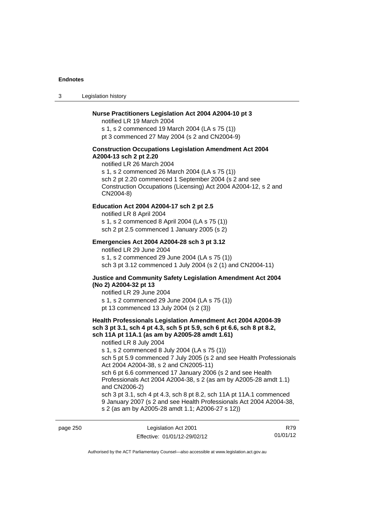page 250

3 Legislation history

### **Nurse Practitioners Legislation Act 2004 A2004-10 pt 3**

notified LR 19 March 2004 s 1, s 2 commenced 19 March 2004 (LA s 75 (1)) pt 3 commenced 27 May 2004 (s 2 and CN2004-9)

#### **Construction Occupations Legislation Amendment Act 2004 A2004-13 sch 2 pt 2.20**

notified LR 26 March 2004 s 1, s 2 commenced 26 March 2004 (LA s 75 (1)) sch 2 pt 2.20 commenced 1 September 2004 (s 2 and see Construction Occupations (Licensing) Act 2004 A2004-12, s 2 and CN2004-8)

# **Education Act 2004 A2004-17 sch 2 pt 2.5**

notified LR 8 April 2004 s 1, s 2 commenced 8 April 2004 (LA s 75 (1)) sch 2 pt 2.5 commenced 1 January 2005 (s 2)

### **Emergencies Act 2004 A2004-28 sch 3 pt 3.12**

notified LR 29 June 2004 s 1, s 2 commenced 29 June 2004 (LA s 75 (1)) sch 3 pt 3.12 commenced 1 July 2004 (s 2 (1) and CN2004-11)

### **Justice and Community Safety Legislation Amendment Act 2004 (No 2) A2004-32 pt 13**

notified LR 29 June 2004 s 1, s 2 commenced 29 June 2004 (LA s 75 (1)) pt 13 commenced 13 July 2004 (s 2 (3))

# **Health Professionals Legislation Amendment Act 2004 A2004-39 sch 3 pt 3.1, sch 4 pt 4.3, sch 5 pt 5.9, sch 6 pt 6.6, sch 8 pt 8.2, sch 11A pt 11A.1 (as am by A2005-28 amdt 1.61)**

notified LR 8 July 2004

s 1, s 2 commenced 8 July 2004 (LA s 75 (1))

sch 5 pt 5.9 commenced 7 July 2005 (s 2 and see Health Professionals Act 2004 A2004-38, s 2 and CN2005-11)

sch 6 pt 6.6 commenced 17 January 2006 (s 2 and see Health Professionals Act 2004 A2004-38, s 2 (as am by A2005-28 amdt 1.1) and CN2006-2)

sch 3 pt 3.1, sch 4 pt 4.3, sch 8 pt 8.2, sch 11A pt 11A.1 commenced 9 January 2007 (s 2 and see Health Professionals Act 2004 A2004-38, s 2 (as am by A2005-28 amdt 1.1; A2006-27 s 12))

| Legislation Act 2001         | R79      |
|------------------------------|----------|
| Effective: 01/01/12-29/02/12 | 01/01/12 |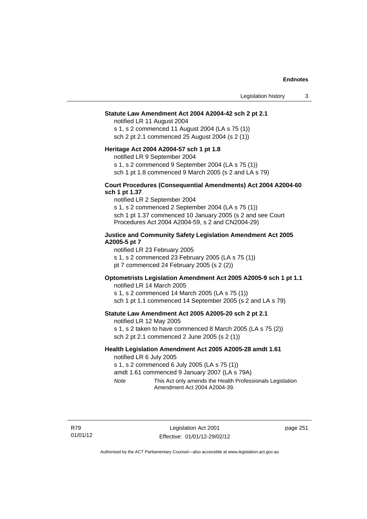#### **Statute Law Amendment Act 2004 A2004-42 sch 2 pt 2.1**

notified LR 11 August 2004 s 1, s 2 commenced 11 August 2004 (LA s 75 (1)) sch 2 pt 2.1 commenced 25 August 2004 (s 2 (1))

#### **Heritage Act 2004 A2004-57 sch 1 pt 1.8**

notified LR 9 September 2004

s 1, s 2 commenced 9 September 2004 (LA s 75 (1))

sch 1 pt 1.8 commenced 9 March 2005 (s 2 and LA s 79)

### **Court Procedures (Consequential Amendments) Act 2004 A2004-60 sch 1 pt 1.37**

notified LR 2 September 2004 s 1, s 2 commenced 2 September 2004 (LA s 75 (1)) sch 1 pt 1.37 commenced 10 January 2005 (s 2 and see Court Procedures Act 2004 A2004-59, s 2 and CN2004-29)

### **Justice and Community Safety Legislation Amendment Act 2005 A2005-5 pt 7**

notified LR 23 February 2005 s 1, s 2 commenced 23 February 2005 (LA s 75 (1)) pt 7 commenced 24 February 2005 (s 2 (2))

### **Optometrists Legislation Amendment Act 2005 A2005-9 sch 1 pt 1.1**

notified LR 14 March 2005 s 1, s 2 commenced 14 March 2005 (LA s 75 (1)) sch 1 pt 1.1 commenced 14 September 2005 (s 2 and LA s 79)

# **Statute Law Amendment Act 2005 A2005-20 sch 2 pt 2.1**

notified LR 12 May 2005

s 1, s 2 taken to have commenced 8 March 2005 (LA s 75 (2)) sch 2 pt 2.1 commenced 2 June 2005 (s 2 (1))

# **Health Legislation Amendment Act 2005 A2005-28 amdt 1.61**

notified LR 6 July 2005

s 1, s 2 commenced 6 July 2005 (LA s 75 (1))

amdt 1.61 commenced 9 January 2007 (LA s 79A)

*Note* This Act only amends the Health Professionals Legislation Amendment Act 2004 A2004-39.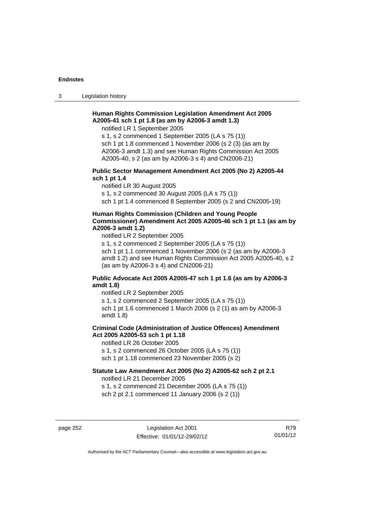3 Legislation history

# **Human Rights Commission Legislation Amendment Act 2005 A2005-41 sch 1 pt 1.8 (as am by A2006-3 amdt 1.3)**

notified LR 1 September 2005

s 1, s 2 commenced 1 September 2005 (LA s 75 (1)) sch 1 pt 1.8 commenced 1 November 2006 (s 2 (3) (as am by A2006-3 amdt 1.3) and see Human Rights Commission Act 2005 A2005-40, s 2 (as am by A2006-3 s 4) and CN2006-21)

# **Public Sector Management Amendment Act 2005 (No 2) A2005-44 sch 1 pt 1.4**

notified LR 30 August 2005

s 1, s 2 commenced 30 August 2005 (LA s 75 (1))

sch 1 pt 1.4 commenced 8 September 2005 (s 2 and CN2005-19)

#### **Human Rights Commission (Children and Young People Commissioner) Amendment Act 2005 A2005-46 sch 1 pt 1.1 (as am by A2006-3 amdt 1.2)**

notified LR 2 September 2005

s 1, s 2 commenced 2 September 2005 (LA s 75 (1)) sch 1 pt 1.1 commenced 1 November 2006 (s 2 (as am by A2006-3 amdt 1.2) and see Human Rights Commission Act 2005 A2005-40, s 2 (as am by A2006-3 s 4) and CN2006-21)

### **Public Advocate Act 2005 A2005-47 sch 1 pt 1.6 (as am by A2006-3 amdt 1.8)**

notified LR 2 September 2005

s 1, s 2 commenced 2 September 2005 (LA s 75 (1))

sch 1 pt 1.6 commenced 1 March 2006 (s 2 (1) as am by A2006-3 amdt 1.8)

# **Criminal Code (Administration of Justice Offences) Amendment Act 2005 A2005-53 sch 1 pt 1.18**

notified LR 26 October 2005

s 1, s 2 commenced 26 October 2005 (LA s 75 (1))

sch 1 pt 1.18 commenced 23 November 2005 (s 2)

# **Statute Law Amendment Act 2005 (No 2) A2005-62 sch 2 pt 2.1**

notified LR 21 December 2005

s 1, s 2 commenced 21 December 2005 (LA s 75 (1)) sch 2 pt 2.1 commenced 11 January 2006 (s 2 (1))

page 252 Legislation Act 2001 Effective: 01/01/12-29/02/12

R79 01/01/12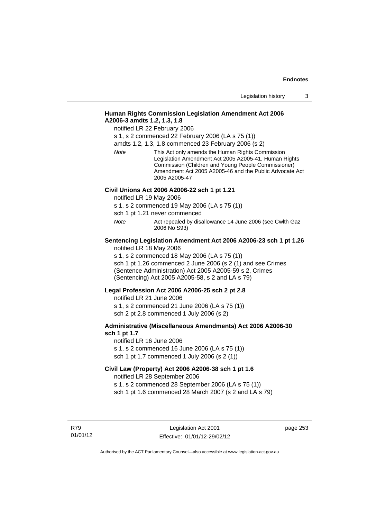# **Human Rights Commission Legislation Amendment Act 2006 A2006-3 amdts 1.2, 1.3, 1.8**

notified LR 22 February 2006

s 1, s 2 commenced 22 February 2006 (LA s 75 (1))

amdts 1.2, 1.3, 1.8 commenced 23 February 2006 (s 2)

*Note* This Act only amends the Human Rights Commission Legislation Amendment Act 2005 A2005-41, Human Rights Commission (Children and Young People Commissioner) Amendment Act 2005 A2005-46 and the Public Advocate Act 2005 A2005-47

#### **Civil Unions Act 2006 A2006-22 sch 1 pt 1.21**

notified LR 19 May 2006

s 1, s 2 commenced 19 May 2006 (LA s 75 (1))

sch 1 pt 1.21 never commenced

*Note* **Act repealed by disallowance 14 June 2006 (see Cwlth Gaz** 2006 No S93)

# **Sentencing Legislation Amendment Act 2006 A2006-23 sch 1 pt 1.26**

notified LR 18 May 2006

s 1, s 2 commenced 18 May 2006 (LA s 75 (1)) sch 1 pt 1.26 commenced 2 June 2006 (s 2 (1) and see Crimes (Sentence Administration) Act 2005 A2005-59 s 2, Crimes (Sentencing) Act 2005 A2005-58, s 2 and LA s 79)

#### **Legal Profession Act 2006 A2006-25 sch 2 pt 2.8**

notified LR 21 June 2006 s 1, s 2 commenced 21 June 2006 (LA s 75 (1)) sch 2 pt 2.8 commenced 1 July 2006 (s 2)

### **Administrative (Miscellaneous Amendments) Act 2006 A2006-30 sch 1 pt 1.7**

notified LR 16 June 2006 s 1, s 2 commenced 16 June 2006 (LA s 75 (1)) sch 1 pt 1.7 commenced 1 July 2006 (s 2 (1))

# **Civil Law (Property) Act 2006 A2006-38 sch 1 pt 1.6**

notified LR 28 September 2006

s 1, s 2 commenced 28 September 2006 (LA s 75 (1))

sch 1 pt 1.6 commenced 28 March 2007 (s 2 and LA s 79)

R79 01/01/12 page 253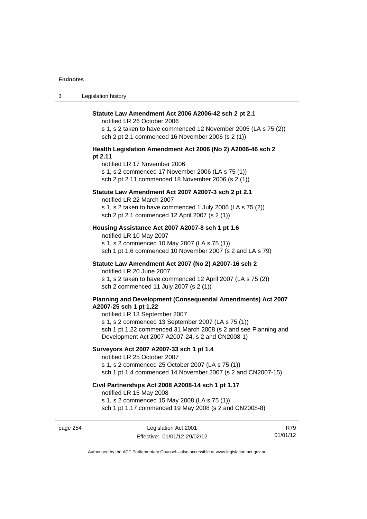| $\sqrt{2}$<br>ు | Legislation history |
|-----------------|---------------------|
|-----------------|---------------------|

| Statute Law Amendment Act 2006 A2006-42 sch 2 pt 2.1<br>notified LR 26 October 2006<br>s 1, s 2 taken to have commenced 12 November 2005 (LA s 75 (2))<br>sch 2 pt 2.1 commenced 16 November 2006 (s 2 (1)) |
|-------------------------------------------------------------------------------------------------------------------------------------------------------------------------------------------------------------|
| Health Legislation Amendment Act 2006 (No 2) A2006-46 sch 2<br>pt 2.11                                                                                                                                      |
| notified LR 17 November 2006<br>s 1, s 2 commenced 17 November 2006 (LA s 75 (1))<br>sch 2 pt 2.11 commenced 18 November 2006 (s 2 (1))                                                                     |
| Statute Law Amendment Act 2007 A2007-3 sch 2 pt 2.1                                                                                                                                                         |
| notified LR 22 March 2007<br>s 1, s 2 taken to have commenced 1 July 2006 (LA s 75 (2))<br>sch 2 pt 2.1 commenced 12 April 2007 (s 2 (1))                                                                   |
| Housing Assistance Act 2007 A2007-8 sch 1 pt 1.6                                                                                                                                                            |
| notified LR 10 May 2007<br>s 1, s 2 commenced 10 May 2007 (LA s 75 (1))<br>sch 1 pt 1.6 commenced 10 November 2007 (s 2 and LA s 79)                                                                        |
| Statute Law Amendment Act 2007 (No 2) A2007-16 sch 2<br>notified LR 20 June 2007                                                                                                                            |
| s 1, s 2 taken to have commenced 12 April 2007 (LA s 75 (2))<br>sch 2 commenced 11 July 2007 (s 2 (1))                                                                                                      |
| Planning and Development (Consequential Amendments) Act 2007<br>A2007-25 sch 1 pt 1.22<br>notified LR 13 September 2007                                                                                     |
| s 1, s 2 commenced 13 September 2007 (LA s 75 (1))<br>sch 1 pt 1.22 commenced 31 March 2008 (s 2 and see Planning and<br>Development Act 2007 A2007-24, s 2 and CN2008-1)                                   |
| Surveyors Act 2007 A2007-33 sch 1 pt 1.4<br>notified LR 25 October 2007                                                                                                                                     |
| s 1, s 2 commenced 25 October 2007 (LA s 75 (1))<br>sch 1 pt 1.4 commenced 14 November 2007 (s 2 and CN2007-15)                                                                                             |
| Civil Partnerships Act 2008 A2008-14 sch 1 pt 1.17<br>notified LR 15 May 2008                                                                                                                               |
| s 1, s 2 commenced 15 May 2008 (LA s 75 (1))<br>sch 1 pt 1.17 commenced 19 May 2008 (s 2 and CN2008-8)                                                                                                      |

page 254 Legislation Act 2001 Effective: 01/01/12-29/02/12

R79 01/01/12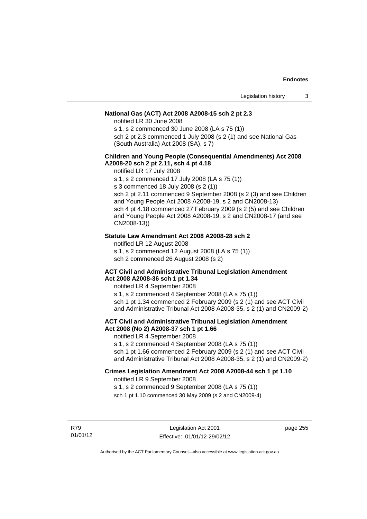## **National Gas (ACT) Act 2008 A2008-15 sch 2 pt 2.3**

notified LR 30 June 2008

s 1, s 2 commenced 30 June 2008 (LA s 75 (1))

sch 2 pt 2.3 commenced 1 July 2008 (s 2 (1) and see National Gas (South Australia) Act 2008 (SA), s 7)

## **Children and Young People (Consequential Amendments) Act 2008 A2008-20 sch 2 pt 2.11, sch 4 pt 4.18**

notified LR 17 July 2008

s 1, s 2 commenced 17 July 2008 (LA s 75 (1))

s 3 commenced 18 July 2008 (s 2 (1))

sch 2 pt 2.11 commenced 9 September 2008 (s 2 (3) and see Children and Young People Act 2008 A2008-19, s 2 and CN2008-13) sch 4 pt 4.18 commenced 27 February 2009 (s 2 (5) and see Children and Young People Act 2008 A2008-19, s 2 and CN2008-17 (and see CN2008-13))

### **Statute Law Amendment Act 2008 A2008-28 sch 2**

notified LR 12 August 2008

s 1, s 2 commenced 12 August 2008 (LA s 75 (1))

sch 2 commenced 26 August 2008 (s 2)

#### **ACT Civil and Administrative Tribunal Legislation Amendment Act 2008 A2008-36 sch 1 pt 1.34**

notified LR 4 September 2008

s 1, s 2 commenced 4 September 2008 (LA s 75 (1)) sch 1 pt 1.34 commenced 2 February 2009 (s 2 (1) and see ACT Civil and Administrative Tribunal Act 2008 A2008-35, s 2 (1) and CN2009-2)

# **ACT Civil and Administrative Tribunal Legislation Amendment Act 2008 (No 2) A2008-37 sch 1 pt 1.66**

notified LR 4 September 2008

s 1, s 2 commenced 4 September 2008 (LA s 75 (1))

sch 1 pt 1.66 commenced 2 February 2009 (s 2 (1) and see ACT Civil and Administrative Tribunal Act 2008 A2008-35, s 2 (1) and CN2009-2)

### **Crimes Legislation Amendment Act 2008 A2008-44 sch 1 pt 1.10**  notified LR 9 September 2008

s 1, s 2 commenced 9 September 2008 (LA s 75 (1))

sch 1 pt 1.10 commenced 30 May 2009 (s 2 and CN2009-4)

R79 01/01/12 page 255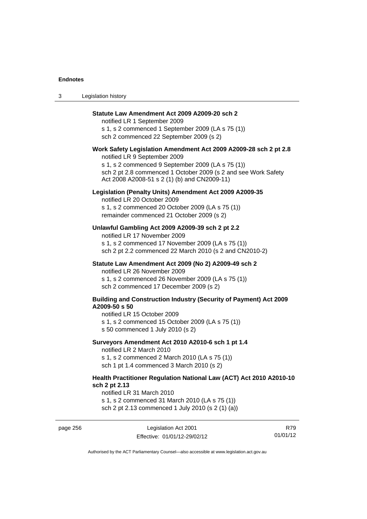3 Legislation history

| Statute Law Amendment Act 2009 A2009-20 sch 2<br>notified LR 1 September 2009<br>s 1, s 2 commenced 1 September 2009 (LA s 75 (1))<br>sch 2 commenced 22 September 2009 (s 2)                                                                                           |
|-------------------------------------------------------------------------------------------------------------------------------------------------------------------------------------------------------------------------------------------------------------------------|
| Work Safety Legislation Amendment Act 2009 A2009-28 sch 2 pt 2.8<br>notified LR 9 September 2009<br>s 1, s 2 commenced 9 September 2009 (LA s 75 (1))<br>sch 2 pt 2.8 commenced 1 October 2009 (s 2 and see Work Safety<br>Act 2008 A2008-51 s 2 (1) (b) and CN2009-11) |
| Legislation (Penalty Units) Amendment Act 2009 A2009-35<br>notified LR 20 October 2009<br>s 1, s 2 commenced 20 October 2009 (LA s 75 (1))<br>remainder commenced 21 October 2009 (s 2)                                                                                 |
| Unlawful Gambling Act 2009 A2009-39 sch 2 pt 2.2<br>notified LR 17 November 2009<br>s 1, s 2 commenced 17 November 2009 (LA s 75 (1))<br>sch 2 pt 2.2 commenced 22 March 2010 (s 2 and CN2010-2)                                                                        |
| Statute Law Amendment Act 2009 (No 2) A2009-49 sch 2<br>notified LR 26 November 2009<br>s 1, s 2 commenced 26 November 2009 (LA s 75 (1))<br>sch 2 commenced 17 December 2009 (s 2)                                                                                     |
| <b>Building and Construction Industry (Security of Payment) Act 2009</b><br>A2009-50 s 50<br>notified LR 15 October 2009<br>s 1, s 2 commenced 15 October 2009 (LA s 75 (1))<br>s 50 commenced 1 July 2010 (s 2)                                                        |
| Surveyors Amendment Act 2010 A2010-6 sch 1 pt 1.4<br>notified LR 2 March 2010<br>s 1, s 2 commenced 2 March 2010 (LA s 75 (1))<br>sch 1 pt 1.4 commenced 3 March 2010 (s 2)                                                                                             |
| Health Practitioner Regulation National Law (ACT) Act 2010 A2010-10<br>sch 2 pt 2.13<br>notified LR 31 March 2010                                                                                                                                                       |

s 1, s 2 commenced 31 March 2010 (LA s 75 (1)) sch 2 pt 2.13 commenced 1 July 2010 (s 2 (1) (a))

page 256 Legislation Act 2001 Effective: 01/01/12-29/02/12

R79 01/01/12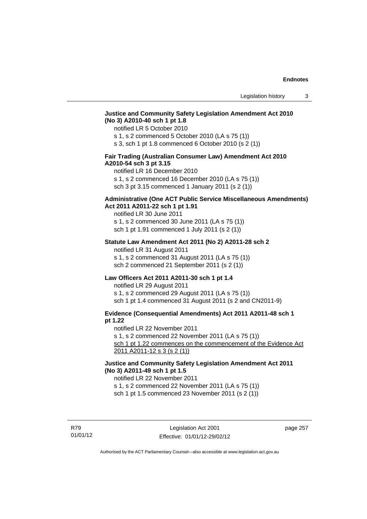# **Justice and Community Safety Legislation Amendment Act 2010 (No 3) A2010-40 sch 1 pt 1.8**

notified LR 5 October 2010

s 1, s 2 commenced 5 October 2010 (LA s 75 (1))

s 3, sch 1 pt 1.8 commenced 6 October 2010 (s 2 (1))

# **Fair Trading (Australian Consumer Law) Amendment Act 2010 A2010-54 sch 3 pt 3.15**

notified LR 16 December 2010

s 1, s 2 commenced 16 December 2010 (LA s 75 (1))

sch 3 pt 3.15 commenced 1 January 2011 (s 2 (1))

## **Administrative (One ACT Public Service Miscellaneous Amendments) Act 2011 A2011-22 sch 1 pt 1.91**

notified LR 30 June 2011 s 1, s 2 commenced 30 June 2011 (LA s 75 (1)) sch 1 pt 1.91 commenced 1 July 2011 (s 2 (1))

#### **Statute Law Amendment Act 2011 (No 2) A2011-28 sch 2**

notified LR 31 August 2011 s 1, s 2 commenced 31 August 2011 (LA s 75 (1)) sch 2 commenced 21 September 2011 (s 2 (1))

# **Law Officers Act 2011 A2011-30 sch 1 pt 1.4**

notified LR 29 August 2011 s 1, s 2 commenced 29 August 2011 (LA s 75 (1)) sch 1 pt 1.4 commenced 31 August 2011 (s 2 and CN2011-9)

# **Evidence (Consequential Amendments) Act 2011 A2011-48 sch 1 pt 1.22**

notified LR 22 November 2011

s 1, s 2 commenced 22 November 2011 (LA s 75 (1))

sch 1 pt 1.22 commences on the commencement of the Evidence Act 2011 A2011-12 s 3 (s 2 (1))

# **Justice and Community Safety Legislation Amendment Act 2011 (No 3) A2011-49 sch 1 pt 1.5**

notified LR 22 November 2011

s 1, s 2 commenced 22 November 2011 (LA s 75 (1))

sch 1 pt 1.5 commenced 23 November 2011 (s 2 (1))

R79 01/01/12 page 257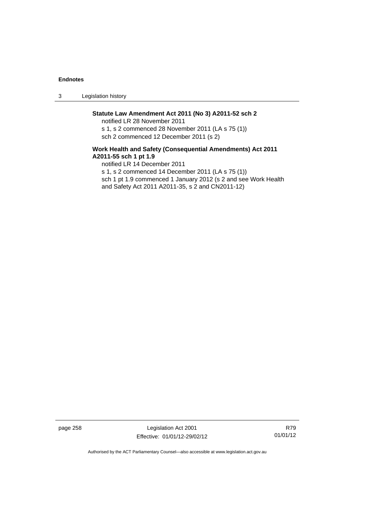3 Legislation history

# **Statute Law Amendment Act 2011 (No 3) A2011-52 sch 2**

notified LR 28 November 2011 s 1, s 2 commenced 28 November 2011 (LA s 75 (1)) sch 2 commenced 12 December 2011 (s 2)

# **Work Health and Safety (Consequential Amendments) Act 2011 A2011-55 sch 1 pt 1.9**

notified LR 14 December 2011 s 1, s 2 commenced 14 December 2011 (LA s 75 (1)) sch 1 pt 1.9 commenced 1 January 2012 (s 2 and see Work Health and Safety Act 2011 A2011-35, s 2 and CN2011-12)

page 258 Legislation Act 2001 Effective: 01/01/12-29/02/12

R79 01/01/12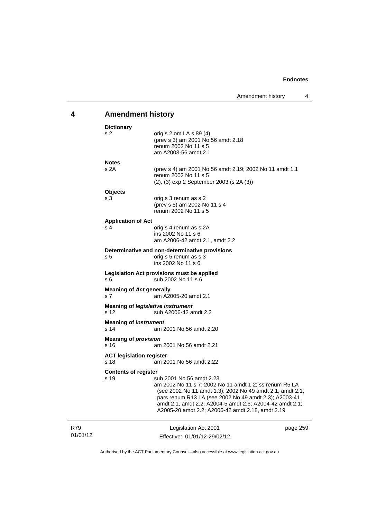# **4 Amendment history**

| <b>Dictionary</b>                                 |                                                                                                                                                                                                                                                                                                                          |          |
|---------------------------------------------------|--------------------------------------------------------------------------------------------------------------------------------------------------------------------------------------------------------------------------------------------------------------------------------------------------------------------------|----------|
| s 2                                               | orig s 2 om LA s 89 (4)<br>(prev s 3) am 2001 No 56 amdt 2.18<br>renum 2002 No 11 s 5<br>am A2003-56 amdt 2.1                                                                                                                                                                                                            |          |
| <b>Notes</b>                                      |                                                                                                                                                                                                                                                                                                                          |          |
| s 2A                                              | (prev s 4) am 2001 No 56 amdt 2.19; 2002 No 11 amdt 1.1<br>renum 2002 No 11 s 5<br>(2), (3) exp 2 September 2003 (s 2A (3))                                                                                                                                                                                              |          |
| <b>Objects</b>                                    |                                                                                                                                                                                                                                                                                                                          |          |
| s 3                                               | orig s 3 renum as s 2<br>(prev s 5) am 2002 No 11 s 4<br>renum 2002 No 11 s 5                                                                                                                                                                                                                                            |          |
| <b>Application of Act</b>                         |                                                                                                                                                                                                                                                                                                                          |          |
| s <sub>4</sub>                                    | orig s 4 renum as s 2A<br>ins 2002 No 11 s 6<br>am A2006-42 amdt 2.1, amdt 2.2                                                                                                                                                                                                                                           |          |
|                                                   | Determinative and non-determinative provisions                                                                                                                                                                                                                                                                           |          |
| s <sub>5</sub>                                    | orig s 5 renum as s 3<br>ins 2002 No 11 s 6                                                                                                                                                                                                                                                                              |          |
| s 6                                               | Legislation Act provisions must be applied<br>sub 2002 No 11 s 6                                                                                                                                                                                                                                                         |          |
| <b>Meaning of Act generally</b><br>s <sub>7</sub> | am A2005-20 amdt 2.1                                                                                                                                                                                                                                                                                                     |          |
| <b>Meaning of legislative instrument</b><br>s 12  | sub A2006-42 amdt 2.3                                                                                                                                                                                                                                                                                                    |          |
| <b>Meaning of instrument</b><br>s <sub>14</sub>   | am 2001 No 56 amdt 2.20                                                                                                                                                                                                                                                                                                  |          |
| <b>Meaning of provision</b><br>s 16               | am 2001 No 56 amdt 2.21                                                                                                                                                                                                                                                                                                  |          |
|                                                   |                                                                                                                                                                                                                                                                                                                          |          |
| <b>ACT legislation register</b><br>s 18           | am 2001 No 56 amdt 2.22                                                                                                                                                                                                                                                                                                  |          |
| <b>Contents of register</b>                       |                                                                                                                                                                                                                                                                                                                          |          |
| s 19                                              | sub 2001 No 56 amdt 2.23<br>am 2002 No 11 s 7; 2002 No 11 amdt 1.2; ss renum R5 LA<br>(see 2002 No 11 amdt 1.3); 2002 No 49 amdt 2.1, amdt 2.1;<br>pars renum R13 LA (see 2002 No 49 amdt 2.3); A2003-41<br>amdt 2.1, amdt 2.2; A2004-5 amdt 2.6; A2004-42 amdt 2.1;<br>A2005-20 amdt 2.2; A2006-42 amdt 2.18, amdt 2.19 |          |
| R79<br>01/01/12                                   | Legislation Act 2001<br>Effective: 01/01/12-29/02/12                                                                                                                                                                                                                                                                     | page 259 |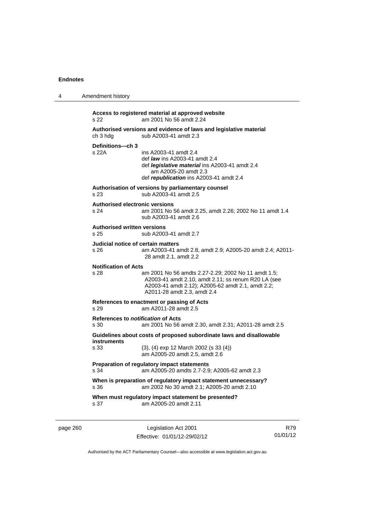| 4 | Amendment history                                                                                                                                                                                                                     |
|---|---------------------------------------------------------------------------------------------------------------------------------------------------------------------------------------------------------------------------------------|
|   | Access to registered material at approved website<br>s 22<br>am 2001 No 56 amdt 2.24                                                                                                                                                  |
|   | Authorised versions and evidence of laws and legislative material<br>sub A2003-41 amdt 2.3<br>ch 3 hdg                                                                                                                                |
|   | Definitions-ch 3<br>s 22A<br>ins A2003-41 amdt 2.4<br>def <i>law</i> ins A2003-41 amdt 2.4<br>def <i>legislative material</i> ins A2003-41 amdt 2.4<br>am A2005-20 amdt 2.3<br>def republication ins A2003-41 amdt 2.4                |
|   | Authorisation of versions by parliamentary counsel<br>sub A2003-41 amdt 2.5<br>s 23                                                                                                                                                   |
|   | <b>Authorised electronic versions</b><br>s 24<br>am 2001 No 56 amdt 2.25, amdt 2.26; 2002 No 11 amdt 1.4<br>sub A2003-41 amdt 2.6                                                                                                     |
|   | <b>Authorised written versions</b><br>s 25<br>sub A2003-41 amdt 2.7                                                                                                                                                                   |
|   | Judicial notice of certain matters<br>s 26<br>am A2003-41 amdt 2.8, amdt 2.9; A2005-20 amdt 2.4; A2011-<br>28 amdt 2.1, amdt 2.2                                                                                                      |
|   | <b>Notification of Acts</b><br>s 28<br>am 2001 No 56 amdts 2.27-2.29; 2002 No 11 amdt 1.5;<br>A2003-41 amdt 2.10, amdt 2.11; ss renum R20 LA (see<br>A2003-41 amdt 2.12); A2005-62 amdt 2.1, amdt 2.2;<br>A2011-28 amdt 2.3, amdt 2.4 |
|   | References to enactment or passing of Acts<br>s 29<br>am A2011-28 amdt 2.5                                                                                                                                                            |
|   | References to <i>notification</i> of Acts<br>s 30<br>am 2001 No 56 amdt 2.30, amdt 2.31; A2011-28 amdt 2.5                                                                                                                            |
|   | Guidelines about costs of proposed subordinate laws and disallowable<br>instruments<br>s 33<br>(3), (4) exp 12 March 2002 (s 33 (4))<br>am A2005-20 amdt 2.5, amdt 2.6                                                                |
|   | Preparation of regulatory impact statements<br>s 34<br>am A2005-20 amdts 2.7-2.9; A2005-62 amdt 2.3                                                                                                                                   |
|   | When is preparation of regulatory impact statement unnecessary?<br>s 36<br>am 2002 No 30 amdt 2.1; A2005-20 amdt 2.10                                                                                                                 |
|   | When must regulatory impact statement be presented?<br>am A2005-20 amdt 2.11<br>s 37                                                                                                                                                  |
|   |                                                                                                                                                                                                                                       |

page 260 Legislation Act 2001 Effective: 01/01/12-29/02/12

R79 01/01/12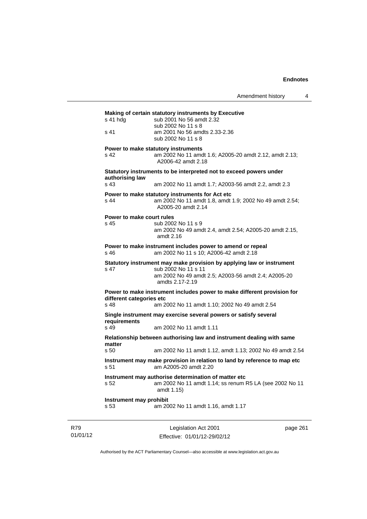| s 41 hda                                    | Making of certain statutory instruments by Executive                                                                             |
|---------------------------------------------|----------------------------------------------------------------------------------------------------------------------------------|
|                                             | sub 2001 No 56 amdt 2.32<br>sub 2002 No 11 s 8                                                                                   |
| s 41                                        | am 2001 No 56 amdts 2.33-2.36<br>sub 2002 No 11 s 8                                                                              |
| s 42                                        | Power to make statutory instruments<br>am 2002 No 11 amdt 1.6; A2005-20 amdt 2.12, amdt 2.13;<br>A2006-42 amdt 2.18              |
| authorising law                             | Statutory instruments to be interpreted not to exceed powers under                                                               |
| s <sub>43</sub>                             | am 2002 No 11 amdt 1.7; A2003-56 amdt 2.2, amdt 2.3                                                                              |
| s 44                                        | Power to make statutory instruments for Act etc<br>am 2002 No 11 amdt 1.8, amdt 1.9; 2002 No 49 amdt 2.54;<br>A2005-20 amdt 2.14 |
| Power to make court rules                   |                                                                                                                                  |
| s 45                                        | sub 2002 No 11 s 9<br>am 2002 No 49 amdt 2.4, amdt 2.54; A2005-20 amdt 2.15,<br>amdt 2.16                                        |
| s 46                                        | Power to make instrument includes power to amend or repeal<br>am 2002 No 11 s 10; A2006-42 amdt 2.18                             |
|                                             | Statutory instrument may make provision by applying law or instrument                                                            |
| s 47                                        | sub 2002 No 11 s 11<br>am 2002 No 49 amdt 2.5; A2003-56 amdt 2.4; A2005-20<br>amdts 2.17-2.19                                    |
|                                             | Power to make instrument includes power to make different provision for                                                          |
| different categories etc<br>s <sub>48</sub> | am 2002 No 11 amdt 1.10; 2002 No 49 amdt 2.54                                                                                    |
| requirements                                | Single instrument may exercise several powers or satisfy several                                                                 |
| s 49                                        | am 2002 No 11 amdt 1.11                                                                                                          |
|                                             | Relationship between authorising law and instrument dealing with same                                                            |
| matter<br>s <sub>50</sub>                   | am 2002 No 11 amdt 1.12, amdt 1.13; 2002 No 49 amdt 2.54                                                                         |
|                                             | Instrument may make provision in relation to land by reference to map etc<br>am A2005-20 amdt 2.20                               |
|                                             | Instrument may authorise determination of matter etc                                                                             |
| s <sub>51</sub><br>s 52                     | am 2002 No 11 amdt 1.14; ss renum R5 LA (see 2002 No 11<br>amdt 1.15)                                                            |

R79 01/01/12

Legislation Act 2001 Effective: 01/01/12-29/02/12 page 261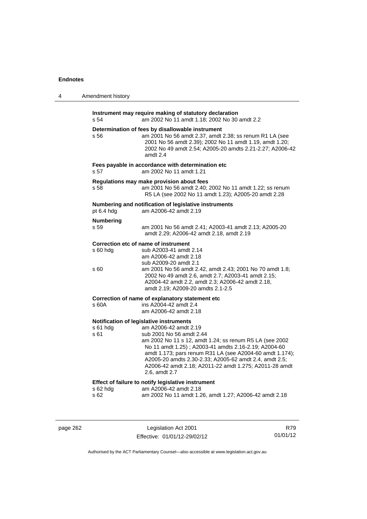| 4 | Amendment history                                                                                                                                                                                                                                                                                                                                                                                                                    |  |
|---|--------------------------------------------------------------------------------------------------------------------------------------------------------------------------------------------------------------------------------------------------------------------------------------------------------------------------------------------------------------------------------------------------------------------------------------|--|
|   | Instrument may require making of statutory declaration<br>s 54<br>am 2002 No 11 amdt 1.18; 2002 No 30 amdt 2.2                                                                                                                                                                                                                                                                                                                       |  |
|   | Determination of fees by disallowable instrument<br>s 56<br>am 2001 No 56 amdt 2.37, amdt 2.38; ss renum R1 LA (see<br>2001 No 56 amdt 2.39); 2002 No 11 amdt 1.19, amdt 1.20;<br>2002 No 49 amdt 2.54; A2005-20 amdts 2.21-2.27; A2006-42<br>amdt 2.4                                                                                                                                                                               |  |
|   | Fees payable in accordance with determination etc<br>s 57<br>am 2002 No 11 amdt 1.21                                                                                                                                                                                                                                                                                                                                                 |  |
|   | Regulations may make provision about fees<br>s 58<br>am 2001 No 56 amdt 2.40; 2002 No 11 amdt 1.22; ss renum<br>R5 LA (see 2002 No 11 amdt 1.23); A2005-20 amdt 2.28                                                                                                                                                                                                                                                                 |  |
|   | Numbering and notification of legislative instruments<br>pt 6.4 hdg<br>am A2006-42 amdt 2.19                                                                                                                                                                                                                                                                                                                                         |  |
|   | <b>Numbering</b><br>s 59<br>am 2001 No 56 amdt 2.41; A2003-41 amdt 2.13; A2005-20<br>amdt 2.29; A2006-42 amdt 2.18, amdt 2.19                                                                                                                                                                                                                                                                                                        |  |
|   | Correction etc of name of instrument<br>s 60 hdg<br>sub A2003-41 amdt 2.14<br>am A2006-42 amdt 2.18<br>sub A2009-20 amdt 2.1                                                                                                                                                                                                                                                                                                         |  |
|   | am 2001 No 56 amdt 2.42, amdt 2.43; 2001 No 70 amdt 1.8;<br>s 60<br>2002 No 49 amdt 2.6, amdt 2.7; A2003-41 amdt 2.15;<br>A2004-42 amdt 2.2, amdt 2.3; A2006-42 amdt 2.18,<br>amdt 2.19; A2009-20 amdts 2.1-2.5                                                                                                                                                                                                                      |  |
|   | Correction of name of explanatory statement etc                                                                                                                                                                                                                                                                                                                                                                                      |  |
|   | ins A2004-42 amdt 2.4<br>s 60A<br>am A2006-42 amdt 2.18                                                                                                                                                                                                                                                                                                                                                                              |  |
|   | Notification of legislative instruments<br>s 61 hdg<br>am A2006-42 amdt 2.19<br>s 61<br>sub 2001 No 56 amdt 2.44<br>am 2002 No 11 s 12, amdt 1.24; ss renum R5 LA (see 2002<br>No 11 amdt 1.25); A2003-41 amdts 2.16-2.19; A2004-60<br>amdt 1.173; pars renum R31 LA (see A2004-60 amdt 1.174);<br>A2005-20 amdts 2.30-2.33; A2005-62 amdt 2.4, amdt 2.5;<br>A2006-42 amdt 2.18; A2011-22 amdt 1.275; A2011-28 amdt<br>2.6, amdt 2.7 |  |
|   | Effect of failure to notify legislative instrument<br>s 62 hdg<br>am A2006-42 amdt 2.18<br>s 62<br>am 2002 No 11 amdt 1.26, amdt 1.27; A2006-42 amdt 2.18                                                                                                                                                                                                                                                                            |  |
|   |                                                                                                                                                                                                                                                                                                                                                                                                                                      |  |

page 262 Legislation Act 2001 Effective: 01/01/12-29/02/12

R79 01/01/12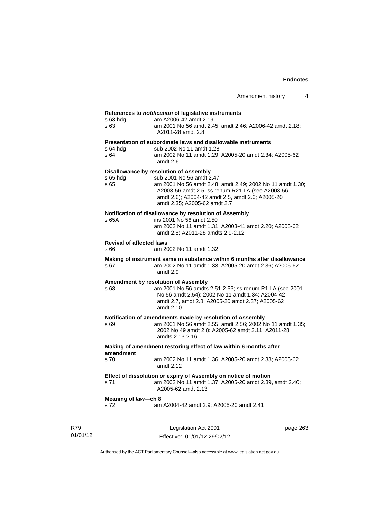# **References to** *notification* **of legislative instruments**

| s 63 hda<br>s 63                        | References to <i>houncation</i> or registative instruments<br>am A2006-42 amdt 2.19<br>am 2001 No 56 amdt 2.45, amdt 2.46; A2006-42 amdt 2.18;<br>A2011-28 amdt 2.8                                                                                                            |
|-----------------------------------------|--------------------------------------------------------------------------------------------------------------------------------------------------------------------------------------------------------------------------------------------------------------------------------|
| s 64 hda<br>s 64                        | Presentation of subordinate laws and disallowable instruments<br>sub 2002 No 11 amdt 1.28<br>am 2002 No 11 amdt 1.29; A2005-20 amdt 2.34; A2005-62<br>amdt 2.6                                                                                                                 |
| s 65 hda<br>s 65                        | <b>Disallowance by resolution of Assembly</b><br>sub 2001 No 56 amdt 2.47<br>am 2001 No 56 amdt 2.48, amdt 2.49; 2002 No 11 amdt 1.30;<br>A2003-56 amdt 2.5; ss renum R21 LA (see A2003-56<br>amdt 2.6); A2004-42 amdt 2.5, amdt 2.6; A2005-20<br>amdt 2.35; A2005-62 amdt 2.7 |
| s 65A                                   | Notification of disallowance by resolution of Assembly<br>ins 2001 No 56 amdt 2.50<br>am 2002 No 11 amdt 1.31; A2003-41 amdt 2.20; A2005-62<br>amdt 2.8; A2011-28 amdts 2.9-2.12                                                                                               |
| <b>Revival of affected laws</b><br>s 66 | am 2002 No 11 amdt 1.32                                                                                                                                                                                                                                                        |
| s 67                                    | Making of instrument same in substance within 6 months after disallowance<br>am 2002 No 11 amdt 1.33; A2005-20 amdt 2.36; A2005-62<br>amdt 2.9                                                                                                                                 |
| s 68                                    | Amendment by resolution of Assembly<br>am 2001 No 56 amdts 2.51-2.53; ss renum R1 LA (see 2001<br>No 56 amdt 2.54); 2002 No 11 amdt 1.34; A2004-42<br>amdt 2.7, amdt 2.8; A2005-20 amdt 2.37; A2005-62<br>amdt 2.10                                                            |
| s 69                                    | Notification of amendments made by resolution of Assembly<br>am 2001 No 56 amdt 2.55, amdt 2.56; 2002 No 11 amdt 1.35;<br>2002 No 49 amdt 2.8; A2005-62 amdt 2.11; A2011-28<br>amdts 2.13-2.16                                                                                 |
| amendment                               | Making of amendment restoring effect of law within 6 months after                                                                                                                                                                                                              |
| s 70                                    | am 2002 No 11 amdt 1.36; A2005-20 amdt 2.38; A2005-62<br>amdt 2.12                                                                                                                                                                                                             |
| s 71                                    | Effect of dissolution or expiry of Assembly on notice of motion<br>am 2002 No 11 amdt 1.37; A2005-20 amdt 2.39, amdt 2.40;<br>A2005-62 amdt 2.13                                                                                                                               |
| Meaning of law-ch 8<br>s 72             | am A2004-42 amdt 2.9; A2005-20 amdt 2.41                                                                                                                                                                                                                                       |
|                                         |                                                                                                                                                                                                                                                                                |

R79 01/01/12

Legislation Act 2001 Effective: 01/01/12-29/02/12 page 263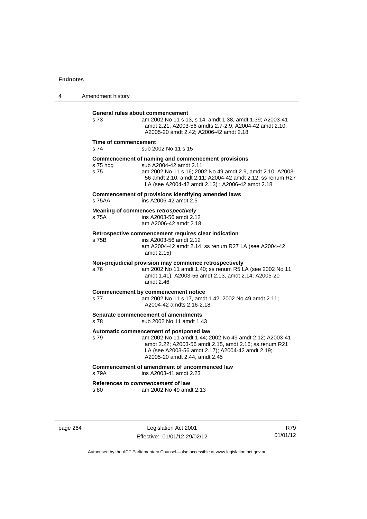| 4 | Amendment history                         |                                                                                                                                                                                                                                                            |
|---|-------------------------------------------|------------------------------------------------------------------------------------------------------------------------------------------------------------------------------------------------------------------------------------------------------------|
|   | General rules about commencement<br>s 73  | am 2002 No 11 s 13, s 14, amdt 1.38, amdt 1.39; A2003-41<br>amdt 2.21; A2003-56 amdts 2.7-2.9; A2004-42 amdt 2.10;<br>A2005-20 amdt 2.42; A2006-42 amdt 2.18                                                                                               |
|   | Time of commencement<br>s 74              | sub 2002 No 11 s 15                                                                                                                                                                                                                                        |
|   | s 75 hdg<br>s 75                          | Commencement of naming and commencement provisions<br>sub A2004-42 amdt 2.11<br>am 2002 No 11 s 16; 2002 No 49 amdt 2.9, amdt 2.10; A2003-<br>56 amdt 2.10, amdt 2.11; A2004-42 amdt 2.12; ss renum R27<br>LA (see A2004-42 amdt 2.13); A2006-42 amdt 2.18 |
|   | s 75AA                                    | Commencement of provisions identifying amended laws<br>ins A2006-42 amdt 2.5                                                                                                                                                                               |
|   | s 75A                                     | Meaning of commences retrospectively<br>ins A2003-56 amdt 2.12<br>am A2006-42 amdt 2.18                                                                                                                                                                    |
|   | s 75B                                     | Retrospective commencement requires clear indication<br>ins A2003-56 amdt 2.12<br>am A2004-42 amdt 2.14; ss renum R27 LA (see A2004-42<br>amdt 2.15)                                                                                                       |
|   | s 76                                      | Non-prejudicial provision may commence retrospectively<br>am 2002 No 11 amdt 1.40; ss renum R5 LA (see 2002 No 11<br>amdt 1.41); A2003-56 amdt 2.13, amdt 2.14; A2005-20<br>amdt 2.46                                                                      |
|   | s 77                                      | <b>Commencement by commencement notice</b><br>am 2002 No 11 s 17, amdt 1.42; 2002 No 49 amdt 2.11;<br>A2004-42 amdts 2.16-2.18                                                                                                                             |
|   | s 78                                      | Separate commencement of amendments<br>sub 2002 No 11 amdt 1.43                                                                                                                                                                                            |
|   | s 79                                      | Automatic commencement of postponed law<br>am 2002 No 11 amdt 1.44; 2002 No 49 amdt 2.12; A2003-41<br>amdt 2.22; A2003-56 amdt 2.15, amdt 2.16; ss renum R21<br>LA (see A2003-56 amdt 2.17); A2004-42 amdt 2.19;<br>A2005-20 amdt 2.44, amdt 2.45          |
|   | s 79A                                     | Commencement of amendment of uncommenced law<br>ins A2003-41 amdt 2.23                                                                                                                                                                                     |
|   | References to commencement of law<br>s 80 | am 2002 No 49 amdt 2.13                                                                                                                                                                                                                                    |

page 264 Legislation Act 2001 Effective: 01/01/12-29/02/12

R79 01/01/12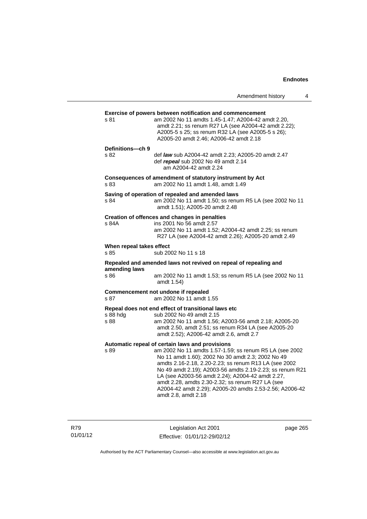|                                  |                                                                                                                                                                                                                                                                                                                                                                                                                                                                                | Amendment history | 4 |
|----------------------------------|--------------------------------------------------------------------------------------------------------------------------------------------------------------------------------------------------------------------------------------------------------------------------------------------------------------------------------------------------------------------------------------------------------------------------------------------------------------------------------|-------------------|---|
| s 81                             | <b>Exercise of powers between notification and commencement</b><br>am 2002 No 11 amdts 1.45-1.47; A2004-42 amdt 2.20,<br>amdt 2.21; ss renum R27 LA (see A2004-42 amdt 2.22);<br>A2005-5 s 25; ss renum R32 LA (see A2005-5 s 26);<br>A2005-20 amdt 2.46; A2006-42 amdt 2.18                                                                                                                                                                                                   |                   |   |
| Definitions-ch 9<br>s 82         | def law sub A2004-42 amdt 2.23; A2005-20 amdt 2.47<br>def repeal sub 2002 No 49 amdt 2.14<br>am A2004-42 amdt 2.24                                                                                                                                                                                                                                                                                                                                                             |                   |   |
| s 83                             | Consequences of amendment of statutory instrument by Act<br>am 2002 No 11 amdt 1.48, amdt 1.49                                                                                                                                                                                                                                                                                                                                                                                 |                   |   |
| s 84                             | Saving of operation of repealed and amended laws<br>am 2002 No 11 amdt 1.50; ss renum R5 LA (see 2002 No 11<br>amdt 1.51); A2005-20 amdt 2.48                                                                                                                                                                                                                                                                                                                                  |                   |   |
| s 84A                            | Creation of offences and changes in penalties<br>ins 2001 No 56 amdt 2.57<br>am 2002 No 11 amdt 1.52; A2004-42 amdt 2.25; ss renum<br>R27 LA (see A2004-42 amdt 2.26); A2005-20 amdt 2.49                                                                                                                                                                                                                                                                                      |                   |   |
| When repeal takes effect<br>s 85 | sub 2002 No 11 s 18                                                                                                                                                                                                                                                                                                                                                                                                                                                            |                   |   |
| amending laws<br>s 86            | Repealed and amended laws not revived on repeal of repealing and<br>am 2002 No 11 amdt 1.53; ss renum R5 LA (see 2002 No 11<br>amdt 1.54)                                                                                                                                                                                                                                                                                                                                      |                   |   |
| s 87                             | Commencement not undone if repealed<br>am 2002 No 11 amdt 1.55                                                                                                                                                                                                                                                                                                                                                                                                                 |                   |   |
| s 88 hdg<br>s 88                 | Repeal does not end effect of transitional laws etc<br>sub 2002 No 49 amdt 2.15<br>am 2002 No 11 amdt 1.56; A2003-56 amdt 2.18; A2005-20<br>amdt 2.50, amdt 2.51; ss renum R34 LA (see A2005-20<br>amdt 2.52); A2006-42 amdt 2.6, amdt 2.7                                                                                                                                                                                                                                     |                   |   |
| s 89                             | Automatic repeal of certain laws and provisions<br>am 2002 No 11 amdts 1.57-1.59; ss renum R5 LA (see 2002<br>No 11 amdt 1.60); 2002 No 30 amdt 2.3; 2002 No 49<br>amdts 2.16-2.18, 2.20-2.23; ss renum R13 LA (see 2002<br>No 49 amdt 2.19); A2003-56 amdts 2.19-2.23; ss renum R21<br>LA (see A2003-56 amdt 2.24); A2004-42 amdt 2.27,<br>amdt 2.28, amdts 2.30-2.32; ss renum R27 LA (see<br>A2004-42 amdt 2.29); A2005-20 amdts 2.53-2.56; A2006-42<br>amdt 2.8, amdt 2.18 |                   |   |

R79 01/01/12

Legislation Act 2001 Effective: 01/01/12-29/02/12 page 265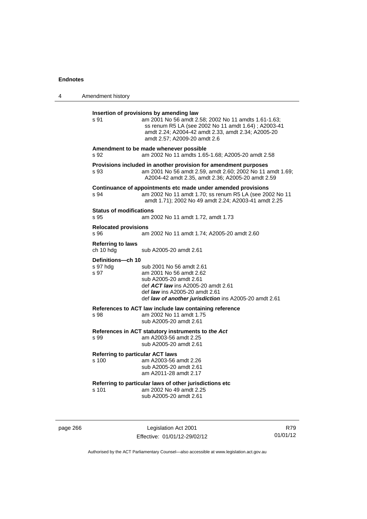| 4 | Amendment history                                                                                                                                                                                                                                               |
|---|-----------------------------------------------------------------------------------------------------------------------------------------------------------------------------------------------------------------------------------------------------------------|
|   | Insertion of provisions by amending law<br>s 91<br>am 2001 No 56 amdt 2.58; 2002 No 11 amdts 1.61-1.63;<br>ss renum R5 LA (see 2002 No 11 amdt 1.64); A2003-41<br>amdt 2.24; A2004-42 amdt 2.33, amdt 2.34; A2005-20<br>amdt 2.57; A2009-20 amdt 2.6            |
|   | Amendment to be made whenever possible<br>s 92<br>am 2002 No 11 amdts 1.65-1.68; A2005-20 amdt 2.58                                                                                                                                                             |
|   | Provisions included in another provision for amendment purposes<br>am 2001 No 56 amdt 2.59, amdt 2.60; 2002 No 11 amdt 1.69;<br>s 93<br>A2004-42 amdt 2.35, amdt 2.36; A2005-20 amdt 2.59                                                                       |
|   | Continuance of appointments etc made under amended provisions<br>am 2002 No 11 amdt 1.70; ss renum R5 LA (see 2002 No 11<br>s 94<br>amdt 1.71); 2002 No 49 amdt 2.24; A2003-41 amdt 2.25                                                                        |
|   | <b>Status of modifications</b><br>s 95<br>am 2002 No 11 amdt 1.72, amdt 1.73                                                                                                                                                                                    |
|   | <b>Relocated provisions</b><br>s 96<br>am 2002 No 11 amdt 1.74; A2005-20 amdt 2.60                                                                                                                                                                              |
|   | <b>Referring to laws</b><br>ch 10 hdg<br>sub A2005-20 amdt 2.61                                                                                                                                                                                                 |
|   | Definitions-ch 10<br>s 97 hdg<br>sub 2001 No 56 amdt 2.61<br>am 2001 No 56 amdt 2.62<br>s 97<br>sub A2005-20 amdt 2.61<br>def <b>ACT law</b> ins A2005-20 amdt 2.61<br>def law ins A2005-20 amdt 2.61<br>def law of another jurisdiction ins A2005-20 amdt 2.61 |
|   | References to ACT law include law containing reference<br>am 2002 No 11 amdt 1.75<br>s 98<br>sub A2005-20 amdt 2.61                                                                                                                                             |
|   | References in ACT statutory instruments to the Act<br>am A2003-56 amdt 2.25<br>s 99<br>sub A2005-20 amdt 2.61                                                                                                                                                   |
|   | <b>Referring to particular ACT laws</b><br>am A2003-56 amdt 2.26<br>s 100<br>sub A2005-20 amdt 2.61<br>am A2011-28 amdt 2.17                                                                                                                                    |
|   | Referring to particular laws of other jurisdictions etc<br>am 2002 No 49 amdt 2.25<br>s 101<br>sub A2005-20 amdt 2.61                                                                                                                                           |
|   |                                                                                                                                                                                                                                                                 |

page 266 Legislation Act 2001 Effective: 01/01/12-29/02/12

R79 01/01/12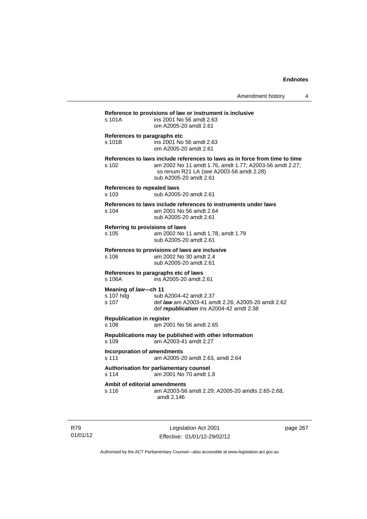| s 101A                                     | ins 2001 No 56 amdt 2.63<br>om A2005-20 amdt 2.61                                                                                                                                                            |
|--------------------------------------------|--------------------------------------------------------------------------------------------------------------------------------------------------------------------------------------------------------------|
| s 101B                                     | References to paragraphs etc<br>ins 2001 No 56 amdt 2.63<br>om A2005-20 amdt 2.61                                                                                                                            |
| s 102                                      | References to laws include references to laws as in force from time to time<br>am 2002 No 11 amdt 1.76, amdt 1.77; A2003-56 amdt 2.27;<br>ss renum R21 LA (see A2003-56 amdt 2.28)<br>sub A2005-20 amdt 2.61 |
| References to repealed laws<br>s 103       | sub A2005-20 amdt 2.61                                                                                                                                                                                       |
| s 104                                      | References to laws include references to instruments under laws<br>am 2001 No 56 amdt 2.64<br>sub A2005-20 amdt 2.61                                                                                         |
| s 105                                      | Referring to provisions of laws<br>am 2002 No 11 amdt 1.78, amdt 1.79<br>sub A2005-20 amdt 2.61                                                                                                              |
| s <sub>106</sub>                           | References to provisions of laws are inclusive<br>am 2002 No 30 amdt 2.4<br>sub A2005-20 amdt 2.61                                                                                                           |
| s 106A                                     | References to paragraphs etc of laws<br>ins A2005-20 amdt 2.61                                                                                                                                               |
| Meaning of law-ch 11<br>s 107 hdg<br>s 107 | sub A2004-42 amdt 2.37<br>def law am A2003-41 amdt 2.26; A2005-20 amdt 2.62<br>def republication ins A2004-42 amdt 2.38                                                                                      |
| <b>Republication in register</b><br>s 108  | am 2001 No 56 amdt 2.65                                                                                                                                                                                      |
| s 109                                      | Republications may be published with other information<br>am A2003-41 amdt 2.27                                                                                                                              |
| s 111                                      | <b>Incorporation of amendments</b><br>am A2005-20 amdt 2.63, amdt 2.64                                                                                                                                       |
| s 114                                      | Authorisation for parliamentary counsel<br>am 2001 No 70 amdt 1.8                                                                                                                                            |
| s 116                                      | Ambit of editorial amendments<br>am A2003-56 amdt 2.29; A2005-20 amdts 2.65-2.68,<br>amdt 2.146                                                                                                              |

R79 01/01/12

Legislation Act 2001 Effective: 01/01/12-29/02/12 page 267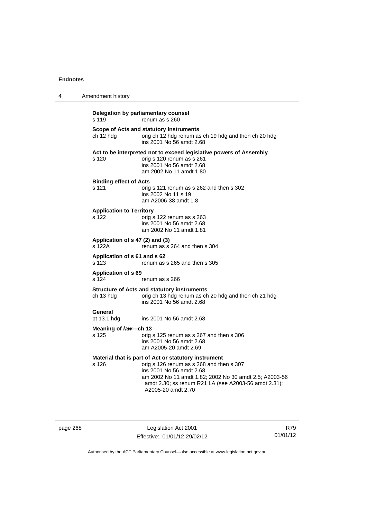| 4 | Amendment history                         |                                                                                                                                                                                                                                                                      |
|---|-------------------------------------------|----------------------------------------------------------------------------------------------------------------------------------------------------------------------------------------------------------------------------------------------------------------------|
|   | s 119                                     | Delegation by parliamentary counsel<br>renum as s 260                                                                                                                                                                                                                |
|   | ch 12 hdg                                 | Scope of Acts and statutory instruments<br>orig ch 12 hdg renum as ch 19 hdg and then ch 20 hdg<br>ins 2001 No 56 amdt 2.68                                                                                                                                          |
|   | s 120                                     | Act to be interpreted not to exceed legislative powers of Assembly<br>orig s 120 renum as s 261<br>ins 2001 No 56 amdt 2.68<br>am 2002 No 11 amdt 1.80                                                                                                               |
|   | <b>Binding effect of Acts</b><br>s 121    | orig s 121 renum as s 262 and then s 302<br>ins 2002 No 11 s 19<br>am A2006-38 amdt 1.8                                                                                                                                                                              |
|   | <b>Application to Territory</b><br>s 122  | orig s 122 renum as s 263<br>ins 2001 No 56 amdt 2.68<br>am 2002 No 11 amdt 1.81                                                                                                                                                                                     |
|   | Application of s 47 (2) and (3)<br>s 122A | renum as s 264 and then s 304                                                                                                                                                                                                                                        |
|   | Application of s 61 and s 62<br>s 123     | renum as s 265 and then s 305                                                                                                                                                                                                                                        |
|   | <b>Application of s 69</b><br>s 124       | renum as s 266                                                                                                                                                                                                                                                       |
|   | ch 13 hdg                                 | <b>Structure of Acts and statutory instruments</b><br>orig ch 13 hdg renum as ch 20 hdg and then ch 21 hdg<br>ins 2001 No 56 amdt 2.68                                                                                                                               |
|   | General<br>pt 13.1 hdg                    | ins 2001 No 56 amdt 2.68                                                                                                                                                                                                                                             |
|   | Meaning of law-ch 13<br>s 125             | orig s 125 renum as s 267 and then s 306<br>ins 2001 No 56 amdt 2.68<br>am A2005-20 amdt 2.69                                                                                                                                                                        |
|   | s 126                                     | Material that is part of Act or statutory instrument<br>orig s 126 renum as s 268 and then s 307<br>ins 2001 No 56 amdt 2.68<br>am 2002 No 11 amdt 1.82; 2002 No 30 amdt 2.5; A2003-56<br>amdt 2.30; ss renum R21 LA (see A2003-56 amdt 2.31);<br>A2005-20 amdt 2.70 |

page 268 Legislation Act 2001 Effective: 01/01/12-29/02/12

R79 01/01/12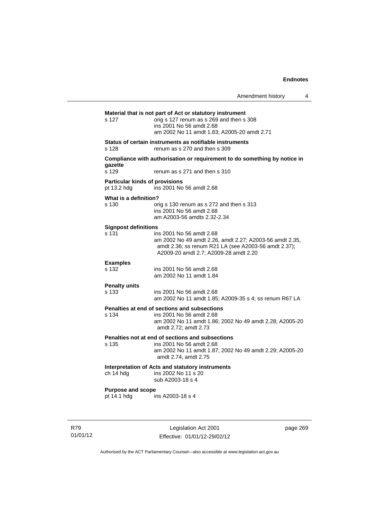|                                                      |                                                                                                                                                                                      | Amendment history | 4 |
|------------------------------------------------------|--------------------------------------------------------------------------------------------------------------------------------------------------------------------------------------|-------------------|---|
| s 127                                                | Material that is not part of Act or statutory instrument<br>orig s 127 renum as s 269 and then s 308<br>ins 2001 No 56 amdt 2.68<br>am 2002 No 11 amdt 1.83: A2005-20 amdt 2.71      |                   |   |
| s 128                                                | Status of certain instruments as notifiable instruments<br>renum as s 270 and then s 309                                                                                             |                   |   |
| qazette                                              | Compliance with authorisation or requirement to do something by notice in                                                                                                            |                   |   |
| s 129                                                | renum as s 271 and then s 310                                                                                                                                                        |                   |   |
| <b>Particular kinds of provisions</b><br>pt 13.2 hdg | ins 2001 No 56 amdt 2.68                                                                                                                                                             |                   |   |
| What is a definition?<br>s 130                       | orig s 130 renum as s 272 and then s 313<br>ins 2001 No 56 amdt 2.68<br>am A2003-56 amdts 2.32-2.34                                                                                  |                   |   |
| <b>Signpost definitions</b><br>s 131                 | ins 2001 No 56 amdt 2.68<br>am 2002 No 49 amdt 2.26, amdt 2.27; A2003-56 amdt 2.35,<br>amdt 2.36; ss renum R21 LA (see A2003-56 amdt 2.37);<br>A2009-20 amdt 2.7; A2009-28 amdt 2.20 |                   |   |
| <b>Examples</b><br>s 132                             | ins 2001 No 56 amdt 2.68<br>am 2002 No 11 amdt 1.84                                                                                                                                  |                   |   |
| <b>Penalty units</b><br>s 133                        | ins 2001 No 56 amdt 2.68<br>am 2002 No 11 amdt 1.85; A2009-35 s 4; ss renum R67 LA                                                                                                   |                   |   |
| s 134                                                | Penalties at end of sections and subsections<br>ins 2001 No 56 amdt 2.68<br>am 2002 No 11 amdt 1.86; 2002 No 49 amdt 2.28; A2005-20<br>amdt 2.72; amdt 2.73                          |                   |   |
| s 135                                                | Penalties not at end of sections and subsections<br>ins 2001 No 56 amdt 2.68<br>am 2002 No 11 amdt 1.87; 2002 No 49 amdt 2.29; A2005-20<br>amdt 2.74, amdt 2.75                      |                   |   |
| ch 14 hdg                                            | Interpretation of Acts and statutory instruments<br>ins 2002 No 11 s 20<br>sub A2003-18 s 4                                                                                          |                   |   |
| <b>Purpose and scope</b><br>pt 14.1 hdg              | ins A2003-18 s 4                                                                                                                                                                     |                   |   |

R79 01/01/12

Legislation Act 2001 Effective: 01/01/12-29/02/12 page 269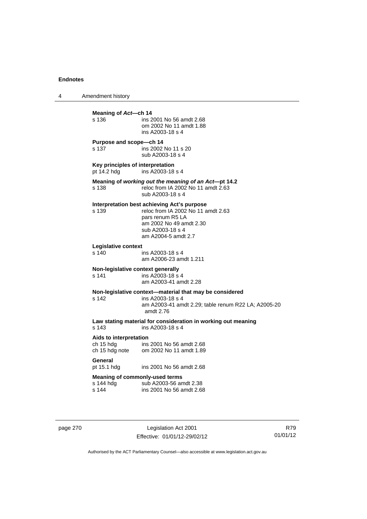4 Amendment history **Meaning of Act—ch 14**<br>s 136 **ins 2** ins 2001 No 56 amdt 2.68 om 2002 No 11 amdt 1.88 ins A2003-18 s 4 **Purpose and scope—ch 14**  s 137 ins 2002 No 11 s 20 sub A2003-18 s 4 **Key principles of interpretation**<br>pt 14.2 hdg ins A2003-18  $ins$   $A2003-18$  s 4 **Meaning of** *working out the meaning of an Act***—pt 14.2**  s 138 reloc from IA 2002 No 11 amdt 2.63 sub A2003-18 s 4 **Interpretation best achieving Act's purpose**  s 139 reloc from IA 2002 No 11 amdt 2.63 pars renum R5 LA am 2002 No 49 amdt 2.30 sub A2003-18 s 4 am A2004-5 amdt 2.7 **Legislative context**  ins A2003-18 s 4 am A2006-23 amdt 1.211 **Non-legislative context generally**  s 141 ins A2003-18 s 4 am A2003-41 amdt 2.28 **Non-legislative context—material that may be considered**  s 142 ins A2003-18 s 4 am A2003-41 amdt 2.29; table renum R22 LA; A2005-20 amdt 2.76 **Law stating material for consideration in working out meaning**  ins A2003-18 s 4 **Aids to interpretation**  ch 15 hdg ins 2001 No 56 amdt 2.68 ch 15 hdg note om 2002 No 11 amdt 1.89 General<br>pt 15.1 hdg ins 2001 No 56 amdt 2.68 **Meaning of commonly-used terms**  s 144 hdg sub A2003-56 amdt 2.38<br>s 144 sins 2001 No 56 amdt 2.68 ins 2001 No 56 amdt 2.68

page 270 Legislation Act 2001 Effective: 01/01/12-29/02/12

R79 01/01/12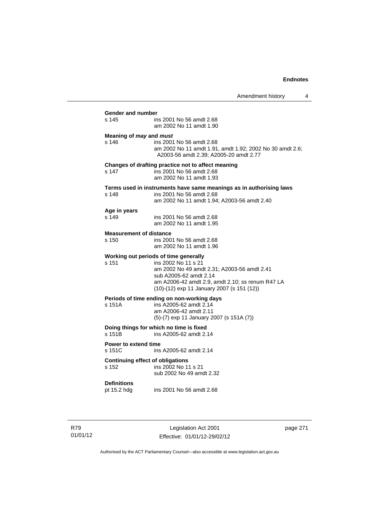Amendment history 4 **Gender and number**  ins 2001 No 56 amdt 2.68 am 2002 No 11 amdt 1.90 **Meaning of** *may* **and** *must* s 146 ins 2001 No 56 amdt 2.68 am 2002 No 11 amdt 1.91, amdt 1.92; 2002 No 30 amdt 2.6; A2003-56 amdt 2.39; A2005-20 amdt 2.77 **Changes of drafting practice not to affect meaning**  s 147 ins 2001 No 56 amdt 2.68 am 2002 No 11 amdt 1.93 **Terms used in instruments have same meanings as in authorising laws** s 148 **ins 2001 No 56 amdt 2.68** ins 2001 No 56 amdt 2.68 am 2002 No 11 amdt 1.94; A2003-56 amdt 2.40 **Age in years**  ins 2001 No 56 amdt 2.68 am 2002 No 11 amdt 1.95 **Measurement of distance**  s 150 ins 2001 No 56 amdt 2.68 am 2002 No 11 amdt 1.96 **Working out periods of time generally**  s 151 ins 2002 No 11 s 21 am 2002 No 49 amdt 2.31; A2003-56 amdt 2.41 sub A2005-62 amdt 2.14 am A2006-42 amdt 2.9, amdt 2.10; ss renum R47 LA (10)-(12) exp 11 January 2007 (s 151 (12)) **Periods of time ending on non-working days**  s 151A ins A2005-62 amdt 2.14 am A2006-42 amdt 2.11 (5)-(7) exp 11 January 2007 (s 151A (7)) **Doing things for which no time is fixed**<br>s 151B ins A2005-62 amdt 2. ins A2005-62 amdt 2.14 **Power to extend time**  s 151C ins A2005-62 amdt 2.14 **Continuing effect of obligations**<br> **s** 152 **ins 2002 No 11** ins 2002 No 11 s 21 sub 2002 No 49 amdt 2.32 **Definitions**  ins 2001 No 56 amdt 2.68

R79 01/01/12

Legislation Act 2001 Effective: 01/01/12-29/02/12 page 271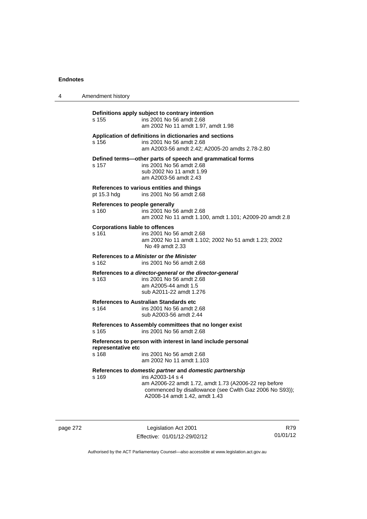| 4 | Amendment history                                                                                                                                                                                                                         |
|---|-------------------------------------------------------------------------------------------------------------------------------------------------------------------------------------------------------------------------------------------|
|   | Definitions apply subject to contrary intention<br>s 155<br>ins 2001 No 56 amdt 2.68<br>am 2002 No 11 amdt 1.97, amdt 1.98                                                                                                                |
|   | Application of definitions in dictionaries and sections<br>ins 2001 No 56 amdt 2.68<br>s 156<br>am A2003-56 amdt 2.42; A2005-20 amdts 2.78-2.80                                                                                           |
|   | Defined terms-other parts of speech and grammatical forms<br>ins 2001 No 56 amdt 2.68<br>s 157<br>sub 2002 No 11 amdt 1.99<br>am A2003-56 amdt 2.43                                                                                       |
|   | References to various entities and things<br>ins 2001 No 56 amdt 2.68<br>pt 15.3 hdg                                                                                                                                                      |
|   | References to people generally<br>ins 2001 No 56 amdt 2.68<br>s 160<br>am 2002 No 11 amdt 1.100, amdt 1.101; A2009-20 amdt 2.8                                                                                                            |
|   | <b>Corporations liable to offences</b><br>ins 2001 No 56 amdt 2.68<br>s 161<br>am 2002 No 11 amdt 1.102; 2002 No 51 amdt 1.23; 2002<br>No 49 amdt 2.33                                                                                    |
|   | References to a Minister or the Minister<br>s 162<br>ins 2001 No 56 amdt 2.68                                                                                                                                                             |
|   | References to a director-general or the director-general<br>ins 2001 No 56 amdt 2.68<br>s 163<br>am A2005-44 amdt 1.5<br>sub A2011-22 amdt 1.276                                                                                          |
|   | <b>References to Australian Standards etc</b><br>s 164<br>ins 2001 No 56 amdt 2.68<br>sub A2003-56 amdt 2.44                                                                                                                              |
|   | References to Assembly committees that no longer exist<br>ins 2001 No 56 amdt 2.68<br>s 165                                                                                                                                               |
|   | References to person with interest in land include personal<br>representative etc<br>s 168<br>ins 2001 No 56 amdt 2.68<br>am 2002 No 11 amdt 1.103                                                                                        |
|   | References to domestic partner and domestic partnership<br>ins A2003-14 s 4<br>s 169<br>am A2006-22 amdt 1.72, amdt 1.73 (A2006-22 rep before<br>commenced by disallowance (see Cwlth Gaz 2006 No S93));<br>A2008-14 amdt 1.42, amdt 1.43 |

page 272 Legislation Act 2001 Effective: 01/01/12-29/02/12

R79 01/01/12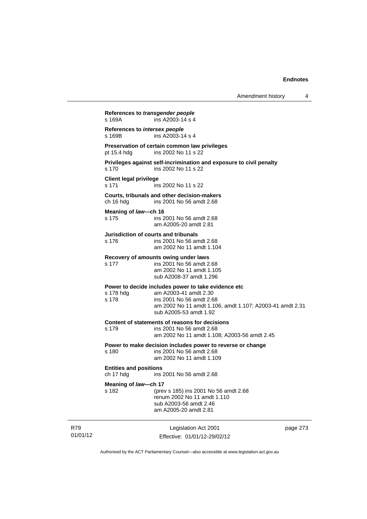Amendment history 4

Legislation Act 2001 **References to** *transgender people*  s 169A ins A2003-14 s 4 **References to** *intersex people*   $ins A2003-14 s 4$ **Preservation of certain common law privileges**  pt 15.4 hdg ins 2002 No 11 s 22 **Privileges against self-incrimination and exposure to civil penalty**  s 170 ins 2002 No 11 s 22 **Client legal privilege**  s 171 ins 2002 No 11 s 22 **Courts, tribunals and other decision-makers**  ch 16 hdg ins 2001 No 56 amdt 2.68 **Meaning of** *law***—ch 16**  s 175 ins 2001 No 56 amdt 2.68 am A2005-20 amdt 2.81 **Jurisdiction of courts and tribunals**  s 176 ins 2001 No 56 amdt 2.68 am 2002 No 11 amdt 1.104 **Recovery of amounts owing under laws**  s 177 ins 2001 No 56 amdt 2.68 am 2002 No 11 amdt 1.105 sub A2008-37 amdt 1.296 **Power to decide includes power to take evidence etc**  s 178 hdg am A2003-41 amdt 2.30<br>s 178 ins 2001 No 56 amdt 2.6 ins 2001 No 56 amdt 2.68 am 2002 No 11 amdt 1.106, amdt 1.107; A2003-41 amdt 2.31 sub A2005-53 amdt 1.92 **Content of statements of reasons for decisions**  s 179 ins 2001 No 56 amdt 2.68 am 2002 No 11 amdt 1.108; A2003-56 amdt 2.45 **Power to make decision includes power to reverse or change**  s 180 ins 2001 No 56 amdt 2.68 am 2002 No 11 amdt 1.109 **Entities and positions**  ch 17 hdg ins 2001 No 56 amdt 2.68 **Meaning of** *law***—ch 17**  s 182 (prev s 185) ins 2001 No 56 amdt 2.68 renum 2002 No 11 amdt 1.110 sub A2003-56 amdt 2.46 am A2005-20 amdt 2.81

01/01/12

R79

Effective: 01/01/12-29/02/12

page 273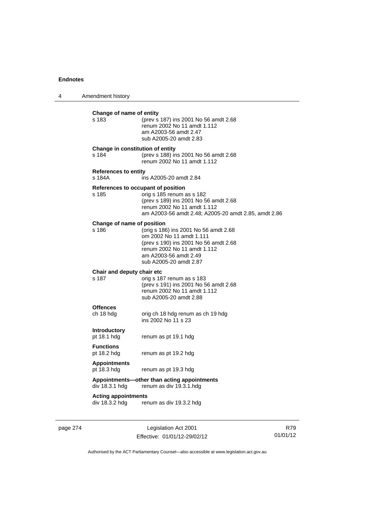| 4 | Amendment history                            |                                                                                                                                                                                              |
|---|----------------------------------------------|----------------------------------------------------------------------------------------------------------------------------------------------------------------------------------------------|
|   | Change of name of entity<br>s 183            | (prev s 187) ins 2001 No 56 amdt 2.68<br>renum 2002 No 11 amdt 1.112<br>am A2003-56 amdt 2.47<br>sub A2005-20 amdt 2.83                                                                      |
|   | Change in constitution of entity<br>s 184    | (prev s 188) ins 2001 No 56 amdt 2.68<br>renum 2002 No 11 amdt 1.112                                                                                                                         |
|   | <b>References to entity</b><br>s 184A        | ins A2005-20 amdt 2.84                                                                                                                                                                       |
|   | References to occupant of position<br>s 185  | orig s 185 renum as s 182<br>(prev s 189) ins 2001 No 56 amdt 2.68<br>renum 2002 No 11 amdt 1.112<br>am A2003-56 amdt 2.48; A2005-20 amdt 2.85, amdt 2.86                                    |
|   | Change of name of position<br>s 186          | (orig s 186) ins 2001 No 56 amdt 2.68<br>om 2002 No 11 amdt 1.111<br>(prev s 190) ins 2001 No 56 amdt 2.68<br>renum 2002 No 11 amdt 1.112<br>am A2003-56 amdt 2.49<br>sub A2005-20 amdt 2.87 |
|   | Chair and deputy chair etc<br>s 187          | orig s 187 renum as s 183<br>(prev s 191) ins 2001 No 56 amdt 2.68<br>renum 2002 No 11 amdt 1.112<br>sub A2005-20 amdt 2.88                                                                  |
|   | <b>Offences</b><br>ch 18 hdg                 | orig ch 18 hdg renum as ch 19 hdg<br>ins 2002 No 11 s 23                                                                                                                                     |
|   | <b>Introductory</b><br>pt 18.1 hdg           | renum as pt 19.1 hdg                                                                                                                                                                         |
|   | <b>Functions</b><br>pt 18.2 hdg              | renum as pt 19.2 hdg                                                                                                                                                                         |
|   | <b>Appointments</b><br>pt 18.3 hdg           | renum as pt 19.3 hdg                                                                                                                                                                         |
|   | div 18.3.1 hdg                               | Appointments-other than acting appointments<br>renum as div 19.3.1.hdg                                                                                                                       |
|   | <b>Acting appointments</b><br>div 18.3.2 hdg | renum as div 19.3.2 hdg                                                                                                                                                                      |
|   |                                              |                                                                                                                                                                                              |

page 274 Legislation Act 2001 Effective: 01/01/12-29/02/12

R79 01/01/12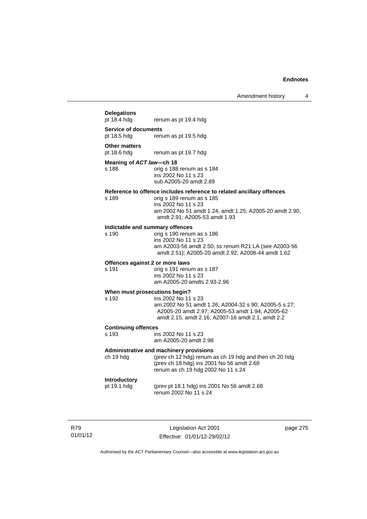# **Delegations**  renum as pt 19.4 hdg **Service of documents**  pt 18.5 hdg renum as pt 19.5 hdg **Other matters**<br>pt 18.6 hdg renum as pt 19.7 hdg **Meaning of** *ACT law***—ch 18**  s 188 orig s 188 renum as s 184 ins 2002 No 11 s 23 sub A2005-20 amdt 2.89 **Reference to offence includes reference to related ancillary offences**  orig s 189 renum as s 185 ins 2002 No 11 s 23 am 2002 No 51 amdt 1.24, amdt 1.25; A2005-20 amdt 2.90, amdt 2.91; A2005-53 amdt 1.93 **Indictable and summary offences**  orig s 190 renum as s 186 ins 2002 No 11 s 23 am A2003-56 amdt 2.50; ss renum R21 LA (see A2003-56 amdt 2.51); A2005-20 amdt 2.92; A2008-44 amdt 1.62 **Offences against 2 or more laws**  s 191 orig s 191 renum as s 187 ins 2002 No 11 s 23 am A2005-20 amdts 2.93-2.96 **When must prosecutions begin?**  s 192 ins 2002 No 11 s 23 am 2002 No 51 amdt 1.26; A2004-32 s 90; A2005-5 s 27; A2005-20 amdt 2.97; A2005-53 amdt 1.94; A2005-62 amdt 2.15, amdt 2.16; A2007-16 amdt 2.1, amdt 2.2 **Continuing offences**  ins 2002 No 11 s 23 am A2005-20 amdt 2.98 **Administrative and machinery provisions**  ch 19 hdg (prev ch 12 hdg) renum as ch 19 hdg and then ch 20 hdg (prev ch 18 hdg) ins 2001 No 56 amdt 2.68 renum as ch 19 hdg 2002 No 11 s 24 **Introductory**  pt 19.1 hdg (prev pt 18.1 hdg) ins 2001 No 56 amdt 2.68 renum 2002 No 11 s 24

R79 01/01/12

Legislation Act 2001 Effective: 01/01/12-29/02/12 page 275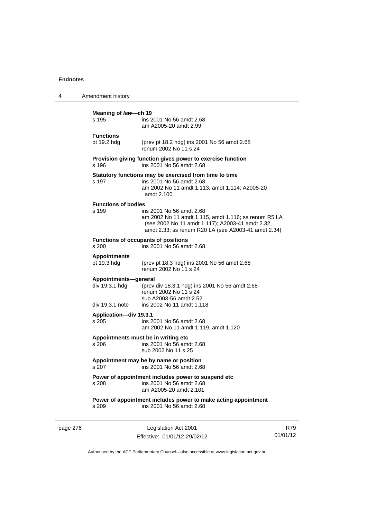| 4        | Amendment history                                         |                                                                                                                                                                                             |
|----------|-----------------------------------------------------------|---------------------------------------------------------------------------------------------------------------------------------------------------------------------------------------------|
|          | Meaning of law-ch 19<br>s 195                             | ins 2001 No 56 amdt 2.68<br>am A2005-20 amdt 2.99                                                                                                                                           |
|          | <b>Functions</b><br>pt 19.2 hdg                           | (prev pt 18.2 hdg) ins 2001 No 56 amdt 2.68<br>renum 2002 No 11 s 24                                                                                                                        |
|          | s 196                                                     | Provision giving function gives power to exercise function<br>ins 2001 No 56 amdt 2.68                                                                                                      |
|          | s 197                                                     | Statutory functions may be exercised from time to time<br>ins 2001 No 56 amdt 2.68<br>am 2002 No 11 amdt 1.113, amdt 1.114; A2005-20<br>amdt 2.100                                          |
|          | <b>Functions of bodies</b><br>s 199                       | ins 2001 No 56 amdt 2.68<br>am 2002 No 11 amdt 1.115, amdt 1.116; ss renum R5 LA<br>(see 2002 No 11 amdt 1.117); A2003-41 amdt 2.32,<br>amdt 2.33; ss renum R20 LA (see A2003-41 amdt 2.34) |
|          | s 200                                                     | <b>Functions of occupants of positions</b><br>ins 2001 No 56 amdt 2.68                                                                                                                      |
|          | <b>Appointments</b><br>pt 19.3 hdg                        | (prev pt 18.3 hdg) ins 2001 No 56 amdt 2.68<br>renum 2002 No 11 s 24                                                                                                                        |
|          | Appointments-general<br>div 19.3.1 hdg<br>div 19.3.1 note | (prev div 18.3.1 hdg) ins 2001 No 56 amdt 2.68<br>renum 2002 No 11 s 24<br>sub A2003-56 amdt 2.52<br>ins 2002 No 11 amdt 1.118                                                              |
|          | Application-div 19.3.1<br>s 205                           | ins 2001 No 56 amdt 2.68<br>am 2002 No 11 amdt 1.119, amdt 1.120                                                                                                                            |
|          | s 206                                                     | Appointments must be in writing etc<br>ins 2001 No 56 amdt 2.68<br>sub 2002 No 11 s 25                                                                                                      |
|          | s 207                                                     | Appointment may be by name or position<br>ins 2001 No 56 amdt 2.68                                                                                                                          |
|          | s 208                                                     | Power of appointment includes power to suspend etc<br>ins 2001 No 56 amdt 2.68<br>am A2005-20 amdt 2.101                                                                                    |
|          | s 209                                                     | Power of appointment includes power to make acting appointment<br>ins 2001 No 56 amdt 2.68                                                                                                  |
| page 276 |                                                           | Legislation Act 2001                                                                                                                                                                        |

Effective: 01/01/12-29/02/12

R79 01/01/12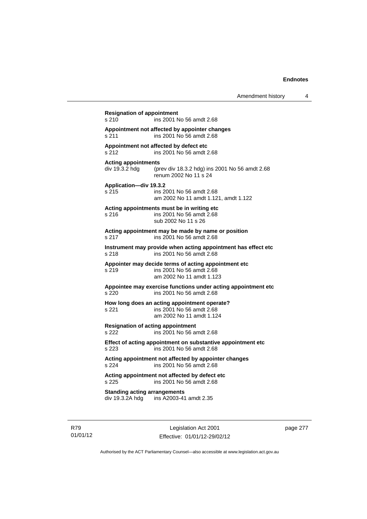**Resignation of appointment**  s 210 ins 2001 No 56 amdt 2.68 **Appointment not affected by appointer changes**  s 211 ins 2001 No 56 amdt 2.68 **Appointment not affected by defect etc**  s 212 ins 2001 No 56 amdt 2.68 **Acting appointments**  div 19.3.2 hdg (prev div 18.3.2 hdg) ins 2001 No 56 amdt 2.68 renum 2002 No 11 s 24 **Application—div 19.3.2**  s 215 ins 2001 No 56 amdt 2.68 am 2002 No 11 amdt 1.121, amdt 1.122 **Acting appointments must be in writing etc**  s 216 ins 2001 No 56 amdt 2.68 sub 2002 No 11 s 26 **Acting appointment may be made by name or position**  s 217 ins 2001 No 56 amdt 2.68 **Instrument may provide when acting appointment has effect etc**  s 218 ins 2001 No 56 amdt 2.68 **Appointer may decide terms of acting appointment etc**  s 219 ins 2001 No 56 amdt 2.68 am 2002 No 11 amdt 1.123 **Appointee may exercise functions under acting appointment etc**  s 220 ins 2001 No 56 amdt 2.68 **How long does an acting appointment operate?**  s 221 ins 2001 No 56 amdt 2.68 am 2002 No 11 amdt 1.124 **Resignation of acting appointment**  s 222 ins 2001 No 56 amdt 2.68 **Effect of acting appointment on substantive appointment etc**  s 223 ins 2001 No 56 amdt 2.68 **Acting appointment not affected by appointer changes**  s 224 ins 2001 No 56 amdt 2.68 **Acting appointment not affected by defect etc**  s 225 ins 2001 No 56 amdt 2.68 **Standing acting arrangements**  div 19.3.2A hdg ins A2003-41 amdt 2.35

R79 01/01/12

Legislation Act 2001 Effective: 01/01/12-29/02/12 page 277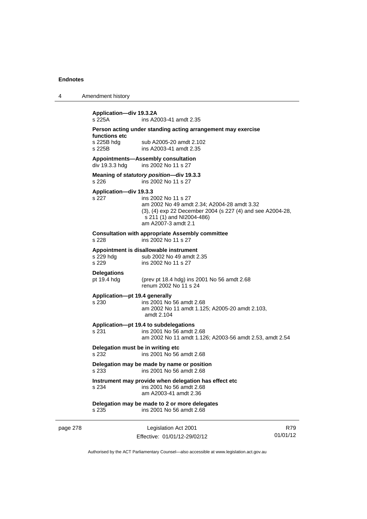4 Amendment history

page 278 Legislation Act 2001 Effective: 01/01/12-29/02/12 R79 **Application—div 19.3.2A**  ins A2003-41 amdt 2.35 **Person acting under standing acting arrangement may exercise functions etc**  s 225B hdg sub A2005-20 amdt 2.102 s 225B ins A2003-41 amdt 2.35 **Appointments—Assembly consultation**  div 19.3.3 hdg ins 2002 No 11 s 27 **Meaning of** *statutory position***—div 19.3.3**  s 226 ins 2002 No 11 s 27 **Application—div 19.3.3**  s 227 ins 2002 No 11 s 27 am 2002 No 49 amdt 2.34; A2004-28 amdt 3.32 (3), (4) exp 22 December 2004 (s 227 (4) and see A2004-28, s 211 (1) and NI2004-486) am A2007-3 amdt 2.1 **Consultation with appropriate Assembly committee**  s 228 ins 2002 No 11 s 27 **Appointment is disallowable instrument**  s 229 hdg sub 2002 No 49 amdt 2.35 s 229 ins 2002 No 11 s 27 **Delegations**  pt 19.4 hdg (prev pt 18.4 hdg) ins 2001 No 56 amdt 2.68 renum 2002 No 11 s 24 **Application—pt 19.4 generally**  s 230 ins 2001 No 56 amdt 2.68 am 2002 No 11 amdt 1.125; A2005-20 amdt 2.103, amdt 2.104 **Application—pt 19.4 to subdelegations**  s 231 ins 2001 No 56 amdt 2.68 am 2002 No 11 amdt 1.126; A2003-56 amdt 2.53, amdt 2.54 **Delegation must be in writing etc**  s 232 ins 2001 No 56 amdt 2.68 **Delegation may be made by name or position**  s 233 ins 2001 No 56 amdt 2.68 **Instrument may provide when delegation has effect etc**  s 234 ins 2001 No 56 amdt 2.68 am A2003-41 amdt 2.36 **Delegation may be made to 2 or more delegates**  s 235 ins 2001 No 56 amdt 2.68

01/01/12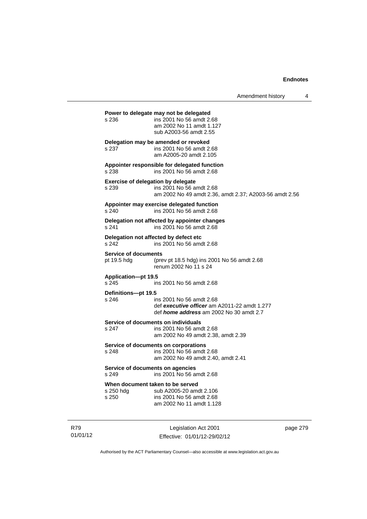|                                            |                                                                                                                                 | Amendment history | 4 |
|--------------------------------------------|---------------------------------------------------------------------------------------------------------------------------------|-------------------|---|
| s 236                                      | Power to delegate may not be delegated<br>ins 2001 No 56 amdt 2.68<br>am 2002 No 11 amdt 1.127<br>sub A2003-56 amdt 2.55        |                   |   |
| s 237                                      | Delegation may be amended or revoked<br>ins 2001 No 56 amdt 2.68<br>am A2005-20 amdt 2.105                                      |                   |   |
| s 238                                      | Appointer responsible for delegated function<br>ins 2001 No 56 amdt 2.68                                                        |                   |   |
| s 239                                      | <b>Exercise of delegation by delegate</b><br>ins 2001 No 56 amdt 2.68<br>am 2002 No 49 amdt 2.36, amdt 2.37; A2003-56 amdt 2.56 |                   |   |
| s 240                                      | Appointer may exercise delegated function<br>ins 2001 No 56 amdt 2.68                                                           |                   |   |
| s 241                                      | Delegation not affected by appointer changes<br>ins 2001 No 56 amdt 2.68                                                        |                   |   |
| s 242                                      | Delegation not affected by defect etc<br>ins 2001 No 56 amdt 2.68                                                               |                   |   |
| <b>Service of documents</b><br>pt 19.5 hdg | (prev pt 18.5 hdg) ins 2001 No 56 amdt 2.68<br>renum 2002 No 11 s 24                                                            |                   |   |
| Application-pt 19.5<br>s 245               | ins 2001 No 56 amdt 2.68                                                                                                        |                   |   |
| Definitions-pt 19.5<br>s 246               | ins 2001 No 56 amdt 2.68<br>def executive officer am A2011-22 amdt 1.277<br>def <i>home address</i> am 2002 No 30 amdt 2.7      |                   |   |
| s 247                                      | Service of documents on individuals<br>ins 2001 No 56 amdt 2.68<br>am 2002 No 49 amdt 2.38, amdt 2.39                           |                   |   |
| s 248                                      | Service of documents on corporations<br>ins 2001 No 56 amdt 2.68<br>am 2002 No 49 amdt 2.40, amdt 2.41                          |                   |   |
| s 249                                      | Service of documents on agencies<br>ins 2001 No 56 amdt 2.68                                                                    |                   |   |
| s 250 hdg<br>s 250                         | When document taken to be served<br>sub A2005-20 amdt 2.106<br>ins 2001 No 56 amdt 2.68<br>am 2002 No 11 amdt 1.128             |                   |   |
|                                            |                                                                                                                                 |                   |   |

R79 01/01/12

Legislation Act 2001 Effective: 01/01/12-29/02/12 page 279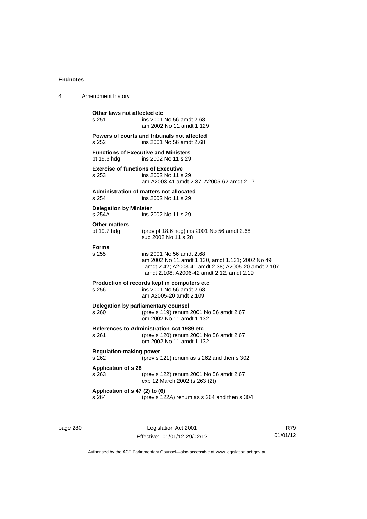| 4 | Amendment history                                  |                                                                                                                                                                                  |
|---|----------------------------------------------------|----------------------------------------------------------------------------------------------------------------------------------------------------------------------------------|
|   | Other laws not affected etc<br>s 251               | ins 2001 No 56 amdt 2.68<br>am 2002 No 11 amdt 1.129                                                                                                                             |
|   | s 252                                              | Powers of courts and tribunals not affected<br>ins 2001 No 56 amdt 2.68                                                                                                          |
|   | pt 19.6 hdg                                        | <b>Functions of Executive and Ministers</b><br>ins 2002 No 11 s 29                                                                                                               |
|   | <b>Exercise of functions of Executive</b><br>s 253 | ins 2002 No 11 s 29<br>am A2003-41 amdt 2.37; A2005-62 amdt 2.17                                                                                                                 |
|   | s 254                                              | <b>Administration of matters not allocated</b><br>ins 2002 No 11 s 29                                                                                                            |
|   | <b>Delegation by Minister</b><br>s 254A            | ins 2002 No 11 s 29                                                                                                                                                              |
|   | <b>Other matters</b><br>pt 19.7 hdg                | (prev pt 18.6 hdg) ins 2001 No 56 amdt 2.68<br>sub 2002 No 11 s 28                                                                                                               |
|   | <b>Forms</b><br>s 255                              | ins 2001 No 56 amdt 2.68<br>am 2002 No 11 amdt 1.130, amdt 1.131; 2002 No 49<br>amdt 2.42; A2003-41 amdt 2.38; A2005-20 amdt 2.107,<br>amdt 2.108; A2006-42 amdt 2.12, amdt 2.19 |
|   | s 256                                              | Production of records kept in computers etc.<br>ins 2001 No 56 amdt 2.68<br>am A2005-20 amdt 2.109                                                                               |
|   | s 260                                              | Delegation by parliamentary counsel<br>(prev s 119) renum 2001 No 56 amdt 2.67<br>om 2002 No 11 amdt 1.132                                                                       |
|   | s 261                                              | <b>References to Administration Act 1989 etc</b><br>(prev s 120) renum 2001 No 56 amdt 2.67<br>om 2002 No 11 amdt 1.132                                                          |
|   | <b>Regulation-making power</b><br>s 262            | (prev s 121) renum as s 262 and then s 302                                                                                                                                       |
|   | <b>Application of s 28</b><br>s 263                | (prev s 122) renum 2001 No 56 amdt 2.67<br>exp 12 March 2002 (s 263 (2))                                                                                                         |
|   | Application of s 47 (2) to (6)<br>s 264            | (prev s 122A) renum as s 264 and then s 304                                                                                                                                      |

page 280 Legislation Act 2001 Effective: 01/01/12-29/02/12

R79 01/01/12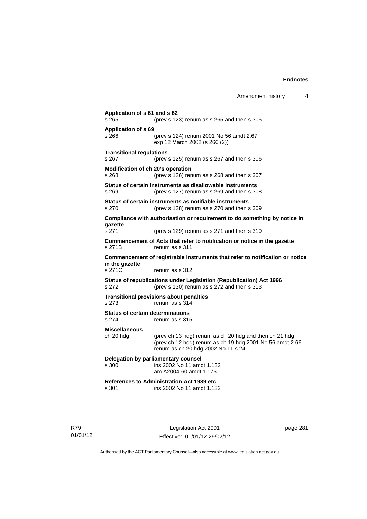| s 265                                    | (prev s 123) renum as s 265 and then s 305                                                                                                               |
|------------------------------------------|----------------------------------------------------------------------------------------------------------------------------------------------------------|
| <b>Application of s 69</b><br>s 266      | (prev s 124) renum 2001 No 56 amdt 2.67<br>exp 12 March 2002 (s 266 (2))                                                                                 |
| <b>Transitional regulations</b><br>s 267 | (prev s $125$ ) renum as s $267$ and then s $306$                                                                                                        |
| s 268                                    | Modification of ch 20's operation<br>(prev s $126$ ) renum as s $268$ and then s $307$                                                                   |
| s 269                                    | Status of certain instruments as disallowable instruments<br>(prev s 127) renum as s 269 and then s 308                                                  |
| s 270                                    | Status of certain instruments as notifiable instruments<br>(prev s 128) renum as s 270 and then s 309                                                    |
| gazette                                  | Compliance with authorisation or requirement to do something by notice in                                                                                |
| s 271<br>s 271B                          | (prev s 129) renum as s 271 and then s 310<br>Commencement of Acts that refer to notification or notice in the gazette<br>renum as s 311                 |
| in the gazette<br>s 271C                 | Commencement of registrable instruments that refer to notification or notice<br>renum as s 312                                                           |
| s 272                                    | Status of republications under Legislation (Republication) Act 1996<br>(prev s 130) renum as s 272 and then s 313                                        |
| s 273                                    | <b>Transitional provisions about penalties</b><br>renum as s 314                                                                                         |
| s 274                                    | <b>Status of certain determinations</b><br>renum as s 315                                                                                                |
| <b>Miscellaneous</b><br>ch 20 hdg        | (prev ch 13 hdg) renum as ch 20 hdg and then ch 21 hdg<br>(prev ch 12 hdg) renum as ch 19 hdg 2001 No 56 amdt 2.66<br>renum as ch 20 hdg 2002 No 11 s 24 |
| s 300                                    | Delegation by parliamentary counsel<br>ins 2002 No 11 amdt 1.132<br>am A2004-60 amdt 1.175                                                               |
| s 301                                    | References to Administration Act 1989 etc<br>ins 2002 No 11 amdt 1.132                                                                                   |

R79 01/01/12

Legislation Act 2001 Effective: 01/01/12-29/02/12 page 281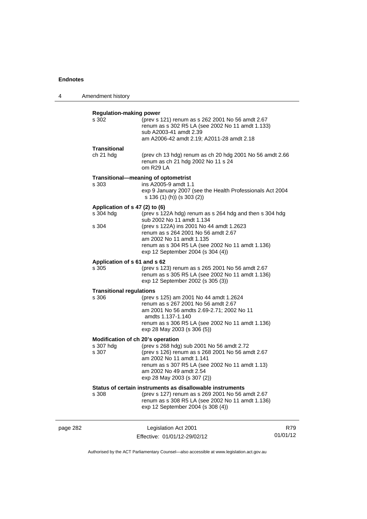| 4        | Amendment history                           |                                                                                                                                                                                                                                                                             |                 |
|----------|---------------------------------------------|-----------------------------------------------------------------------------------------------------------------------------------------------------------------------------------------------------------------------------------------------------------------------------|-----------------|
|          | <b>Regulation-making power</b><br>s 302     | (prev s 121) renum as s 262 2001 No 56 amdt 2.67<br>renum as s 302 R5 LA (see 2002 No 11 amdt 1.133)<br>sub A2003-41 amdt 2.39<br>am A2006-42 amdt 2.19; A2011-28 amdt 2.18                                                                                                 |                 |
|          | Transitional<br>ch 21 hdg                   | (prev ch 13 hdg) renum as ch 20 hdg 2001 No 56 amdt 2.66<br>renum as ch 21 hdg 2002 No 11 s 24<br>om R29 LA                                                                                                                                                                 |                 |
|          | s 303                                       | Transitional-meaning of optometrist<br>ins A2005-9 amdt 1.1<br>exp 9 January 2007 (see the Health Professionals Act 2004<br>s 136 (1) (h)) (s 303 (2))                                                                                                                      |                 |
|          | Application of s 47 (2) to (6)<br>s 304 hdg | (prev s 122A hdg) renum as s 264 hdg and then s 304 hdg<br>sub 2002 No 11 amdt 1.134                                                                                                                                                                                        |                 |
|          | s 304                                       | (prev s 122A) ins 2001 No 44 amdt 1.2623<br>renum as s 264 2001 No 56 amdt 2.67<br>am 2002 No 11 amdt 1.135<br>renum as s 304 R5 LA (see 2002 No 11 amdt 1.136)<br>exp 12 September 2004 (s 304 (4))                                                                        |                 |
|          | Application of s 61 and s 62<br>s 305       | (prev s 123) renum as s 265 2001 No 56 amdt 2.67<br>renum as s 305 R5 LA (see 2002 No 11 amdt 1.136)<br>exp 12 September 2002 (s 305 (3))                                                                                                                                   |                 |
|          | <b>Transitional regulations</b><br>s 306    | (prev s 125) am 2001 No 44 amdt 1.2624<br>renum as s 267 2001 No 56 amdt 2.67<br>am 2001 No 56 amdts 2.69-2.71; 2002 No 11<br>amdts 1.137-1.140<br>renum as s 306 R5 LA (see 2002 No 11 amdt 1.136)<br>exp 28 May 2003 (s 306 (5))                                          |                 |
|          | s 307 hdg<br>s 307                          | Modification of ch 20's operation<br>(prev s 268 hdg) sub 2001 No 56 amdt 2.72<br>(prev s 126) renum as s 268 2001 No 56 amdt 2.67<br>am 2002 No 11 amdt 1.141<br>renum as s 307 R5 LA (see 2002 No 11 amdt 1.13)<br>am 2002 No 49 amdt 2.54<br>exp 28 May 2003 (s 307 (2)) |                 |
|          | s 308                                       | Status of certain instruments as disallowable instruments<br>(prev s 127) renum as s 269 2001 No 56 amdt 2.67<br>renum as s 308 R5 LA (see 2002 No 11 amdt 1.136)<br>exp 12 September 2004 (s 308 (4))                                                                      |                 |
| page 282 |                                             | Legislation Act 2001<br>Effective: 01/01/12-29/02/12                                                                                                                                                                                                                        | R79<br>01/01/12 |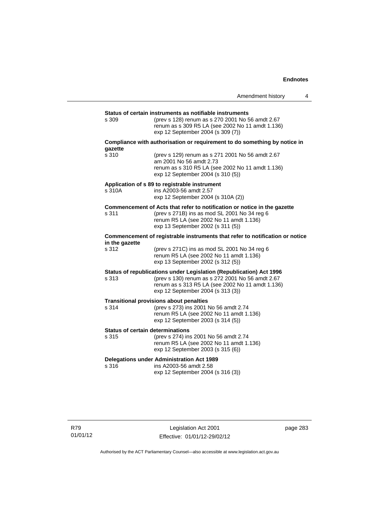|                                                  |                                                                                                                                                                                                                  | Amendment history | 4 |
|--------------------------------------------------|------------------------------------------------------------------------------------------------------------------------------------------------------------------------------------------------------------------|-------------------|---|
|                                                  |                                                                                                                                                                                                                  |                   |   |
| s 309                                            | Status of certain instruments as notifiable instruments<br>(prev s 128) renum as s 270 2001 No 56 amdt 2.67<br>renum as s 309 R5 LA (see 2002 No 11 amdt 1.136)<br>exp 12 September 2004 (s 309 (7))             |                   |   |
| gazette                                          | Compliance with authorisation or requirement to do something by notice in                                                                                                                                        |                   |   |
| s 310                                            | (prev s 129) renum as s 271 2001 No 56 amdt 2.67<br>am 2001 No 56 amdt 2.73<br>renum as s 310 R5 LA (see 2002 No 11 amdt 1.136)<br>exp 12 September 2004 (s 310 (5))                                             |                   |   |
| s 310A                                           | Application of s 89 to registrable instrument<br>ins A2003-56 amdt 2.57<br>exp 12 September 2004 (s 310A (2))                                                                                                    |                   |   |
| s 311                                            | Commencement of Acts that refer to notification or notice in the gazette<br>(prev s 271B) ins as mod SL 2001 No 34 reg 6<br>renum R5 LA (see 2002 No 11 amdt 1.136)<br>exp 13 September 2002 (s 311 (5))         |                   |   |
| in the gazette                                   | Commencement of registrable instruments that refer to notification or notice                                                                                                                                     |                   |   |
| s 312                                            | (prev s 271C) ins as mod SL 2001 No 34 reg 6<br>renum R5 LA (see 2002 No 11 amdt 1.136)<br>exp 13 September 2002 (s 312 (5))                                                                                     |                   |   |
| s 313                                            | Status of republications under Legislation (Republication) Act 1996<br>(prev s 130) renum as s 272 2001 No 56 amdt 2.67<br>renum as s 313 R5 LA (see 2002 No 11 amdt 1.136)<br>exp 12 September 2004 (s 313 (3)) |                   |   |
| s 314                                            | <b>Transitional provisions about penalties</b><br>(prev s 273) ins 2001 No 56 amdt 2.74<br>renum R5 LA (see 2002 No 11 amdt 1.136)<br>exp 12 September 2003 (s 314 (5))                                          |                   |   |
| <b>Status of certain determinations</b><br>s 315 | (prev s 274) ins 2001 No 56 amdt 2.74<br>renum R5 LA (see 2002 No 11 amdt 1.136)<br>exp 12 September 2003 (s 315 (6))                                                                                            |                   |   |
| s 316                                            | <b>Delegations under Administration Act 1989</b><br>ins A2003-56 amdt 2.58<br>exp 12 September 2004 (s 316 (3))                                                                                                  |                   |   |

page 283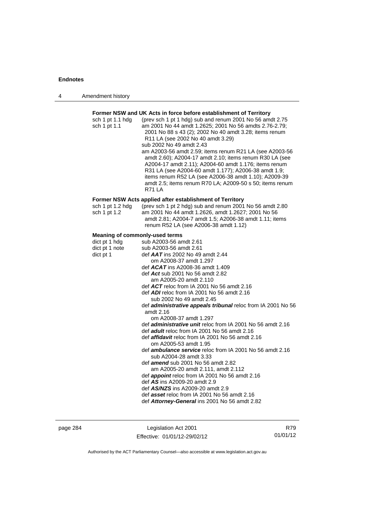| 4 | Amendment history |
|---|-------------------|
|---|-------------------|

| sch 1 pt 1.1 hdg<br>sch 1 pt 1.1      | (prev sch 1 pt 1 hdg) sub and renum 2001 No 56 amdt 2.75<br>am 2001 No 44 amdt 1.2625; 2001 No 56 amdts 2.76-2.79;<br>2001 No 88 s 43 (2); 2002 No 40 amdt 3.28; items renum<br>R11 LA (see 2002 No 40 amdt 3.29)<br>sub 2002 No 49 amdt 2.43<br>am A2003-56 amdt 2.59; items renum R21 LA (see A2003-56<br>amdt 2.60); A2004-17 amdt 2.10; items renum R30 LA (see<br>A2004-17 amdt 2.11); A2004-60 amdt 1.176; items renum<br>R31 LA (see A2004-60 amdt 1.177); A2006-38 amdt 1.9;<br>items renum R52 LA (see A2006-38 amdt 1.10); A2009-39<br>amdt 2.5; items renum R70 LA; A2009-50 s 50; items renum<br><b>R71 LA</b> |
|---------------------------------------|----------------------------------------------------------------------------------------------------------------------------------------------------------------------------------------------------------------------------------------------------------------------------------------------------------------------------------------------------------------------------------------------------------------------------------------------------------------------------------------------------------------------------------------------------------------------------------------------------------------------------|
|                                       | Former NSW Acts applied after establishment of Territory                                                                                                                                                                                                                                                                                                                                                                                                                                                                                                                                                                   |
| sch 1 pt 1.2 hdg<br>sch 1 pt 1.2      | (prev sch 1 pt 2 hdg) sub and renum 2001 No 56 amdt 2.80<br>am 2001 No 44 amdt 1.2626, amdt 1.2627; 2001 No 56<br>amdt 2.81; A2004-7 amdt 1.5; A2006-38 amdt 1.11; items<br>renum R52 LA (see A2006-38 amdt 1.12)                                                                                                                                                                                                                                                                                                                                                                                                          |
| <b>Meaning of commonly-used terms</b> |                                                                                                                                                                                                                                                                                                                                                                                                                                                                                                                                                                                                                            |
| dict pt 1 hdg                         | sub A2003-56 amdt 2.61                                                                                                                                                                                                                                                                                                                                                                                                                                                                                                                                                                                                     |
| dict pt 1 note                        | sub A2003-56 amdt 2.61                                                                                                                                                                                                                                                                                                                                                                                                                                                                                                                                                                                                     |
| dict pt 1                             | def AAT ins 2002 No 49 amdt 2.44                                                                                                                                                                                                                                                                                                                                                                                                                                                                                                                                                                                           |
|                                       | om A2008-37 amdt 1.297                                                                                                                                                                                                                                                                                                                                                                                                                                                                                                                                                                                                     |
|                                       | def $ACAT$ ins A2008-36 amdt 1.409                                                                                                                                                                                                                                                                                                                                                                                                                                                                                                                                                                                         |
|                                       | def Act sub 2001 No 56 amdt 2.82                                                                                                                                                                                                                                                                                                                                                                                                                                                                                                                                                                                           |
|                                       | am A2005-20 amdt 2.110                                                                                                                                                                                                                                                                                                                                                                                                                                                                                                                                                                                                     |
|                                       | def ACT reloc from IA 2001 No 56 amdt 2.16                                                                                                                                                                                                                                                                                                                                                                                                                                                                                                                                                                                 |
|                                       | def ADI reloc from IA 2001 No 56 amdt 2.16                                                                                                                                                                                                                                                                                                                                                                                                                                                                                                                                                                                 |
|                                       | sub 2002 No 49 amdt 2.45                                                                                                                                                                                                                                                                                                                                                                                                                                                                                                                                                                                                   |
|                                       | def administrative appeals tribunal reloc from IA 2001 No 56                                                                                                                                                                                                                                                                                                                                                                                                                                                                                                                                                               |
|                                       | amdt 2.16                                                                                                                                                                                                                                                                                                                                                                                                                                                                                                                                                                                                                  |
|                                       | om A2008-37 amdt 1.297                                                                                                                                                                                                                                                                                                                                                                                                                                                                                                                                                                                                     |
|                                       | def <i>administrative unit</i> reloc from IA 2001 No 56 amdt 2.16                                                                                                                                                                                                                                                                                                                                                                                                                                                                                                                                                          |
|                                       | def adult reloc from IA 2001 No 56 amdt 2.16                                                                                                                                                                                                                                                                                                                                                                                                                                                                                                                                                                               |
|                                       | def affidavit reloc from IA 2001 No 56 amdt 2.16                                                                                                                                                                                                                                                                                                                                                                                                                                                                                                                                                                           |
|                                       | om A2005-53 amdt 1.95                                                                                                                                                                                                                                                                                                                                                                                                                                                                                                                                                                                                      |
|                                       | def <i>ambulance service</i> reloc from IA 2001 No 56 amdt 2.16                                                                                                                                                                                                                                                                                                                                                                                                                                                                                                                                                            |
|                                       | sub A2004-28 amdt 3.33                                                                                                                                                                                                                                                                                                                                                                                                                                                                                                                                                                                                     |
|                                       | def <b>amend</b> sub 2001 No 56 amdt 2.82                                                                                                                                                                                                                                                                                                                                                                                                                                                                                                                                                                                  |
|                                       | am A2005-20 amdt 2.111, amdt 2.112                                                                                                                                                                                                                                                                                                                                                                                                                                                                                                                                                                                         |
|                                       | def appoint reloc from IA 2001 No 56 amdt 2.16<br>def AS ins A2009-20 amdt 2.9                                                                                                                                                                                                                                                                                                                                                                                                                                                                                                                                             |
|                                       | def AS/NZS ins A2009-20 amdt 2.9                                                                                                                                                                                                                                                                                                                                                                                                                                                                                                                                                                                           |
|                                       | def asset reloc from IA 2001 No 56 amdt 2.16                                                                                                                                                                                                                                                                                                                                                                                                                                                                                                                                                                               |
|                                       |                                                                                                                                                                                                                                                                                                                                                                                                                                                                                                                                                                                                                            |
|                                       | def Attorney-General ins 2001 No 56 amdt 2.82                                                                                                                                                                                                                                                                                                                                                                                                                                                                                                                                                                              |

page 284 Legislation Act 2001 Effective: 01/01/12-29/02/12

R79 01/01/12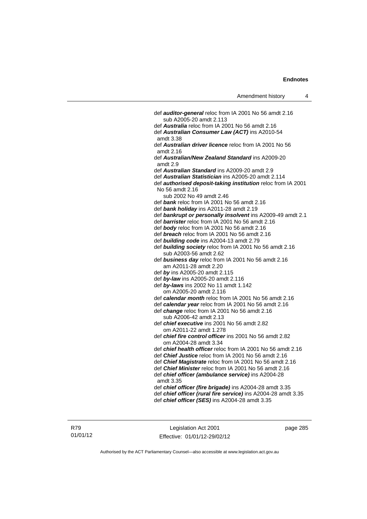def *auditor-general* reloc from IA 2001 No 56 amdt 2.16 sub A2005-20 amdt 2.113 def *Australia* reloc from IA 2001 No 56 amdt 2.16 def *Australian Consumer Law (ACT)* ins A2010-54 amdt 3.38 def *Australian driver licence* reloc from IA 2001 No 56 amdt 2.16 def *Australian/New Zealand Standard* ins A2009-20 amdt 2.9 def *Australian Standard* ins A2009-20 amdt 2.9 def *Australian Statistician* ins A2005-20 amdt 2.114 def *authorised deposit-taking institution* reloc from IA 2001 No 56 amdt 2.16 sub 2002 No 49 amdt 2.46 def *bank* reloc from IA 2001 No 56 amdt 2.16 def *bank holiday* ins A2011-28 amdt 2.19 def *bankrupt or personally insolvent* ins A2009-49 amdt 2.1 def *barrister* reloc from IA 2001 No 56 amdt 2.16 def *body* reloc from IA 2001 No 56 amdt 2.16 def *breach* reloc from IA 2001 No 56 amdt 2.16 def *building code* ins A2004-13 amdt 2.79 def *building society* reloc from IA 2001 No 56 amdt 2.16 sub A2003-56 amdt 2.62 def *business day* reloc from IA 2001 No 56 amdt 2.16 am A2011-28 amdt 2.20 def *by* ins A2005-20 amdt 2.115 def *by-law* ins A2005-20 amdt 2.116 def *by-laws* ins 2002 No 11 amdt 1.142 om A2005-20 amdt 2.116 def *calendar month* reloc from IA 2001 No 56 amdt 2.16 def *calendar year* reloc from IA 2001 No 56 amdt 2.16 def *change* reloc from IA 2001 No 56 amdt 2.16 sub A2006-42 amdt 2.13 def *chief executive* ins 2001 No 56 amdt 2.82 om A2011-22 amdt 1.278 def *chief fire control officer* ins 2001 No 56 amdt 2.82 om A2004-28 amdt 3.34 def *chief health officer* reloc from IA 2001 No 56 amdt 2.16 def *Chief Justice* reloc from IA 2001 No 56 amdt 2.16 def *Chief Magistrate* reloc from IA 2001 No 56 amdt 2.16 def *Chief Minister* reloc from IA 2001 No 56 amdt 2.16 def *chief officer (ambulance service)* ins A2004-28 amdt 3.35 def *chief officer (fire brigade)* ins A2004-28 amdt 3.35 def *chief officer (rural fire service)* ins A2004-28 amdt 3.35 def *chief officer (SES)* ins A2004-28 amdt 3.35

Legislation Act 2001 Effective: 01/01/12-29/02/12 page 285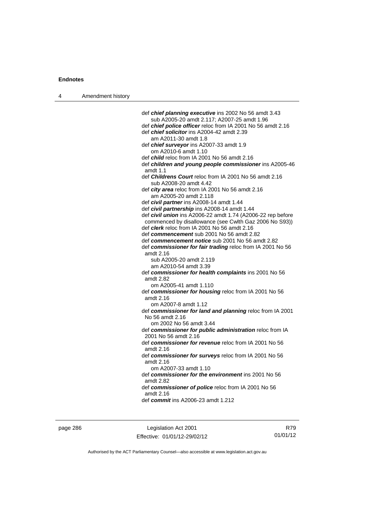| 4 | Amendment history |                                                                                         |
|---|-------------------|-----------------------------------------------------------------------------------------|
|   |                   |                                                                                         |
|   |                   | def chief planning executive ins 2002 No 56 amdt 3.43                                   |
|   |                   | sub A2005-20 amdt 2.117; A2007-25 amdt 1.96                                             |
|   |                   | def chief police officer reloc from IA 2001 No 56 amdt 2.16                             |
|   |                   | def <i>chief solicitor</i> ins A2004-42 amdt 2.39                                       |
|   |                   | am A2011-30 amdt 1.8                                                                    |
|   |                   | def chief surveyor ins A2007-33 amdt 1.9                                                |
|   |                   | om A2010-6 amdt 1.10                                                                    |
|   |                   | def <i>child</i> reloc from IA 2001 No 56 amdt 2.16                                     |
|   |                   | def children and young people commissioner ins A2005-46                                 |
|   |                   | amdt $1.1$                                                                              |
|   |                   | def <i>Childrens Court</i> reloc from IA 2001 No 56 amdt 2.16<br>sub A2008-20 amdt 4.42 |
|   |                   | def city area reloc from IA 2001 No 56 amdt 2.16                                        |
|   |                   | am A2005-20 amdt 2.118                                                                  |
|   |                   | def <i>civil partner</i> ins A2008-14 amdt 1.44                                         |
|   |                   | def civil partnership ins A2008-14 amdt 1.44                                            |
|   |                   | def civil union ins A2006-22 amdt 1.74 (A2006-22 rep before                             |
|   |                   | commenced by disallowance (see Cwlth Gaz 2006 No S93))                                  |
|   |                   | def <i>clerk</i> reloc from IA 2001 No 56 amdt 2.16                                     |
|   |                   | def commencement sub 2001 No 56 amdt 2.82                                               |
|   |                   | def commencement notice sub 2001 No 56 amdt 2.82                                        |
|   |                   | def commissioner for fair trading reloc from IA 2001 No 56                              |
|   |                   | amdt 2.16                                                                               |
|   |                   | sub A2005-20 amdt 2.119                                                                 |
|   |                   | am A2010-54 amdt 3.39                                                                   |
|   |                   | def commissioner for health complaints ins 2001 No 56                                   |
|   |                   | amdt 2.82                                                                               |
|   |                   | om A2005-41 amdt 1.110                                                                  |
|   |                   | def commissioner for housing reloc from IA 2001 No 56                                   |
|   |                   | amdt 2.16                                                                               |
|   |                   | om A2007-8 amdt 1.12                                                                    |
|   |                   | def commissioner for land and planning reloc from IA 2001<br>No 56 amdt 2.16            |
|   |                   | om 2002 No 56 amdt 3.44                                                                 |
|   |                   | def commissioner for public administration reloc from IA<br>2001 No 56 amdt 2.16        |
|   |                   | def commissioner for revenue reloc from IA 2001 No 56                                   |
|   |                   | amdt 2.16                                                                               |
|   |                   | def commissioner for surveys reloc from IA 2001 No 56                                   |
|   |                   | amdt 2.16                                                                               |
|   |                   | om A2007-33 amdt 1.10                                                                   |
|   |                   | def commissioner for the environment ins 2001 No 56<br>amdt 2.82                        |
|   |                   | def commissioner of police reloc from IA 2001 No 56                                     |
|   |                   | amdt 2.16                                                                               |
|   |                   | def <i>commit</i> ins A2006-23 amdt 1.212                                               |
|   |                   |                                                                                         |

page 286 Legislation Act 2001 Effective: 01/01/12-29/02/12

R79 01/01/12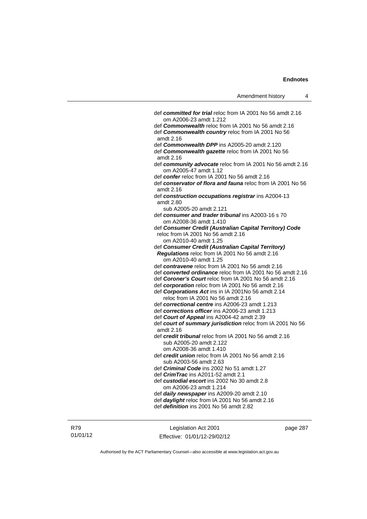| Amendment history |  |
|-------------------|--|
|-------------------|--|

| def committed for trial reloc from IA 2001 No 56 amdt 2.16              |
|-------------------------------------------------------------------------|
| om A2006-23 amdt 1.212                                                  |
| def <b>Commonwealth</b> reloc from IA 2001 No 56 amdt 2.16              |
| def <b>Commonwealth country</b> reloc from IA 2001 No 56<br>amdt 2.16   |
| def <b>Commonwealth DPP</b> ins A2005-20 amdt 2.120                     |
| def <b>Commonwealth gazette</b> reloc from IA 2001 No 56<br>amdt 2.16   |
| def community advocate reloc from IA 2001 No 56 amdt 2.16               |
| om A2005-47 amdt 1.12                                                   |
| def confer reloc from IA 2001 No 56 amdt 2.16                           |
| def conservator of flora and fauna reloc from IA 2001 No 56             |
| amdt 2.16                                                               |
| def construction occupations registrar ins A2004-13<br>amdt 2.80        |
| sub A2005-20 amdt 2.121                                                 |
| def consumer and trader tribunal ins A2003-16 s 70                      |
| om A2008-36 amdt 1.410                                                  |
| def Consumer Credit (Australian Capital Territory) Code                 |
| reloc from IA 2001 No 56 amdt 2.16                                      |
| om A2010-40 amdt 1.25                                                   |
| def Consumer Credit (Australian Capital Territory)                      |
| Regulations reloc from IA 2001 No 56 amdt 2.16                          |
| om A2010-40 amdt 1.25                                                   |
| def contravene reloc from IA 2001 No 56 amdt 2.16                       |
| def converted ordinance reloc from IA 2001 No 56 amdt 2.16              |
| def Coroner's Court reloc from IA 2001 No 56 amdt 2.16                  |
| def corporation reloc from IA 2001 No 56 amdt 2.16                      |
| def Corporations Act ins in IA 2001No 56 amdt 2.14                      |
| reloc from IA 2001 No 56 amdt 2.16                                      |
| def correctional centre ins A2006-23 amdt 1.213                         |
| def corrections officer ins A2006-23 amdt 1.213                         |
| def Court of Appeal ins A2004-42 amdt 2.39                              |
| def court of summary jurisdiction reloc from IA 2001 No 56<br>amdt 2.16 |
| def <i>credit tribunal</i> reloc from IA 2001 No 56 amdt 2.16           |
| sub A2005-20 amdt 2.122                                                 |
| om A2008-36 amdt 1.410                                                  |
| def credit union reloc from IA 2001 No 56 amdt 2.16                     |
| sub A2003-56 amdt 2.63                                                  |
| def Criminal Code ins 2002 No 51 amdt 1.27                              |
| def CrimTrac ins A2011-52 amdt 2.1                                      |
| def custodial escort ins 2002 No 30 amdt 2.8                            |
| om A2006-23 amdt 1.214                                                  |
| def daily newspaper ins A2009-20 amdt 2.10                              |
| def daylight reloc from IA 2001 No 56 amdt 2.16                         |
| def definition ins 2001 No 56 amdt 2.82                                 |
|                                                                         |

Legislation Act 2001 Effective: 01/01/12-29/02/12 page 287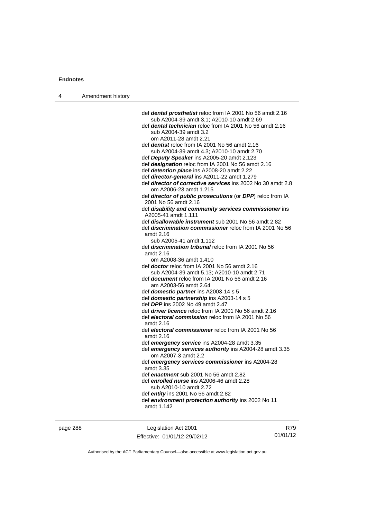| 4 | Amendment history |                                                                                                                    |
|---|-------------------|--------------------------------------------------------------------------------------------------------------------|
|   |                   |                                                                                                                    |
|   |                   | def dental prosthetist reloc from IA 2001 No 56 amdt 2.16                                                          |
|   |                   | sub A2004-39 amdt 3.1; A2010-10 amdt 2.69                                                                          |
|   |                   | def dental technician reloc from IA 2001 No 56 amdt 2.16                                                           |
|   |                   | sub A2004-39 amdt 3.2                                                                                              |
|   |                   | om A2011-28 amdt 2.21                                                                                              |
|   |                   | def <i>dentist</i> reloc from IA 2001 No 56 amdt 2.16                                                              |
|   |                   | sub A2004-39 amdt 4.3; A2010-10 amdt 2.70                                                                          |
|   |                   | def Deputy Speaker ins A2005-20 amdt 2.123                                                                         |
|   |                   | def designation reloc from IA 2001 No 56 amdt 2.16                                                                 |
|   |                   | def detention place ins A2008-20 amdt 2.22                                                                         |
|   |                   | def director-general ins A2011-22 amdt 1.279<br>def <i>director of corrective services</i> ins 2002 No 30 amdt 2.8 |
|   |                   | om A2006-23 amdt 1.215                                                                                             |
|   |                   | def director of public prosecutions (or DPP) reloc from IA                                                         |
|   |                   | 2001 No 56 amdt 2.16                                                                                               |
|   |                   | def disability and community services commissioner ins                                                             |
|   |                   | A2005-41 amdt 1.111                                                                                                |
|   |                   | def <i>disallowable instrument</i> sub 2001 No 56 amdt 2.82                                                        |
|   |                   | def <i>discrimination commissioner</i> reloc from IA 2001 No 56                                                    |
|   |                   | amdt 2.16                                                                                                          |
|   |                   | sub A2005-41 amdt 1.112                                                                                            |
|   |                   | def <b>discrimination tribunal</b> reloc from IA 2001 No 56                                                        |
|   |                   | amdt 2.16                                                                                                          |
|   |                   | om A2008-36 amdt 1.410                                                                                             |
|   |                   | def <b>doctor</b> reloc from IA 2001 No 56 amdt 2.16                                                               |
|   |                   | sub A2004-39 amdt 5.13; A2010-10 amdt 2.71                                                                         |
|   |                   | def <b>document</b> reloc from IA 2001 No 56 amdt 2.16<br>am A2003-56 amdt 2.64                                    |
|   |                   | def domestic partner ins A2003-14 s 5                                                                              |
|   |                   | def domestic partnership ins A2003-14 s 5                                                                          |
|   |                   | def DPP ins 2002 No 49 amdt 2.47                                                                                   |
|   |                   | def <i>driver licence</i> reloc from IA 2001 No 56 amdt 2.16                                                       |
|   |                   | def electoral commission reloc from IA 2001 No 56                                                                  |
|   |                   | amdt $2.16$                                                                                                        |
|   |                   | def electoral commissioner reloc from IA 2001 No 56                                                                |
|   |                   | amdt 2.16                                                                                                          |
|   |                   | def emergency service ins A2004-28 amdt 3.35                                                                       |
|   |                   | def emergency services authority ins A2004-28 amdt 3.35                                                            |
|   |                   | om A2007-3 amdt 2.2                                                                                                |
|   |                   | def emergency services commissioner ins A2004-28                                                                   |
|   |                   | amdt 3.35                                                                                                          |
|   |                   | def enactment sub 2001 No 56 amdt 2.82                                                                             |
|   |                   | def enrolled nurse ins A2006-46 amdt 2.28<br>sub A2010-10 amdt 2.72                                                |
|   |                   | def entity ins 2001 No 56 amdt 2.82                                                                                |
|   |                   | def environment protection authority ins 2002 No 11                                                                |
|   |                   | amdt 1.142                                                                                                         |
|   |                   |                                                                                                                    |
|   |                   |                                                                                                                    |

page 288 Legislation Act 2001 Effective: 01/01/12-29/02/12

R79 01/01/12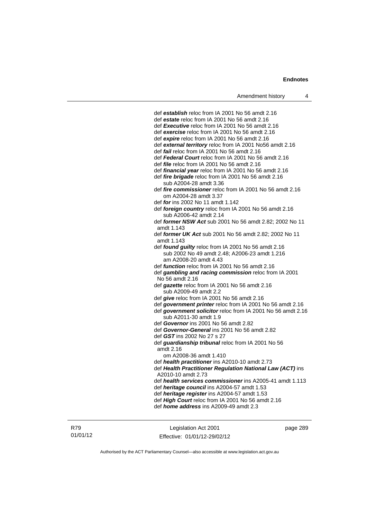def *establish* reloc from IA 2001 No 56 amdt 2.16 def *estate* reloc from IA 2001 No 56 amdt 2.16 def *Executive* reloc from IA 2001 No 56 amdt 2.16 def *exercise* reloc from IA 2001 No 56 amdt 2.16 def *expire* reloc from IA 2001 No 56 amdt 2.16 def *external territory* reloc from IA 2001 No56 amdt 2.16 def *fail* reloc from IA 2001 No 56 amdt 2.16 def *Federal Court* reloc from IA 2001 No 56 amdt 2.16 def *file* reloc from IA 2001 No 56 amdt 2.16 def *financial year* reloc from IA 2001 No 56 amdt 2.16 def *fire brigade* reloc from IA 2001 No 56 amdt 2.16 sub A2004-28 amdt 3.36 def *fire commissioner* reloc from IA 2001 No 56 amdt 2.16 om A2004-28 amdt 3.37 def *for* ins 2002 No 11 amdt 1.142 def *foreign country* reloc from IA 2001 No 56 amdt 2.16 sub A2006-42 amdt 2.14 def *former NSW Act* sub 2001 No 56 amdt 2.82; 2002 No 11 amdt 1.143 def *former UK Act* sub 2001 No 56 amdt 2.82; 2002 No 11 amdt 1.143 def *found guilty* reloc from IA 2001 No 56 amdt 2.16 sub 2002 No 49 amdt 2.48; A2006-23 amdt 1.216 am A2008-20 amdt 4.43 def *function* reloc from IA 2001 No 56 amdt 2.16 def *gambling and racing commission* reloc from IA 2001 No 56 amdt 2.16 def *gazette* reloc from IA 2001 No 56 amdt 2.16 sub A2009-49 amdt 2.2 def *give* reloc from IA 2001 No 56 amdt 2.16 def *government printer* reloc from IA 2001 No 56 amdt 2.16 def *government solicitor* reloc from IA 2001 No 56 amdt 2.16 sub A2011-30 amdt 1.9 def *Governor* ins 2001 No 56 amdt 2.82 def *Governor-General* ins 2001 No 56 amdt 2.82 def *GST* ins 2002 No 27 s 27 def *guardianship tribunal* reloc from IA 2001 No 56 amdt 2.16 om A2008-36 amdt 1.410 def *health practitioner* ins A2010-10 amdt 2.73 def *Health Practitioner Regulation National Law (ACT)* ins A2010-10 amdt 2.73 def *health services commissioner* ins A2005-41 amdt 1.113 def *heritage council* ins A2004-57 amdt 1.53 def *heritage register* ins A2004-57 amdt 1.53 def *High Court* reloc from IA 2001 No 56 amdt 2.16 def *home address* ins A2009-49 amdt 2.3

Legislation Act 2001 Effective: 01/01/12-29/02/12 page 289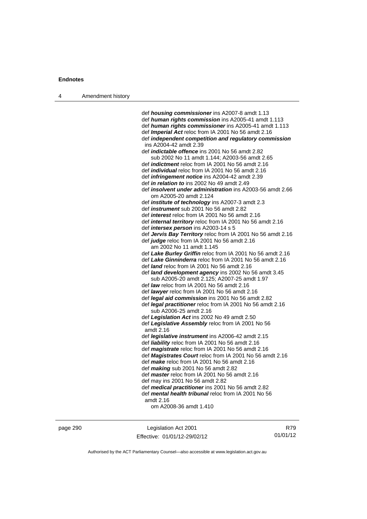| Amendment history |
|-------------------|
|                   |

 def *housing commissioner* ins A2007-8 amdt 1.13 def *human rights commission* ins A2005-41 amdt 1.113 def *human rights commissioner* ins A2005-41 amdt 1.113 def *Imperial Act* reloc from IA 2001 No 56 amdt 2.16 def *independent competition and regulatory commission* ins A2004-42 amdt 2.39 def *indictable offence* ins 2001 No 56 amdt 2.82 sub 2002 No 11 amdt 1.144; A2003-56 amdt 2.65 def *indictment* reloc from IA 2001 No 56 amdt 2.16 def *individual* reloc from IA 2001 No 56 amdt 2.16 def *infringement notice* ins A2004-42 amdt 2.39 def *in relation to* ins 2002 No 49 amdt 2.49 def *insolvent under administration* ins A2003-56 amdt 2.66 om A2005-20 amdt 2.124 def *institute of technology* ins A2007-3 amdt 2.3 def *instrument* sub 2001 No 56 amdt 2.82 def *interest* reloc from IA 2001 No 56 amdt 2.16 def *internal territory* reloc from IA 2001 No 56 amdt 2.16 def *intersex person* ins A2003-14 s 5 def *Jervis Bay Territory* reloc from IA 2001 No 56 amdt 2.16 def *judge* reloc from IA 2001 No 56 amdt 2.16 am 2002 No 11 amdt 1.145 def *Lake Burley Griffin* reloc from IA 2001 No 56 amdt 2.16 def *Lake Ginninderra* reloc from IA 2001 No 56 amdt 2.16 def *land* reloc from IA 2001 No 56 amdt 2.16 def *land development agency* ins 2002 No 56 amdt 3.45 sub A2005-20 amdt 2.125; A2007-25 amdt 1.97 def *law* reloc from IA 2001 No 56 amdt 2.16 def *lawyer* reloc from IA 2001 No 56 amdt 2.16 def *legal aid commission* ins 2001 No 56 amdt 2.82 def *legal practitioner* reloc from IA 2001 No 56 amdt 2.16 sub A2006-25 amdt 2.16 def *Legislation Act* ins 2002 No 49 amdt 2.50 def *Legislative Assembly* reloc from IA 2001 No 56 amdt 2.16 def *legislative instrument* ins A2006-42 amdt 2.15 def *liability* reloc from IA 2001 No 56 amdt 2.16 def *magistrate* reloc from IA 2001 No 56 amdt 2.16 def *Magistrates Court* reloc from IA 2001 No 56 amdt 2.16 def *make* reloc from IA 2001 No 56 amdt 2.16 def *making* sub 2001 No 56 amdt 2.82 def *master* reloc from IA 2001 No 56 amdt 2.16 def may ins 2001 No 56 amdt 2.82 def *medical practitioner* ins 2001 No 56 amdt 2.82 def *mental health tribunal* reloc from IA 2001 No 56 amdt 2.16 om A2008-36 amdt 1.410

page 290 Legislation Act 2001 Effective: 01/01/12-29/02/12

R79 01/01/12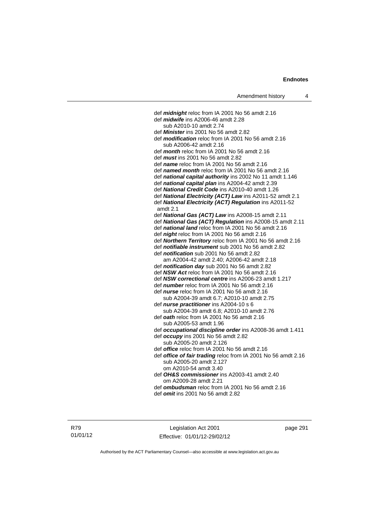def *midnight* reloc from IA 2001 No 56 amdt 2.16 def *midwife* ins A2006-46 amdt 2.28 sub A2010-10 amdt 2.74 def *Minister* ins 2001 No 56 amdt 2.82 def *modification* reloc from IA 2001 No 56 amdt 2.16 sub A2006-42 amdt 2.16 def *month* reloc from IA 2001 No 56 amdt 2.16 def *must* ins 2001 No 56 amdt 2.82 def *name* reloc from IA 2001 No 56 amdt 2.16 def *named month* reloc from IA 2001 No 56 amdt 2.16 def *national capital authority* ins 2002 No 11 amdt 1.146 def *national capital plan* ins A2004-42 amdt 2.39 def *National Credit Code* ins A2010-40 amdt 1.26 def *National Electricity (ACT) Law* ins A2011-52 amdt 2.1 def *National Electricity (ACT) Regulation* ins A2011-52 amdt 2.1 def *National Gas (ACT) Law* ins A2008-15 amdt 2.11 def *National Gas (ACT) Regulation* ins A2008-15 amdt 2.11 def *national land* reloc from IA 2001 No 56 amdt 2.16 def *night* reloc from IA 2001 No 56 amdt 2.16 def *Northern Territory* reloc from IA 2001 No 56 amdt 2.16 def *notifiable instrument* sub 2001 No 56 amdt 2.82 def *notification* sub 2001 No 56 amdt 2.82 am A2004-42 amdt 2.40; A2006-42 amdt 2.18 def *notification day* sub 2001 No 56 amdt 2.82 def *NSW Act* reloc from IA 2001 No 56 amdt 2.16 def *NSW correctional centre* ins A2006-23 amdt 1.217 def *number* reloc from IA 2001 No 56 amdt 2.16 def *nurse* reloc from IA 2001 No 56 amdt 2.16 sub A2004-39 amdt 6.7; A2010-10 amdt 2.75 def *nurse practitioner* ins A2004-10 s 6 sub A2004-39 amdt 6.8; A2010-10 amdt 2.76 def *oath* reloc from IA 2001 No 56 amdt 2.16 sub A2005-53 amdt 1.96 def *occupational discipline order* ins A2008-36 amdt 1.411 def *occupy* ins 2001 No 56 amdt 2.82 sub A2005-20 amdt 2.126 def *office* reloc from IA 2001 No 56 amdt 2.16 def *office of fair trading* reloc from IA 2001 No 56 amdt 2.16 sub A2005-20 amdt 2.127 om A2010-54 amdt 3.40 def *OH&S commissioner* ins A2003-41 amdt 2.40 om A2009-28 amdt 2.21 def *ombudsman* reloc from IA 2001 No 56 amdt 2.16

def *omit* ins 2001 No 56 amdt 2.82

R79 01/01/12

Legislation Act 2001 Effective: 01/01/12-29/02/12 page 291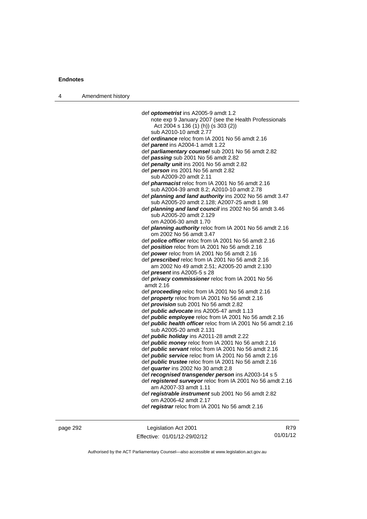| 4 | Amendment history |                                                                                                         |
|---|-------------------|---------------------------------------------------------------------------------------------------------|
|   |                   |                                                                                                         |
|   |                   | def optometrist ins A2005-9 amdt 1.2                                                                    |
|   |                   | note exp 9 January 2007 (see the Health Professionals                                                   |
|   |                   | Act 2004 s 136 (1) (h)) (s 303 (2))                                                                     |
|   |                   | sub A2010-10 amdt 2.77                                                                                  |
|   |                   | def ordinance reloc from IA 2001 No 56 amdt 2.16                                                        |
|   |                   | def parent ins A2004-1 amdt 1.22                                                                        |
|   |                   | def parliamentary counsel sub 2001 No 56 amdt 2.82                                                      |
|   |                   | def passing sub 2001 No 56 amdt 2.82                                                                    |
|   |                   | def penalty unit ins 2001 No 56 amdt 2.82                                                               |
|   |                   | def person ins 2001 No 56 amdt 2.82                                                                     |
|   |                   | sub A2009-20 amdt 2.11                                                                                  |
|   |                   | def <i>pharmacist</i> reloc from IA 2001 No 56 amdt 2.16                                                |
|   |                   | sub A2004-39 amdt 8.2; A2010-10 amdt 2.78                                                               |
|   |                   | def planning and land authority ins 2002 No 56 amdt 3.47<br>sub A2005-20 amdt 2.128; A2007-25 amdt 1.98 |
|   |                   | def planning and land council ins 2002 No 56 amdt 3.46                                                  |
|   |                   | sub A2005-20 amdt 2.129                                                                                 |
|   |                   | om A2006-30 amdt 1.70                                                                                   |
|   |                   | def <i>planning authority</i> reloc from IA 2001 No 56 amdt 2.16                                        |
|   |                   | om 2002 No 56 amdt 3.47                                                                                 |
|   |                   | def <b>police officer</b> reloc from IA 2001 No 56 amdt 2.16                                            |
|   |                   | def <i>position</i> reloc from IA 2001 No 56 amdt 2.16                                                  |
|   |                   | def power reloc from IA 2001 No 56 amdt 2.16                                                            |
|   |                   | def <i>prescribed</i> reloc from IA 2001 No 56 amdt 2.16                                                |
|   |                   | am 2002 No 49 amdt 2.51; A2005-20 amdt 2.130                                                            |
|   |                   | def <i>present</i> ins A2005-5 s 28                                                                     |
|   |                   | def privacy commissioner reloc from IA 2001 No 56                                                       |
|   |                   | amdt 2.16                                                                                               |
|   |                   | def <i>proceeding</i> reloc from IA 2001 No 56 amdt 2.16                                                |
|   |                   | def <i>property</i> reloc from IA 2001 No 56 amdt 2.16                                                  |
|   |                   | def <i>provision</i> sub 2001 No 56 amdt 2.82                                                           |
|   |                   | def <i>public advocate</i> ins A2005-47 amdt 1.13                                                       |
|   |                   | def <i>public</i> employee reloc from IA 2001 No 56 amdt 2.16                                           |
|   |                   | def <b>public health officer</b> reloc from IA 2001 No 56 amdt 2.16                                     |
|   |                   | sub A2005-20 amdt 2.131                                                                                 |
|   |                   | def <i>public holiday</i> ins A2011-28 amdt 2.22                                                        |
|   |                   | def <i>public money</i> reloc from IA 2001 No 56 amdt 2.16                                              |
|   |                   | def <i>public servant</i> reloc from IA 2001 No 56 amdt 2.16                                            |
|   |                   | def <i>public service</i> reloc from IA 2001 No 56 amdt 2.16                                            |
|   |                   | def <i>public trustee</i> reloc from IA 2001 No 56 amdt 2.16                                            |
|   |                   | def quarter ins 2002 No 30 amdt 2.8                                                                     |
|   |                   | def recognised transgender person ins A2003-14 s 5                                                      |
|   |                   | def registered surveyor reloc from IA 2001 No 56 amdt 2.16                                              |
|   |                   | am A2007-33 amdt 1.11                                                                                   |
|   |                   | def registrable instrument sub 2001 No 56 amdt 2.82                                                     |
|   |                   | om A2006-42 amdt 2.17                                                                                   |
|   |                   | def registrar reloc from IA 2001 No 56 amdt 2.16                                                        |
|   |                   |                                                                                                         |

page 292 Legislation Act 2001 Effective: 01/01/12-29/02/12

R79 01/01/12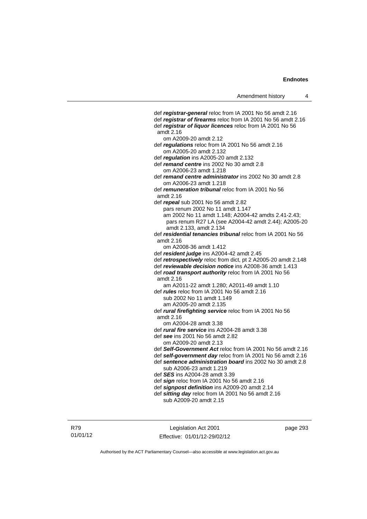def *registrar-general* reloc from IA 2001 No 56 amdt 2.16 def *registrar of firearms* reloc from IA 2001 No 56 amdt 2.16 def *registrar of liquor licences* reloc from IA 2001 No 56 amdt 2.16 om A2009-20 amdt 2.12 def *regulations* reloc from IA 2001 No 56 amdt 2.16 om A2005-20 amdt 2.132 def *regulation* ins A2005-20 amdt 2.132 def *remand centre* ins 2002 No 30 amdt 2.8 om A2006-23 amdt 1.218 def *remand centre administrator* ins 2002 No 30 amdt 2.8 om A2006-23 amdt 1.218 def *remuneration tribunal* reloc from IA 2001 No 56 amdt 2.16 def *repeal* sub 2001 No 56 amdt 2.82 pars renum 2002 No 11 amdt 1.147 am 2002 No 11 amdt 1.148; A2004-42 amdts 2.41-2.43; pars renum R27 LA (see A2004-42 amdt 2.44); A2005-20 amdt 2.133, amdt 2.134 def *residential tenancies tribunal* reloc from IA 2001 No 56 amdt 2.16 om A2008-36 amdt 1.412 def *resident judge* ins A2004-42 amdt 2.45 def *retrospectively* reloc from dict, pt 2 A2005-20 amdt 2.148 def *reviewable decision notice* ins A2008-36 amdt 1.413 def *road transport authority* reloc from IA 2001 No 56 amdt 2.16 am A2011-22 amdt 1.280; A2011-49 amdt 1.10 def *rules* reloc from IA 2001 No 56 amdt 2.16 sub 2002 No 11 amdt 1.149 am A2005-20 amdt 2.135 def *rural firefighting service* reloc from IA 2001 No 56 amdt 2.16 om A2004-28 amdt 3.38 def *rural fire service* ins A2004-28 amdt 3.38 def *see* ins 2001 No 56 amdt 2.82 om A2009-20 amdt 2.13 def *Self-Government Act* reloc from IA 2001 No 56 amdt 2.16 def *self-government day* reloc from IA 2001 No 56 amdt 2.16 def *sentence administration board* ins 2002 No 30 amdt 2.8 sub A2006-23 amdt 1.219 def *SES* ins A2004-28 amdt 3.39 def *sign* reloc from IA 2001 No 56 amdt 2.16 def *signpost definition* ins A2009-20 amdt 2.14 def *sitting day* reloc from IA 2001 No 56 amdt 2.16 sub A2009-20 amdt 2.15

R79 01/01/12

Legislation Act 2001 Effective: 01/01/12-29/02/12 page 293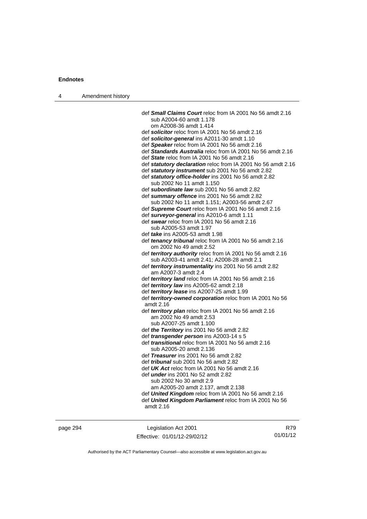| 4 | Amendment history |                                                                                                         |
|---|-------------------|---------------------------------------------------------------------------------------------------------|
|   |                   | def <b>Small Claims Court</b> reloc from IA 2001 No 56 amdt 2.16                                        |
|   |                   | sub A2004-60 amdt 1.178<br>om A2008-36 amdt 1.414                                                       |
|   |                   | def solicitor reloc from IA 2001 No 56 amdt 2.16                                                        |
|   |                   | def solicitor-general ins A2011-30 amdt 1.10                                                            |
|   |                   | def Speaker reloc from IA 2001 No 56 amdt 2.16                                                          |
|   |                   | def Standards Australia reloc from IA 2001 No 56 amdt 2.16                                              |
|   |                   | def State reloc from IA 2001 No 56 amdt 2.16                                                            |
|   |                   | def statutory declaration reloc from IA 2001 No 56 amdt 2.16                                            |
|   |                   | def statutory instrument sub 2001 No 56 amdt 2.82                                                       |
|   |                   | def statutory office-holder ins 2001 No 56 amdt 2.82                                                    |
|   |                   | sub 2002 No 11 amdt 1.150                                                                               |
|   |                   | def subordinate law sub 2001 No 56 amdt 2.82                                                            |
|   |                   | def summary offence ins 2001 No 56 amdt 2.82                                                            |
|   |                   | sub 2002 No 11 amdt 1.151; A2003-56 amdt 2.67<br>def Supreme Court reloc from IA 2001 No 56 amdt 2.16   |
|   |                   | def surveyor-general ins A2010-6 amdt 1.11                                                              |
|   |                   | def swear reloc from IA 2001 No 56 amdt 2.16                                                            |
|   |                   | sub A2005-53 amdt 1.97                                                                                  |
|   |                   | def take ins A2005-53 amdt 1.98                                                                         |
|   |                   | def tenancy tribunal reloc from IA 2001 No 56 amdt 2.16                                                 |
|   |                   | om 2002 No 49 amdt 2.52                                                                                 |
|   |                   | def territory authority reloc from IA 2001 No 56 amdt 2.16<br>sub A2003-41 amdt 2.41; A2008-28 amdt 2.1 |
|   |                   | def territory instrumentality ins 2001 No 56 amdt 2.82<br>am A2007-3 amdt 2.4                           |
|   |                   | def territory land reloc from IA 2001 No 56 amdt 2.16                                                   |
|   |                   | def territory law ins A2005-62 amdt 2.18                                                                |
|   |                   | def territory lease ins A2007-25 amdt 1.99                                                              |
|   |                   | def territory-owned corporation reloc from IA 2001 No 56<br>amdt 2.16                                   |
|   |                   | def territory plan reloc from IA 2001 No 56 amdt 2.16                                                   |
|   |                   | am 2002 No 49 amdt 2.53                                                                                 |
|   |                   | sub A2007-25 amdt 1.100                                                                                 |
|   |                   | def the Territory ins 2001 No 56 amdt 2.82                                                              |
|   |                   | def <i>transgender person</i> ins A2003-14 s 5                                                          |
|   |                   | def <i>transitional</i> reloc from IA 2001 No 56 amdt 2.16<br>sub A2005-20 amdt 2.136                   |
|   |                   | def Treasurer ins 2001 No 56 amdt 2.82                                                                  |
|   |                   | def <i>tribunal</i> sub 2001 No 56 amdt 2.82                                                            |
|   |                   | def UK Act reloc from IA 2001 No 56 amdt 2.16                                                           |
|   |                   | def <i>under</i> ins 2001 No 52 amdt 2.82<br>sub 2002 No 30 amdt 2.9                                    |
|   |                   | am A2005-20 amdt 2.137, amdt 2.138                                                                      |
|   |                   | def United Kingdom reloc from IA 2001 No 56 amdt 2.16                                                   |
|   |                   | def United Kingdom Parliament reloc from IA 2001 No 56                                                  |
|   |                   | amdt $2.16$                                                                                             |
|   |                   |                                                                                                         |
|   |                   |                                                                                                         |

Authorised by the ACT Parliamentary Counsel—also accessible at www.legislation.act.gov.au

Effective: 01/01/12-29/02/12

R79 01/01/12

page 294 Legislation Act 2001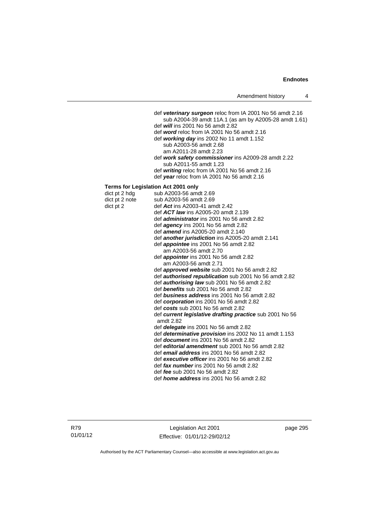def *veterinary surgeon* reloc from IA 2001 No 56 amdt 2.16 sub A2004-39 amdt 11A.1 (as am by A2005-28 amdt 1.61) def *will* ins 2001 No 56 amdt 2.82 def *word* reloc from IA 2001 No 56 amdt 2.16 def *working day* ins 2002 No 11 amdt 1.152 sub A2003-56 amdt 2.68 am A2011-28 amdt 2.23 def *work safety commissioner* ins A2009-28 amdt 2.22 sub A2011-55 amdt 1.23 def *writing* reloc from IA 2001 No 56 amdt 2.16 def *year* reloc from IA 2001 No 56 amdt 2.16 **Terms for Legislation Act 2001 only**  dict pt 2 hdg sub A2003-56 amdt 2.69<br>dict pt 2 note sub A2003-56 amdt 2.69 dict pt 2 note sub A2003-56 amdt 2.69<br>dict pt 2 def  $\text{Act}$  ins A2003-41 am def **Act** ins A2003-41 amdt 2.42 def *ACT law* ins A2005-20 amdt 2.139 def *administrator* ins 2001 No 56 amdt 2.82 def *agency* ins 2001 No 56 amdt 2.82 def *amend* ins A2005-20 amdt 2.140 def *another jurisdiction* ins A2005-20 amdt 2.141 def *appointee* ins 2001 No 56 amdt 2.82 am A2003-56 amdt 2.70 def *appointer* ins 2001 No 56 amdt 2.82 am A2003-56 amdt 2.71 def *approved website* sub 2001 No 56 amdt 2.82 def *authorised republication* sub 2001 No 56 amdt 2.82 def *authorising law* sub 2001 No 56 amdt 2.82 def *benefits* sub 2001 No 56 amdt 2.82 def *business address* ins 2001 No 56 amdt 2.82 def *corporation* ins 2001 No 56 amdt 2.82 def *costs* sub 2001 No 56 amdt 2.82 def *current legislative drafting practice* sub 2001 No 56 amdt 2.82 def *delegate* ins 2001 No 56 amdt 2.82 def *determinative provision* ins 2002 No 11 amdt 1.153 def *document* ins 2001 No 56 amdt 2.82 def *editorial amendment* sub 2001 No 56 amdt 2.82 def *email address* ins 2001 No 56 amdt 2.82 def *executive officer* ins 2001 No 56 amdt 2.82 def *fax number* ins 2001 No 56 amdt 2.82 def *fee* sub 2001 No 56 amdt 2.82 def *home address* ins 2001 No 56 amdt 2.82

Legislation Act 2001 Effective: 01/01/12-29/02/12 page 295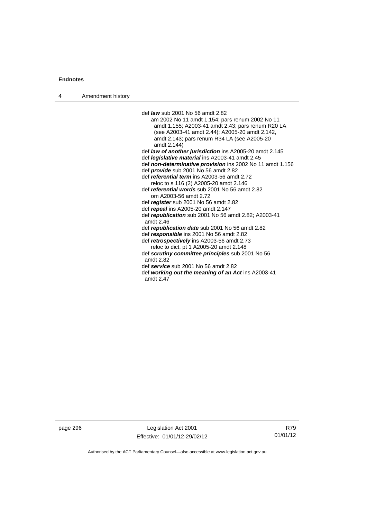4 Amendment history

 def *law* sub 2001 No 56 amdt 2.82 am 2002 No 11 amdt 1.154; pars renum 2002 No 11 amdt 1.155; A2003-41 amdt 2.43; pars renum R20 LA (see A2003-41 amdt 2.44); A2005-20 amdt 2.142, amdt 2.143; pars renum R34 LA (see A2005-20 amdt 2.144) def *law of another jurisdiction* ins A2005-20 amdt 2.145 def *legislative material* ins A2003-41 amdt 2.45 def *non-determinative provision* ins 2002 No 11 amdt 1.156 def *provide* sub 2001 No 56 amdt 2.82 def *referential term* ins A2003-56 amdt 2.72 reloc to s 116 (2) A2005-20 amdt 2.146 def *referential words* sub 2001 No 56 amdt 2.82 om A2003-56 amdt 2.72 def *register* sub 2001 No 56 amdt 2.82 def *repeal* ins A2005-20 amdt 2.147 def *republication* sub 2001 No 56 amdt 2.82; A2003-41 amdt 2.46 def *republication date* sub 2001 No 56 amdt 2.82 def *responsible* ins 2001 No 56 amdt 2.82 def *retrospectively* ins A2003-56 amdt 2.73 reloc to dict, pt 1 A2005-20 amdt 2.148 def *scrutiny committee principles* sub 2001 No 56 amdt 2.82 def *service* sub 2001 No 56 amdt 2.82 def *working out the meaning of an Act* ins A2003-41 amdt 2.47

page 296 Legislation Act 2001 Effective: 01/01/12-29/02/12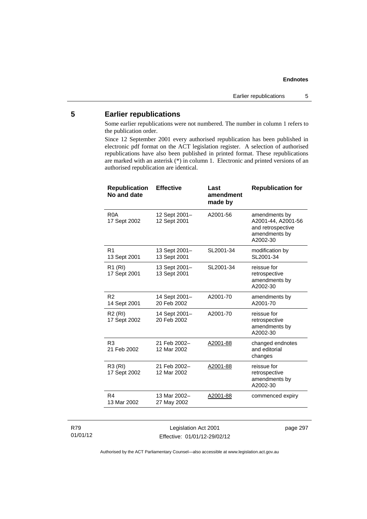# **5 Earlier republications**

Some earlier republications were not numbered. The number in column 1 refers to the publication order.

Since 12 September 2001 every authorised republication has been published in electronic pdf format on the ACT legislation register. A selection of authorised republications have also been published in printed format. These republications are marked with an asterisk (\*) in column 1. Electronic and printed versions of an authorised republication are identical.

| <b>Republication</b><br>No and date | <b>Effective</b>              | Last<br>amendment<br>made by | <b>Republication for</b>                                                              |
|-------------------------------------|-------------------------------|------------------------------|---------------------------------------------------------------------------------------|
| R <sub>0</sub> A<br>17 Sept 2002    | 12 Sept 2001-<br>12 Sept 2001 | A2001-56                     | amendments by<br>A2001-44, A2001-56<br>and retrospective<br>amendments by<br>A2002-30 |
| R1<br>13 Sept 2001                  | 13 Sept 2001-<br>13 Sept 2001 | SL2001-34                    | modification by<br>SL2001-34                                                          |
| R <sub>1</sub> (RI)<br>17 Sept 2001 | 13 Sept 2001-<br>13 Sept 2001 | SL2001-34                    | reissue for<br>retrospective<br>amendments by<br>A2002-30                             |
| R <sub>2</sub><br>14 Sept 2001      | 14 Sept 2001-<br>20 Feb 2002  | A2001-70                     | amendments by<br>A2001-70                                                             |
| R <sub>2</sub> (RI)<br>17 Sept 2002 | 14 Sept 2001-<br>20 Feb 2002  | A2001-70                     | reissue for<br>retrospective<br>amendments by<br>A2002-30                             |
| R <sub>3</sub><br>21 Feb 2002       | 21 Feb 2002-<br>12 Mar 2002   | A2001-88                     | changed endnotes<br>and editorial<br>changes                                          |
| R3 (RI)<br>17 Sept 2002             | 21 Feb 2002-<br>12 Mar 2002   | A2001-88                     | reissue for<br>retrospective<br>amendments by<br>A2002-30                             |
| R <sub>4</sub><br>13 Mar 2002       | 13 Mar 2002-<br>27 May 2002   | A2001-88                     | commenced expiry                                                                      |
|                                     |                               |                              |                                                                                       |

#### R79 01/01/12

Legislation Act 2001 Effective: 01/01/12-29/02/12 page 297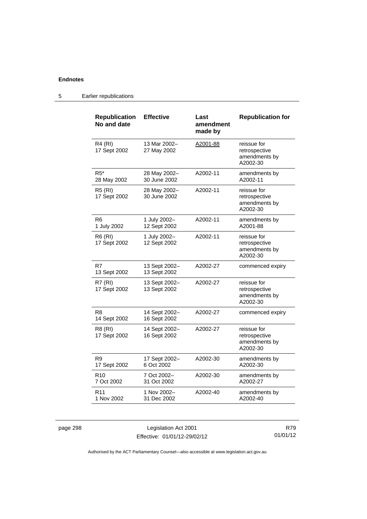| <b>Republication</b><br>No and date | <b>Effective</b>              | Last<br>amendment<br>made by | <b>Republication for</b>                                  |
|-------------------------------------|-------------------------------|------------------------------|-----------------------------------------------------------|
| <b>R4 (RI)</b><br>17 Sept 2002      | 13 Mar 2002-<br>27 May 2002   | A2001-88                     | reissue for<br>retrospective<br>amendments by<br>A2002-30 |
| R5*<br>28 May 2002                  | 28 May 2002-<br>30 June 2002  | A2002-11                     | amendments by<br>A2002-11                                 |
| <b>R5 (RI)</b><br>17 Sept 2002      | 28 May 2002-<br>30 June 2002  | A2002-11                     | reissue for<br>retrospective<br>amendments by<br>A2002-30 |
| R6<br>1 July 2002                   | 1 July 2002-<br>12 Sept 2002  | A2002-11                     | amendments by<br>A2001-88                                 |
| R6 (RI)<br>17 Sept 2002             | 1 July 2002-<br>12 Sept 2002  | A2002-11                     | reissue for<br>retrospective<br>amendments by<br>A2002-30 |
| R7<br>13 Sept 2002                  | 13 Sept 2002-<br>13 Sept 2002 | A2002-27                     | commenced expiry                                          |
| <b>R7 (RI)</b><br>17 Sept 2002      | 13 Sept 2002-<br>13 Sept 2002 | A2002-27                     | reissue for<br>retrospective<br>amendments by<br>A2002-30 |
| R8<br>14 Sept 2002                  | 14 Sept 2002-<br>16 Sept 2002 | A2002-27                     | commenced expiry                                          |
| R8 (RI)<br>17 Sept 2002             | 14 Sept 2002-<br>16 Sept 2002 | A2002-27                     | reissue for<br>retrospective<br>amendments by<br>A2002-30 |
| R9<br>17 Sept 2002                  | 17 Sept 2002-<br>6 Oct 2002   | A2002-30                     | amendments by<br>A2002-30                                 |
| R10<br>7 Oct 2002                   | 7 Oct 2002-<br>31 Oct 2002    | A2002-30                     | amendments by<br>A2002-27                                 |
| R <sub>11</sub><br>1 Nov 2002       | 1 Nov 2002-<br>31 Dec 2002    | A2002-40                     | amendments by<br>A2002-40                                 |

5 Earlier republications

page 298 Legislation Act 2001 Effective: 01/01/12-29/02/12

R79 01/01/12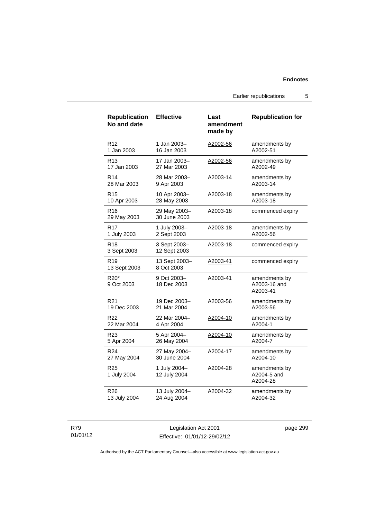Earlier republications 5

| <b>Republication</b><br>No and date | <b>Effective</b>             | Last<br>amendment<br>made by | <b>Republication for</b>                  |
|-------------------------------------|------------------------------|------------------------------|-------------------------------------------|
| R <sub>12</sub>                     | 1 Jan 2003-                  | A2002-56                     | amendments by                             |
| 1 Jan 2003                          | 16 Jan 2003                  |                              | A2002-51                                  |
| R <sub>13</sub>                     | 17 Jan 2003-                 | A2002-56                     | amendments by                             |
| 17 Jan 2003                         | 27 Mar 2003                  |                              | A2002-49                                  |
| R <sub>14</sub>                     | 28 Mar 2003-                 | A2003-14                     | amendments by                             |
| 28 Mar 2003                         | 9 Apr 2003                   |                              | A2003-14                                  |
| R15                                 | 10 Apr 2003-                 | A2003-18                     | amendments by                             |
| 10 Apr 2003                         | 28 May 2003                  |                              | A2003-18                                  |
| R16<br>29 May 2003                  | 29 May 2003-<br>30 June 2003 | A2003-18                     | commenced expiry                          |
| R17                                 | 1 July 2003-                 | A2003-18                     | amendments by                             |
| 1 July 2003                         | 2 Sept 2003                  |                              | A2002-56                                  |
| R <sub>18</sub><br>3 Sept 2003      | 3 Sept 2003-<br>12 Sept 2003 | A2003-18                     | commenced expiry                          |
| R <sub>19</sub><br>13 Sept 2003     | 13 Sept 2003-<br>8 Oct 2003  | A2003-41                     | commenced expiry                          |
| R20*<br>9 Oct 2003                  | 9 Oct 2003-<br>18 Dec 2003   | A2003-41                     | amendments by<br>A2003-16 and<br>A2003-41 |
| R <sub>21</sub>                     | 19 Dec 2003-                 | A2003-56                     | amendments by                             |
| 19 Dec 2003                         | 21 Mar 2004                  |                              | A2003-56                                  |
| R22                                 | 22 Mar 2004-                 | A2004-10                     | amendments by                             |
| 22 Mar 2004                         | 4 Apr 2004                   |                              | A2004-1                                   |
| R23                                 | 5 Apr 2004-                  | A2004-10                     | amendments by                             |
| 5 Apr 2004                          | 26 May 2004                  |                              | A2004-7                                   |
| R24                                 | 27 May 2004-                 | A2004-17                     | amendments by                             |
| 27 May 2004                         | 30 June 2004                 |                              | A2004-10                                  |
| R25<br>1 July 2004                  | 1 July 2004-<br>12 July 2004 | A2004-28                     | amendments by<br>A2004-5 and<br>A2004-28  |
| R26                                 | 13 July 2004-                | A2004-32                     | amendments by                             |
| 13 July 2004                        | 24 Aug 2004                  |                              | A2004-32                                  |

#### R79 01/01/12

Legislation Act 2001 Effective: 01/01/12-29/02/12 page 299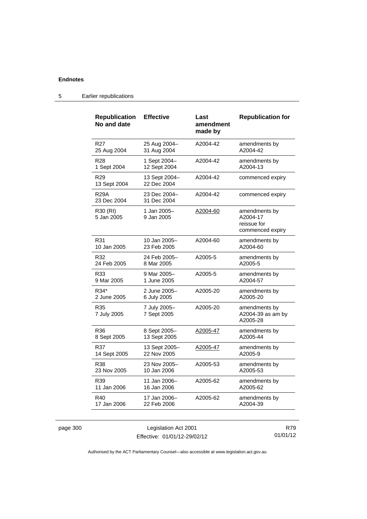| Republication<br>No and date    | <b>Effective</b>             | Last<br>amendment<br>made by | <b>Republication for</b>                                     |
|---------------------------------|------------------------------|------------------------------|--------------------------------------------------------------|
| R <sub>27</sub>                 | 25 Aug 2004-                 | A2004-42                     | amendments by                                                |
| 25 Aug 2004                     | 31 Aug 2004                  |                              | A2004-42                                                     |
| R <sub>28</sub>                 | 1 Sept 2004-                 | A2004-42                     | amendments by                                                |
| 1 Sept 2004                     | 12 Sept 2004                 |                              | A2004-13                                                     |
| R <sub>29</sub><br>13 Sept 2004 | 13 Sept 2004-<br>22 Dec 2004 | A2004-42                     | commenced expiry                                             |
| R29A<br>23 Dec 2004             | 23 Dec 2004-<br>31 Dec 2004  | A2004-42                     | commenced expiry                                             |
| R30 (RI)<br>5 Jan 2005          | 1 Jan 2005-<br>9 Jan 2005    | A2004-60                     | amendments by<br>A2004-17<br>reissue for<br>commenced expiry |
| R31                             | 10 Jan 2005-                 | A2004-60                     | amendments by                                                |
| 10 Jan 2005                     | 23 Feb 2005                  |                              | A2004-60                                                     |
| R32                             | 24 Feb 2005-                 | A2005-5                      | amendments by                                                |
| 24 Feb 2005                     | 8 Mar 2005                   |                              | A2005-5                                                      |
| R33                             | 9 Mar 2005-                  | A2005-5                      | amendments by                                                |
| 9 Mar 2005                      | 1 June 2005                  |                              | A2004-57                                                     |
| R34*                            | 2 June 2005-                 | A2005-20                     | amendments by                                                |
| 2 June 2005                     | 6 July 2005                  |                              | A2005-20                                                     |
| R35<br>7 July 2005              | 7 July 2005-<br>7 Sept 2005  | A2005-20                     | amendments by<br>A2004-39 as am by<br>A2005-28               |
| R36                             | 8 Sept 2005-                 | A2005-47                     | amendments by                                                |
| 8 Sept 2005                     | 13 Sept 2005                 |                              | A2005-44                                                     |
| R37                             | 13 Sept 2005-                | A2005-47                     | amendments by                                                |
| 14 Sept 2005                    | 22 Nov 2005                  |                              | A2005-9                                                      |
| R38                             | 23 Nov 2005–                 | A2005-53                     | amendments by                                                |
| 23 Nov 2005                     | 10 Jan 2006                  |                              | A2005-53                                                     |
| R39                             | 11 Jan 2006-                 | A2005-62                     | amendments by                                                |
| 11 Jan 2006                     | 16 Jan 2006                  |                              | A2005-62                                                     |
| R40                             | 17 Jan 2006-                 | A2005-62                     | amendments by                                                |
| 17 Jan 2006                     | 22 Feb 2006                  |                              | A2004-39                                                     |

# 5 Earlier republications

page 300 Legislation Act 2001 Effective: 01/01/12-29/02/12

R79 01/01/12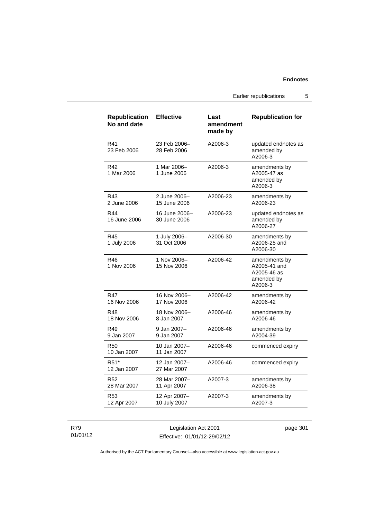Earlier republications 5

| <b>Republication</b><br>No and date | <b>Effective</b>              | Last<br>amendment<br>made by | <b>Republication for</b>                                              |
|-------------------------------------|-------------------------------|------------------------------|-----------------------------------------------------------------------|
| R41<br>23 Feb 2006                  | 23 Feb 2006-<br>28 Feb 2006   | A2006-3                      | updated endnotes as<br>amended by<br>A2006-3                          |
| R42<br>1 Mar 2006                   | 1 Mar 2006-<br>1 June 2006    | A2006-3                      | amendments by<br>A2005-47 as<br>amended by<br>A2006-3                 |
| R43<br>2 June 2006                  | 2 June 2006–<br>15 June 2006  | A2006-23                     | amendments by<br>A2006-23                                             |
| R44<br>16 June 2006                 | 16 June 2006-<br>30 June 2006 | A2006-23                     | updated endnotes as<br>amended by<br>A2006-27                         |
| R45<br>1 July 2006                  | 1 July 2006-<br>31 Oct 2006   | A2006-30                     | amendments by<br>A2006-25 and<br>A2006-30                             |
| R46<br>1 Nov 2006                   | 1 Nov 2006-<br>15 Nov 2006    | A2006-42                     | amendments by<br>A2005-41 and<br>A2005-46 as<br>amended by<br>A2006-3 |
| R47<br>16 Nov 2006                  | 16 Nov 2006-<br>17 Nov 2006   | A2006-42                     | amendments by<br>A2006-42                                             |
| R48<br>18 Nov 2006                  | 18 Nov 2006-<br>8 Jan 2007    | A2006-46                     | amendments by<br>A2006-46                                             |
| R49<br>9 Jan 2007                   | 9 Jan 2007-<br>9 Jan 2007     | A2006-46                     | amendments by<br>A2004-39                                             |
| <b>R50</b><br>10 Jan 2007           | 10 Jan 2007-<br>11 Jan 2007   | A2006-46                     | commenced expiry                                                      |
| R <sub>51</sub> *<br>12 Jan 2007    | 12 Jan 2007-<br>27 Mar 2007   | A2006-46                     | commenced expiry                                                      |
| R52<br>28 Mar 2007                  | 28 Mar 2007-<br>11 Apr 2007   | A2007-3                      | amendments by<br>A2006-38                                             |
| R <sub>53</sub><br>12 Apr 2007      | 12 Apr 2007-<br>10 July 2007  | A2007-3                      | amendments by<br>A2007-3                                              |

R79 01/01/12

Legislation Act 2001 Effective: 01/01/12-29/02/12 page 301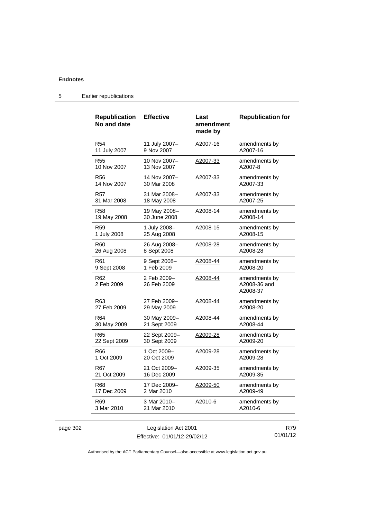|          | <b>Republication</b><br>No and date | <b>Effective</b>              | Last<br>amendment<br>made by | <b>Republication for</b>                  |     |
|----------|-------------------------------------|-------------------------------|------------------------------|-------------------------------------------|-----|
|          | R <sub>54</sub><br>11 July 2007     | 11 July 2007-<br>9 Nov 2007   | A2007-16                     | amendments by<br>A2007-16                 |     |
|          | <b>R55</b><br>10 Nov 2007           | 10 Nov 2007-<br>13 Nov 2007   | A2007-33                     | amendments by<br>A2007-8                  |     |
|          | R56<br>14 Nov 2007                  | 14 Nov 2007-<br>30 Mar 2008   | A2007-33                     | amendments by<br>A2007-33                 |     |
|          | R57<br>31 Mar 2008                  | 31 Mar 2008-<br>18 May 2008   | A2007-33                     | amendments by<br>A2007-25                 |     |
|          | <b>R58</b><br>19 May 2008           | 19 May 2008-<br>30 June 2008  | A2008-14                     | amendments by<br>A2008-14                 |     |
|          | <b>R59</b><br>1 July 2008           | 1 July 2008-<br>25 Aug 2008   | A2008-15                     | amendments by<br>A2008-15                 |     |
|          | R <sub>60</sub><br>26 Aug 2008      | 26 Aug 2008-<br>8 Sept 2008   | A2008-28                     | amendments by<br>A2008-28                 |     |
|          | R <sub>61</sub><br>9 Sept 2008      | 9 Sept 2008-<br>1 Feb 2009    | <u>A2008-44</u>              | amendments by<br>A2008-20                 |     |
|          | R <sub>62</sub><br>2 Feb 2009       | 2 Feb 2009-<br>26 Feb 2009    | A2008-44                     | amendments by<br>A2008-36 and<br>A2008-37 |     |
|          | R <sub>63</sub><br>27 Feb 2009      | 27 Feb 2009-<br>29 May 2009   | A2008-44                     | amendments by<br>A2008-20                 |     |
|          | R <sub>64</sub><br>30 May 2009      | 30 May 2009-<br>21 Sept 2009  | A2008-44                     | amendments by<br>A2008-44                 |     |
|          | R <sub>65</sub><br>22 Sept 2009     | 22 Sept 2009-<br>30 Sept 2009 | A2009-28                     | amendments by<br>A2009-20                 |     |
|          | R66<br>1 Oct 2009                   | 1 Oct 2009-<br>20 Oct 2009    | A2009-28                     | amendments by<br>A2009-28                 |     |
|          | <b>R67</b><br>21 Oct 2009           | 21 Oct 2009-<br>16 Dec 2009   | A2009-35                     | amendments by<br>A2009-35                 |     |
|          | R68<br>17 Dec 2009                  | 17 Dec 2009-<br>2 Mar 2010    | A2009-50                     | amendments by<br>A2009-49                 |     |
|          | R69<br>3 Mar 2010                   | 3 Mar 2010-<br>21 Mar 2010    | A2010-6                      | amendments by<br>A2010-6                  |     |
| page 302 |                                     | Legislation Act 2001          |                              |                                           | R79 |

Effective: 01/01/12-29/02/12

R79 01/01/12